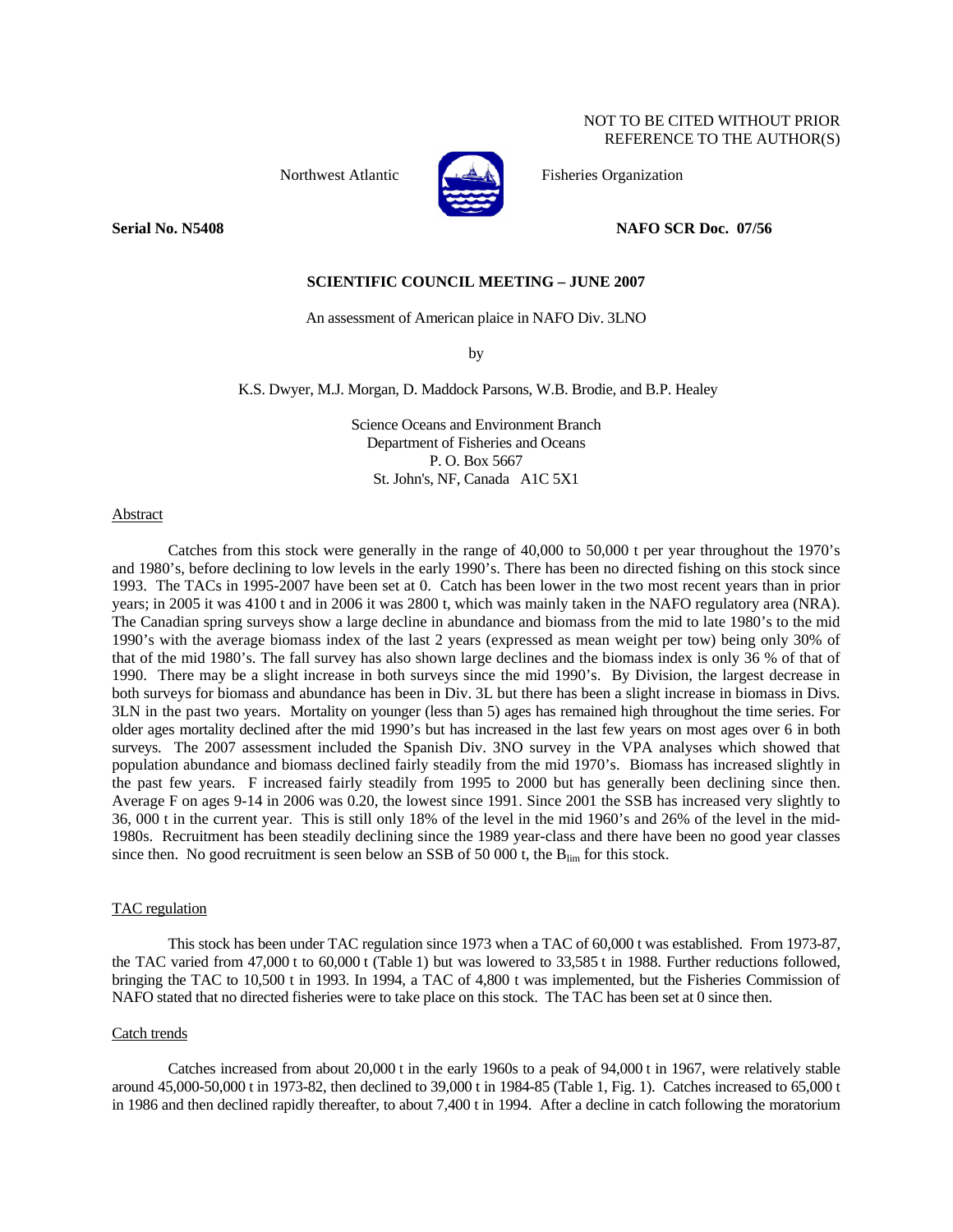NOT TO BE CITED WITHOUT PRIOR REFERENCE TO THE AUTHOR(S)

Northwest Atlantic Fisheries Organization



**Serial No. N5408 NAFO SCR Doc. 07/56** 

## **SCIENTIFIC COUNCIL MEETING – JUNE 2007**

An assessment of American plaice in NAFO Div. 3LNO

by

#### K.S. Dwyer, M.J. Morgan, D. Maddock Parsons, W.B. Brodie, and B.P. Healey

Science Oceans and Environment Branch Department of Fisheries and Oceans P. O. Box 5667 St. John's, NF, Canada A1C 5X1

## Abstract

Catches from this stock were generally in the range of 40,000 to 50,000 t per year throughout the 1970's and 1980's, before declining to low levels in the early 1990's. There has been no directed fishing on this stock since 1993. The TACs in 1995-2007 have been set at 0. Catch has been lower in the two most recent years than in prior years; in 2005 it was 4100 t and in 2006 it was 2800 t, which was mainly taken in the NAFO regulatory area (NRA). The Canadian spring surveys show a large decline in abundance and biomass from the mid to late 1980's to the mid 1990's with the average biomass index of the last 2 years (expressed as mean weight per tow) being only 30% of that of the mid 1980's. The fall survey has also shown large declines and the biomass index is only 36 % of that of 1990. There may be a slight increase in both surveys since the mid 1990's. By Division, the largest decrease in both surveys for biomass and abundance has been in Div. 3L but there has been a slight increase in biomass in Divs. 3LN in the past two years. Mortality on younger (less than 5) ages has remained high throughout the time series. For older ages mortality declined after the mid 1990's but has increased in the last few years on most ages over 6 in both surveys. The 2007 assessment included the Spanish Div. 3NO survey in the VPA analyses which showed that population abundance and biomass declined fairly steadily from the mid 1970's. Biomass has increased slightly in the past few years. F increased fairly steadily from 1995 to 2000 but has generally been declining since then. Average F on ages 9-14 in 2006 was 0.20, the lowest since 1991. Since 2001 the SSB has increased very slightly to 36, 000 t in the current year. This is still only 18% of the level in the mid 1960's and 26% of the level in the mid-1980s. Recruitment has been steadily declining since the 1989 year-class and there have been no good year classes since then. No good recruitment is seen below an SSB of 50 000 t, the  $B_{lim}$  for this stock.

# TAC regulation

 This stock has been under TAC regulation since 1973 when a TAC of 60,000 t was established. From 1973-87, the TAC varied from 47,000 t to 60,000 t (Table 1) but was lowered to 33,585 t in 1988. Further reductions followed, bringing the TAC to 10,500 t in 1993. In 1994, a TAC of 4,800 t was implemented, but the Fisheries Commission of NAFO stated that no directed fisheries were to take place on this stock. The TAC has been set at 0 since then.

#### Catch trends

 Catches increased from about 20,000 t in the early 1960s to a peak of 94,000 t in 1967, were relatively stable around 45,000-50,000 t in 1973-82, then declined to 39,000 t in 1984-85 (Table 1, Fig. 1). Catches increased to 65,000 t in 1986 and then declined rapidly thereafter, to about 7,400 t in 1994. After a decline in catch following the moratorium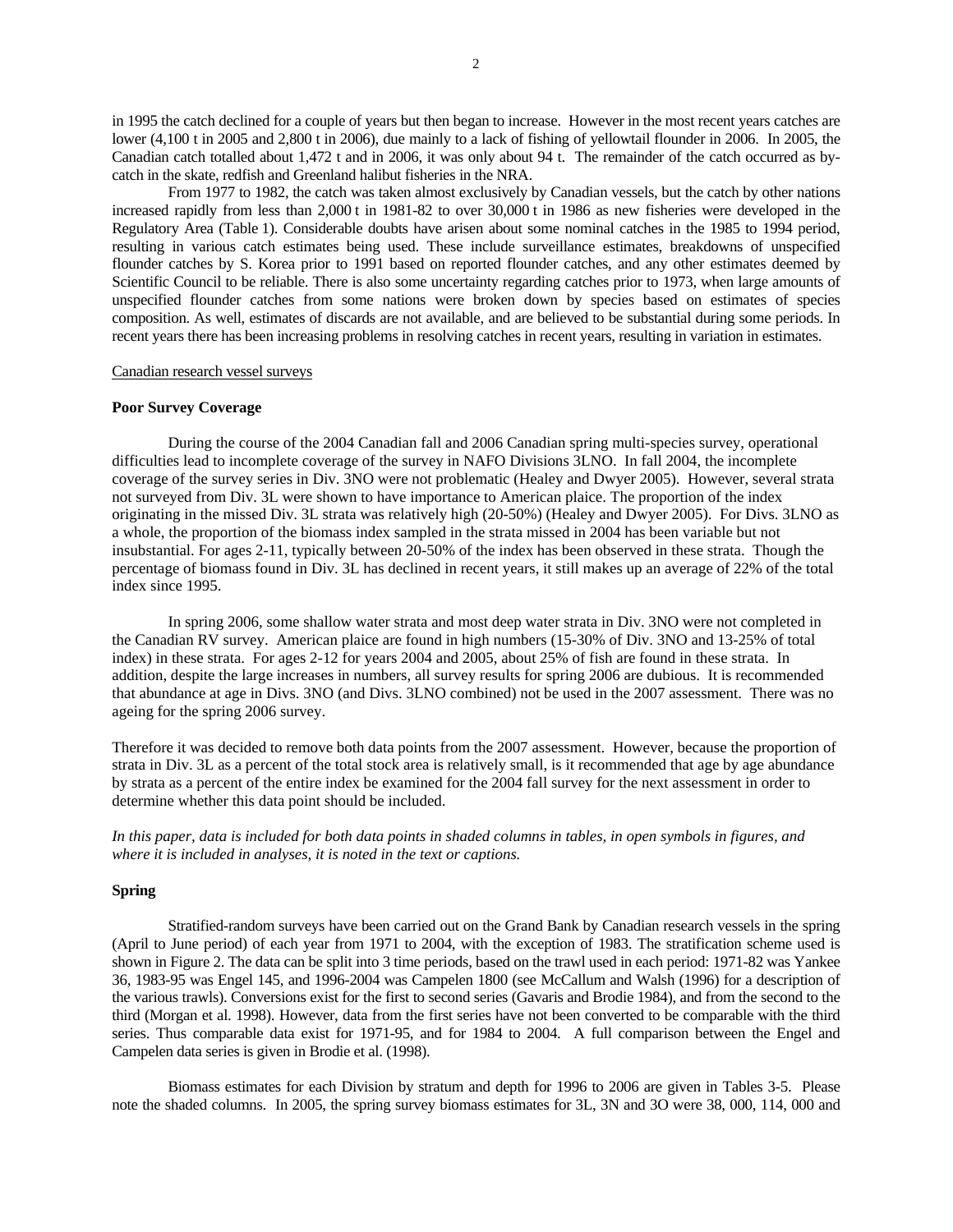in 1995 the catch declined for a couple of years but then began to increase. However in the most recent years catches are lower (4,100 t in 2005 and 2,800 t in 2006), due mainly to a lack of fishing of yellowtail flounder in 2006. In 2005, the Canadian catch totalled about 1,472 t and in 2006, it was only about 94 t. The remainder of the catch occurred as bycatch in the skate, redfish and Greenland halibut fisheries in the NRA.

 From 1977 to 1982, the catch was taken almost exclusively by Canadian vessels, but the catch by other nations increased rapidly from less than 2,000 t in 1981-82 to over 30,000 t in 1986 as new fisheries were developed in the Regulatory Area (Table 1). Considerable doubts have arisen about some nominal catches in the 1985 to 1994 period, resulting in various catch estimates being used. These include surveillance estimates, breakdowns of unspecified flounder catches by S. Korea prior to 1991 based on reported flounder catches, and any other estimates deemed by Scientific Council to be reliable. There is also some uncertainty regarding catches prior to 1973, when large amounts of unspecified flounder catches from some nations were broken down by species based on estimates of species composition. As well, estimates of discards are not available, and are believed to be substantial during some periods. In recent years there has been increasing problems in resolving catches in recent years, resulting in variation in estimates.

## Canadian research vessel surveys

#### **Poor Survey Coverage**

 During the course of the 2004 Canadian fall and 2006 Canadian spring multi-species survey, operational difficulties lead to incomplete coverage of the survey in NAFO Divisions 3LNO. In fall 2004, the incomplete coverage of the survey series in Div. 3NO were not problematic (Healey and Dwyer 2005). However, several strata not surveyed from Div. 3L were shown to have importance to American plaice. The proportion of the index originating in the missed Div. 3L strata was relatively high (20-50%) (Healey and Dwyer 2005). For Divs. 3LNO as a whole, the proportion of the biomass index sampled in the strata missed in 2004 has been variable but not insubstantial. For ages 2-11, typically between 20-50% of the index has been observed in these strata. Though the percentage of biomass found in Div. 3L has declined in recent years, it still makes up an average of 22% of the total index since 1995.

 In spring 2006, some shallow water strata and most deep water strata in Div. 3NO were not completed in the Canadian RV survey. American plaice are found in high numbers (15-30% of Div. 3NO and 13-25% of total index) in these strata. For ages 2-12 for years 2004 and 2005, about 25% of fish are found in these strata. In addition, despite the large increases in numbers, all survey results for spring 2006 are dubious. It is recommended that abundance at age in Divs. 3NO (and Divs. 3LNO combined) not be used in the 2007 assessment. There was no ageing for the spring 2006 survey.

Therefore it was decided to remove both data points from the 2007 assessment. However, because the proportion of strata in Div. 3L as a percent of the total stock area is relatively small, is it recommended that age by age abundance by strata as a percent of the entire index be examined for the 2004 fall survey for the next assessment in order to determine whether this data point should be included.

*In this paper, data is included for both data points in shaded columns in tables, in open symbols in figures, and where it is included in analyses, it is noted in the text or captions.*

## **Spring**

 Stratified-random surveys have been carried out on the Grand Bank by Canadian research vessels in the spring (April to June period) of each year from 1971 to 2004, with the exception of 1983. The stratification scheme used is shown in Figure 2. The data can be split into 3 time periods, based on the trawl used in each period: 1971-82 was Yankee 36, 1983-95 was Engel 145, and 1996-2004 was Campelen 1800 (see McCallum and Walsh (1996) for a description of the various trawls). Conversions exist for the first to second series (Gavaris and Brodie 1984), and from the second to the third (Morgan et al. 1998). However, data from the first series have not been converted to be comparable with the third series. Thus comparable data exist for 1971-95, and for 1984 to 2004. A full comparison between the Engel and Campelen data series is given in Brodie et al. (1998).

 Biomass estimates for each Division by stratum and depth for 1996 to 2006 are given in Tables 3-5. Please note the shaded columns. In 2005, the spring survey biomass estimates for 3L, 3N and 3O were 38, 000, 114, 000 and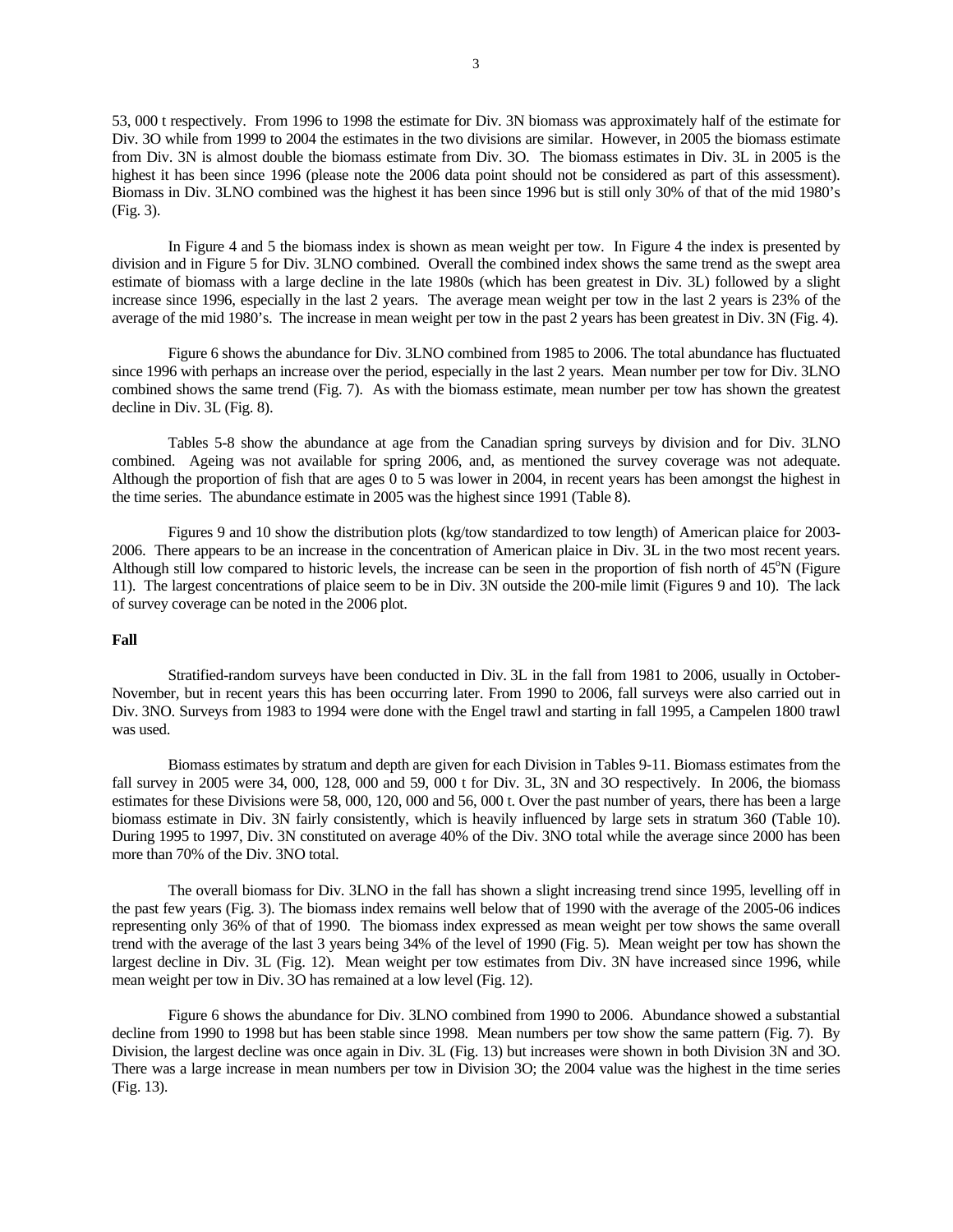53, 000 t respectively. From 1996 to 1998 the estimate for Div. 3N biomass was approximately half of the estimate for Div. 3O while from 1999 to 2004 the estimates in the two divisions are similar. However, in 2005 the biomass estimate from Div. 3N is almost double the biomass estimate from Div. 3O. The biomass estimates in Div. 3L in 2005 is the highest it has been since 1996 (please note the 2006 data point should not be considered as part of this assessment). Biomass in Div. 3LNO combined was the highest it has been since 1996 but is still only 30% of that of the mid 1980's (Fig. 3).

 In Figure 4 and 5 the biomass index is shown as mean weight per tow. In Figure 4 the index is presented by division and in Figure 5 for Div. 3LNO combined. Overall the combined index shows the same trend as the swept area estimate of biomass with a large decline in the late 1980s (which has been greatest in Div. 3L) followed by a slight increase since 1996, especially in the last 2 years. The average mean weight per tow in the last 2 years is 23% of the average of the mid 1980's. The increase in mean weight per tow in the past 2 years has been greatest in Div. 3N (Fig. 4).

 Figure 6 shows the abundance for Div. 3LNO combined from 1985 to 2006. The total abundance has fluctuated since 1996 with perhaps an increase over the period, especially in the last 2 years. Mean number per tow for Div. 3LNO combined shows the same trend (Fig. 7). As with the biomass estimate, mean number per tow has shown the greatest decline in Div. 3L (Fig. 8).

 Tables 5-8 show the abundance at age from the Canadian spring surveys by division and for Div. 3LNO combined. Ageing was not available for spring 2006, and, as mentioned the survey coverage was not adequate. Although the proportion of fish that are ages 0 to 5 was lower in 2004, in recent years has been amongst the highest in the time series. The abundance estimate in 2005 was the highest since 1991 (Table 8).

 Figures 9 and 10 show the distribution plots (kg/tow standardized to tow length) of American plaice for 2003- 2006. There appears to be an increase in the concentration of American plaice in Div. 3L in the two most recent years. Although still low compared to historic levels, the increase can be seen in the proportion of fish north of  $45^{\circ}N$  (Figure 11). The largest concentrations of plaice seem to be in Div. 3N outside the 200-mile limit (Figures 9 and 10). The lack of survey coverage can be noted in the 2006 plot.

## **Fall**

 Stratified-random surveys have been conducted in Div. 3L in the fall from 1981 to 2006, usually in October-November, but in recent years this has been occurring later. From 1990 to 2006, fall surveys were also carried out in Div. 3NO. Surveys from 1983 to 1994 were done with the Engel trawl and starting in fall 1995, a Campelen 1800 trawl was used.

 Biomass estimates by stratum and depth are given for each Division in Tables 9-11. Biomass estimates from the fall survey in 2005 were 34, 000, 128, 000 and 59, 000 t for Div. 3L, 3N and 3O respectively. In 2006, the biomass estimates for these Divisions were 58, 000, 120, 000 and 56, 000 t. Over the past number of years, there has been a large biomass estimate in Div. 3N fairly consistently, which is heavily influenced by large sets in stratum 360 (Table 10). During 1995 to 1997, Div. 3N constituted on average 40% of the Div. 3NO total while the average since 2000 has been more than 70% of the Div. 3NO total.

 The overall biomass for Div. 3LNO in the fall has shown a slight increasing trend since 1995, levelling off in the past few years (Fig. 3). The biomass index remains well below that of 1990 with the average of the 2005-06 indices representing only 36% of that of 1990. The biomass index expressed as mean weight per tow shows the same overall trend with the average of the last 3 years being 34% of the level of 1990 (Fig. 5). Mean weight per tow has shown the largest decline in Div. 3L (Fig. 12). Mean weight per tow estimates from Div. 3N have increased since 1996, while mean weight per tow in Div. 3O has remained at a low level (Fig. 12).

 Figure 6 shows the abundance for Div. 3LNO combined from 1990 to 2006. Abundance showed a substantial decline from 1990 to 1998 but has been stable since 1998. Mean numbers per tow show the same pattern (Fig. 7). By Division, the largest decline was once again in Div. 3L (Fig. 13) but increases were shown in both Division 3N and 3O. There was a large increase in mean numbers per tow in Division 3O; the 2004 value was the highest in the time series (Fig. 13).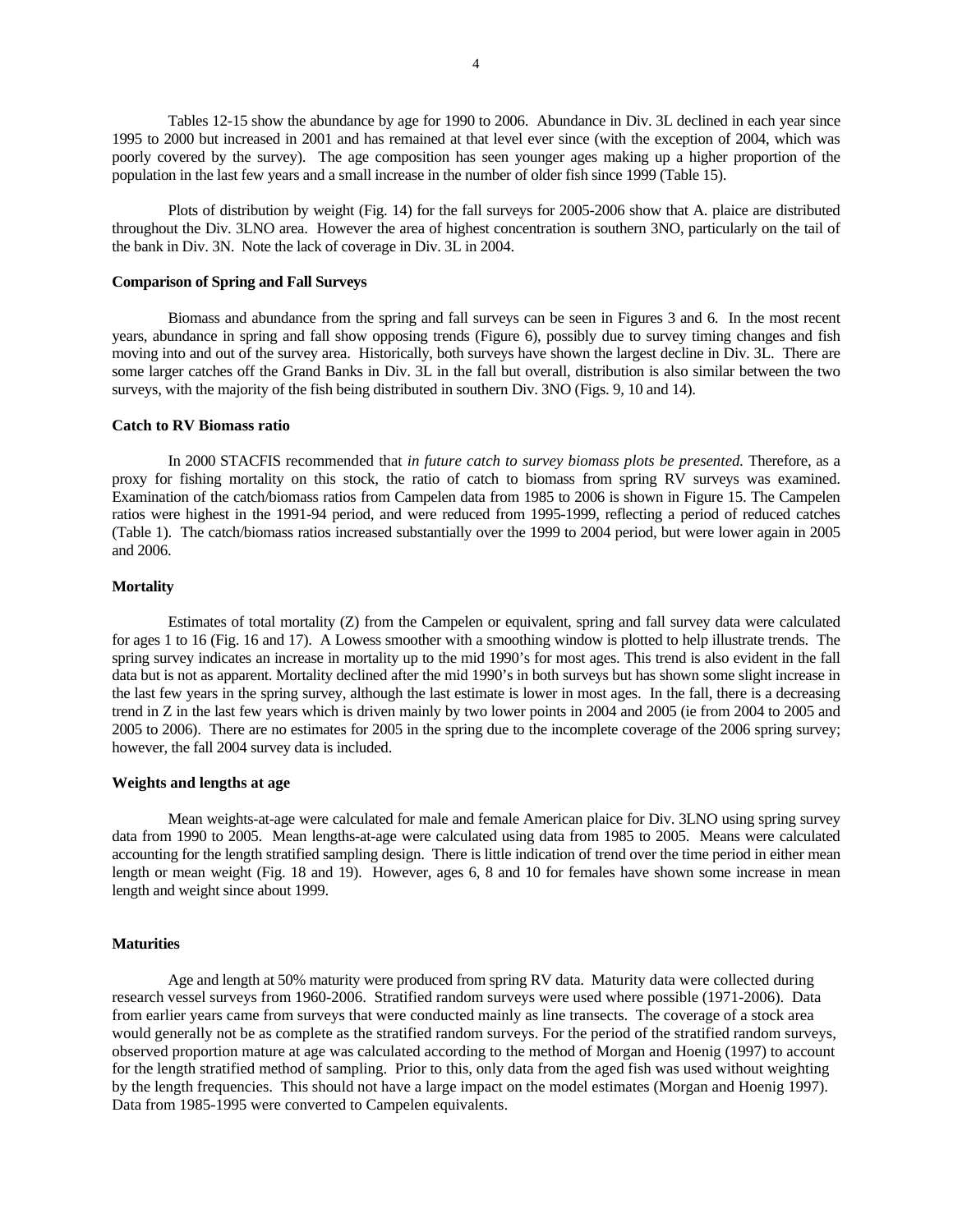4

 Tables 12-15 show the abundance by age for 1990 to 2006. Abundance in Div. 3L declined in each year since 1995 to 2000 but increased in 2001 and has remained at that level ever since (with the exception of 2004, which was poorly covered by the survey). The age composition has seen younger ages making up a higher proportion of the population in the last few years and a small increase in the number of older fish since 1999 (Table 15).

 Plots of distribution by weight (Fig. 14) for the fall surveys for 2005-2006 show that A. plaice are distributed throughout the Div. 3LNO area. However the area of highest concentration is southern 3NO, particularly on the tail of the bank in Div. 3N. Note the lack of coverage in Div. 3L in 2004.

## **Comparison of Spring and Fall Surveys**

 Biomass and abundance from the spring and fall surveys can be seen in Figures 3 and 6. In the most recent years, abundance in spring and fall show opposing trends (Figure 6), possibly due to survey timing changes and fish moving into and out of the survey area. Historically, both surveys have shown the largest decline in Div. 3L. There are some larger catches off the Grand Banks in Div. 3L in the fall but overall, distribution is also similar between the two surveys, with the majority of the fish being distributed in southern Div. 3NO (Figs. 9, 10 and 14).

#### **Catch to RV Biomass ratio**

 In 2000 STACFIS recommended that *in future catch to survey biomass plots be presented.* Therefore, as a proxy for fishing mortality on this stock, the ratio of catch to biomass from spring RV surveys was examined. Examination of the catch/biomass ratios from Campelen data from 1985 to 2006 is shown in Figure 15. The Campelen ratios were highest in the 1991-94 period, and were reduced from 1995-1999, reflecting a period of reduced catches (Table 1). The catch/biomass ratios increased substantially over the 1999 to 2004 period, but were lower again in 2005 and 2006.

### **Mortality**

 Estimates of total mortality (Z) from the Campelen or equivalent, spring and fall survey data were calculated for ages 1 to 16 (Fig. 16 and 17). A Lowess smoother with a smoothing window is plotted to help illustrate trends. The spring survey indicates an increase in mortality up to the mid 1990's for most ages. This trend is also evident in the fall data but is not as apparent. Mortality declined after the mid 1990's in both surveys but has shown some slight increase in the last few years in the spring survey, although the last estimate is lower in most ages. In the fall, there is a decreasing trend in Z in the last few years which is driven mainly by two lower points in 2004 and 2005 (ie from 2004 to 2005 and 2005 to 2006). There are no estimates for 2005 in the spring due to the incomplete coverage of the 2006 spring survey; however, the fall 2004 survey data is included.

#### **Weights and lengths at age**

 Mean weights-at-age were calculated for male and female American plaice for Div. 3LNO using spring survey data from 1990 to 2005. Mean lengths-at-age were calculated using data from 1985 to 2005. Means were calculated accounting for the length stratified sampling design. There is little indication of trend over the time period in either mean length or mean weight (Fig. 18 and 19). However, ages 6, 8 and 10 for females have shown some increase in mean length and weight since about 1999.

#### **Maturities**

 Age and length at 50% maturity were produced from spring RV data. Maturity data were collected during research vessel surveys from 1960-2006. Stratified random surveys were used where possible (1971-2006). Data from earlier years came from surveys that were conducted mainly as line transects. The coverage of a stock area would generally not be as complete as the stratified random surveys. For the period of the stratified random surveys, observed proportion mature at age was calculated according to the method of Morgan and Hoenig (1997) to account for the length stratified method of sampling. Prior to this, only data from the aged fish was used without weighting by the length frequencies. This should not have a large impact on the model estimates (Morgan and Hoenig 1997). Data from 1985-1995 were converted to Campelen equivalents.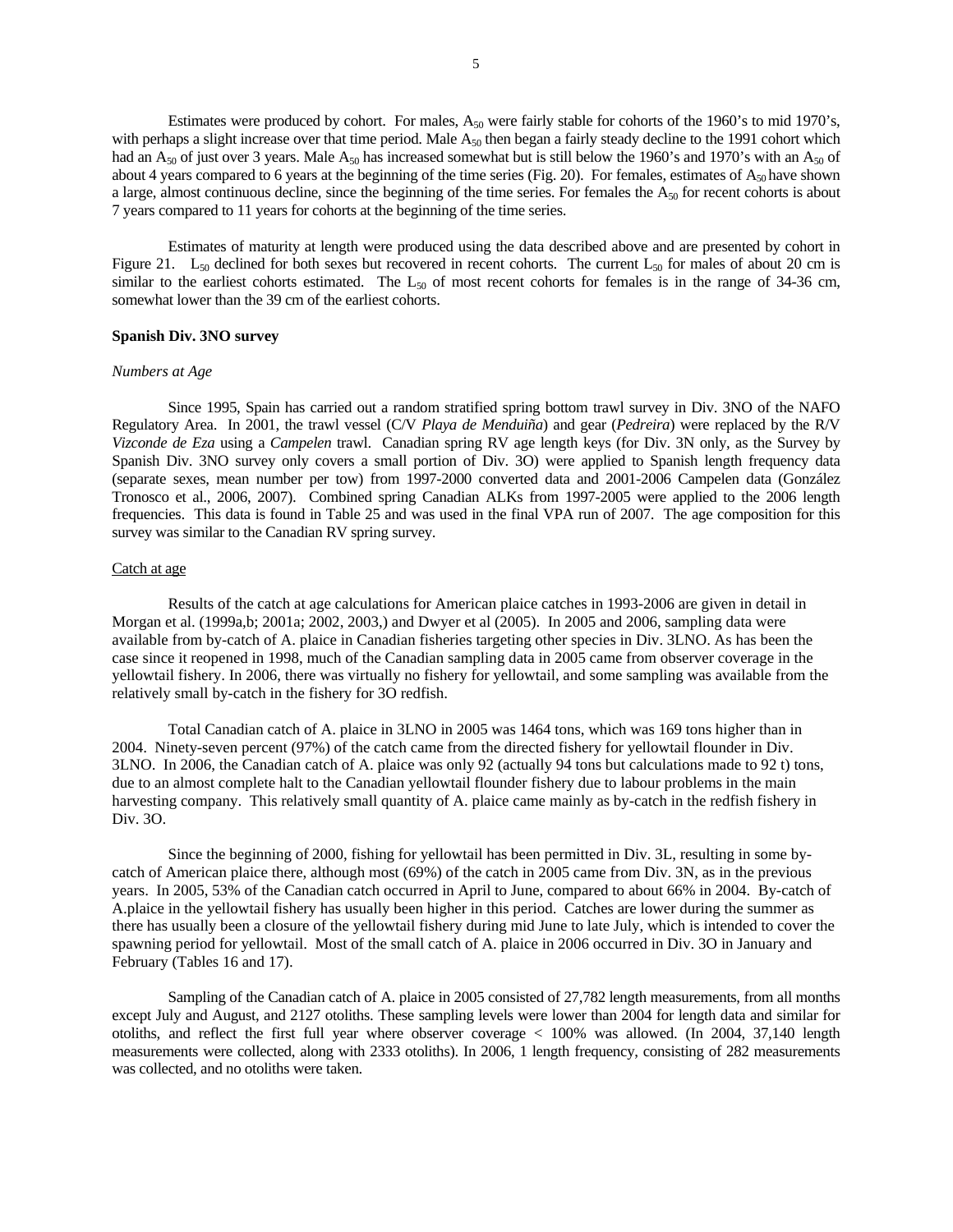Estimates were produced by cohort. For males,  $A_{50}$  were fairly stable for cohorts of the 1960's to mid 1970's, with perhaps a slight increase over that time period. Male  $A_{50}$  then began a fairly steady decline to the 1991 cohort which had an  $A_{50}$  of just over 3 years. Male  $A_{50}$  has increased somewhat but is still below the 1960's and 1970's with an  $A_{50}$  of about 4 years compared to 6 years at the beginning of the time series (Fig. 20). For females, estimates of  $A_{50}$  have shown a large, almost continuous decline, since the beginning of the time series. For females the  $A_{50}$  for recent cohorts is about 7 years compared to 11 years for cohorts at the beginning of the time series.

 Estimates of maturity at length were produced using the data described above and are presented by cohort in Figure 21.  $L_{50}$  declined for both sexes but recovered in recent cohorts. The current  $L_{50}$  for males of about 20 cm is similar to the earliest cohorts estimated. The  $L_{50}$  of most recent cohorts for females is in the range of 34-36 cm, somewhat lower than the 39 cm of the earliest cohorts.

## **Spanish Div. 3NO survey**

#### *Numbers at Age*

 Since 1995, Spain has carried out a random stratified spring bottom trawl survey in Div. 3NO of the NAFO Regulatory Area. In 2001, the trawl vessel (C/V *Playa de Menduiña*) and gear (*Pedreira*) were replaced by the R/V *Vizconde de Eza* using a *Campelen* trawl. Canadian spring RV age length keys (for Div. 3N only, as the Survey by Spanish Div. 3NO survey only covers a small portion of Div. 3O) were applied to Spanish length frequency data (separate sexes, mean number per tow) from 1997-2000 converted data and 2001-2006 Campelen data (González Tronosco et al., 2006, 2007). Combined spring Canadian ALKs from 1997-2005 were applied to the 2006 length frequencies. This data is found in Table 25 and was used in the final VPA run of 2007. The age composition for this survey was similar to the Canadian RV spring survey.

## Catch at age

Results of the catch at age calculations for American plaice catches in 1993-2006 are given in detail in Morgan et al. (1999a,b; 2001a; 2002, 2003,) and Dwyer et al (2005). In 2005 and 2006, sampling data were available from by-catch of A. plaice in Canadian fisheries targeting other species in Div. 3LNO. As has been the case since it reopened in 1998, much of the Canadian sampling data in 2005 came from observer coverage in the yellowtail fishery. In 2006, there was virtually no fishery for yellowtail, and some sampling was available from the relatively small by-catch in the fishery for 3O redfish.

Total Canadian catch of A. plaice in 3LNO in 2005 was 1464 tons, which was 169 tons higher than in 2004. Ninety-seven percent (97%) of the catch came from the directed fishery for yellowtail flounder in Div. 3LNO. In 2006, the Canadian catch of A. plaice was only 92 (actually 94 tons but calculations made to 92 t) tons, due to an almost complete halt to the Canadian yellowtail flounder fishery due to labour problems in the main harvesting company. This relatively small quantity of A. plaice came mainly as by-catch in the redfish fishery in Div. 3O.

Since the beginning of 2000, fishing for yellowtail has been permitted in Div. 3L, resulting in some bycatch of American plaice there, although most (69%) of the catch in 2005 came from Div. 3N, as in the previous years. In 2005, 53% of the Canadian catch occurred in April to June, compared to about 66% in 2004. By-catch of A.plaice in the yellowtail fishery has usually been higher in this period. Catches are lower during the summer as there has usually been a closure of the yellowtail fishery during mid June to late July, which is intended to cover the spawning period for yellowtail. Most of the small catch of A. plaice in 2006 occurred in Div. 3O in January and February (Tables 16 and 17).

Sampling of the Canadian catch of A. plaice in 2005 consisted of 27,782 length measurements, from all months except July and August, and 2127 otoliths. These sampling levels were lower than 2004 for length data and similar for otoliths, and reflect the first full year where observer coverage < 100% was allowed. (In 2004, 37,140 length measurements were collected, along with 2333 otoliths). In 2006, 1 length frequency, consisting of 282 measurements was collected, and no otoliths were taken.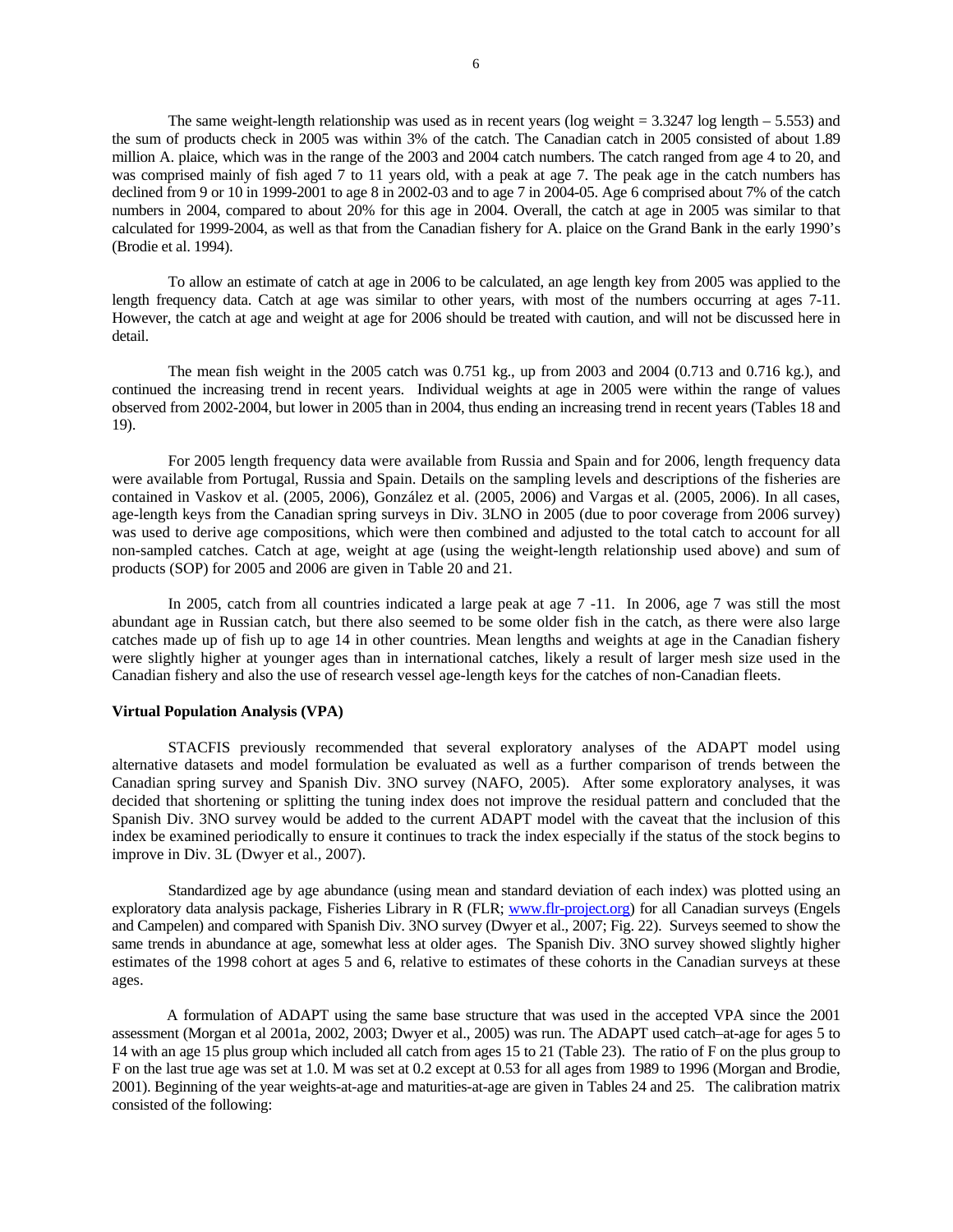The same weight-length relationship was used as in recent years (log weight  $= 3.3247 \log \mathrm{length} - 5.553$ ) and the sum of products check in 2005 was within 3% of the catch. The Canadian catch in 2005 consisted of about 1.89 million A. plaice, which was in the range of the 2003 and 2004 catch numbers. The catch ranged from age 4 to 20, and was comprised mainly of fish aged 7 to 11 years old, with a peak at age 7. The peak age in the catch numbers has declined from 9 or 10 in 1999-2001 to age 8 in 2002-03 and to age 7 in 2004-05. Age 6 comprised about 7% of the catch numbers in 2004, compared to about 20% for this age in 2004. Overall, the catch at age in 2005 was similar to that calculated for 1999-2004, as well as that from the Canadian fishery for A. plaice on the Grand Bank in the early 1990's (Brodie et al. 1994).

To allow an estimate of catch at age in 2006 to be calculated, an age length key from 2005 was applied to the length frequency data. Catch at age was similar to other years, with most of the numbers occurring at ages 7-11. However, the catch at age and weight at age for 2006 should be treated with caution, and will not be discussed here in detail.

The mean fish weight in the 2005 catch was 0.751 kg., up from 2003 and 2004 (0.713 and 0.716 kg.), and continued the increasing trend in recent years. Individual weights at age in 2005 were within the range of values observed from 2002-2004, but lower in 2005 than in 2004, thus ending an increasing trend in recent years (Tables 18 and 19).

For 2005 length frequency data were available from Russia and Spain and for 2006, length frequency data were available from Portugal, Russia and Spain. Details on the sampling levels and descriptions of the fisheries are contained in Vaskov et al. (2005, 2006), González et al. (2005, 2006) and Vargas et al. (2005, 2006). In all cases, age-length keys from the Canadian spring surveys in Div. 3LNO in 2005 (due to poor coverage from 2006 survey) was used to derive age compositions, which were then combined and adjusted to the total catch to account for all non-sampled catches. Catch at age, weight at age (using the weight-length relationship used above) and sum of products (SOP) for 2005 and 2006 are given in Table 20 and 21.

 In 2005, catch from all countries indicated a large peak at age 7 -11. In 2006, age 7 was still the most abundant age in Russian catch, but there also seemed to be some older fish in the catch, as there were also large catches made up of fish up to age 14 in other countries. Mean lengths and weights at age in the Canadian fishery were slightly higher at younger ages than in international catches, likely a result of larger mesh size used in the Canadian fishery and also the use of research vessel age-length keys for the catches of non-Canadian fleets.

## **Virtual Population Analysis (VPA)**

 STACFIS previously recommended that several exploratory analyses of the ADAPT model using alternative datasets and model formulation be evaluated as well as a further comparison of trends between the Canadian spring survey and Spanish Div. 3NO survey (NAFO, 2005). After some exploratory analyses, it was decided that shortening or splitting the tuning index does not improve the residual pattern and concluded that the Spanish Div. 3NO survey would be added to the current ADAPT model with the caveat that the inclusion of this index be examined periodically to ensure it continues to track the index especially if the status of the stock begins to improve in Div. 3L (Dwyer et al., 2007).

 Standardized age by age abundance (using mean and standard deviation of each index) was plotted using an exploratory data analysis package, Fisheries Library in R (FLR; www.flr-project.org) for all Canadian surveys (Engels and Campelen) and compared with Spanish Div. 3NO survey (Dwyer et al., 2007; Fig. 22). Surveys seemed to show the same trends in abundance at age, somewhat less at older ages. The Spanish Div. 3NO survey showed slightly higher estimates of the 1998 cohort at ages 5 and 6, relative to estimates of these cohorts in the Canadian surveys at these ages.

 A formulation of ADAPT using the same base structure that was used in the accepted VPA since the 2001 assessment (Morgan et al 2001a, 2002, 2003; Dwyer et al., 2005) was run. The ADAPT used catch–at-age for ages 5 to 14 with an age 15 plus group which included all catch from ages 15 to 21 (Table 23). The ratio of F on the plus group to F on the last true age was set at 1.0. M was set at 0.2 except at 0.53 for all ages from 1989 to 1996 (Morgan and Brodie, 2001). Beginning of the year weights-at-age and maturities-at-age are given in Tables 24 and 25. The calibration matrix consisted of the following: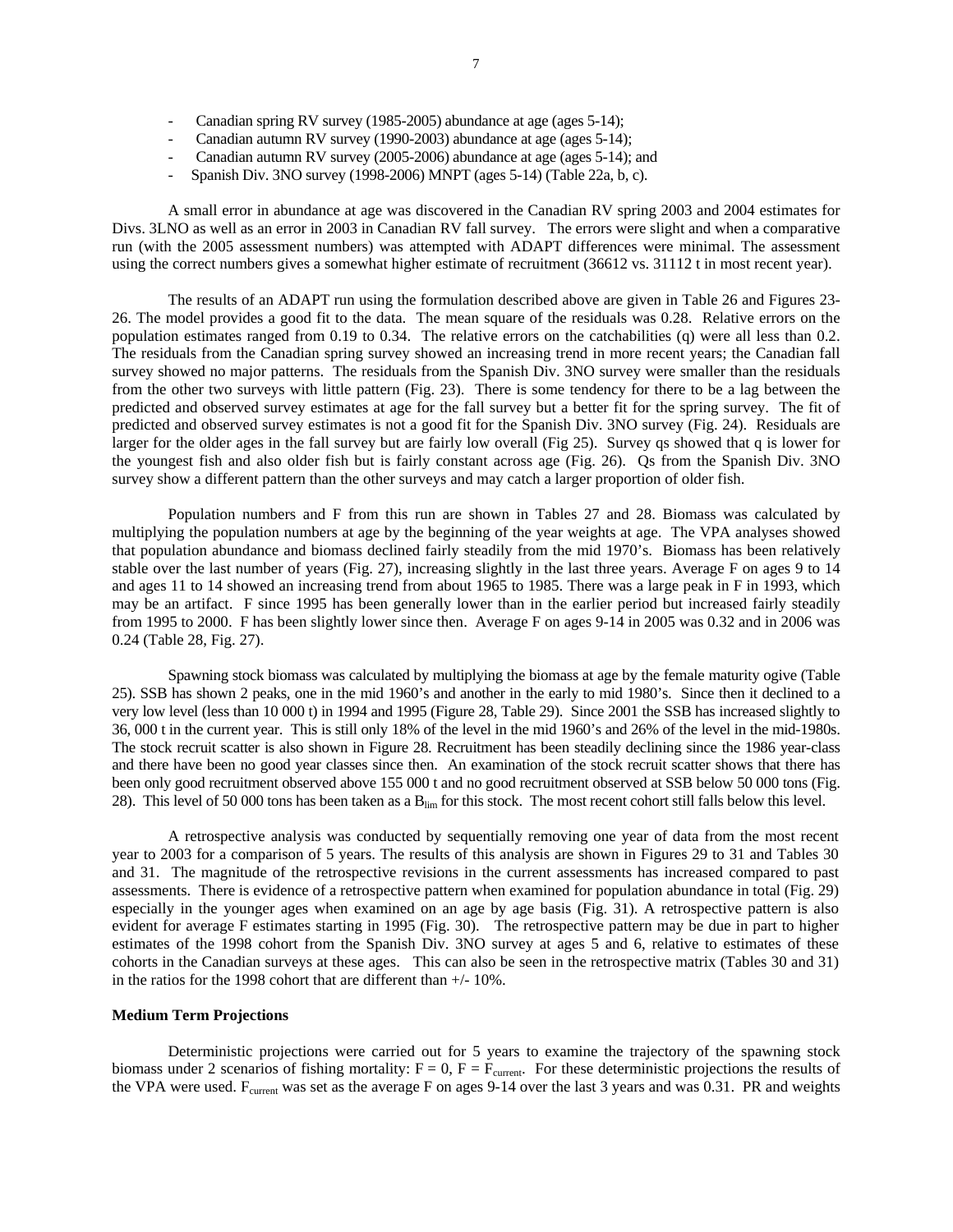- Canadian spring RV survey (1985-2005) abundance at age (ages 5-14);
- Canadian autumn RV survey (1990-2003) abundance at age (ages 5-14);
- Canadian autumn RV survey (2005-2006) abundance at age (ages 5-14); and
- Spanish Div. 3NO survey (1998-2006) MNPT (ages 5-14) (Table 22a, b, c).

 A small error in abundance at age was discovered in the Canadian RV spring 2003 and 2004 estimates for Divs. 3LNO as well as an error in 2003 in Canadian RV fall survey. The errors were slight and when a comparative run (with the 2005 assessment numbers) was attempted with ADAPT differences were minimal. The assessment using the correct numbers gives a somewhat higher estimate of recruitment (36612 vs. 31112 t in most recent year).

 The results of an ADAPT run using the formulation described above are given in Table 26 and Figures 23- 26. The model provides a good fit to the data. The mean square of the residuals was 0.28. Relative errors on the population estimates ranged from 0.19 to 0.34. The relative errors on the catchabilities (q) were all less than 0.2. The residuals from the Canadian spring survey showed an increasing trend in more recent years; the Canadian fall survey showed no major patterns. The residuals from the Spanish Div. 3NO survey were smaller than the residuals from the other two surveys with little pattern (Fig. 23). There is some tendency for there to be a lag between the predicted and observed survey estimates at age for the fall survey but a better fit for the spring survey. The fit of predicted and observed survey estimates is not a good fit for the Spanish Div. 3NO survey (Fig. 24). Residuals are larger for the older ages in the fall survey but are fairly low overall (Fig 25). Survey qs showed that q is lower for the youngest fish and also older fish but is fairly constant across age (Fig. 26). Qs from the Spanish Div. 3NO survey show a different pattern than the other surveys and may catch a larger proportion of older fish.

 Population numbers and F from this run are shown in Tables 27 and 28. Biomass was calculated by multiplying the population numbers at age by the beginning of the year weights at age. The VPA analyses showed that population abundance and biomass declined fairly steadily from the mid 1970's. Biomass has been relatively stable over the last number of years (Fig. 27), increasing slightly in the last three years. Average F on ages 9 to 14 and ages 11 to 14 showed an increasing trend from about 1965 to 1985. There was a large peak in F in 1993, which may be an artifact. F since 1995 has been generally lower than in the earlier period but increased fairly steadily from 1995 to 2000. F has been slightly lower since then. Average F on ages 9-14 in 2005 was 0.32 and in 2006 was 0.24 (Table 28, Fig. 27).

 Spawning stock biomass was calculated by multiplying the biomass at age by the female maturity ogive (Table 25). SSB has shown 2 peaks, one in the mid 1960's and another in the early to mid 1980's. Since then it declined to a very low level (less than 10 000 t) in 1994 and 1995 (Figure 28, Table 29). Since 2001 the SSB has increased slightly to 36, 000 t in the current year. This is still only 18% of the level in the mid 1960's and 26% of the level in the mid-1980s. The stock recruit scatter is also shown in Figure 28. Recruitment has been steadily declining since the 1986 year-class and there have been no good year classes since then. An examination of the stock recruit scatter shows that there has been only good recruitment observed above 155 000 t and no good recruitment observed at SSB below 50 000 tons (Fig. 28). This level of 50 000 tons has been taken as a  $B_{lim}$  for this stock. The most recent cohort still falls below this level.

A retrospective analysis was conducted by sequentially removing one year of data from the most recent year to 2003 for a comparison of 5 years. The results of this analysis are shown in Figures 29 to 31 and Tables 30 and 31. The magnitude of the retrospective revisions in the current assessments has increased compared to past assessments. There is evidence of a retrospective pattern when examined for population abundance in total (Fig. 29) especially in the younger ages when examined on an age by age basis (Fig. 31). A retrospective pattern is also evident for average F estimates starting in 1995 (Fig. 30). The retrospective pattern may be due in part to higher estimates of the 1998 cohort from the Spanish Div. 3NO survey at ages 5 and 6, relative to estimates of these cohorts in the Canadian surveys at these ages. This can also be seen in the retrospective matrix (Tables 30 and 31) in the ratios for the 1998 cohort that are different than +/- 10%.

## **Medium Term Projections**

Deterministic projections were carried out for 5 years to examine the trajectory of the spawning stock biomass under 2 scenarios of fishing mortality:  $F = 0$ ,  $F = F_{current}$ . For these deterministic projections the results of the VPA were used. F<sub>current</sub> was set as the average F on ages 9-14 over the last 3 years and was 0.31. PR and weights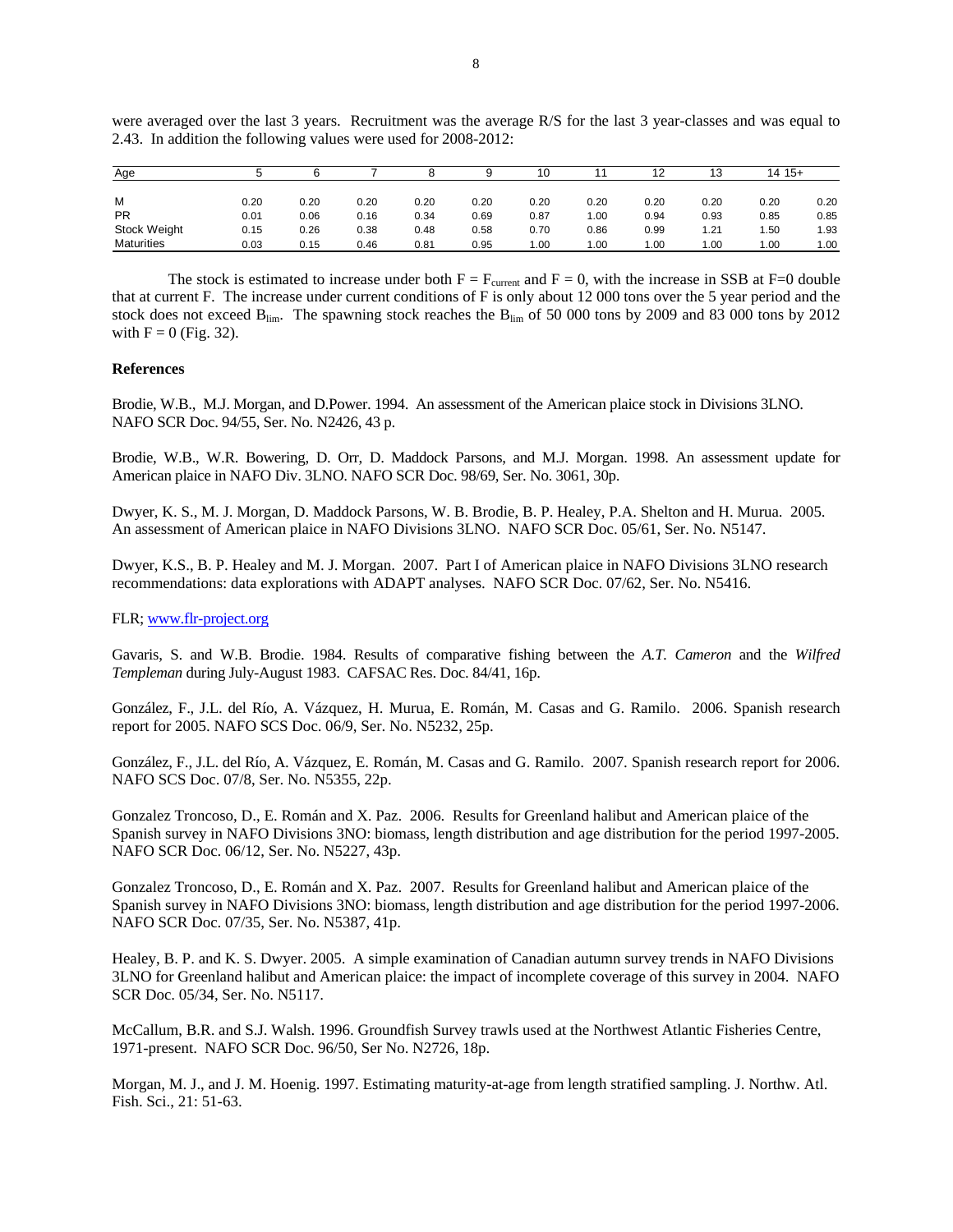| Age               |      |      |      |      |      | 10   |      | 12   | 13   | 14 15+ |      |
|-------------------|------|------|------|------|------|------|------|------|------|--------|------|
| M                 | 0.20 | 0.20 | 0.20 | 0.20 | 0.20 | 0.20 | 0.20 | 0.20 | 0.20 | 0.20   | 0.20 |
| <b>PR</b>         | 0.01 | 0.06 | 0.16 | 0.34 | 0.69 | 0.87 | 1.00 | 0.94 | 0.93 | 0.85   | 0.85 |
| Stock Weight      | 0.15 | 0.26 | 0.38 | 0.48 | 0.58 | 0.70 | 0.86 | 0.99 | 1.21 | .50    | 1.93 |
| <b>Maturities</b> | 0.03 | 0.15 | 0.46 | 0.81 | 0.95 | 1.00 | 1.00 | 1.00 | 1.00 | 1.00   | 1.00 |

were averaged over the last 3 years. Recruitment was the average R/S for the last 3 year-classes and was equal to 2.43. In addition the following values were used for 2008-2012:

The stock is estimated to increase under both  $F = F_{\text{current}}$  and  $F = 0$ , with the increase in SSB at F=0 double that at current F. The increase under current conditions of F is only about 12 000 tons over the 5 year period and the stock does not exceed  $B_{lim}$ . The spawning stock reaches the  $B_{lim}$  of 50 000 tons by 2009 and 83 000 tons by 2012 with  $F = 0$  (Fig. 32).

## **References**

Brodie, W.B., M.J. Morgan, and D.Power. 1994. An assessment of the American plaice stock in Divisions 3LNO. NAFO SCR Doc. 94/55, Ser. No. N2426, 43 p.

Brodie, W.B., W.R. Bowering, D. Orr, D. Maddock Parsons, and M.J. Morgan. 1998. An assessment update for American plaice in NAFO Div. 3LNO. NAFO SCR Doc. 98/69, Ser. No. 3061, 30p.

Dwyer, K. S., M. J. Morgan, D. Maddock Parsons, W. B. Brodie, B. P. Healey, P.A. Shelton and H. Murua. 2005. An assessment of American plaice in NAFO Divisions 3LNO. NAFO SCR Doc. 05/61, Ser. No. N5147.

Dwyer, K.S., B. P. Healey and M. J. Morgan. 2007. Part I of American plaice in NAFO Divisions 3LNO research recommendations: data explorations with ADAPT analyses. NAFO SCR Doc. 07/62, Ser. No. N5416.

## FLR; www.flr-project.org

Gavaris, S. and W.B. Brodie. 1984. Results of comparative fishing between the *A.T. Cameron* and the *Wilfred Templeman* during July-August 1983. CAFSAC Res. Doc. 84/41, 16p.

González, F., J.L. del Río, A. Vázquez, H. Murua, E. Román, M. Casas and G. Ramilo. 2006. Spanish research report for 2005. NAFO SCS Doc. 06/9, Ser. No. N5232, 25p.

González, F., J.L. del Río, A. Vázquez, E. Román, M. Casas and G. Ramilo. 2007. Spanish research report for 2006. NAFO SCS Doc. 07/8, Ser. No. N5355, 22p.

Gonzalez Troncoso, D., E. Román and X. Paz. 2006. Results for Greenland halibut and American plaice of the Spanish survey in NAFO Divisions 3NO: biomass, length distribution and age distribution for the period 1997-2005. NAFO SCR Doc. 06/12, Ser. No. N5227, 43p.

Gonzalez Troncoso, D., E. Román and X. Paz. 2007. Results for Greenland halibut and American plaice of the Spanish survey in NAFO Divisions 3NO: biomass, length distribution and age distribution for the period 1997-2006. NAFO SCR Doc. 07/35, Ser. No. N5387, 41p.

Healey, B. P. and K. S. Dwyer. 2005. A simple examination of Canadian autumn survey trends in NAFO Divisions 3LNO for Greenland halibut and American plaice: the impact of incomplete coverage of this survey in 2004. NAFO SCR Doc. 05/34, Ser. No. N5117.

McCallum, B.R. and S.J. Walsh. 1996. Groundfish Survey trawls used at the Northwest Atlantic Fisheries Centre, 1971-present. NAFO SCR Doc. 96/50, Ser No. N2726, 18p.

Morgan, M. J., and J. M. Hoenig. 1997. Estimating maturity-at-age from length stratified sampling. J. Northw. Atl. Fish. Sci., 21: 51-63.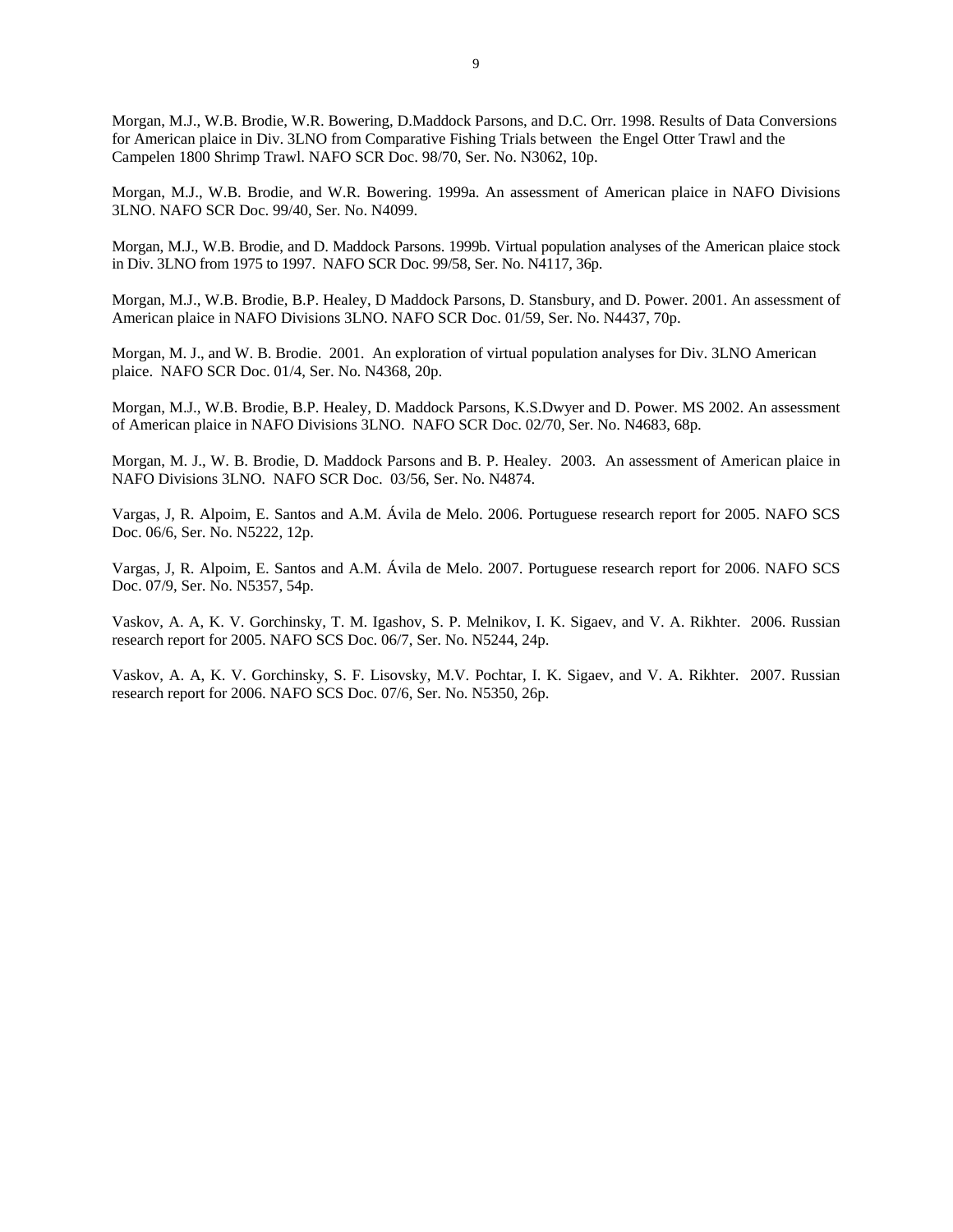Morgan, M.J., W.B. Brodie, W.R. Bowering, D.Maddock Parsons, and D.C. Orr. 1998. Results of Data Conversions for American plaice in Div. 3LNO from Comparative Fishing Trials between the Engel Otter Trawl and the Campelen 1800 Shrimp Trawl. NAFO SCR Doc. 98/70, Ser. No. N3062, 10p.

Morgan, M.J., W.B. Brodie, and W.R. Bowering. 1999a. An assessment of American plaice in NAFO Divisions 3LNO. NAFO SCR Doc. 99/40, Ser. No. N4099.

Morgan, M.J., W.B. Brodie, and D. Maddock Parsons. 1999b. Virtual population analyses of the American plaice stock in Div. 3LNO from 1975 to 1997. NAFO SCR Doc. 99/58, Ser. No. N4117, 36p.

Morgan, M.J., W.B. Brodie, B.P. Healey, D Maddock Parsons, D. Stansbury, and D. Power. 2001. An assessment of American plaice in NAFO Divisions 3LNO. NAFO SCR Doc. 01/59, Ser. No. N4437, 70p.

Morgan, M. J., and W. B. Brodie. 2001. An exploration of virtual population analyses for Div. 3LNO American plaice. NAFO SCR Doc. 01/4, Ser. No. N4368, 20p.

Morgan, M.J., W.B. Brodie, B.P. Healey, D. Maddock Parsons, K.S.Dwyer and D. Power. MS 2002. An assessment of American plaice in NAFO Divisions 3LNO. NAFO SCR Doc. 02/70, Ser. No. N4683, 68p.

Morgan, M. J., W. B. Brodie, D. Maddock Parsons and B. P. Healey. 2003. An assessment of American plaice in NAFO Divisions 3LNO. NAFO SCR Doc. 03/56, Ser. No. N4874.

Vargas, J, R. Alpoim, E. Santos and A.M. Ávila de Melo. 2006. Portuguese research report for 2005. NAFO SCS Doc. 06/6, Ser. No. N5222, 12p.

Vargas, J, R. Alpoim, E. Santos and A.M. Ávila de Melo. 2007. Portuguese research report for 2006. NAFO SCS Doc. 07/9, Ser. No. N5357, 54p.

Vaskov, A. A, K. V. Gorchinsky, T. M. Igashov, S. P. Melnikov, I. K. Sigaev, and V. A. Rikhter. 2006. Russian research report for 2005. NAFO SCS Doc. 06/7, Ser. No. N5244, 24p.

Vaskov, A. A, K. V. Gorchinsky, S. F. Lisovsky, M.V. Pochtar, I. K. Sigaev, and V. A. Rikhter. 2007. Russian research report for 2006. NAFO SCS Doc. 07/6, Ser. No. N5350, 26p.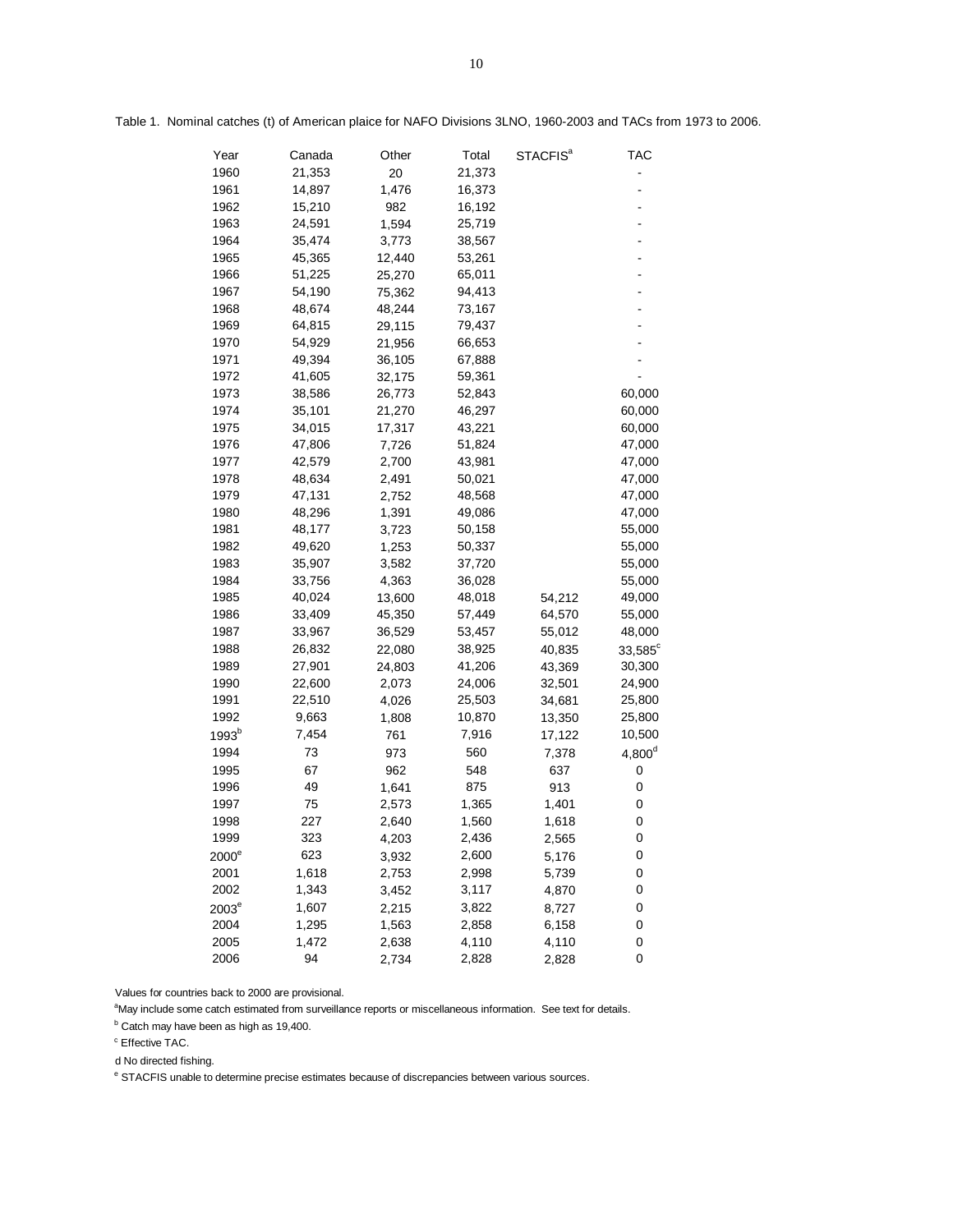| Year              | Canada | Other  | Total  | STACFIS <sup>ª</sup> | TAC                |
|-------------------|--------|--------|--------|----------------------|--------------------|
| 1960              | 21,353 | 20     | 21,373 |                      |                    |
| 1961              | 14,897 | 1,476  | 16,373 |                      |                    |
| 1962              | 15,210 | 982    | 16,192 |                      |                    |
| 1963              | 24,591 | 1,594  | 25,719 |                      |                    |
| 1964              | 35,474 | 3,773  | 38,567 |                      |                    |
| 1965              | 45,365 | 12,440 | 53,261 |                      |                    |
| 1966              | 51,225 | 25,270 | 65,011 |                      |                    |
| 1967              | 54,190 | 75,362 | 94,413 |                      |                    |
| 1968              | 48,674 | 48,244 | 73,167 |                      |                    |
| 1969              | 64,815 | 29,115 | 79,437 |                      |                    |
| 1970              | 54,929 | 21,956 | 66,653 |                      |                    |
| 1971              | 49,394 | 36,105 | 67,888 |                      |                    |
| 1972              | 41,605 | 32,175 | 59,361 |                      |                    |
| 1973              | 38,586 | 26,773 | 52,843 |                      | 60,000             |
| 1974              | 35,101 | 21,270 | 46,297 |                      | 60,000             |
| 1975              | 34,015 | 17,317 | 43,221 |                      | 60,000             |
| 1976              | 47,806 | 7,726  | 51,824 |                      | 47,000             |
| 1977              | 42,579 | 2,700  | 43,981 |                      | 47,000             |
| 1978              | 48,634 | 2,491  | 50,021 |                      | 47,000             |
| 1979              | 47,131 | 2,752  | 48,568 |                      | 47,000             |
| 1980              | 48,296 | 1,391  | 49,086 |                      | 47,000             |
| 1981              | 48,177 | 3,723  | 50,158 |                      | 55,000             |
| 1982              | 49,620 | 1,253  | 50,337 |                      | 55,000             |
| 1983              | 35,907 | 3,582  | 37,720 |                      | 55,000             |
| 1984              | 33,756 | 4,363  | 36,028 |                      | 55,000             |
| 1985              | 40,024 | 13,600 | 48,018 | 54,212               | 49,000             |
| 1986              | 33,409 | 45,350 | 57,449 | 64,570               | 55,000             |
| 1987              | 33,967 | 36,529 | 53,457 | 55,012               | 48,000             |
| 1988              | 26,832 | 22,080 | 38,925 | 40,835               | $33,585^\circ$     |
| 1989              | 27,901 | 24,803 | 41,206 | 43,369               | 30,300             |
| 1990              | 22,600 | 2,073  | 24,006 | 32,501               | 24,900             |
| 1991              | 22,510 | 4,026  | 25,503 | 34,681               | 25,800             |
| 1992              | 9,663  | 1,808  | 10,870 | 13,350               | 25,800             |
| 1993 <sup>b</sup> | 7,454  | 761    | 7,916  | 17,122               | 10,500             |
| 1994              | 73     | 973    | 560    | 7,378                | 4,800 <sup>d</sup> |
| 1995              | 67     | 962    | 548    | 637                  | 0                  |
| 1996              | 49     | 1,641  | 875    | 913                  | 0                  |
| 1997              | 75     | 2,573  | 1,365  | 1,401                | 0                  |
| 1998              | 227    | 2,640  | 1,560  | 1,618                | 0                  |
| 1999              | 323    | 4,203  | 2,436  | 2,565                | 0                  |
| $2000^{\circ}$    | 623    | 3,932  | 2,600  | 5,176                | 0                  |
| 2001              | 1,618  | 2,753  | 2,998  | 5,739                | 0                  |
| 2002              | 1,343  | 3,452  | 3,117  | 4,870                | 0                  |
| $2003^e$          | 1,607  | 2,215  | 3,822  | 8,727                | 0                  |
| 2004              | 1,295  | 1,563  | 2,858  | 6,158                | 0                  |
| 2005              | 1,472  | 2,638  | 4,110  | 4,110                | 0                  |
| 2006              | 94     | 2,734  | 2,828  | 2,828                | 0                  |

Table 1. Nominal catches (t) of American plaice for NAFO Divisions 3LNO, 1960-2003 and TACs from 1973 to 2006.

Values for countries back to 2000 are provisional.

aMay include some catch estimated from surveillance reports or miscellaneous information. See text for details.

<sup>b</sup> Catch may have been as high as 19,400.

<sup>c</sup> Effective TAC.

d No directed fishing.

<sup>e</sup> STACFIS unable to determine precise estimates because of discrepancies between various sources.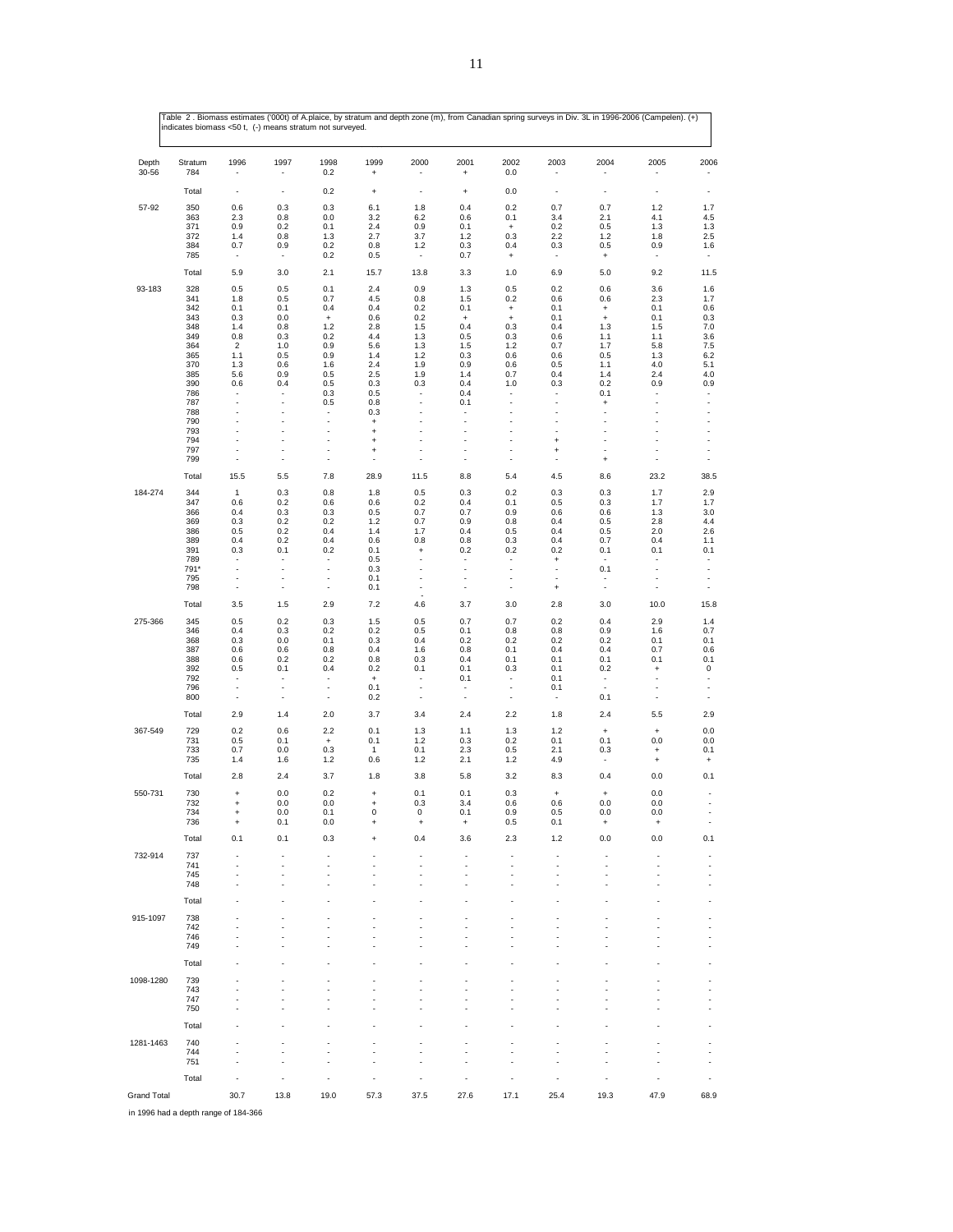| Depth<br>30-56 | Stratum<br>784 | 1996                                       | 1997                     | 1998<br>0.2                   | 1999<br>$\ddot{}$                       | 2000                                       | 2001<br>$\ddot{}$                                    | 2002<br>0.0                             | 2003                                  | 2004                                    | 2005                                    | 2006                                                 |
|----------------|----------------|--------------------------------------------|--------------------------|-------------------------------|-----------------------------------------|--------------------------------------------|------------------------------------------------------|-----------------------------------------|---------------------------------------|-----------------------------------------|-----------------------------------------|------------------------------------------------------|
|                | Total          | $\overline{\phantom{a}}$                   | ÷,                       | 0.2                           | $\ddot{}$                               | $\overline{\phantom{a}}$                   | $\ddot{}$                                            | 0.0                                     | ÷,                                    | $\overline{a}$                          | ÷,                                      | $\overline{\phantom{a}}$                             |
| 57-92          | 350            | 0.6                                        | 0.3                      | 0.3                           | 6.1                                     | 1.8                                        | 0.4                                                  | 0.2                                     | 0.7                                   | 0.7                                     | 1.2                                     | 1.7                                                  |
|                | 363<br>371     | 2.3<br>0.9                                 | 0.8<br>0.2               | 0.0<br>0.1                    | 3.2<br>2.4                              | 6.2<br>0.9                                 | 0.6<br>0.1                                           | 0.1<br>$\begin{array}{c} + \end{array}$ | 3.4<br>0.2                            | 2.1<br>0.5                              | 4.1<br>1.3                              | 4.5<br>1.3                                           |
|                | 372<br>384     | 1.4<br>0.7                                 | 0.8<br>0.9               | 1.3<br>0.2                    | 2.7<br>0.8                              | 3.7<br>1.2                                 | 1.2<br>0.3                                           | 0.3<br>0.4                              | 2.2<br>0.3                            | 1.2<br>0.5                              | 1.8<br>0.9                              | 2.5<br>1.6                                           |
|                | 785            | $\overline{\phantom{a}}$                   | $\overline{\phantom{a}}$ | 0.2                           | 0.5                                     | $\overline{\phantom{a}}$                   | 0.7                                                  | $\ddot{}$                               | ٠                                     | $\ddot{}$                               | $\overline{\phantom{a}}$                | $\overline{\phantom{a}}$                             |
|                | Total          | 5.9                                        | 3.0                      | 2.1                           | 15.7                                    | 13.8                                       | 3.3                                                  | 1.0                                     | 6.9                                   | 5.0                                     | 9.2                                     | 11.5                                                 |
| 93-183         | 328<br>341     | 0.5<br>1.8                                 | 0.5<br>0.5               | 0.1<br>0.7                    | 2.4<br>4.5                              | 0.9<br>0.8                                 | 1.3<br>1.5                                           | 0.5<br>0.2                              | 0.2<br>0.6                            | 0.6<br>0.6                              | 3.6<br>2.3                              | 1.6<br>1.7                                           |
|                | 342            | 0.1                                        | 0.1                      | 0.4                           | 0.4                                     | 0.2                                        | 0.1                                                  | $\begin{array}{c} + \end{array}$        | 0.1                                   | $\ddot{}$                               | 0.1                                     | 0.6                                                  |
|                | 343<br>348     | 0.3<br>1.4                                 | 0.0<br>0.8               | $\ddot{}$<br>1.2              | 0.6<br>2.8                              | 0.2<br>1.5                                 | $\ddot{}$<br>0.4                                     | $\begin{array}{c} + \end{array}$<br>0.3 | 0.1<br>0.4                            | $\ddot{}$<br>1.3                        | 0.1<br>1.5                              | 0.3<br>7.0                                           |
|                | 349<br>364     | 0.8<br>$\overline{2}$                      | 0.3<br>1.0               | 0.2<br>0.9                    | 4.4<br>5.6                              | 1.3<br>1.3                                 | 0.5<br>1.5                                           | 0.3<br>1.2                              | 0.6<br>0.7                            | 1.1<br>1.7                              | 1.1<br>5.8                              | 3.6<br>7.5                                           |
|                | 365            | 1.1                                        | 0.5                      | 0.9                           | 1.4                                     | $1.2$                                      | 0.3                                                  | 0.6                                     | 0.6                                   | 0.5                                     | 1.3                                     | 6.2                                                  |
|                | 370<br>385     | 1.3<br>5.6                                 | 0.6<br>0.9               | 1.6<br>0.5                    | 2.4<br>2.5                              | 1.9<br>1.9                                 | 0.9<br>1.4                                           | 0.6<br>0.7                              | 0.5<br>0.4                            | 1.1<br>1.4                              | 4.0<br>2.4                              | 5.1<br>4.0                                           |
|                | 390            | 0.6                                        | 0.4                      | 0.5                           | 0.3                                     | 0.3                                        | 0.4                                                  | 1.0                                     | 0.3                                   | 0.2                                     | 0.9                                     | 0.9                                                  |
|                | 786<br>787     | $\overline{\phantom{a}}$                   | ÷,                       | 0.3<br>0.5                    | 0.5<br>0.8                              | $\overline{\phantom{a}}$                   | 0.4<br>0.1                                           | ÷,                                      | ÷,                                    | 0.1<br>$\begin{array}{c} + \end{array}$ | ÷,                                      | $\overline{a}$<br>$\overline{\phantom{a}}$           |
|                | 788<br>790     | $\overline{a}$<br>ä,                       | ÷,<br>Ĭ.                 | ł,<br>×,                      | 0.3                                     | $\overline{a}$<br>Ĭ.                       | $\overline{\phantom{a}}$                             | ÷,<br>÷.                                | ÷,<br>Ĭ.                              | Ĭ.<br>Ĭ.                                | ÷,<br>J.                                | $\overline{\phantom{a}}$<br>$\overline{\phantom{a}}$ |
|                | 793            | $\overline{a}$                             | Ĭ.                       | ÷,                            | $\ddot{}$<br>$\ddot{}$                  | $\overline{a}$                             | $\overline{\phantom{a}}$                             |                                         | ł,                                    | Ĭ.                                      | Ĭ.                                      | $\overline{a}$                                       |
|                | 794<br>797     | $\overline{a}$<br>$\overline{\phantom{a}}$ | ÷,<br>÷,                 | ÷,<br>÷,                      | $\ddot{}$<br>$\ddot{}$                  | $\overline{a}$                             | $\overline{a}$<br>$\overline{a}$                     | ÷,<br>÷,                                | $\ddot{}$<br>$\ddot{}$                | Ĭ.                                      | ÷<br>$\overline{\phantom{a}}$           | $\overline{\phantom{a}}$<br>$\overline{\phantom{a}}$ |
|                | 799            | $\overline{a}$                             | ÷,                       | ÷,                            | $\overline{\phantom{a}}$                | $\overline{a}$                             | $\overline{\phantom{a}}$                             | ÷,                                      | Ĭ.                                    | $\ddot{}$                               | $\overline{\phantom{a}}$                | $\overline{\phantom{a}}$                             |
|                | Total          | 15.5                                       | 5.5                      | 7.8                           | 28.9                                    | 11.5                                       | 8.8                                                  | 5.4                                     | 4.5                                   | 8.6                                     | 23.2                                    | 38.5                                                 |
| 184-274        | 344            | 1                                          | 0.3                      | 0.8                           | 1.8                                     | 0.5                                        | 0.3                                                  | 0.2                                     | 0.3                                   | 0.3                                     | 1.7                                     | 2.9                                                  |
|                | 347<br>366     | 0.6<br>0.4                                 | 0.2<br>0.3               | 0.6<br>0.3                    | 0.6<br>0.5                              | 0.2<br>0.7                                 | 0.4<br>0.7                                           | 0.1<br>0.9                              | 0.5<br>0.6                            | 0.3<br>0.6                              | 1.7<br>1.3                              | 1.7<br>3.0                                           |
|                | 369<br>386     | 0.3<br>0.5                                 | 0.2<br>0.2               | 0.2<br>0.4                    | 1.2<br>1.4                              | 0.7<br>1.7                                 | 0.9<br>0.4                                           | 0.8<br>0.5                              | 0.4<br>0.4                            | 0.5<br>0.5                              | 2.8<br>2.0                              | 4.4<br>2.6                                           |
|                | 389            | 0.4                                        | 0.2                      | 0.4                           | 0.6                                     | 0.8                                        | 0.8                                                  | 0.3                                     | 0.4                                   | 0.7                                     | 0.4                                     | 1.1                                                  |
|                | 391<br>789     | 0.3                                        | 0.1                      | 0.2                           | 0.1<br>0.5                              | $\ddot{}$                                  | 0.2                                                  | 0.2                                     | 0.2<br>$\ddot{}$                      | 0.1                                     | 0.1                                     | 0.1<br>$\overline{a}$                                |
|                | 791*           | $\overline{a}$                             | ÷,                       | ÷,                            | 0.3                                     | ÷,                                         | ÷,                                                   | ÷,                                      | Ĭ.                                    | 0.1                                     | $\overline{\phantom{a}}$                | $\overline{\phantom{a}}$                             |
|                | 795<br>798     | $\overline{\phantom{a}}$<br>÷,             | ÷,<br>÷,                 | ÷,<br>÷,                      | 0.1<br>0.1                              | $\overline{\phantom{a}}$<br>Ĭ.             | $\overline{\phantom{a}}$<br>$\overline{\phantom{a}}$ | ÷,<br>÷,                                | $\overline{\phantom{a}}$<br>$\ddot{}$ | $\blacksquare$                          | ÷,<br>$\overline{\phantom{a}}$          | $\overline{\phantom{a}}$<br>$\overline{\phantom{a}}$ |
|                | Total          | 3.5                                        | 1.5                      | 2.9                           | 7.2                                     | 4.6                                        | 3.7                                                  | 3.0                                     | 2.8                                   | 3.0                                     | 10.0                                    | 15.8                                                 |
| 275-366        | 345            | 0.5                                        | 0.2                      | 0.3                           | 1.5                                     | 0.5                                        | 0.7                                                  | 0.7                                     | 0.2                                   | 0.4                                     | 2.9                                     | 1.4                                                  |
|                | 346<br>368     | 0.4<br>0.3                                 | 0.3<br>0.0               | 0.2<br>0.1                    | 0.2<br>0.3                              | 0.5<br>0.4                                 | 0.1<br>0.2                                           | 0.8<br>0.2                              | 0.8<br>0.2                            | 0.9<br>0.2                              | 1.6<br>0.1                              | 0.7<br>0.1                                           |
|                | 387            | 0.6                                        | 0.6                      | 0.8                           | 0.4                                     | 1.6                                        | 0.8                                                  | 0.1                                     | 0.4                                   | 0.4                                     | 0.7                                     | 0.6                                                  |
|                | 388<br>392     | 0.6<br>0.5                                 | 0.2<br>0.1               | 0.2<br>0.4                    | 0.8<br>0.2                              | 0.3<br>0.1                                 | 0.4<br>0.1                                           | 0.1<br>0.3                              | 0.1<br>0.1                            | 0.1<br>0.2                              | 0.1<br>$\begin{array}{c} + \end{array}$ | 0.1<br>$\pmb{0}$                                     |
|                | 792<br>796     | $\overline{\phantom{a}}$<br>$\overline{a}$ | ٠<br>÷,                  | ٠<br>$\overline{\phantom{a}}$ | $\begin{array}{c} + \end{array}$<br>0.1 | $\overline{\phantom{a}}$<br>$\overline{a}$ | 0.1<br>$\overline{\phantom{a}}$                      | $\overline{\phantom{a}}$<br>÷,          | 0.1<br>0.1                            | ٠<br>$\blacksquare$                     | ٠                                       | $\overline{\phantom{a}}$<br>$\overline{\phantom{a}}$ |
|                | 800            | $\overline{a}$                             | ÷,                       | ÷,                            | 0.2                                     | $\overline{a}$                             | $\overline{\phantom{a}}$                             | ÷,                                      | $\overline{\phantom{a}}$              | 0.1                                     | ÷,                                      | $\overline{\phantom{a}}$                             |
|                | Total          | 2.9                                        | 1.4                      | 2.0                           | 3.7                                     | 3.4                                        | 2.4                                                  | 2.2                                     | 1.8                                   | 2.4                                     | 5.5                                     | 2.9                                                  |
| 367-549        | 729<br>731     | 0.2<br>0.5                                 | 0.6<br>0.1               | 2.2<br>$\ddot{}$              | 0.1<br>0.1                              | 1.3<br>1.2                                 | 1.1<br>0.3                                           | 1.3<br>0.2                              | 1.2<br>0.1                            | $\begin{array}{c} + \end{array}$<br>0.1 | $\ddot{}$<br>0.0                        | 0.0<br>0.0                                           |
|                | 733            | 0.7                                        | 0.0                      | 0.3                           | $\mathbf{1}$                            | 0.1                                        | 2.3                                                  | 0.5                                     | 2.1                                   | 0.3                                     | $\ddot{}$                               | 0.1                                                  |
|                | 735<br>Total   | 1.4<br>2.8                                 | 1.6<br>2.4               | 1.2<br>3.7                    | 0.6<br>1.8                              | 1.2<br>3.8                                 | 2.1<br>5.8                                           | 1.2<br>3.2                              | 4.9<br>8.3                            | $\overline{\phantom{a}}$<br>0.4         | $\ddot{}$<br>0.0                        | $\begin{array}{c} + \end{array}$<br>0.1              |
| 550-731        | 730            | $\ddot{}$                                  | 0.0                      | 0.2                           | $\begin{array}{c} + \end{array}$        | 0.1                                        | 0.1                                                  | 0.3                                     | $\ddot{}$                             | $\ddot{}$                               | 0.0                                     | ä,                                                   |
|                | 732            | $\ddot{}$                                  | 0.0                      | 0.0                           | $\ddot{}$                               | 0.3                                        | 3.4                                                  | 0.6                                     | 0.6                                   | 0.0                                     | 0.0                                     | ÷,                                                   |
|                | 734<br>736     | $\ddot{}$                                  | 0.0<br>0.1               | 0.1<br>0.0                    | 0<br>$\ddot{}$                          | 0<br>$\ddot{}$                             | 0.1<br>$\ddot{}$                                     | 0.9<br>0.5                              | 0.5<br>0.1                            | 0.0<br>$\ddot{}$                        | 0.0<br>$\ddot{}$                        |                                                      |
|                | Total          | 0.1                                        | 0.1                      | 0.3                           | ÷                                       | 0.4                                        | 3.6                                                  | 2.3                                     | 1.2                                   | 0.0                                     | 0.0                                     | 0.1                                                  |
| 732-914        | 737            |                                            |                          |                               |                                         |                                            |                                                      |                                         |                                       |                                         |                                         |                                                      |
|                | 741<br>745     |                                            |                          |                               |                                         |                                            |                                                      |                                         |                                       |                                         |                                         |                                                      |
|                | 748            |                                            |                          |                               |                                         |                                            |                                                      |                                         |                                       |                                         |                                         |                                                      |
|                | Total          |                                            |                          | J.                            |                                         |                                            |                                                      |                                         |                                       |                                         |                                         |                                                      |
| 915-1097       | 738            |                                            |                          |                               |                                         |                                            |                                                      |                                         |                                       |                                         |                                         |                                                      |
|                | 742<br>746     |                                            |                          |                               |                                         |                                            |                                                      |                                         |                                       |                                         |                                         | J.                                                   |
|                | 749            |                                            |                          |                               |                                         |                                            |                                                      |                                         |                                       |                                         |                                         |                                                      |
|                | Total          |                                            |                          |                               |                                         |                                            |                                                      |                                         |                                       |                                         |                                         |                                                      |
| 1098-1280      | 739            |                                            |                          | ٠                             |                                         |                                            |                                                      |                                         |                                       |                                         |                                         |                                                      |
|                | 743<br>747     |                                            |                          | ٠                             |                                         |                                            |                                                      |                                         |                                       |                                         |                                         | ä,<br>ä,                                             |
|                | 750            |                                            |                          | ٠                             |                                         |                                            |                                                      |                                         |                                       |                                         |                                         |                                                      |
|                | Total          |                                            |                          |                               |                                         |                                            |                                                      |                                         |                                       |                                         |                                         |                                                      |
| 1281-1463      | 740<br>744     |                                            |                          |                               |                                         |                                            |                                                      |                                         |                                       |                                         |                                         |                                                      |
|                | 751            |                                            |                          |                               |                                         |                                            |                                                      |                                         |                                       |                                         |                                         |                                                      |
|                |                |                                            |                          |                               |                                         |                                            |                                                      |                                         |                                       |                                         |                                         |                                                      |
|                | Total          |                                            |                          | J.                            |                                         |                                            |                                                      |                                         |                                       |                                         |                                         |                                                      |

11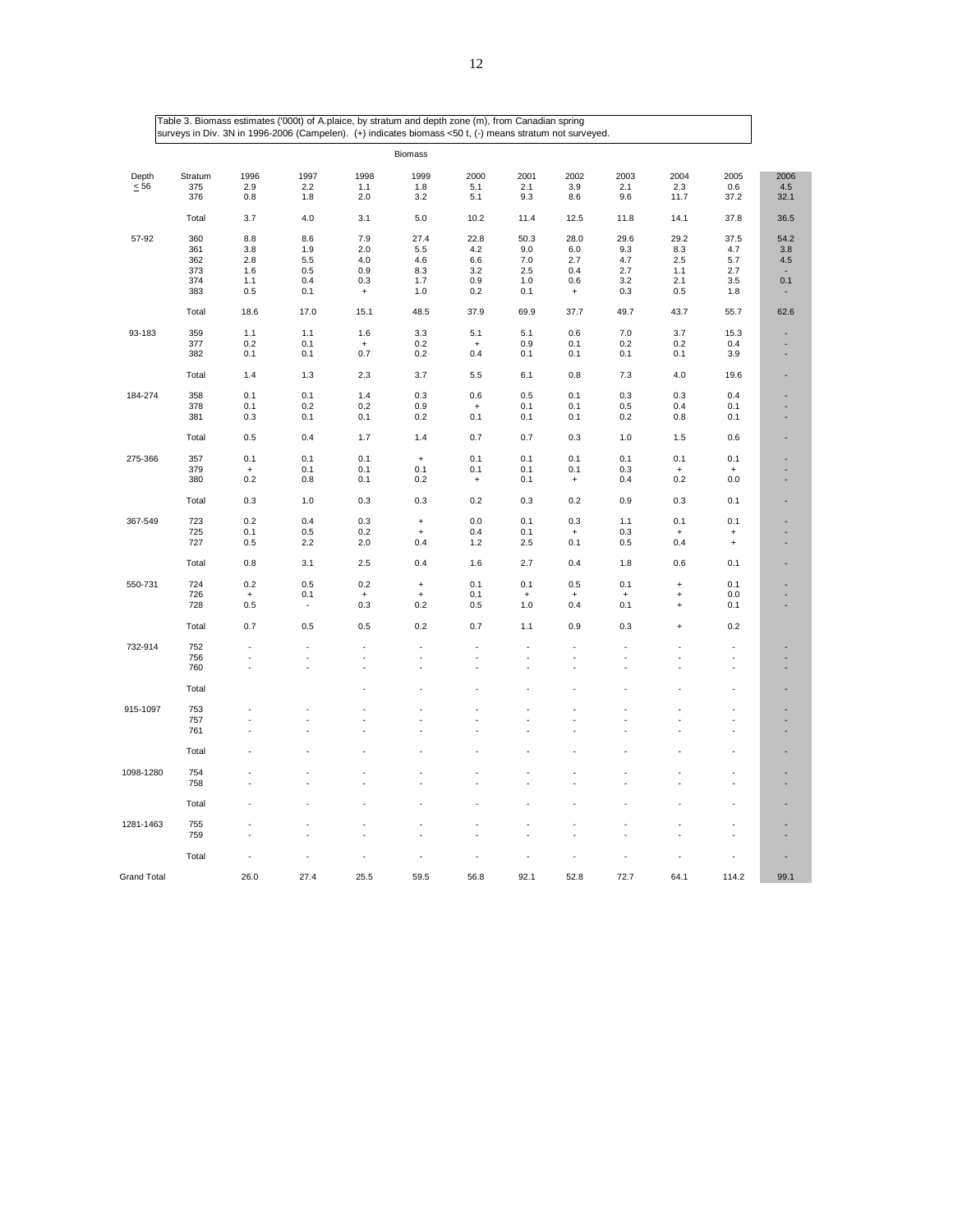|                    |         |           | Table 3. Biomass estimates ('000t) of A.plaice, by stratum and depth zone (m), from Canadian spring<br>surveys in Div. 3N in 1996-2006 (Campelen). (+) indicates biomass <50 t, (-) means stratum not surveyed. |                                  |                                  |           |           |                                  |           |           |                |      |
|--------------------|---------|-----------|-----------------------------------------------------------------------------------------------------------------------------------------------------------------------------------------------------------------|----------------------------------|----------------------------------|-----------|-----------|----------------------------------|-----------|-----------|----------------|------|
|                    |         |           |                                                                                                                                                                                                                 |                                  | <b>Biomass</b>                   |           |           |                                  |           |           |                |      |
| Depth              | Stratum | 1996      | 1997                                                                                                                                                                                                            | 1998                             | 1999                             | 2000      | 2001      | 2002                             | 2003      | 2004      | 2005           | 2006 |
| $\leq 56$          | 375     | 2.9       | 2.2                                                                                                                                                                                                             | 1.1                              | 1.8                              | 5.1       | 2.1       | 3.9                              | 2.1       | 2.3       | 0.6            | 4.5  |
|                    | 376     | 0.8       | 1.8                                                                                                                                                                                                             | 2.0                              | 3.2                              | 5.1       | 9.3       | 8.6                              | 9.6       | 11.7      | 37.2           | 32.1 |
|                    | Total   | 3.7       | 4.0                                                                                                                                                                                                             | 3.1                              | 5.0                              | 10.2      | 11.4      | 12.5                             | 11.8      | 14.1      | 37.8           | 36.5 |
| 57-92              | 360     | 8.8       | 8.6                                                                                                                                                                                                             | 7.9                              | 27.4                             | 22.8      | 50.3      | 28.0                             | 29.6      | 29.2      | 37.5           | 54.2 |
|                    | 361     | 3.8       | 1.9                                                                                                                                                                                                             | 2.0                              | 5.5                              | 4.2       | 9.0       | 6.0                              | 9.3       | 8.3       | 4.7            | 3.8  |
|                    | 362     | 2.8       | 5.5                                                                                                                                                                                                             | 4.0                              | 4.6                              | 6.6       | 7.0       | 2.7                              | 4.7       | 2.5       | 5.7            | 4.5  |
|                    | 373     | 1.6       | 0.5                                                                                                                                                                                                             | 0.9                              | 8.3                              | 3.2       | 2.5       | 0.4                              | 2.7       | 1.1       | 2.7            |      |
|                    | 374     | 1.1       | 0.4                                                                                                                                                                                                             | 0.3                              | 1.7                              | 0.9       | 1.0       | 0.6                              | 3.2       | 2.1       | 3.5            | 0.1  |
|                    | 383     | 0.5       | 0.1                                                                                                                                                                                                             | $\begin{array}{c} + \end{array}$ | 1.0                              | 0.2       | 0.1       | $\begin{array}{c} + \end{array}$ | 0.3       | 0.5       | 1.8            |      |
|                    | Total   | 18.6      | 17.0                                                                                                                                                                                                            | 15.1                             | 48.5                             | 37.9      | 69.9      | 37.7                             | 49.7      | 43.7      | 55.7           | 62.6 |
|                    |         |           |                                                                                                                                                                                                                 |                                  |                                  |           |           |                                  |           |           |                |      |
| 93-183             | 359     | 1.1       | 1.1                                                                                                                                                                                                             | 1.6                              | 3.3                              | 5.1       | 5.1       | 0.6                              | 7.0       | 3.7       | 15.3           |      |
|                    | 377     | 0.2       | 0.1                                                                                                                                                                                                             | $\ddot{}$                        | 0.2                              | $\ddot{}$ | 0.9       | 0.1                              | 0.2       | 0.2       | 0.4            |      |
|                    | 382     | 0.1       | 0.1                                                                                                                                                                                                             | 0.7                              | 0.2                              | 0.4       | 0.1       | 0.1                              | 0.1       | 0.1       | 3.9            |      |
|                    | Total   | 1.4       | 1.3                                                                                                                                                                                                             | 2.3                              | 3.7                              | 5.5       | 6.1       | 0.8                              | 7.3       | 4.0       | 19.6           |      |
|                    |         |           |                                                                                                                                                                                                                 |                                  |                                  |           |           |                                  |           |           |                |      |
| 184-274            | 358     | 0.1       | 0.1                                                                                                                                                                                                             | 1.4                              | 0.3                              | 0.6       | 0.5       | 0.1                              | 0.3       | 0.3       | 0.4            |      |
|                    | 378     | 0.1       | 0.2                                                                                                                                                                                                             | 0.2                              | 0.9                              | $\ddot{}$ | 0.1       | 0.1                              | 0.5       | 0.4       | 0.1            |      |
|                    | 381     | 0.3       | 0.1                                                                                                                                                                                                             | 0.1                              | 0.2                              | 0.1       | 0.1       | 0.1                              | 0.2       | 0.8       | 0.1            |      |
|                    | Total   | 0.5       | 0.4                                                                                                                                                                                                             | 1.7                              | 1.4                              | 0.7       | 0.7       | 0.3                              | 1.0       | 1.5       | 0.6            |      |
| 275-366            | 357     | 0.1       | 0.1                                                                                                                                                                                                             | 0.1                              | $\begin{array}{c} + \end{array}$ | 0.1       | 0.1       | 0.1                              | 0.1       | 0.1       | 0.1            |      |
|                    | 379     | $\ddot{}$ | 0.1                                                                                                                                                                                                             | 0.1                              | 0.1                              | 0.1       | 0.1       | 0.1                              | 0.3       | $\ddot{}$ | $\overline{1}$ |      |
|                    | 380     | 0.2       | 0.8                                                                                                                                                                                                             | 0.1                              | 0.2                              | $\ddot{}$ | 0.1       | $\ddot{}$                        | 0.4       | 0.2       | 0.0            |      |
|                    | Total   | 0.3       | 1.0                                                                                                                                                                                                             | 0.3                              | 0.3                              | 0.2       | 0.3       | 0.2                              | 0.9       | 0.3       | 0.1            |      |
| 367-549            | 723     | 0.2       | 0.4                                                                                                                                                                                                             | 0.3                              | $\begin{array}{c} + \end{array}$ | 0.0       | 0.1       | 0.3                              | 1.1       | 0.1       | 0.1            |      |
|                    | 725     | 0.1       | 0.5                                                                                                                                                                                                             | 0.2                              | $\ddot{}$                        | 0.4       | 0.1       | $\begin{array}{c} + \end{array}$ | 0.3       | $\ddot{}$ | $\ddot{}$      |      |
|                    | 727     | 0.5       | 2.2                                                                                                                                                                                                             | 2.0                              | 0.4                              | 1.2       | 2.5       | 0.1                              | 0.5       | 0.4       | $\ddot{}$      |      |
|                    | Total   | 0.8       | 3.1                                                                                                                                                                                                             | 2.5                              | 0.4                              | 1.6       | 2.7       | 0.4                              | 1.8       | 0.6       | 0.1            |      |
| 550-731            | 724     | 0.2       | 0.5                                                                                                                                                                                                             | 0.2                              | $\ddot{}$                        | 0.1       | 0.1       | 0.5                              | 0.1       | $\ddot{}$ | 0.1            |      |
|                    | 726     | $\ddot{}$ | 0.1                                                                                                                                                                                                             | $\overline{1}$                   | $\ddot{}$                        | 0.1       | $\ddot{}$ | $\ddot{}$                        | $\ddot{}$ | $\ddot{}$ | 0.0            |      |
|                    | 728     | 0.5       | $\sim$                                                                                                                                                                                                          | 0.3                              | 0.2                              | 0.5       | 1.0       | 0.4                              | 0.1       | $\ddot{}$ | 0.1            |      |
|                    | Total   | 0.7       | 0.5                                                                                                                                                                                                             | 0.5                              | 0.2                              | 0.7       | 1.1       | 0.9                              | 0.3       | $\ddot{}$ | 0.2            |      |
| 732-914            | 752     |           |                                                                                                                                                                                                                 |                                  | ä,                               | ä,        | ä,        |                                  | ä,        | . —       | ä,             |      |
|                    | 756     | ×         | ä,                                                                                                                                                                                                              | ×                                | ä,                               | ä,        | ä,        | ÷.                               | ×,        | ×         | ÷.             |      |
|                    | 760     |           | ä,                                                                                                                                                                                                              |                                  |                                  |           | ä,        | ٠                                | ł.        |           | ä,             |      |
|                    | Total   |           |                                                                                                                                                                                                                 |                                  |                                  |           |           |                                  |           |           |                |      |
| 915-1097           | 753     |           |                                                                                                                                                                                                                 |                                  |                                  |           |           |                                  |           |           |                |      |
|                    | 757     |           |                                                                                                                                                                                                                 |                                  |                                  |           |           |                                  |           |           | ä,             |      |
|                    | 761     |           |                                                                                                                                                                                                                 |                                  |                                  |           |           |                                  |           |           |                |      |
|                    | Total   |           |                                                                                                                                                                                                                 |                                  |                                  |           |           |                                  |           |           |                |      |
|                    |         |           |                                                                                                                                                                                                                 |                                  |                                  |           |           |                                  |           |           |                |      |
| 1098-1280          | 754     |           |                                                                                                                                                                                                                 |                                  |                                  |           |           |                                  |           |           |                |      |
|                    | 758     |           |                                                                                                                                                                                                                 |                                  |                                  |           |           |                                  |           |           | ä,             |      |
|                    | Total   |           |                                                                                                                                                                                                                 |                                  |                                  |           |           |                                  |           |           |                |      |
| 1281-1463          | 755     |           |                                                                                                                                                                                                                 |                                  |                                  |           |           |                                  |           |           |                |      |
|                    | 759     |           |                                                                                                                                                                                                                 |                                  |                                  |           |           |                                  |           |           |                |      |
|                    | Total   |           |                                                                                                                                                                                                                 |                                  |                                  |           |           |                                  |           |           |                |      |
| <b>Grand Total</b> |         | 26.0      | 27.4                                                                                                                                                                                                            | 25.5                             | 59.5                             | 56.8      | 92.1      | 52.8                             | 72.7      | 64.1      | 114.2          | 99.1 |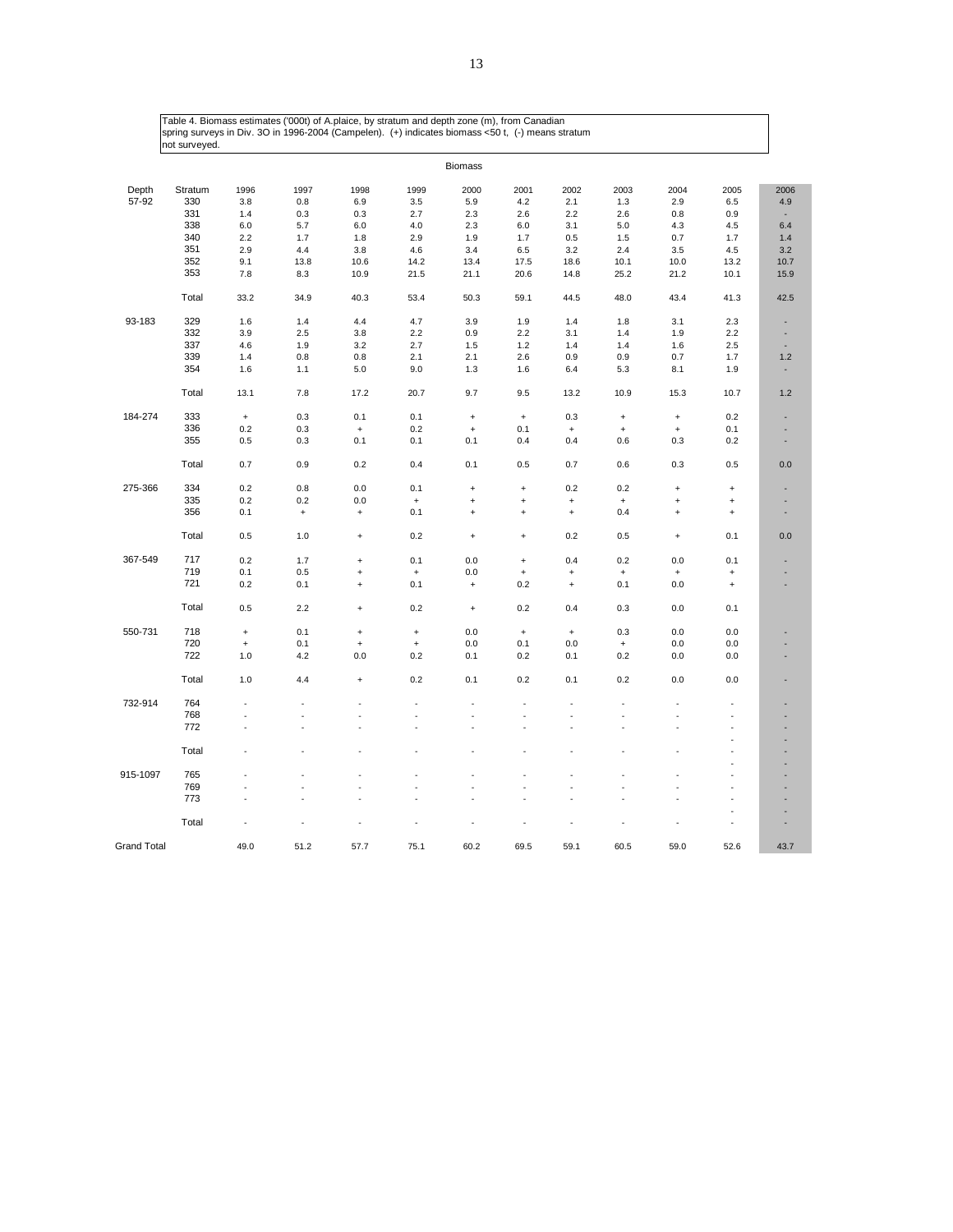|                    |            |                                  |                                  |           |                                  | <b>Biomass</b>                   |                                  |           |           |                                  |                                  |                          |
|--------------------|------------|----------------------------------|----------------------------------|-----------|----------------------------------|----------------------------------|----------------------------------|-----------|-----------|----------------------------------|----------------------------------|--------------------------|
| Depth              | Stratum    | 1996                             | 1997                             | 1998      | 1999                             | 2000                             | 2001                             | 2002      | 2003      | 2004                             | 2005                             | 2006                     |
| 57-92              | 330        | 3.8                              | 0.8                              | 6.9       | 3.5                              | 5.9                              | 4.2                              | 2.1       | 1.3       | 2.9                              | 6.5                              | 4.9                      |
|                    | 331        | 1.4                              | 0.3                              | 0.3       | 2.7                              | 2.3                              | 2.6                              | 2.2       | 2.6       | 0.8                              | 0.9                              |                          |
|                    | 338        | 6.0                              | 5.7                              | 6.0       | 4.0                              | 2.3                              | 6.0                              | 3.1       | 5.0       | 4.3                              | 4.5                              | 6.4                      |
|                    | 340        | 2.2                              | 1.7                              | 1.8       | 2.9                              | 1.9                              | 1.7                              | 0.5       | 1.5       | 0.7                              | 1.7                              | 1.4                      |
|                    | 351        | 2.9                              | 4.4                              |           |                                  |                                  |                                  |           | 2.4       | 3.5                              | 4.5                              | 3.2                      |
|                    | 352        |                                  |                                  | 3.8       | 4.6                              | 3.4                              | 6.5                              | 3.2       |           |                                  |                                  |                          |
|                    | 353        | 9.1                              | 13.8                             | 10.6      | 14.2                             | 13.4                             | 17.5                             | 18.6      | 10.1      | 10.0                             | 13.2                             | 10.7                     |
|                    |            | 7.8                              | 8.3                              | 10.9      | 21.5                             | 21.1                             | 20.6                             | 14.8      | 25.2      | 21.2                             | 10.1                             | 15.9                     |
|                    | Total      | 33.2                             | 34.9                             | 40.3      | 53.4                             | 50.3                             | 59.1                             | 44.5      | 48.0      | 43.4                             | 41.3                             | 42.5                     |
| 93-183             | 329        | 1.6                              | 1.4                              | 4.4       | 4.7                              | 3.9                              | 1.9                              | 1.4       | 1.8       | 3.1                              | 2.3                              | ٠                        |
|                    | 332        | 3.9                              | 2.5                              | 3.8       | 2.2                              | 0.9                              | 2.2                              | 3.1       | 1.4       | 1.9                              | 2.2                              | ÷                        |
|                    | 337        | 4.6                              | 1.9                              | 3.2       | 2.7                              | 1.5                              | 1.2                              | 1.4       | 1.4       | 1.6                              | 2.5                              | ×,                       |
|                    | 339        | 1.4                              | 0.8                              | 0.8       | 2.1                              | 2.1                              | 2.6                              | 0.9       | 0.9       | 0.7                              | 1.7                              | 1.2                      |
|                    | 354        | 1.6                              | 1.1                              | 5.0       | 9.0                              | 1.3                              | 1.6                              | 6.4       | 5.3       | 8.1                              | 1.9                              |                          |
|                    | Total      | 13.1                             | 7.8                              | 17.2      | 20.7                             | 9.7                              | 9.5                              | 13.2      | 10.9      | 15.3                             | 10.7                             | 1.2                      |
| 184-274            | 333        | $\begin{array}{c} + \end{array}$ | 0.3                              | 0.1       | 0.1                              | $\begin{array}{c} + \end{array}$ | $\bf{+}$                         | 0.3       | $\ddot{}$ | $\begin{array}{c} + \end{array}$ | 0.2                              | $\overline{\phantom{a}}$ |
|                    | 336        | 0.2                              | 0.3                              | $\ddot{}$ | 0.2                              | $\ddot{}$                        | 0.1                              | $\ddot{}$ | $\ddot{}$ | $\begin{array}{c} + \end{array}$ | 0.1                              |                          |
|                    | 355        | 0.5                              | 0.3                              | 0.1       | 0.1                              | 0.1                              | 0.4                              | 0.4       | 0.6       | 0.3                              | 0.2                              | ٠                        |
|                    | Total      | 0.7                              | 0.9                              | 0.2       | 0.4                              | 0.1                              | 0.5                              | 0.7       | 0.6       | 0.3                              | 0.5                              | 0.0                      |
| 275-366            | 334        | 0.2                              | 0.8                              | 0.0       | 0.1                              | $\ddot{}$                        | $\ddag$                          | 0.2       | 0.2       | $\ddot{}$                        | $\ddot{}$                        |                          |
|                    | 335        | 0.2                              | 0.2                              | 0.0       | $\qquad \qquad +$                | $\ddot{}$                        | $\ddot{}$                        | $\ddot{}$ | $\ddag$   | $\begin{array}{c} + \end{array}$ | $\begin{array}{c} + \end{array}$ |                          |
|                    | 356        | 0.1                              | $\begin{array}{c} + \end{array}$ | $\ddot{}$ | 0.1                              | $\ddot{}$                        | $\begin{array}{c} + \end{array}$ | $\ddot{}$ | 0.4       | $\begin{array}{c} + \end{array}$ | $\begin{array}{c} + \end{array}$ |                          |
|                    | Total      | 0.5                              | 1.0                              | $\ddot{}$ | 0.2                              | $\ddot{}$                        | $\begin{array}{c} + \end{array}$ | 0.2       | 0.5       | $\begin{array}{c} + \end{array}$ | 0.1                              | 0.0                      |
| 367-549            | 717        | 0.2                              | 1.7                              | $\ddot{}$ | 0.1                              | 0.0                              | $\pmb{+}$                        | 0.4       | 0.2       | 0.0                              | 0.1                              |                          |
|                    | 719        | 0.1                              | 0.5                              | $\ddot{}$ | $\begin{array}{c} + \end{array}$ | 0.0                              | $\begin{array}{c} + \end{array}$ | $\ddot{}$ | $\bf{+}$  | $\begin{array}{c} + \end{array}$ | $\begin{array}{c} + \end{array}$ |                          |
|                    | 721        | 0.2                              | 0.1                              | $\ddot{}$ | 0.1                              | $\ddot{}$                        | 0.2                              | $\ddot{}$ | 0.1       | 0.0                              | $\begin{array}{c} + \end{array}$ |                          |
|                    | Total      | 0.5                              | 2.2                              | $\ddot{}$ | 0.2                              | $\begin{array}{c} + \end{array}$ | 0.2                              | 0.4       | 0.3       | 0.0                              | 0.1                              |                          |
| 550-731            | 718        | $\ddot{}$                        | 0.1                              | $\ddot{}$ | $\ddot{}$                        | 0.0                              | $\bf{+}$                         | $\,$ +    | 0.3       | 0.0                              | 0.0                              |                          |
|                    | 720        | $\ddot{}$                        | 0.1                              | $\ddot{}$ | $\ddot{}$                        | 0.0                              | 0.1                              | 0.0       | $\ddot{}$ | 0.0                              | 0.0                              |                          |
|                    | 722        | 1.0                              | 4.2                              | 0.0       | 0.2                              | 0.1                              | 0.2                              | 0.1       | 0.2       | 0.0                              | 0.0                              |                          |
|                    | Total      | 1.0                              | 4.4                              | $\ddot{}$ | 0.2                              | 0.1                              | 0.2                              | 0.1       | 0.2       | 0.0                              | 0.0                              |                          |
| 732-914            | 764        |                                  |                                  |           |                                  | ä,                               |                                  | ÷,        | ÷.        | ÷.                               | ÷.                               |                          |
|                    | 768        |                                  |                                  |           | ÷.                               | ä,                               | ÷.                               | ÷.        |           | ÷.                               | ä,                               |                          |
|                    | 772        | ÷.                               |                                  |           |                                  |                                  | ÷.                               | J.        |           |                                  |                                  |                          |
|                    | Total      |                                  |                                  |           |                                  |                                  |                                  |           |           |                                  |                                  |                          |
|                    |            |                                  |                                  |           |                                  |                                  |                                  |           |           |                                  |                                  |                          |
| 915-1097           | 765<br>769 |                                  |                                  |           | ä,                               | ä,                               |                                  | ä,        |           |                                  |                                  |                          |
|                    | 773        |                                  |                                  |           |                                  |                                  |                                  |           |           |                                  | ÷,                               |                          |
|                    |            |                                  |                                  |           |                                  |                                  |                                  |           |           |                                  | ä,                               |                          |
|                    | Total      |                                  |                                  |           |                                  |                                  |                                  |           |           |                                  | ä,                               |                          |
| <b>Grand Total</b> |            | 49.0                             | 51.2                             | 57.7      | 75.1                             | 60.2                             | 69.5                             | 59.1      | 60.5      | 59.0                             | 52.6                             | 43.7                     |

13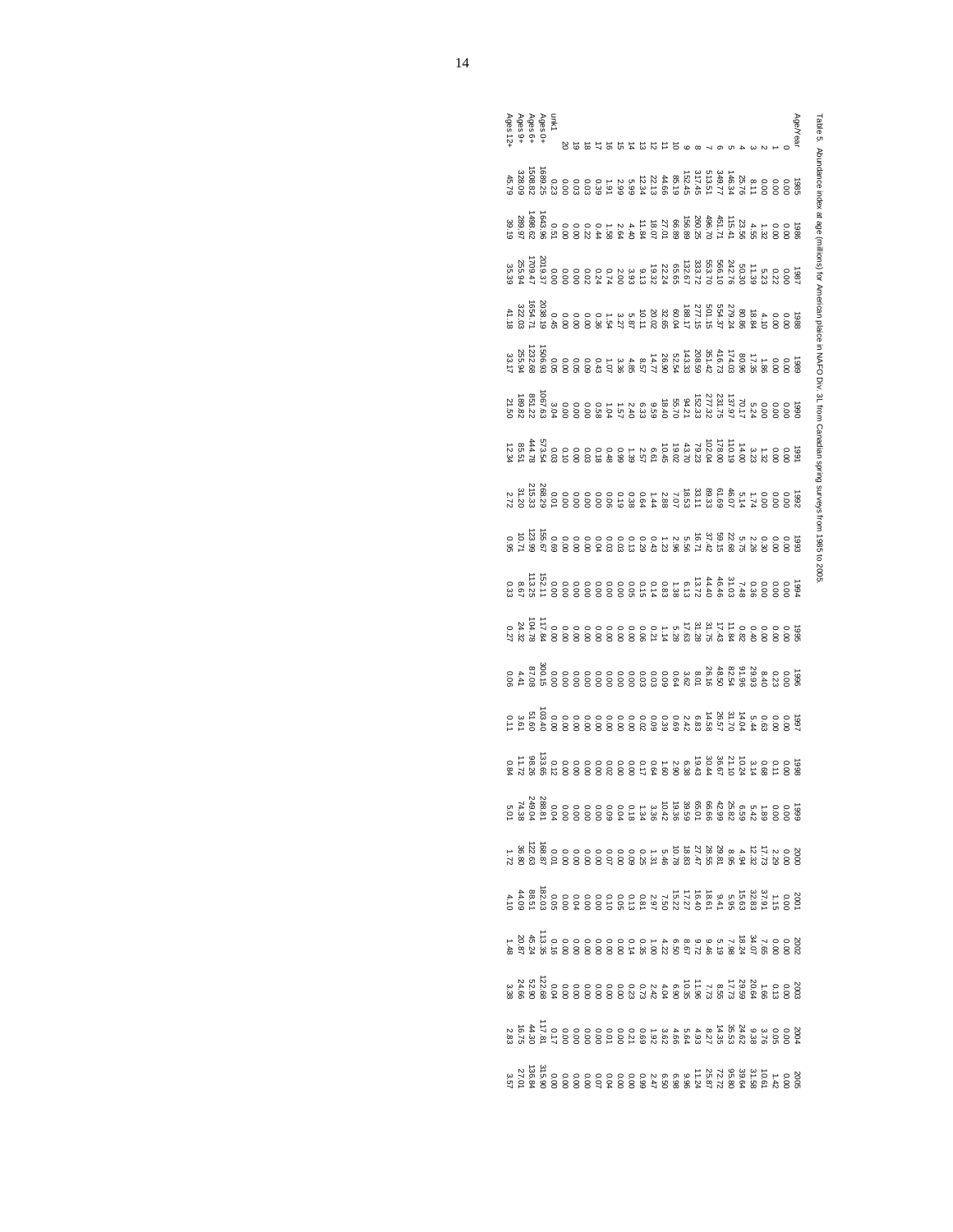Table 5. Abundance index at age (millions) for American plaice in NAFO Div. 3L from Canadian spring surveys from 1985 to 2005. Table 5. Abundance index at age (millions) for American plaice in NAFO Div. 3L from Canadian spring surveys from 1985 to 2005.

|  | unk1<br>Ages 6+<br>Ages 9+<br>Ages 12+<br>Ages 12+ |  |  |  |  |  |  |                                                                                                                                                                                                                                     |  |  |  |  | Age/Year |
|--|----------------------------------------------------|--|--|--|--|--|--|-------------------------------------------------------------------------------------------------------------------------------------------------------------------------------------------------------------------------------------|--|--|--|--|----------|
|  |                                                    |  |  |  |  |  |  | ទី និង ស្ថិត ស្ថិត ស្ថិត ស្ថិត ស្ថិត ស្ថិត ស្ថិត ស្ថិត ស្ថិត ស្ថិត ស្ថិត ស្ថិត ស្ថិត ស្ថិត ស្ថិត ស្ថិត ស្ថិត<br>ស្ថិត ស្ថិត ស្ថិត ស្ថិត ស្ថិត ស្ថិត ស្ថិត ស្ថិត ស្ថិត ស្ថិត ស្ថិត ស្ថិត ស្ថិត ស្ថិត ស្ថិត ស្ថិត ស្ថិត ស្ថិត ស្<br>ស |  |  |  |  |          |
|  |                                                    |  |  |  |  |  |  | ្រាប់<br>បានបានបង្កាត់ បានបង្កាត់ បានបង្កាត់ បានបង្កាត់<br>ក្នុង ក្នុង ក្នុង ក្នុង ក្នុង ក្នុង ក្នុង ក្នុង ក្នុង ក្នុង ក្នុង ក្នុង ក្នុង ក្នុង ក្នុង ក្នុង ក្នុង ក្នុង ក្                                                           |  |  |  |  |          |
|  |                                                    |  |  |  |  |  |  | ទី និង ស្ថិត ស្ថិត ស្ថិត ស្ថិត ស្ថិត ស្ថិត ស្ថិត ស្ថិត ស្ថិត ស្ថិត ស្ថិត ស្ថិត ស្ថិត ស្ថិត ស្ថិត ស្ថិត ស្ថិត ស<br>ស្ថិត ស្ថិត ស្ថិត ស្ថិត ស្ថិត ស្ថិត ស្ថិត ស្ថិត ស្ថិត ស្ថិត ស្ថិត ស្ថិត ស្ថិត ស្ថិត ស្ថិត ស្ថិត ស្ថិត ស្ថិត ស្    |  |  |  |  |          |
|  |                                                    |  |  |  |  |  |  |                                                                                                                                                                                                                                     |  |  |  |  |          |
|  |                                                    |  |  |  |  |  |  |                                                                                                                                                                                                                                     |  |  |  |  |          |
|  |                                                    |  |  |  |  |  |  |                                                                                                                                                                                                                                     |  |  |  |  |          |
|  |                                                    |  |  |  |  |  |  |                                                                                                                                                                                                                                     |  |  |  |  |          |
|  |                                                    |  |  |  |  |  |  |                                                                                                                                                                                                                                     |  |  |  |  |          |
|  |                                                    |  |  |  |  |  |  | ្រី<br>១០០០ ២ ជីង ជីង ជីង ជីង ជីង ជីង ខែ ១០០០០០ ក្នុង ប្តី<br>១០០០ ២ ជីង ជីង ជីង ជីង និង បាន បាន បាន បាន បាន ប                                                                                                                      |  |  |  |  |          |
|  |                                                    |  |  |  |  |  |  |                                                                                                                                                                                                                                     |  |  |  |  |          |
|  |                                                    |  |  |  |  |  |  |                                                                                                                                                                                                                                     |  |  |  |  |          |
|  |                                                    |  |  |  |  |  |  |                                                                                                                                                                                                                                     |  |  |  |  |          |
|  |                                                    |  |  |  |  |  |  |                                                                                                                                                                                                                                     |  |  |  |  |          |
|  |                                                    |  |  |  |  |  |  |                                                                                                                                                                                                                                     |  |  |  |  |          |
|  |                                                    |  |  |  |  |  |  | ្រួល ១០០០០០០០០០០០០០០០០០០០០ គីស្តី ។<br>១៩០០០០០០០០០០០០០០០០០០ និង ។<br>១៩១៩ ភេស្តី និង និង និង និង និង និង និង និង និង                                                                                                                |  |  |  |  |          |
|  |                                                    |  |  |  |  |  |  |                                                                                                                                                                                                                                     |  |  |  |  |          |
|  |                                                    |  |  |  |  |  |  |                                                                                                                                                                                                                                     |  |  |  |  |          |
|  |                                                    |  |  |  |  |  |  |                                                                                                                                                                                                                                     |  |  |  |  |          |
|  |                                                    |  |  |  |  |  |  |                                                                                                                                                                                                                                     |  |  |  |  |          |
|  |                                                    |  |  |  |  |  |  |                                                                                                                                                                                                                                     |  |  |  |  |          |
|  |                                                    |  |  |  |  |  |  |                                                                                                                                                                                                                                     |  |  |  |  |          |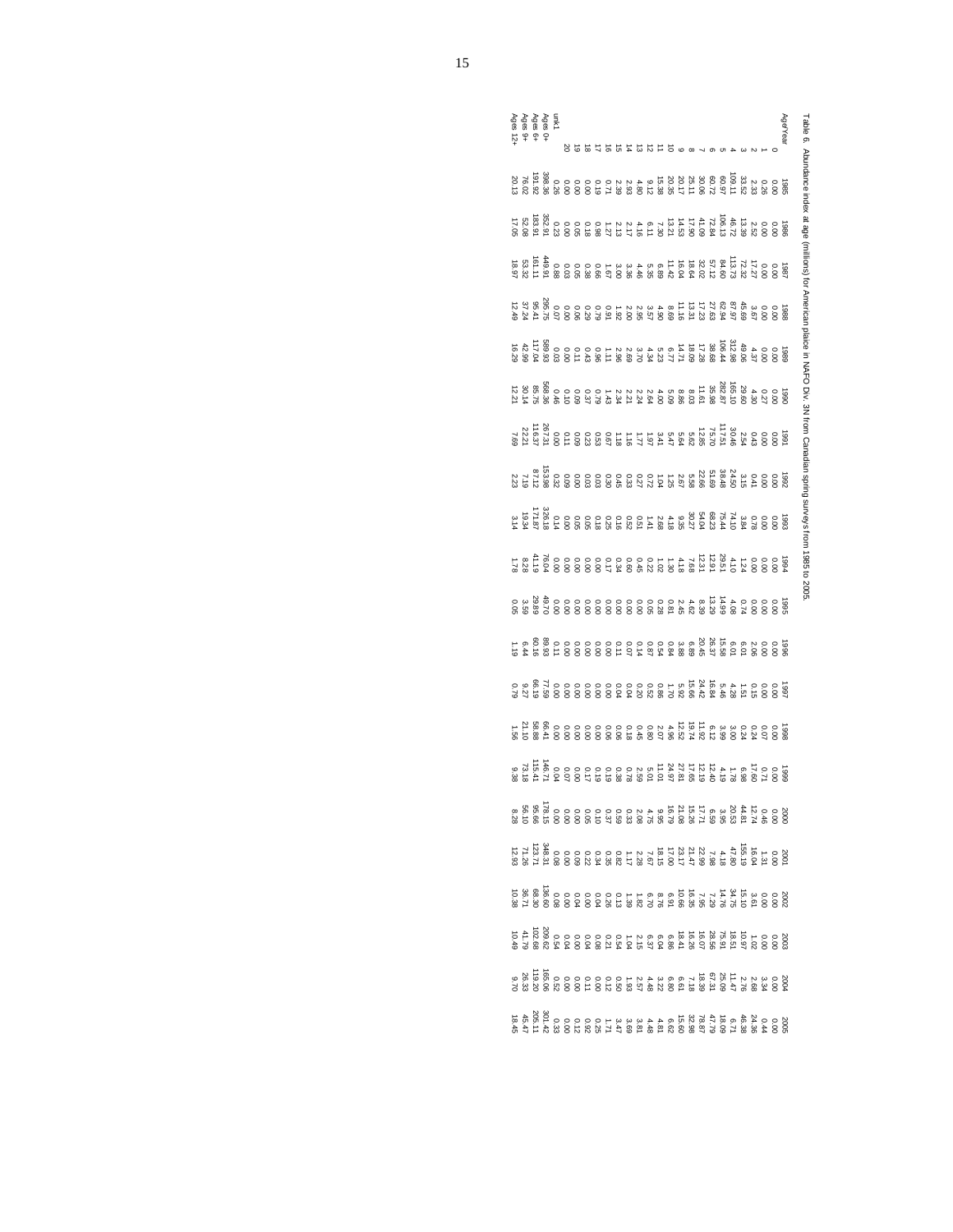Table 6. Abundance index at age (millions) for American plaice in NAFO Div. 3N from Canadian spring surveys from 1985 to 2005. Table 6. Abundance index at age (millions) for American plaice in NAFO Div. 3N from Canadian spring surveys from 1985 to 2005.

|  | unk1<br>Ages 6+<br>Ages 9+<br>Ages 12-<br>Ages 12- |  |  |  |  |  |                                                                                                                                                                                                                                  |  |  |  |  |  |  | Age/Year |
|--|----------------------------------------------------|--|--|--|--|--|----------------------------------------------------------------------------------------------------------------------------------------------------------------------------------------------------------------------------------|--|--|--|--|--|--|----------|
|  |                                                    |  |  |  |  |  |                                                                                                                                                                                                                                  |  |  |  |  |  |  |          |
|  |                                                    |  |  |  |  |  | ្រួច ០០ សុក្ស ស្តី ស្តី ស្តី ជូន ដែល ស្ថិត ស្ថិត ស្ថិត ស្ថិត ស្ថិត ស្ថិត ស្ថិត ស្ថិត ស្ថិត ស្ថិត ស្ថិត ស្ថិត ស<br>ស្ថិត ស្ថិត ស្ថិត ស្ថិត ស្ថិត ស្ថិត ស្ថិត ស្ថិត ស្ថិត ស្ថិត ស្ថិត ស្ថិត ស្ថិត ស្ថិត ស្ថិត ស្ថិត ស្ថិត ស្ថិត ស្ |  |  |  |  |  |  |          |
|  |                                                    |  |  |  |  |  |                                                                                                                                                                                                                                  |  |  |  |  |  |  |          |
|  |                                                    |  |  |  |  |  |                                                                                                                                                                                                                                  |  |  |  |  |  |  |          |
|  |                                                    |  |  |  |  |  |                                                                                                                                                                                                                                  |  |  |  |  |  |  |          |
|  |                                                    |  |  |  |  |  |                                                                                                                                                                                                                                  |  |  |  |  |  |  |          |
|  |                                                    |  |  |  |  |  | មិន<br>ក្នុង ក្នុង ក្នុង ក្នុង ក្នុង ក្នុង ក្នុង ក្នុង ក្នុង ក្នុង ក្នុង ក្នុង ក្នុង ក្នុង ក្នុង ក្នុង ក្នុង ក្នុ<br>ក្នុង ក្នុង ក្នុង ក្នុង ក្នុង ក្នុង ក្នុង ក្នុង ក្នុង ក្នុង ក្នុង                                           |  |  |  |  |  |  |          |
|  |                                                    |  |  |  |  |  |                                                                                                                                                                                                                                  |  |  |  |  |  |  |          |
|  |                                                    |  |  |  |  |  |                                                                                                                                                                                                                                  |  |  |  |  |  |  |          |
|  |                                                    |  |  |  |  |  |                                                                                                                                                                                                                                  |  |  |  |  |  |  |          |
|  |                                                    |  |  |  |  |  |                                                                                                                                                                                                                                  |  |  |  |  |  |  |          |
|  |                                                    |  |  |  |  |  |                                                                                                                                                                                                                                  |  |  |  |  |  |  |          |
|  |                                                    |  |  |  |  |  |                                                                                                                                                                                                                                  |  |  |  |  |  |  |          |
|  |                                                    |  |  |  |  |  |                                                                                                                                                                                                                                  |  |  |  |  |  |  |          |
|  |                                                    |  |  |  |  |  |                                                                                                                                                                                                                                  |  |  |  |  |  |  |          |
|  |                                                    |  |  |  |  |  |                                                                                                                                                                                                                                  |  |  |  |  |  |  |          |
|  |                                                    |  |  |  |  |  |                                                                                                                                                                                                                                  |  |  |  |  |  |  |          |
|  |                                                    |  |  |  |  |  |                                                                                                                                                                                                                                  |  |  |  |  |  |  |          |
|  |                                                    |  |  |  |  |  |                                                                                                                                                                                                                                  |  |  |  |  |  |  |          |
|  |                                                    |  |  |  |  |  |                                                                                                                                                                                                                                  |  |  |  |  |  |  |          |
|  |                                                    |  |  |  |  |  |                                                                                                                                                                                                                                  |  |  |  |  |  |  |          |

20.13

7.69

2.23

3.14

0.05

0.79

8.28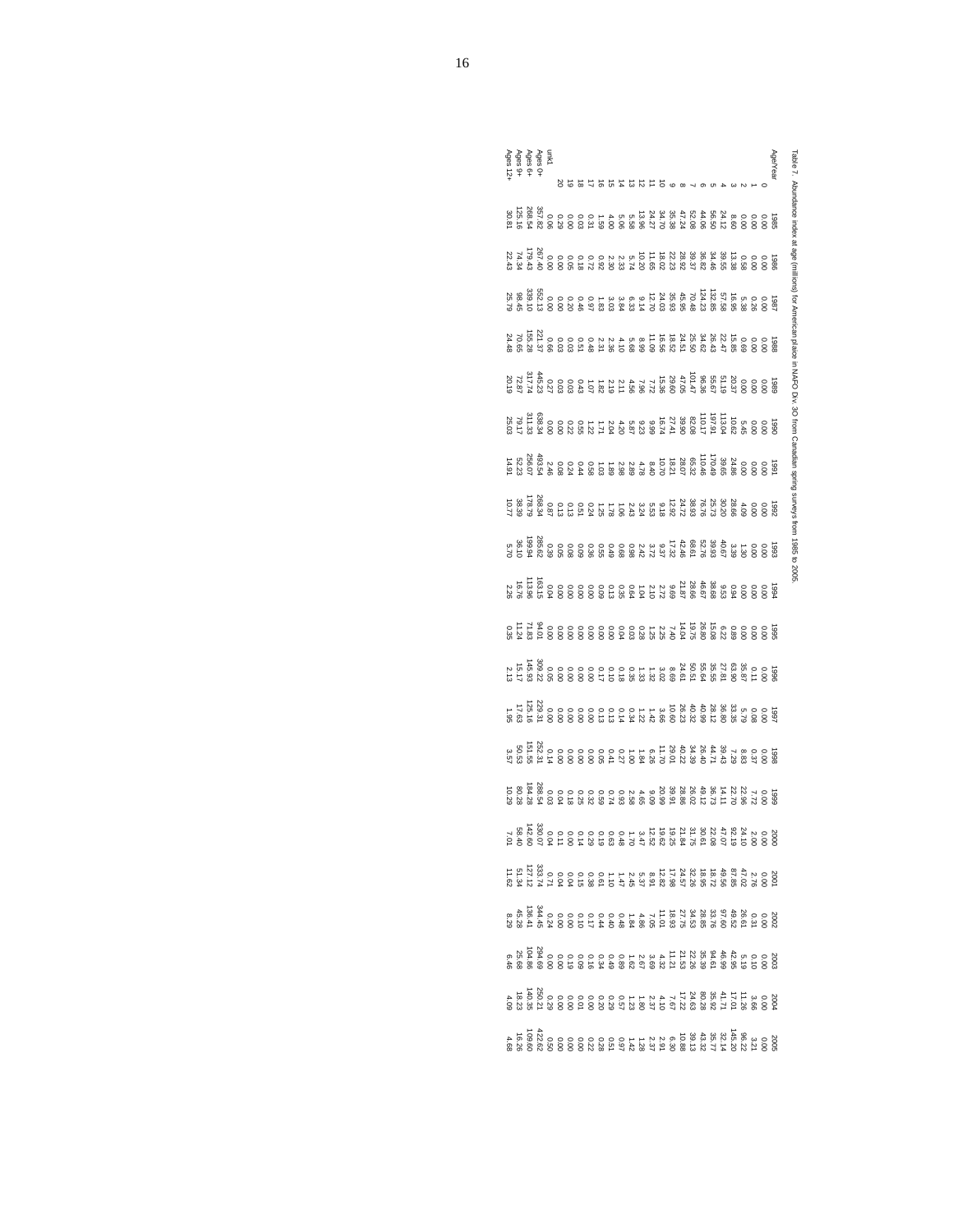| Ages 0+<br>Ages 9+<br>Ages 9+<br>Ages 12+ |  | mk1                                                                                                                                                                                                                                                                                                                                                            | ㅎㅎ ង |  | おおはあ |  |  | ੱ | $\infty$ |  |  |  |  | Age/Year | Table 7. Abundance index at age (millions) for American plaice in NAFO Div. 30 from Canadian spring surveys from 1985 to 2005 |
|-------------------------------------------|--|----------------------------------------------------------------------------------------------------------------------------------------------------------------------------------------------------------------------------------------------------------------------------------------------------------------------------------------------------------------|------|--|------|--|--|---|----------|--|--|--|--|----------|-------------------------------------------------------------------------------------------------------------------------------|
|                                           |  | ច្ដួន ១៩ និង ជីង អ្នក ដែលមាន ១៩ និង មី និង<br>ស្រុក ស្រុក ស្រុក ស្រុក ស្រុក ស្រុក ស្រុក ស្រុក ស្រុក ស្រុក ស្រុក ស្រុក ស្រុក ស្រុក ស្រុក ស្រុក ស្រុក ស្រុក ស្<br>ស្រុក ស្រុក ស្រុក ស្រុក ស្រុក ស្រុក ស្រុក ស្រុក ស្រុក ស្រុក ស្រុក ស                                                                                                                            |      |  |      |  |  |   |          |  |  |  |  |          |                                                                                                                               |
|                                           |  | ្ដែក ១០ ជា អ្នក អ្នក មាន ក្នុង មាន ស្រុក មាន ស្រុក មាន<br>មាន ស្រុក មាន អ្នក ស្រុក មាន ស្រុក មាន ស្រុក មាន ស្រុក មាន ស្រុក មាន ស្រុក មាន អ្នក ស្រុក មាន អ្នក ស្រុក មាន អ<br>ស្រុក មាន អ្នក ស្រុក មាន អ្នក ស្រុក មាន អ្នក ស្រុក មាន                                                                                                                             |      |  |      |  |  |   |          |  |  |  |  |          |                                                                                                                               |
|                                           |  |                                                                                                                                                                                                                                                                                                                                                                |      |  |      |  |  |   |          |  |  |  |  |          |                                                                                                                               |
|                                           |  |                                                                                                                                                                                                                                                                                                                                                                |      |  |      |  |  |   |          |  |  |  |  |          |                                                                                                                               |
|                                           |  |                                                                                                                                                                                                                                                                                                                                                                |      |  |      |  |  |   |          |  |  |  |  |          |                                                                                                                               |
|                                           |  | $\begin{array}{l} 22.34 & 24.35 \\ 25.4 & 26.37 \\ 26.4 & 27.47 \\ 27.4 & 28.47 \\ 28.4 & 29.47 \\ 29.4 & 29.47 \\ 20.4 & 29.47 \\ 21.4 & 29.47 \\ 22.4 & 29.47 \\ 23.4 & 29.47 \\ 24.4 & 29.47 \\ 25.4 & 29.47 \\ 26.4 & 29.47 \\ 27.4 & 29.47 \\ 28.4 & 29.47 \\ 29.4 & 29.47 \\ 20.$                                                                        |      |  |      |  |  |   |          |  |  |  |  |          |                                                                                                                               |
|                                           |  |                                                                                                                                                                                                                                                                                                                                                                |      |  |      |  |  |   |          |  |  |  |  |          |                                                                                                                               |
|                                           |  |                                                                                                                                                                                                                                                                                                                                                                |      |  |      |  |  |   |          |  |  |  |  |          |                                                                                                                               |
|                                           |  |                                                                                                                                                                                                                                                                                                                                                                |      |  |      |  |  |   |          |  |  |  |  |          |                                                                                                                               |
|                                           |  |                                                                                                                                                                                                                                                                                                                                                                |      |  |      |  |  |   |          |  |  |  |  |          |                                                                                                                               |
|                                           |  |                                                                                                                                                                                                                                                                                                                                                                |      |  |      |  |  |   |          |  |  |  |  |          |                                                                                                                               |
|                                           |  |                                                                                                                                                                                                                                                                                                                                                                |      |  |      |  |  |   |          |  |  |  |  |          |                                                                                                                               |
|                                           |  |                                                                                                                                                                                                                                                                                                                                                                |      |  |      |  |  |   |          |  |  |  |  |          |                                                                                                                               |
|                                           |  | ្រួច ១៩ ភូមិ អ្នក ស្រុក ស្រុក ស្រុក ស្រុក ស្រុក ស្រុក<br>ទី១៩ ស្រុក ស្រុក ស្រុក ស្រុក ស្រុក ស្រុក ស្រុក ស្រុក ស្រុក ស្រុក ស្រុក ស្រុក ស្រុក ស្រុក ស្រុក ស្រុក ស្រុក ស្រ<br>ស្រុក ស្រុក ស្រុក ស្រុក ស្រុក ស្រុក ស្រុក ស្រុក ស្រុក ស្                                                                                                                            |      |  |      |  |  |   |          |  |  |  |  |          |                                                                                                                               |
| 0 88.54<br>0 86.75<br>0 86.75 86          |  |                                                                                                                                                                                                                                                                                                                                                                |      |  |      |  |  |   |          |  |  |  |  |          |                                                                                                                               |
|                                           |  |                                                                                                                                                                                                                                                                                                                                                                |      |  |      |  |  |   |          |  |  |  |  |          |                                                                                                                               |
|                                           |  |                                                                                                                                                                                                                                                                                                                                                                |      |  |      |  |  |   |          |  |  |  |  |          |                                                                                                                               |
|                                           |  |                                                                                                                                                                                                                                                                                                                                                                |      |  |      |  |  |   |          |  |  |  |  |          |                                                                                                                               |
|                                           |  | $\begin{array}{l} {5\hskip-2pt} {2\hskip-2pt} {2\hskip-2pt} {2\hskip-2pt} {2\hskip-2pt} {2\hskip-2pt} {2\hskip-2pt} {2\hskip-2pt} {2\hskip-2pt} {2\hskip-2pt} {2\hskip-2pt} {2\hskip-2pt} {2\hskip-2pt} {2\hskip-2pt} {2\hskip-2pt} {2\hskip-2pt} {2\hskip-2pt} {2\hskip-2pt} {2\hskip-2pt} {2\hskip-2pt} {2\hskip-2pt} {2\hskip-2pt} {2\hskip-2pt} {2\hskip-$ |      |  |      |  |  |   |          |  |  |  |  |          |                                                                                                                               |
|                                           |  |                                                                                                                                                                                                                                                                                                                                                                |      |  |      |  |  |   |          |  |  |  |  |          |                                                                                                                               |
|                                           |  |                                                                                                                                                                                                                                                                                                                                                                |      |  |      |  |  |   |          |  |  |  |  |          |                                                                                                                               |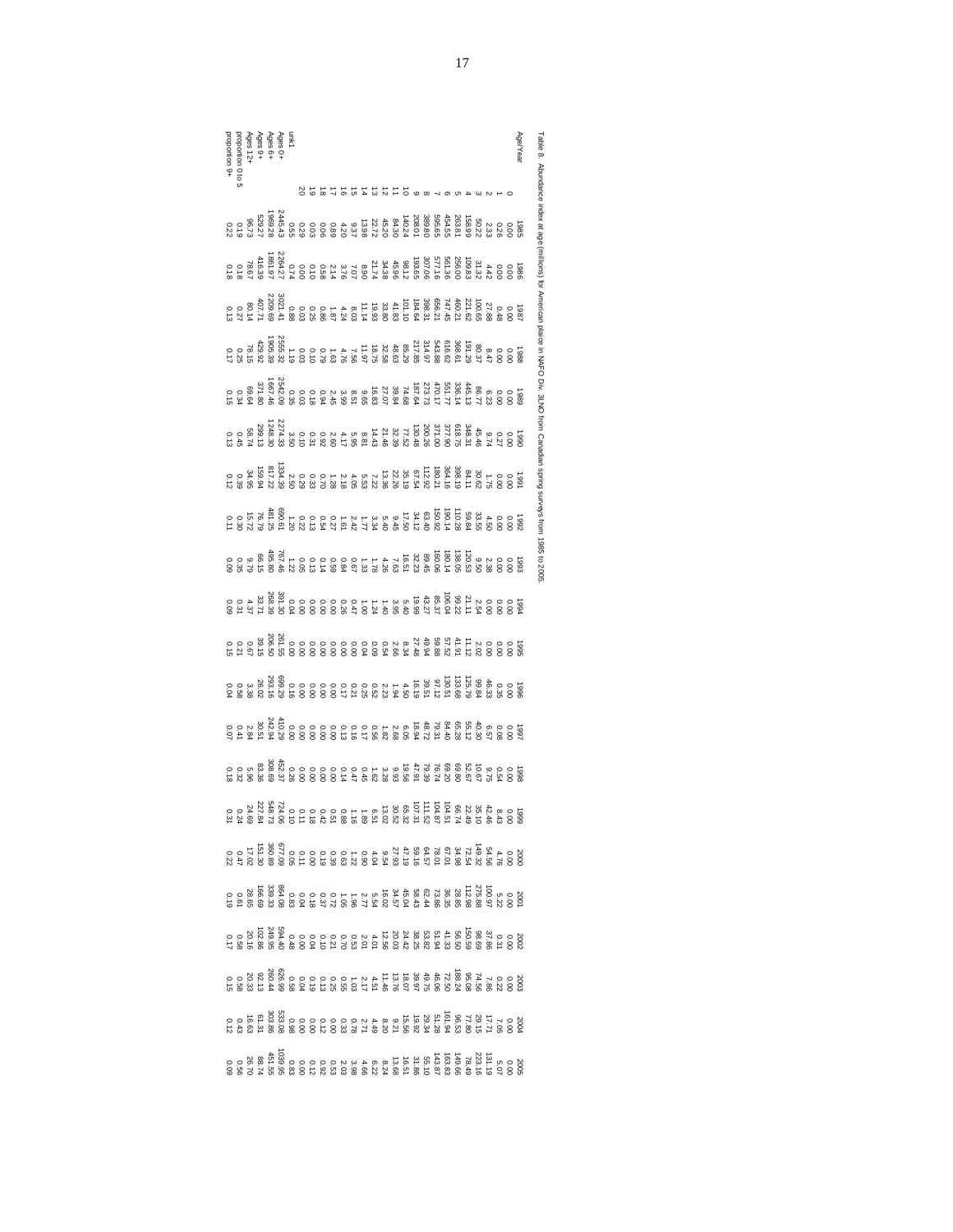Age/Yearproportion 9+proportion 0 to 5unk1<br>Ages 6+<br>Ages 9+<br>Ages 12+<br>Ages 12+ Table 8. Abundance Table 8. Abundance index at age (millions) for American plaice in NAFO Div. 3LNO from Canadian spring surveys from 1985 to 2005. 2019181716151413121110ຜ œ  $\overline{\phantom{a}}$ ග ርክ 4دە w index at age 1969.<br>1968.79<br>1972 1972<br>1972 2445.43 208.01 389.80 0.29 0.03 0.06 0.89 4.20 9.37 13.98 22.72 45.20 84.30 140.24 0.55158.98<br>263.81<br>454.55 595.65 50.221<br>88 0.01 0.36<br>88 0.36 (millions) for 1861.97<br>116.36<br>116.39<br>118 118 2264.271966 193.65 307.65 308.65 307.65 307.65<br>193.65 31.32 31.32 31.32 31.32 31.32 31.32 31.32 31.38 31.38 31.38 31.38 31.38 31.38 31.38 31.38 31.38 31.38 3<br>193.65 31.38 31.38 31.38 31.38 31.38 31.38 31.38 31.38 31.38 31.38 31. American plaice in NAFO Div. 3LNO 1987 184.64 308.64 308.64 308.64 308.64 308.64 308.64 308.64 308.64 31.62 100.65 27.84 8.03 100.65 0.03 101.12<br>2000 101.14 19.93 33.80 33.80 33.80 33.80 33.80 33.80 33.80 33.80 3021.11<br>2000 101.10 33.80 30.14 50.14 50.14 2209.691905.39<br>429.92<br>429.92.17<br>0.17 2555.32 1988 217.85 314.97 543.88 616.62 368.61 191.29 80.37 8.47 0.00 0.00 0.03 0.10 0.79 1.63 4.76 7.56 11.97 18.75 32.58 48.63 85.29 1.191667.46<br>371.80<br>371.80<br>0.15 2542.09 1989 187.64 273.73 470.17 551.77 336.14 445.13 86.77 6.23 0.00 0.00 0.03 0.18 0.94 2.45 3.99 8.51 9.65 16.83 27.07 39.84 74.68 0.35from Canadian spring 1248.30<br>2008.13 0.13<br>2009.13 13<br>0.13 0.13 2274.331990 130.48 389.31.26 378.31 38.31 38.31 38.31 38.31 38.31 38.39 77.46 9.74 31.43 21.43 21.43 21.45 3.50 8.46 <br>190.45 348.31 31.43 31.44 31.44 31.44 31.43 31.46 3.50 7.52 3.50 8.81 14.45 3.50 8.81 14.45 3.50 8.46 3.50 8.5 1991 67.54 112.92 180.21 364.16 398.19 84.11 30.62 1.75 0.00 0.00 0.29 0.33 0.70 1.28 2.18 4.05 5.53 7.22 13.36 22.26 35.19 1334.39 2.50 817.22 0.12 0.39 34.95 159.94reys from 1992 34.12 63.40 150.92 190.14 110.28 59.84 33.55 4.50 0.00 0.00 0.22 0.13 0.54 0.27 1.61 2.42 1.77 3.34 5.40 9.45 17.50 690.61 1.20 481.25 0.11 0.30 15.72 76.791985 to 2009 1993 32.23 80.15 160.06 120.53 8.50 120.53 9.50 120.53 9.50 120.53 9.50 120.5<br>190.53 9.50 1.33 1.59 0.59 0.50 1.4 1.4 1.50 0.05 0.000 0.000 0.000 0.000<br>190.51 1.42 5.51 1.42 5.79 6.79 66.15 9.79 66.15 9.79 66.15 9.79 66.15 19.99 19.99 43.27 85.37 85.37 85.37 85.37 85.37 85.37 85.37 85.37 85.37 85.37 85.37 85.37 85.39 85.37 85.37 85<br>200 0.00 1.00 1.40 3.95 5.40 391.30 0.00 0.00 0.000 0.000 0.00<br>30.31 33.71 33.71 33.71 33.71 33.71 33.71 33.71 1995 27.48 57.52 58.94 58.94 58.94 59.94 59.94 59.94 59.94 59.94 59.94 59.94 59.94 59.94 59.94 59.94 59.94 59.<br>1995 27.54 58.56 8.54 59.50 0.00 0.00 0.00 0.00 0.000 0.000 0.000 0.00 0.00 0.00 0.00 0.00 0.00 0.00<br>1995 27.56 1996 16.19 39.51 97.12 130.51 133.68 125.79 99.84 46.33 0.35 0.00 0.00 0.00 0.00 0.00 0.17 0.21 0.25 0.52 2.23 1.94 4.50 699.29 0.16 293.16 0.04 0.58 3.38 26.021997 18.94 56.72 79.31 84.40 65.28 56.31 84.57 84.57 84.57 84.57 84.57 84.51 84.5<br>1998 1999 1909 100 0.000 0.000 0.000 0.000 0.000 0.000 0.000 0.000 0.000 0.00<br>1999 100 100 100 100 100 24.94 30.51 0.07 0.07 0.07 0.07 0.07 1998 50.59<br>1998 50.67 50.67 50.67 50.67 50.67 50.67 50.67 50.67 50.68 9.93 5.93 5.9<br>1998 50.62 5.62 5.28 9.93 5.47 5.96 83.48 9.94 5.96 83.48 5.96 9.96 9.96 1999 107.31 107.31 107.487 107.52 108.51 108.51 108.51 108.52<br>1990 108.46 51 108.51 12.51 12.51 12.51 12.52 52.51 12.51 12.02 52.52<br>1990 108.52 52.52 52.52 52.52 65.52 52.52 52.52 52.52 2000 59.57 78.02.57 78.01 59.54 78.56 54.56 54.56 54.56 54.56 54.56 54.56 54.56 54.56 54.54 550.54 560.54 560.<br>2000 50.54 56.54 56.54 56.54 56.54 56.54 56.54 56.54 560.89 560.89 560.89 560.89 0.22 0.47 17.02 0.47 17.02 17  $2000$ <br>2002 58.68 56.36 56.35 100.97 5.22 0.22 0.375.88 100.97 5.37 0.37 0.37 5.37 0.37 0.37 0.37 5.4 16.57 5.4 16.0<br>2003 58.87 5.54 16.02 34.57 5.54 16.02 34.57 5.54 16.57 5.54 166.69<br>2003 5.54 166.69 166.69 166.69 166.6 2002 38.58.50 150.59 98.69 98.69 150.59 98.69 98.69 98.69 98.69 98.69 98.69 98.69 98.69 98.69 98.69 98.69 98.6<br>2003 38.68 38.68 38.56 20.03 24.56 20.03 24.56 20.03 24.42 594.42 594.40 249.56 102.86 21.58 20.16 10.58 20.16 2003 39.97 49.75 46.06 72.50 188.24 95.08 74.56 7.86 0.22 0.00 0.04 0.19 0.13 0.25 0.55 1.03 2.17 4.51 11.46 13.76 18.07 626.9 0.589 260.44 0.15 0.58 20.33 92.13 2004 19.92 29.34 51.28 161.94 96.53 77.80 29.15 17.71 7.05 0.00 0.00 0.00 0.12 0.00 0.33 0.78 2.71 4.49 8.20 9.21 15.56 0.98 533.08303.86 0.12 0.43 16.63 61.311039.95<br>0.56<br>0.95<br>0.95<br>0.95  $2005$ <br>  $2005$ <br>  $2005$ <br>  $2005$ <br>  $2005$ <br>  $2005$ <br>  $2005$ <br>  $2005$ <br>  $2005$ <br>  $2005$ <br>  $2005$ <br>  $2005$ <br>  $2005$ <br>  $2005$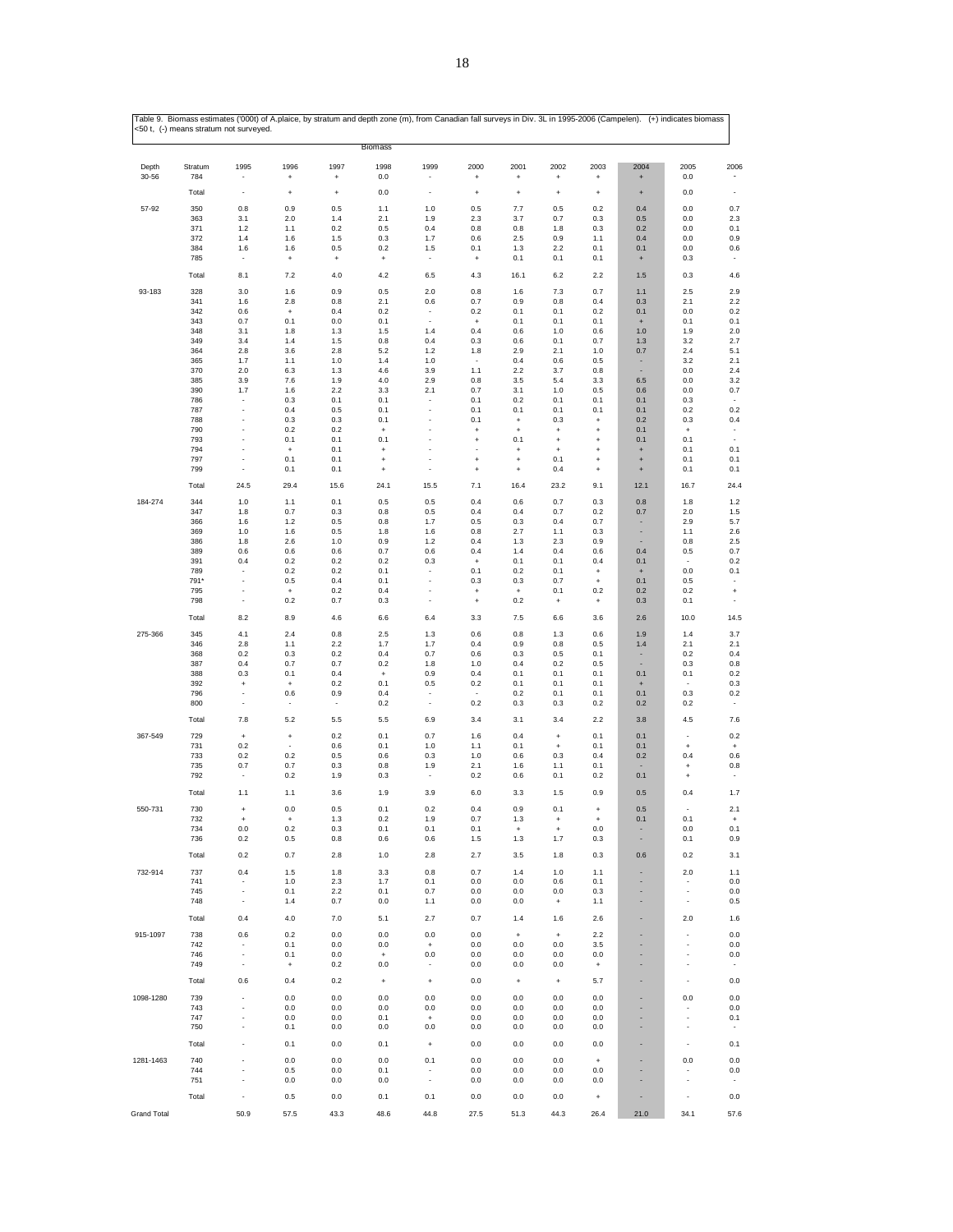|                    | <50 t, (-) means stratum not surveyed. |                          |                                         |                     |                                  |                                         |                             |                      |                        |                        |                                         |                          |                                 |
|--------------------|----------------------------------------|--------------------------|-----------------------------------------|---------------------|----------------------------------|-----------------------------------------|-----------------------------|----------------------|------------------------|------------------------|-----------------------------------------|--------------------------|---------------------------------|
|                    |                                        |                          |                                         |                     | <b>Biomass</b>                   |                                         |                             |                      |                        |                        |                                         |                          |                                 |
| Depth              | Stratum                                | 1995                     | 1996                                    | 1997                | 1998                             | 1999                                    | 2000                        | 2001                 | 2002                   | 2003                   | 2004                                    | 2005                     | 2006                            |
| 30-56              | 784                                    |                          | $\ddot{}$                               | $\ddot{}$           | 0.0                              |                                         | $\ddot{}$                   | $\ddot{\phantom{1}}$ | $\ddot{}$              | $\ddot{}$              | $\ddot{}$                               | $0.0\,$                  |                                 |
|                    | Total                                  | ÷,                       | $\ddot{}$                               | $\ddot{}$           | 0.0                              |                                         | $\overline{1}$              | $\ddot{}$            | $\ddot{}$              | $\ddot{}$              | $\ddot{}$                               | 0.0                      | ٠                               |
| 57-92              | 350                                    | 0.8                      | 0.9                                     | 0.5                 | 1.1                              | 1.0                                     | 0.5                         | 7.7                  | 0.5                    | 0.2                    | 0.4                                     | $0.0\,$                  | 0.7                             |
|                    | 363<br>371                             | 3.1<br>1.2               | 2.0<br>1.1                              | 1.4<br>0.2          | 2.1<br>0.5                       | 1.9<br>0.4                              | 2.3<br>0.8                  | 3.7<br>0.8           | 0.7<br>1.8             | 0.3<br>0.3             | 0.5<br>0.2                              | 0.0<br>0.0               | 2.3<br>0.1                      |
|                    | 372                                    | 1.4                      | 1.6                                     | 1.5                 | 0.3                              | 1.7                                     | 0.6                         | 2.5                  | 0.9                    | 1.1                    | 0.4                                     | 0.0                      | 0.9                             |
|                    | 384                                    | 1.6                      | 1.6                                     | 0.5                 | 0.2                              | 1.5                                     | 0.1                         | 1.3                  | 2.2                    | 0.1                    | 0.1                                     | 0.0                      | 0.6                             |
|                    | 785                                    |                          | $\begin{array}{c} + \end{array}$        | $\ddot{}$           | $\begin{array}{c} + \end{array}$ |                                         | $\ddot{}$                   | 0.1                  | 0.1                    | 0.1                    | $\begin{array}{c} + \end{array}$        | 0.3                      |                                 |
|                    | Total                                  | 8.1                      | 7.2                                     | 4.0                 | 4.2                              | 6.5                                     | 4.3                         | 16.1                 | 6.2                    | 2.2                    | 1.5                                     | 0.3                      | 4.6                             |
| 93-183             | 328                                    | 3.0                      | 1.6                                     | 0.9                 | 0.5                              | 2.0                                     | 0.8                         | 1.6                  | 7.3                    | 0.7                    | 1.1                                     | 2.5                      | 2.9                             |
|                    | 341                                    | 1.6                      | 2.8                                     | 0.8                 | 2.1                              | 0.6                                     | 0.7                         | 0.9                  | 0.8                    | 0.4                    | 0.3                                     | 2.1                      | 2.2                             |
|                    | 342                                    | $0.6\,$                  | $\ddot{}$                               | 0.4                 | 0.2                              | $\overline{\phantom{a}}$<br>÷,          | 0.2                         | 0.1                  | 0.1                    | 0.2                    | 0.1                                     | 0.0                      | $0.2\,$<br>0.1                  |
|                    | 343<br>348                             | 0.7<br>3.1               | 0.1<br>1.8                              | 0.0<br>1.3          | 0.1<br>1.5                       | 1.4                                     | $\ddot{}$<br>0.4            | 0.1<br>0.6           | 0.1<br>1.0             | 0.1<br>0.6             | $\begin{array}{c} + \end{array}$<br>1.0 | 0.1<br>1.9               | 2.0                             |
|                    | 349                                    | 3.4                      | 1.4                                     | 1.5                 | 0.8                              | 0.4                                     | 0.3                         | 0.6                  | 0.1                    | 0.7                    | 1.3                                     | 3.2                      | 2.7                             |
|                    | 364                                    | 2.8                      | 3.6                                     | 2.8                 | 5.2                              | 1.2                                     | 1.8                         | 2.9                  | 2.1                    | 1.0                    | 0.7                                     | 2.4                      | 5.1                             |
|                    | 365                                    | 1.7                      | 1.1                                     | 1.0                 | 1.4                              | 1.0                                     |                             | 0.4                  | 0.6                    | 0.5                    |                                         | $3.2\,$                  | 2.1                             |
|                    | 370<br>385                             | 2.0<br>3.9               | 6.3<br>7.6                              | 1.3<br>1.9          | 4.6<br>4.0                       | 3.9<br>2.9                              | 1.1<br>0.8                  | 2.2<br>3.5           | 3.7<br>5.4             | 0.8<br>3.3             | 6.5                                     | 0.0<br>0.0               | 2.4<br>3.2                      |
|                    | 390                                    | 1.7                      | 1.6                                     | 2.2                 | 3.3                              | 2.1                                     | 0.7                         | 3.1                  | 1.0                    | 0.5                    | 0.6                                     | 0.0                      | 0.7                             |
|                    | 786                                    |                          | 0.3                                     | 0.1                 | 0.1                              |                                         | 0.1                         | 0.2                  | 0.1                    | 0.1                    | 0.1                                     | 0.3                      | ٠                               |
|                    | 787                                    | ٠                        | 0.4                                     | 0.5                 | 0.1                              |                                         | 0.1                         | 0.1                  | 0.1                    | 0.1                    | 0.1                                     | 0.2                      | 0.2                             |
|                    | 788                                    |                          | 0.3                                     | 0.3                 | 0.1                              |                                         | 0.1                         | $\ddot{}$            | 0.3                    | $\ddot{}$              | 0.2                                     | 0.3                      | 0.4                             |
|                    | 790<br>793                             |                          | 0.2<br>0.1                              | 0.2<br>0.1          | $\ddot{}$<br>0.1                 |                                         | $\ddot{}$<br>$\ddot{}$      | $\ddot{}$<br>0.1     | $\ddot{}$<br>$\ddot{}$ | $\ddot{}$<br>$\ddot{}$ | 0.1<br>0.1                              | $\ddot{}$<br>0.1         | ÷                               |
|                    | 794                                    | ÷,                       | $\overline{1}$                          | 0.1                 | $\overline{1}$                   |                                         | $\overline{\phantom{a}}$    | $\ddot{}$            | $\ddot{}$              | $\ddot{}$              | $\ddot{}$                               | 0.1                      | 0.1                             |
|                    | 797                                    |                          | 0.1                                     | 0.1                 | $\ddot{}$                        |                                         | $\ddot{}$                   | $\ddot{}$            | 0.1                    | $\ddot{}$              | $\ddot{}$                               | 0.1                      | 0.1                             |
|                    | 799                                    |                          | 0.1                                     | 0.1                 | $\ddot{}$                        |                                         | $\ddot{}$                   | $\ddot{}$            | 0.4                    | $\ddot{}$              | $\ddot{}$                               | 0.1                      | 0.1                             |
|                    | Total                                  | 24.5                     | 29.4                                    | 15.6                | 24.1                             | 15.5                                    | 7.1                         | 16.4                 | 23.2                   | 9.1                    | 12.1                                    | 16.7                     | 24.4                            |
| 184-274            | 344                                    | 1.0                      | 1.1                                     | 0.1                 | 0.5                              | 0.5                                     | 0.4                         | 0.6                  | 0.7                    | 0.3                    | 0.8                                     | 1.8                      | $1.2$                           |
|                    | 347                                    | 1.8                      | 0.7                                     | 0.3                 | 0.8                              | 0.5                                     | 0.4                         | 0.4                  | 0.7                    | 0.2                    | 0.7                                     | $2.0\,$                  | 1.5                             |
|                    | 366                                    | 1.6                      | 1.2                                     | 0.5                 | 0.8                              | 1.7                                     | 0.5                         | 0.3                  | 0.4                    | 0.7                    |                                         | 2.9                      | 5.7                             |
|                    | 369<br>386                             | 1.0<br>1.8               | 1.6<br>2.6                              | 0.5<br>1.0          | 1.8<br>0.9                       | 1.6<br>1.2                              | 0.8<br>0.4                  | 2.7<br>1.3           | 1.1<br>2.3             | 0.3<br>0.9             | ٠                                       | 1.1<br>0.8               | 2.6<br>2.5                      |
|                    | 389                                    | 0.6                      | 0.6                                     | 0.6                 | 0.7                              | 0.6                                     | 0.4                         | 1.4                  | 0.4                    | 0.6                    | 0.4                                     | 0.5                      | 0.7                             |
|                    | 391                                    | 0.4                      | 0.2                                     | 0.2                 | 0.2                              | 0.3                                     | $\ddot{}$                   | 0.1                  | 0.1                    | 0.4                    | 0.1                                     | $\overline{\phantom{a}}$ | 0.2                             |
|                    | 789                                    |                          | 0.2                                     | 0.2                 | 0.1                              |                                         | 0.1                         | 0.2                  | 0.1                    | $\ddot{}$              | $\pmb{+}$                               | 0.0                      | 0.1                             |
|                    | 791*                                   |                          | 0.5                                     | 0.4                 | 0.1                              |                                         | 0.3                         | 0.3                  | 0.7                    | $\ddag$                | 0.1                                     | 0.5                      |                                 |
|                    | 795<br>798                             | ÷,                       | $\ddot{}$<br>0.2                        | 0.2<br>0.7          | 0.4<br>0.3                       | ÷,                                      | $\overline{1}$<br>$\ddot{}$ | $\ddot{}$<br>0.2     | 0.1<br>$\overline{1}$  | 0.2<br>+               | 0.2<br>0.3                              | 0.2<br>0.1               | $\ddot{}$<br>÷,                 |
|                    | Total                                  | 8.2                      | 8.9                                     | 4.6                 | 6.6                              | 6.4                                     | 3.3                         | 7.5                  | 6.6                    | 3.6                    | 2.6                                     | 10.0                     | 14.5                            |
|                    |                                        |                          |                                         |                     |                                  |                                         |                             |                      |                        |                        |                                         |                          |                                 |
| 275-366            | 345<br>346                             | 4.1<br>2.8               | 2.4<br>1.1                              | 0.8<br>2.2          | 2.5<br>1.7                       | 1.3<br>1.7                              | 0.6<br>0.4                  | 0.8<br>0.9           | 1.3<br>0.8             | 0.6<br>0.5             | 1.9<br>1.4                              | 1.4<br>2.1               | 3.7<br>2.1                      |
|                    | 368                                    | 0.2                      | 0.3                                     | 0.2                 | 0.4                              | 0.7                                     | 0.6                         | 0.3                  | 0.5                    | 0.1                    |                                         | 0.2                      | 0.4                             |
|                    | 387                                    | 0.4                      | 0.7                                     | 0.7                 | 0.2                              | 1.8                                     | 1.0                         | 0.4                  | 0.2                    | 0.5                    |                                         | 0.3                      | $_{0.8}$                        |
|                    | 388                                    | 0.3                      | 0.1                                     | 0.4                 | $\ddot{}$                        | 0.9                                     | 0.4                         | 0.1                  | 0.1                    | 0.1                    | 0.1                                     | 0.1                      | $0.2\,$                         |
|                    | 392<br>796                             | $\ddot{}$                | $\begin{array}{c} + \end{array}$<br>0.6 | 0.2<br>0.9          | 0.1<br>0.4                       | 0.5                                     | 0.2                         | 0.1<br>0.2           | 0.1<br>0.1             | 0.1<br>0.1             | $\begin{array}{c} + \end{array}$<br>0.1 | 0.3                      | 0.3<br>0.2                      |
|                    | 800                                    | $\overline{\phantom{a}}$ | $\overline{\phantom{a}}$                | $\hat{\phantom{a}}$ | 0.2                              | $\overline{\phantom{a}}$                | 0.2                         | 0.3                  | 0.3                    | 0.2                    | 0.2                                     | 0.2                      |                                 |
|                    | Total                                  | 7.8                      | 5.2                                     | 5.5                 | 5.5                              | 6.9                                     | 3.4                         | 3.1                  | 3.4                    | 2.2                    | 3.8                                     | 4.5                      | 7.6                             |
| 367-549            | 729                                    | $\ddot{}$                | $\pmb{+}$                               | 0.2                 | 0.1                              | 0.7                                     | 1.6                         | 0.4                  | $\ddot{}$              | 0.1                    | 0.1                                     |                          | 0.2                             |
|                    | 731                                    | 0.2                      |                                         | 0.6                 | 0.1                              | 1.0                                     | 1.1                         | 0.1                  | $\ddot{}$              | 0.1                    | 0.1                                     | $\ddot{}$                | $\ddot{}$                       |
|                    | 733                                    | 0.2                      | 0.2                                     | 0.5                 | 0.6                              | 0.3                                     | 1.0                         | 0.6                  | 0.3                    | 0.4                    | 0.2                                     | 0.4                      | 0.6                             |
|                    | 735                                    | 0.7                      | 0.7                                     | 0.3                 | 0.8                              | 1.9                                     | 2.1                         | 1.6                  | 1.1                    | 0.1                    |                                         | $\ddot{}$                | 0.8                             |
|                    | 792                                    | $\overline{\phantom{a}}$ | 0.2                                     | 1.9                 | 0.3                              | ÷,                                      | 0.2                         | 0.6                  | 0.1                    | 0.2                    | 0.1                                     | $\ddot{}$                |                                 |
|                    | Total                                  | 1.1                      | 1.1                                     | 3.6                 | 1.9                              | 3.9                                     | 6.0                         | 3.3                  | 1.5                    | 0.9                    | 0.5                                     | 0.4                      | 1.7                             |
| 550-731            | 730                                    |                          | 0.0                                     | 0.5                 | 0.1                              | 0.2                                     | 0.4                         | 0.9                  | 0.1                    |                        | 0.5                                     |                          | 2.1                             |
|                    | 732                                    | $\ddag$                  | $\ddag$                                 | 1.3                 | 0.2                              | 1.9                                     | 0.7                         | 1.3                  | $\ddot{}$              | $\ddag$                | 0.1                                     | 0.1                      | $\,$ +                          |
|                    | 734<br>736                             | 0.0<br>0.2               | 0.2<br>0.5                              | 0.3<br>0.8          | 0.1<br>0.6                       | 0.1<br>0.6                              | 0.1<br>1.5                  | $\ddag$              | $\ast$<br>1.7          | 0.0<br>0.3             | ٠                                       | 0.0<br>0.1               | 0.1<br>0.9                      |
|                    |                                        |                          |                                         |                     |                                  |                                         |                             | 1.3                  |                        |                        | $\overline{\phantom{a}}$                |                          |                                 |
|                    | Total                                  | 0.2                      | 0.7                                     | $2.8\,$             | $1.0$                            | 2.8                                     | 2.7                         | 3.5                  | 1.8                    | 0.3                    | 0.6                                     | 0.2                      | 3.1                             |
| 732-914            | 737                                    | 0.4                      | 1.5                                     | 1.8                 | 3.3                              | 0.8                                     | 0.7                         | 1.4                  | 1.0                    | 1.1                    |                                         | 2.0                      | 1.1                             |
|                    | 741                                    |                          | 1.0                                     | 2.3                 | 1.7                              | 0.1                                     | 0.0                         | 0.0                  | 0.6                    | 0.1                    |                                         |                          | 0.0                             |
|                    | 745<br>748                             | $\overline{\phantom{a}}$ | 0.1                                     | 2.2                 | 0.1                              | 0.7                                     | 0.0                         | 0.0                  | 0.0                    | 0.3                    |                                         | $\overline{a}$           | 0.0                             |
|                    |                                        |                          | 1.4                                     | 0.7                 | 0.0                              | 1.1                                     | 0.0                         | 0.0                  | $^{\mathrm{+}}$        | 1.1                    |                                         |                          | $0.5\,$                         |
|                    | Total                                  | 0.4                      | $4.0$                                   | $7.0\,$             | 5.1                              | 2.7                                     | 0.7                         | 1.4                  | 1.6                    | 2.6                    | ٠                                       | 2.0                      | $1.6\,$                         |
| 915-1097           | 738                                    | 0.6                      | 0.2                                     | 0.0                 | 0.0                              | 0.0                                     | $_{0.0}$                    | $\ddot{}$            | $\,$ +                 | 2.2                    |                                         |                          | $_{0.0}$                        |
|                    | 742                                    |                          | 0.1                                     | 0.0                 | 0.0                              | $\pmb{+}$                               | 0.0                         | 0.0                  | 0.0                    | 3.5                    |                                         | $\overline{a}$           | $_{0.0}$                        |
|                    | 746<br>749                             | $\overline{\phantom{a}}$ | 0.1<br>$\,$ + $\,$                      | 0.0<br>0.2          | $\ddag$<br>0.0                   | 0.0<br>÷,                               | 0.0<br>0.0                  | 0.0<br>0.0           | 0.0<br>0.0             | 0.0<br>$^\mathrm{+}$   | ٠                                       |                          | 0.0<br>$\overline{\phantom{a}}$ |
|                    |                                        |                          |                                         |                     |                                  |                                         |                             |                      |                        |                        |                                         |                          |                                 |
|                    | Total                                  | 0.6                      | 0.4                                     | 0.2                 | $\ddag$                          | $\pmb{+}$                               | 0.0                         | $\pmb{+}$            | $\ddot{}$              | 5.7                    |                                         |                          | 0.0                             |
| 1098-1280          | 739                                    |                          | 0.0                                     | $0.0\,$             | 0.0                              | 0.0                                     | 0.0                         | 0.0                  | 0.0                    | 0.0                    | ۰                                       | 0.0                      | $0.0\,$                         |
|                    | 743                                    |                          | 0.0                                     | 0.0                 | 0.0                              | 0.0                                     | 0.0                         | 0.0                  | 0.0                    | 0.0                    | ä,                                      | ٠                        | $_{0.0}$                        |
|                    | 747<br>750                             |                          | 0.0<br>0.1                              | 0.0<br>0.0          | 0.1<br>0.0                       | $\begin{array}{c} + \end{array}$<br>0.0 | 0.0<br>0.0                  | 0.0<br>0.0           | 0.0<br>0.0             | 0.0<br>0.0             |                                         | $\overline{a}$           | 0.1<br>$\overline{\phantom{a}}$ |
|                    |                                        |                          |                                         |                     |                                  |                                         |                             |                      |                        |                        |                                         |                          |                                 |
|                    | Total                                  | $\overline{\phantom{a}}$ | 0.1                                     | 0.0                 | 0.1                              | $\ddag$                                 | 0.0                         | 0.0                  | 0.0                    | 0.0                    |                                         | $\overline{\phantom{a}}$ | 0.1                             |
| 1281-1463          | 740                                    | ٠                        | 0.0                                     | 0.0                 | 0.0                              | 0.1                                     | 0.0                         | 0.0                  | 0.0                    | $\ddot{}$              |                                         | $0.0\,$                  | $_{0.0}$                        |
|                    | 744                                    |                          | 0.5                                     | 0.0                 | 0.1                              |                                         | 0.0                         | 0.0                  | 0.0                    | 0.0                    |                                         | $\overline{\phantom{a}}$ | $_{0.0}$                        |
|                    | 751                                    | ÷,                       | 0.0                                     | 0.0                 | 0.0                              | $\overline{\phantom{a}}$                | 0.0                         | 0.0                  | 0.0                    | 0.0                    |                                         |                          | $\overline{\phantom{a}}$        |
|                    | Total                                  | ÷                        | 0.5                                     | 0.0                 | 0.1                              | 0.1                                     | 0.0                         | 0.0                  | 0.0                    | $\ddag$                |                                         |                          | 0.0                             |
| <b>Grand Total</b> |                                        | 50.9                     | 57.5                                    | 43.3                | 48.6                             | 44.8                                    | 27.5                        | 51.3                 | 44.3                   | 26.4                   | 21.0                                    | 34.1                     | 57.6                            |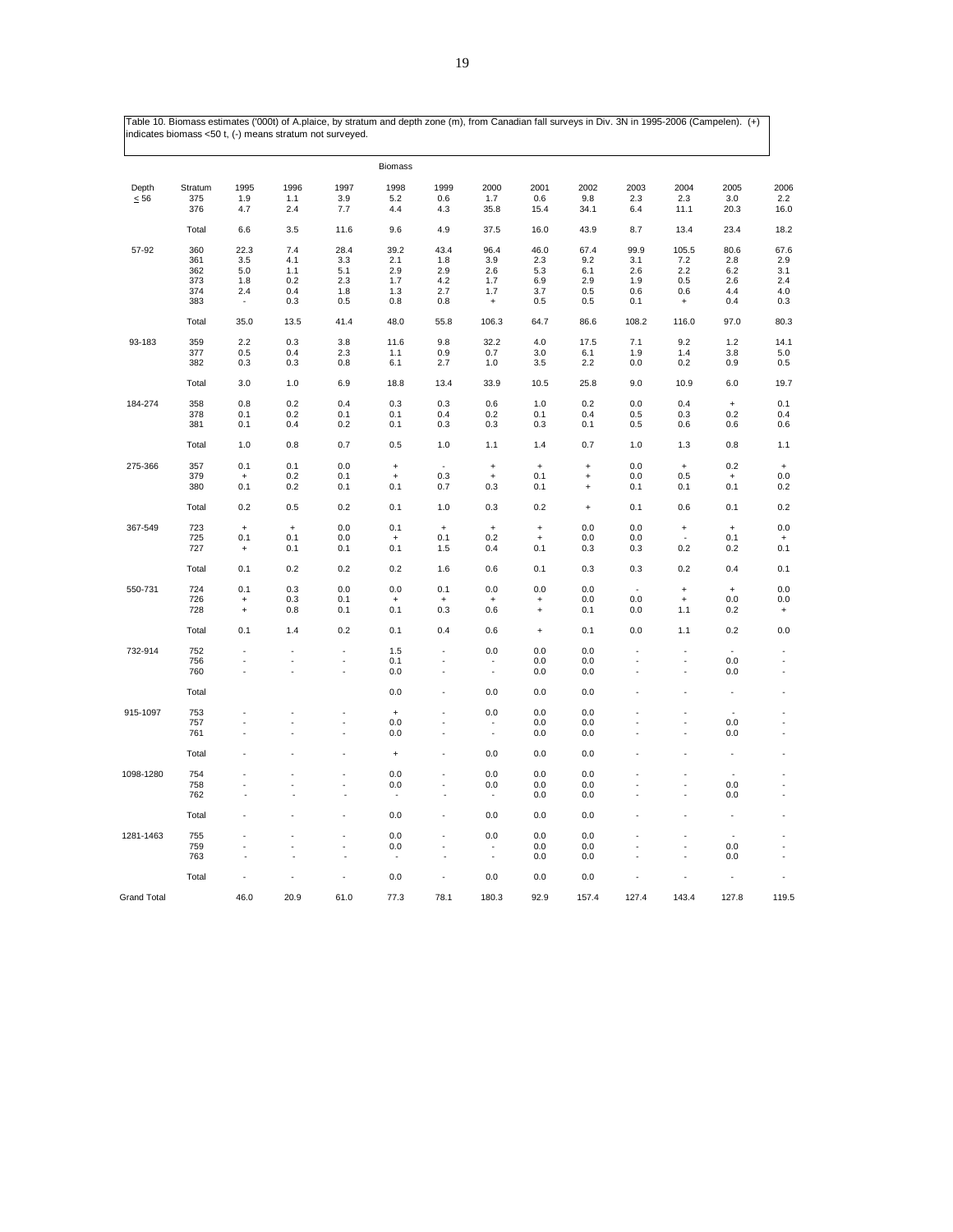|                    |            |                                  |            |                      | <b>Biomass</b>                   |            |                                  |                                  |            |            |                                         |                                  |                                  |
|--------------------|------------|----------------------------------|------------|----------------------|----------------------------------|------------|----------------------------------|----------------------------------|------------|------------|-----------------------------------------|----------------------------------|----------------------------------|
| Depth              | Stratum    | 1995                             | 1996       | 1997                 | 1998                             | 1999       | 2000                             | 2001                             | 2002       | 2003       | 2004                                    | 2005                             | 2006                             |
| $\leq 56$          | 375        | 1.9                              | 1.1        | 3.9                  | 5.2                              | 0.6        | 1.7                              | 0.6                              | 9.8        | 2.3        | 2.3                                     | 3.0                              | $2.2\,$                          |
|                    | 376        | 4.7                              | 2.4        | 7.7                  | 4.4                              | 4.3        | 35.8                             | 15.4                             | 34.1       | 6.4        | 11.1                                    | 20.3                             | 16.0                             |
|                    | Total      | 6.6                              | 3.5        | 11.6                 | 9.6                              | 4.9        | 37.5                             | 16.0                             | 43.9       | 8.7        | 13.4                                    | 23.4                             | 18.2                             |
| 57-92              | 360        | 22.3                             | 7.4        | 28.4                 | 39.2                             | 43.4       | 96.4                             | 46.0                             | 67.4       | 99.9       | 105.5                                   | 80.6                             | 67.6                             |
|                    | 361        | 3.5                              | 4.1        | 3.3                  | 2.1                              | 1.8        | 3.9                              | 2.3                              | 9.2        | 3.1        | 7.2                                     | 2.8                              | 2.9                              |
|                    | 362        | 5.0                              | 1.1        | 5.1                  | 2.9                              | 2.9        | 2.6                              | 5.3                              | 6.1        | 2.6        | 2.2                                     | 6.2                              | 3.1                              |
|                    | 373        | 1.8                              | $0.2\,$    | 2.3                  | 1.7                              | 4.2        | 1.7                              | 6.9                              | 2.9        | 1.9        | 0.5                                     | 2.6                              | 2.4                              |
|                    | 374<br>383 | 2.4                              | 0.4<br>0.3 | 1.8<br>0.5           | 1.3<br>0.8                       | 2.7<br>0.8 | 1.7<br>$\ddot{}$                 | 3.7<br>0.5                       | 0.5<br>0.5 | 0.6<br>0.1 | 0.6<br>$\begin{array}{c} + \end{array}$ | 4.4<br>0.4                       | 4.0<br>0.3                       |
|                    | Total      | 35.0                             | 13.5       | 41.4                 | 48.0                             | 55.8       | 106.3                            | 64.7                             | 86.6       | 108.2      | 116.0                                   | 97.0                             | 80.3                             |
|                    |            |                                  |            |                      |                                  |            |                                  |                                  |            |            |                                         |                                  |                                  |
| 93-183             | 359        | 2.2                              | 0.3        | 3.8                  | 11.6                             | 9.8        | 32.2                             | 4.0                              | 17.5       | 7.1        | 9.2                                     | 1.2                              | 14.1                             |
|                    | 377<br>382 | 0.5<br>0.3                       | 0.4<br>0.3 | 2.3<br>0.8           | 1.1<br>6.1                       | 0.9<br>2.7 | 0.7<br>1.0                       | 3.0<br>3.5                       | 6.1<br>2.2 | 1.9<br>0.0 | 1.4<br>0.2                              | 3.8<br>0.9                       | 5.0<br>0.5                       |
|                    |            |                                  |            |                      |                                  |            |                                  |                                  |            |            |                                         |                                  |                                  |
|                    | Total      | 3.0                              | 1.0        | 6.9                  | 18.8                             | 13.4       | 33.9                             | 10.5                             | 25.8       | 9.0        | 10.9                                    | 6.0                              | 19.7                             |
| 184-274            | 358        | 0.8                              | 0.2        | 0.4                  | 0.3                              | 0.3        | 0.6                              | 1.0                              | 0.2        | 0.0        | 0.4                                     | $\ddot{}$                        | 0.1                              |
|                    | 378        | 0.1                              | 0.2        | 0.1                  | 0.1                              | 0.4        | 0.2                              | 0.1                              | 0.4        | 0.5        | 0.3                                     | 0.2                              | 0.4                              |
|                    | 381        | 0.1                              | 0.4        | 0.2                  | 0.1                              | 0.3        | 0.3                              | 0.3                              | 0.1        | 0.5        | 0.6                                     | 0.6                              | 0.6                              |
|                    | Total      | 1.0                              | 0.8        | 0.7                  | 0.5                              | 1.0        | 1.1                              | 1.4                              | 0.7        | 1.0        | 1.3                                     | 0.8                              | 1.1                              |
| 275-366            | 357        | 0.1                              | 0.1        | 0.0                  | $\bf{+}$                         | ×,         | $\begin{array}{c} + \end{array}$ | $\begin{array}{c} + \end{array}$ | $\ddot{}$  | 0.0        | $\ddot{}$                               | 0.2                              | $\ddag$                          |
|                    | 379        | $\begin{array}{c} + \end{array}$ | 0.2        | 0.1                  | $\ddot{}$                        | 0.3        | $\ddot{}$                        | 0.1                              | $\ddot{}$  | 0.0        | 0.5                                     | $\begin{array}{c} + \end{array}$ | 0.0                              |
|                    | 380        | 0.1                              | 0.2        | 0.1                  | 0.1                              | 0.7        | 0.3                              | 0.1                              | $\ddot{}$  | 0.1        | 0.1                                     | 0.1                              | 0.2                              |
|                    | Total      | 0.2                              | 0.5        | 0.2                  | 0.1                              | 1.0        | 0.3                              | 0.2                              | $\ddot{}$  | 0.1        | 0.6                                     | 0.1                              | 0.2                              |
| 367-549            | 723        | $\ddot{}$                        | $\ddot{}$  | 0.0                  | 0.1                              | $\ddot{}$  | $\ddot{}$                        | $\begin{array}{c} + \end{array}$ | 0.0        | 0.0        | $\ddot{}$                               | $\ddot{}$                        | $0.0\,$                          |
|                    | 725        | 0.1                              | 0.1        | 0.0                  | $\ddot{}$                        | 0.1        | 0.2                              | $\ddot{}$                        | 0.0        | 0.0        |                                         | 0.1                              | $\ddot{}$                        |
|                    | 727        | $\ddot{}$                        | 0.1        | 0.1                  | 0.1                              | 1.5        | 0.4                              | 0.1                              | 0.3        | 0.3        | 0.2                                     | 0.2                              | 0.1                              |
|                    | Total      | 0.1                              | 0.2        | 0.2                  | 0.2                              | 1.6        | 0.6                              | 0.1                              | 0.3        | 0.3        | 0.2                                     | 0.4                              | 0.1                              |
| 550-731            | 724        | 0.1                              | 0.3        | 0.0                  | 0.0                              | 0.1        | 0.0                              | 0.0                              | 0.0        | ä,         | $\ddot{}$                               | $\ddot{}$                        | 0.0                              |
|                    | 726        | $\ddot{}$                        | 0.3        | 0.1                  |                                  |            | $\ddot{}$                        |                                  | 0.0        | 0.0        | $\ddot{}$                               | 0.0                              | 0.0                              |
|                    | 728        | $\ddot{}$                        | 0.8        | 0.1                  | 0.1                              | 0.3        | 0.6                              | $\ddot{}$                        | 0.1        | 0.0        | 1.1                                     | 0.2                              | $\begin{array}{c} + \end{array}$ |
|                    | Total      | 0.1                              | 1.4        | 0.2                  | 0.1                              | 0.4        | 0.6                              | $\ddot{}$                        | 0.1        | 0.0        | 1.1                                     | 0.2                              | 0.0                              |
|                    |            |                                  |            |                      |                                  | ä,         |                                  |                                  |            | ä,         |                                         |                                  |                                  |
| 732-914            | 752<br>756 | ÷,                               | ä,         | ä,<br>$\blacksquare$ | 1.5<br>0.1                       | ä,         | 0.0                              | 0.0<br>0.0                       | 0.0<br>0.0 |            | Ĭ.                                      | 0.0                              | ä,                               |
|                    | 760        |                                  |            | J.                   | 0.0                              | ä,         | ٠<br>$\blacksquare$              | 0.0                              | 0.0        | J.         | ł,                                      | 0.0                              | ä,                               |
|                    | Total      |                                  |            |                      | 0.0                              | ä,         | 0.0                              | 0.0                              | 0.0        |            |                                         |                                  | ×,                               |
| 915-1097           | 753        |                                  | ٠          | ä,                   | $\begin{array}{c} + \end{array}$ | ä,         | 0.0                              | 0.0                              | 0.0        | ł.         |                                         | ÷.                               |                                  |
|                    | 757        |                                  | ä,         | ÷.                   | 0.0                              | ×,         | ٠                                | 0.0                              | 0.0        | ×,         | ÷,                                      | 0.0                              | ×,                               |
|                    | 761        |                                  |            | l,                   | 0.0                              |            | ä,                               | 0.0                              | 0.0        |            | L.                                      | 0.0                              | Ĭ.                               |
|                    | Total      |                                  |            |                      | $\ddot{}$                        |            | 0.0                              | 0.0                              | 0.0        |            |                                         |                                  |                                  |
| 1098-1280          | 754        |                                  |            |                      | 0.0                              |            | 0.0                              | 0.0                              | 0.0        |            |                                         |                                  |                                  |
|                    | 758        |                                  |            | ÷,                   | 0.0                              | ä,         | 0.0                              | 0.0                              | 0.0        |            | ÷,                                      | 0.0                              |                                  |
|                    | 762        |                                  | ÷          |                      |                                  |            | ä,                               | 0.0                              | 0.0        |            | ÷,                                      | 0.0                              | ä,                               |
|                    | Total      |                                  |            | ä,                   | 0.0                              | ä,         | 0.0                              | 0.0                              | 0.0        |            |                                         | ÷,                               |                                  |
| 1281-1463          | 755        |                                  | ×,         | ÷,                   | 0.0                              | ä,         | 0.0                              | 0.0                              | 0.0        | ×,         |                                         |                                  |                                  |
|                    | 759        |                                  |            | ÷,                   | 0.0                              |            | ٠                                | 0.0                              | 0.0        |            | ÷,                                      | 0.0                              | ٠                                |
|                    | 763        |                                  |            |                      |                                  |            | $\overline{\phantom{a}}$         | 0.0                              | 0.0        |            |                                         | 0.0                              | ٠                                |
|                    | Total      |                                  |            |                      | 0.0                              |            | 0.0                              | 0.0                              | 0.0        |            |                                         |                                  |                                  |
| <b>Grand Total</b> |            | 46.0                             | 20.9       | 61.0                 | 77.3                             | 78.1       | 180.3                            | 92.9                             | 157.4      | 127.4      | 143.4                                   | 127.8                            | 119.5                            |
|                    |            |                                  |            |                      |                                  |            |                                  |                                  |            |            |                                         |                                  |                                  |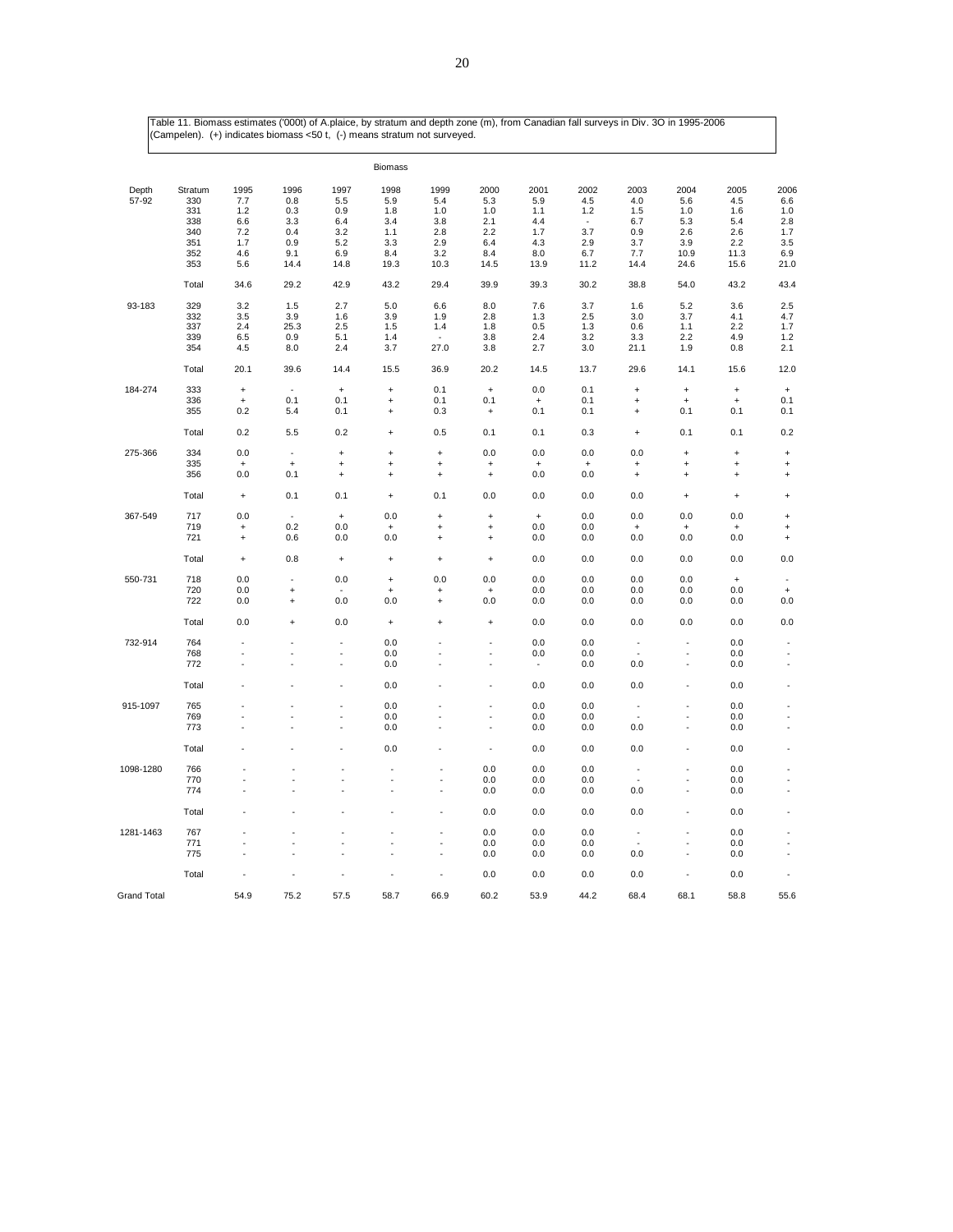|                    | $\overline{\phantom{a}}$<br>$\sqrt{ }$ |           |                | $\cdots$             |                                  | ╭                        |                                  |                   |           |                                  |                       |                                  |                      |
|--------------------|----------------------------------------|-----------|----------------|----------------------|----------------------------------|--------------------------|----------------------------------|-------------------|-----------|----------------------------------|-----------------------|----------------------------------|----------------------|
|                    |                                        |           |                |                      | <b>Biomass</b>                   |                          |                                  |                   |           |                                  |                       |                                  |                      |
| Depth              | Stratum                                | 1995      | 1996           | 1997                 | 1998                             | 1999                     | 2000                             | 2001              | 2002      | 2003                             | 2004                  | 2005                             | 2006                 |
| 57-92              | 330                                    | 7.7       | 0.8            | 5.5                  | 5.9                              | 5.4                      | 5.3                              | 5.9               | 4.5       | 4.0                              | 5.6                   | 4.5                              | 6.6                  |
|                    | 331                                    | 1.2       | 0.3            | 0.9                  | 1.8                              | 1.0                      | 1.0                              | 1.1               | 1.2       | 1.5                              | 1.0                   | 1.6                              | 1.0                  |
|                    | 338                                    | 6.6       | 3.3            | 6.4                  | 3.4                              | 3.8                      | 2.1                              | 4.4               | $\sim$    | 6.7                              | 5.3                   | 5.4                              | 2.8                  |
|                    | 340                                    | 7.2       | 0.4            | 3.2                  | 1.1                              | 2.8                      | 2.2                              | 1.7               | 3.7       | 0.9                              | 2.6                   | 2.6                              | 1.7                  |
|                    | 351                                    | 1.7       | 0.9            | 5.2                  | 3.3                              | 2.9                      | 6.4                              | 4.3               | 2.9       | 3.7                              | 3.9                   | 2.2                              | 3.5                  |
|                    | 352                                    | 4.6       | 9.1            | 6.9                  | 8.4                              | 3.2                      | 8.4                              | 8.0               | 6.7       | 7.7                              | 10.9                  | 11.3                             | 6.9                  |
|                    | 353                                    | 5.6       | 14.4           | 14.8                 | 19.3                             | 10.3                     | 14.5                             | 13.9              | 11.2      | 14.4                             | 24.6                  | 15.6                             | 21.0                 |
|                    | Total                                  | 34.6      | 29.2           | 42.9                 | 43.2                             | 29.4                     | 39.9                             | 39.3              | 30.2      | 38.8                             | 54.0                  | 43.2                             | 43.4                 |
| 93-183             | 329                                    | 3.2       | 1.5            | 2.7                  | 5.0                              | 6.6                      | 8.0                              | 7.6               | 3.7       | 1.6                              | 5.2                   | 3.6                              | 2.5                  |
|                    | 332                                    | 3.5       | 3.9            | 1.6                  | 3.9                              | 1.9                      | 2.8                              | 1.3               | 2.5       | 3.0                              | 3.7                   | 4.1                              | 4.7                  |
|                    | 337                                    | 2.4       | 25.3           | 2.5                  | 1.5                              | 1.4                      | 1.8                              | 0.5               | 1.3       | 0.6                              | 1.1                   | 2.2                              | 1.7                  |
|                    | 339                                    | 6.5       | 0.9            | 5.1                  | 1.4                              | $\overline{\phantom{a}}$ | 3.8                              | 2.4               | 3.2       | 3.3                              | 2.2                   | 4.9                              | 1.2                  |
|                    | 354                                    | 4.5       | 8.0            | 2.4                  | 3.7                              | 27.0                     | 3.8                              | 2.7               | 3.0       | 21.1                             | 1.9                   | 0.8                              | 2.1                  |
|                    | Total                                  | 20.1      | 39.6           | 14.4                 | 15.5                             | 36.9                     | 20.2                             | 14.5              | 13.7      | 29.6                             | 14.1                  | 15.6                             | 12.0                 |
| 184-274            | 333                                    | $\ddot{}$ | $\sim$         | $\ddot{}$            | $\ddot{}$                        | 0.1                      | $\ddot{}$                        | 0.0               | 0.1       | $\ddot{}$                        | $\ddot{}$             | $\ddot{}$                        | $\ddot{}$            |
|                    | 336                                    | $\ddot{}$ | 0.1            | 0.1                  | $\ddot{}$                        | 0.1                      | 0.1                              | $\ddag$           | 0.1       | $\ddot{}$                        | $\qquad \qquad +$     | $\qquad \qquad +$                | 0.1                  |
|                    | 355                                    | 0.2       | 5.4            | 0.1                  | $\ddot{}$                        | 0.3                      | $\pmb{+}$                        | 0.1               | 0.1       | $\ddot{}$                        | 0.1                   | 0.1                              | 0.1                  |
|                    | Total                                  | 0.2       | 5.5            | 0.2                  | $\ddot{}$                        | 0.5                      | 0.1                              | 0.1               | 0.3       | $\ddot{}$                        | 0.1                   | 0.1                              | 0.2                  |
| 275-366            | 334                                    | 0.0       | ł,             | $\ddot{}$            | $\ddot{}$                        | $\ddot{}$                | 0.0                              | 0.0               | 0.0       | 0.0                              | $\ddot{}$             | $\ddot{}$                        | $\ddot{}$            |
|                    | 335                                    | $\ddot{}$ | $\ddot{}$      | $\ddot{}$            | $\ddot{}$                        | $\ddot{}$                | $\begin{array}{c} + \end{array}$ | $\ddot{}$         | $\ddot{}$ | $\ddot{}$                        | $\ddot{}$             | $\qquad \qquad +$                | $\ddot{}$            |
|                    | 356                                    | 0.0       | 0.1            | $\ddot{}$            | $\ddot{}$                        | $\ddot{}$                | $\ddag$                          | 0.0               | 0.0       | $\ddot{}$                        | $\qquad \qquad +$     | $\ddot{}$                        | $\ddot{}$            |
|                    | Total                                  | $\pmb{+}$ | 0.1            | 0.1                  | $\qquad \qquad +$                | 0.1                      | 0.0                              | 0.0               | 0.0       | 0.0                              | $\qquad \qquad +$     | $\qquad \qquad +$                | $\ddot{}$            |
| 367-549            | 717                                    | 0.0       | ÷.             | $\qquad \qquad +$    | 0.0                              | $\ddot{}$                | $\ddot{}$                        | $\qquad \qquad +$ | 0.0       | 0.0                              | 0.0                   | 0.0                              | $\ddot{}$            |
|                    | 719                                    | $\ddot{}$ | 0.2            | 0.0                  | $\ddot{}$                        | $\ddot{}$                | $\begin{array}{c} + \end{array}$ | 0.0               | 0.0       | $\begin{array}{c} + \end{array}$ | $\ddot{}$             | $\ddot{}$                        | $\ddot{}$            |
|                    | 721                                    | $\ddot{}$ | 0.6            | 0.0                  | 0.0                              | $\ddot{}$                | $\qquad \qquad +$                | 0.0               | 0.0       | 0.0                              | 0.0                   | 0.0                              | $\ddot{}$            |
|                    | Total                                  | $\ddot{}$ | 0.8            | $\, +$               | $\ddot{}$                        | $\ddot{}$                | $\begin{array}{c} + \end{array}$ | 0.0               | 0.0       | 0.0                              | 0.0                   | 0.0                              | 0.0                  |
| 550-731            | 718                                    | 0.0       | $\sim$         | 0.0                  | $\begin{array}{c} + \end{array}$ | 0.0                      | 0.0                              | 0.0               | 0.0       | 0.0                              | 0.0                   | $\begin{array}{c} + \end{array}$ |                      |
|                    | 720                                    | 0.0       | $\ddot{}$      | ÷                    | $\qquad \qquad +$                | $\overline{1}$           | $\qquad \qquad +$                | 0.0               | 0.0       | 0.0                              | 0.0                   | 0.0                              | $\ddot{}$            |
|                    | 722                                    | 0.0       | $\ddot{}$      | 0.0                  | 0.0                              | $\ddot{}$                | 0.0                              | 0.0               | 0.0       | 0.0                              | 0.0                   | 0.0                              | 0.0                  |
|                    | Total                                  | 0.0       | $\ddot{}$      | 0.0                  | $\begin{array}{c} + \end{array}$ | $\ddot{}$                | $\qquad \qquad +$                | 0.0               | 0.0       | 0.0                              | 0.0                   | 0.0                              | 0.0                  |
| 732-914            | 764                                    | ÷,        |                | ٠                    | 0.0                              |                          | $\sim$                           | 0.0               | 0.0       | $\overline{\phantom{a}}$         | $\blacksquare$        | 0.0                              | $\sim$               |
|                    | 768                                    | ÷.        | $\overline{a}$ | ÷.                   | 0.0                              |                          | ÷.                               | 0.0               | 0.0       | $\sim$                           | $\tilde{\phantom{a}}$ | 0.0                              | $\sim$               |
|                    | 772                                    |           |                | ä,                   | 0.0                              |                          |                                  | $\sim$            | 0.0       | 0.0                              | ÷,                    | 0.0                              | $\sim$               |
|                    | Total                                  |           |                |                      | 0.0                              |                          |                                  | 0.0               | 0.0       | 0.0                              |                       | 0.0                              |                      |
| 915-1097           | 765                                    |           |                | ÷,                   | 0.0                              |                          | ä,                               | 0.0               | 0.0       | $\overline{\phantom{a}}$         | $\blacksquare$        | 0.0                              | ÷,                   |
|                    | 769                                    |           |                | ÷,                   | 0.0                              |                          | $\sim$                           | 0.0               | 0.0       | J.                               |                       | 0.0                              | ÷,                   |
|                    | 773                                    | ÷.        |                | ÷.                   | 0.0                              |                          | $\overline{a}$                   | 0.0               | 0.0       | 0.0                              | ÷.                    | 0.0                              | $\sim$               |
|                    | Total                                  |           |                |                      | 0.0                              |                          | $\sim$                           | 0.0               | 0.0       | 0.0                              |                       | 0.0                              | ÷,                   |
| 1098-1280          | 766                                    |           |                |                      |                                  | ÷,                       | 0.0                              | 0.0               | 0.0       | $\overline{\phantom{a}}$         |                       | 0.0                              |                      |
|                    | 770                                    |           |                |                      | ÷,                               | ł,                       | 0.0                              | 0.0               | 0.0       | ٠                                |                       | 0.0                              | ÷,                   |
|                    | 774                                    |           | ä,             | $\ddot{\phantom{1}}$ | $\ddot{\phantom{1}}$             | $\ddot{\phantom{1}}$     | 0.0                              | 0.0               | 0.0       | 0.0                              | $\ddot{\phantom{1}}$  | 0.0                              | $\sim$               |
|                    | Total                                  |           |                |                      |                                  | ä,                       | 0.0                              | 0.0               | 0.0       | 0.0                              |                       | 0.0                              | $\ddot{\phantom{1}}$ |
| 1281-1463          | 767                                    |           |                |                      |                                  | Ĭ.                       | 0.0                              | 0.0               | 0.0       | ÷,                               |                       | 0.0                              |                      |
|                    | 771                                    |           |                |                      |                                  | ÷,                       | 0.0                              | 0.0               | 0.0       |                                  |                       | 0.0                              | ÷,                   |
|                    | 775                                    |           |                |                      |                                  | ł,                       | 0.0                              | 0.0               | 0.0       | 0.0                              | L.                    | 0.0                              | J.                   |
|                    | Total                                  |           |                |                      |                                  | ä,                       | 0.0                              | 0.0               | 0.0       | 0.0                              |                       | 0.0                              |                      |
| <b>Grand Total</b> |                                        | 54.9      | 75.2           | 57.5                 | 58.7                             | 66.9                     | 60.2                             | 53.9              | 44.2      | 68.4                             | 68.1                  | 58.8                             | 55.6                 |

Table 11. Biomass estimates ('000t) of A.plaice, by stratum and depth zone (m), from Canadian fall surveys in Div. 3O in 1995-2006 (Campelen). (+) indicates biomass <50 t, (-) means stratum not surveyed.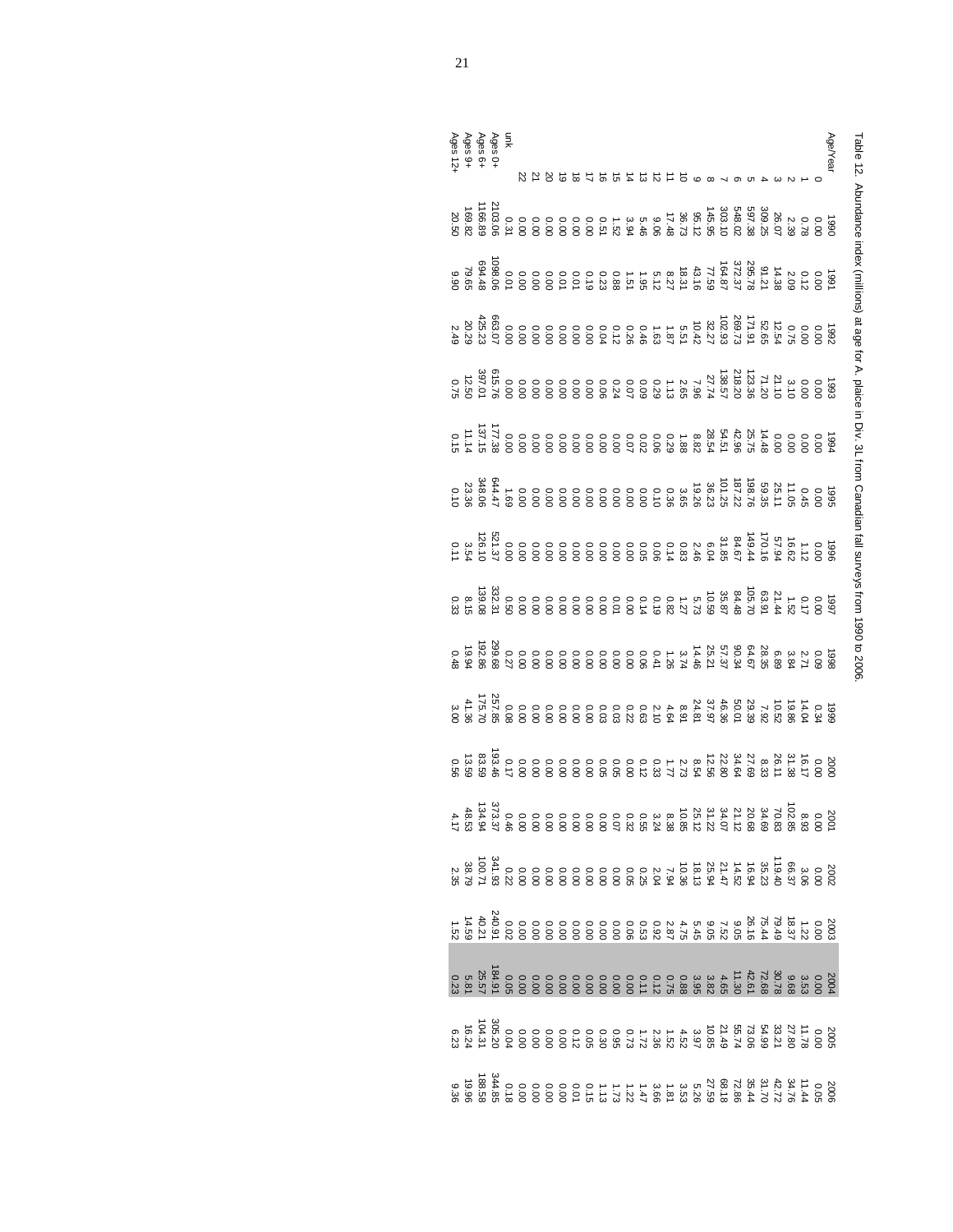| Table 12. Abundance index, trombar and the proper of A. And in the independent fall surveys from 1990 to 2000. |  |
|----------------------------------------------------------------------------------------------------------------|--|
|                                                                                                                |  |
|                                                                                                                |  |
|                                                                                                                |  |
|                                                                                                                |  |
|                                                                                                                |  |
|                                                                                                                |  |
|                                                                                                                |  |
|                                                                                                                |  |
|                                                                                                                |  |
|                                                                                                                |  |
|                                                                                                                |  |

| Ages 0+<br>Ages 6+<br>Ages 9+<br>Ages 12+ |                                                                                                                                                                                                                                                                                |  |  | 8<br>2009 5 4 5 4 5 5 6 7 6 7 7 8 9 7 8 |  |  |  |  |  |  |  |  |  |  |
|-------------------------------------------|--------------------------------------------------------------------------------------------------------------------------------------------------------------------------------------------------------------------------------------------------------------------------------|--|--|-----------------------------------------|--|--|--|--|--|--|--|--|--|--|
|                                           |                                                                                                                                                                                                                                                                                |  |  |                                         |  |  |  |  |  |  |  |  |  |  |
|                                           |                                                                                                                                                                                                                                                                                |  |  |                                         |  |  |  |  |  |  |  |  |  |  |
|                                           |                                                                                                                                                                                                                                                                                |  |  |                                         |  |  |  |  |  |  |  |  |  |  |
|                                           |                                                                                                                                                                                                                                                                                |  |  |                                         |  |  |  |  |  |  |  |  |  |  |
|                                           |                                                                                                                                                                                                                                                                                |  |  |                                         |  |  |  |  |  |  |  |  |  |  |
|                                           |                                                                                                                                                                                                                                                                                |  |  |                                         |  |  |  |  |  |  |  |  |  |  |
|                                           |                                                                                                                                                                                                                                                                                |  |  |                                         |  |  |  |  |  |  |  |  |  |  |
|                                           |                                                                                                                                                                                                                                                                                |  |  |                                         |  |  |  |  |  |  |  |  |  |  |
|                                           | ្រួច ០០ ។ វា 60 គ្រូ អង្គ ស្រុក ស្រុក ស្រុក ស្រុក ស្រុក ស្រុក ស្រុក ស្រុក ស្រុក ស្រុក ស្រុក ស្រុក ស្រុក ស្រុក<br>ប្រសាសន៍ ស្រុក ស្រុក ស្រុក ស្រុក ស្រុក ស្រុក ស្រុក ស្រុក ស្រុក ស្រុក ស្រុក ស្រុក ស្រុក ស្រុក ស្រុក ស្រុក ស្រុក                                                |  |  |                                         |  |  |  |  |  |  |  |  |  |  |
|                                           |                                                                                                                                                                                                                                                                                |  |  |                                         |  |  |  |  |  |  |  |  |  |  |
|                                           | $\begin{smallmatrix} 2\,4 & 5\,4 & 6\,4 & 6\,4 & 6\,4 & 6\,4 & 6\,4 & 6\,4 & 6\,4 & 6\,4 & 6\,4 & 6\,4 & 6\,4 & 6\,4 & 6\,4 & 6\,4 & 6\,4 & 6\,4 & 6\,4 & 6\,4 & 6\,4 & 6\,4 & 6\,4 & 6\,4 & 6\,4 & 6\,4 & 6\,4 & 6\,4 & 6\,4 & 6\,4 & 6\,4 & 6\,4 & 6\,4 & 6\,4 & 6\,4 & 6\,$ |  |  |                                         |  |  |  |  |  |  |  |  |  |  |
|                                           |                                                                                                                                                                                                                                                                                |  |  |                                         |  |  |  |  |  |  |  |  |  |  |
|                                           |                                                                                                                                                                                                                                                                                |  |  |                                         |  |  |  |  |  |  |  |  |  |  |
|                                           |                                                                                                                                                                                                                                                                                |  |  |                                         |  |  |  |  |  |  |  |  |  |  |
|                                           |                                                                                                                                                                                                                                                                                |  |  |                                         |  |  |  |  |  |  |  |  |  |  |
|                                           |                                                                                                                                                                                                                                                                                |  |  |                                         |  |  |  |  |  |  |  |  |  |  |
|                                           |                                                                                                                                                                                                                                                                                |  |  |                                         |  |  |  |  |  |  |  |  |  |  |
|                                           |                                                                                                                                                                                                                                                                                |  |  |                                         |  |  |  |  |  |  |  |  |  |  |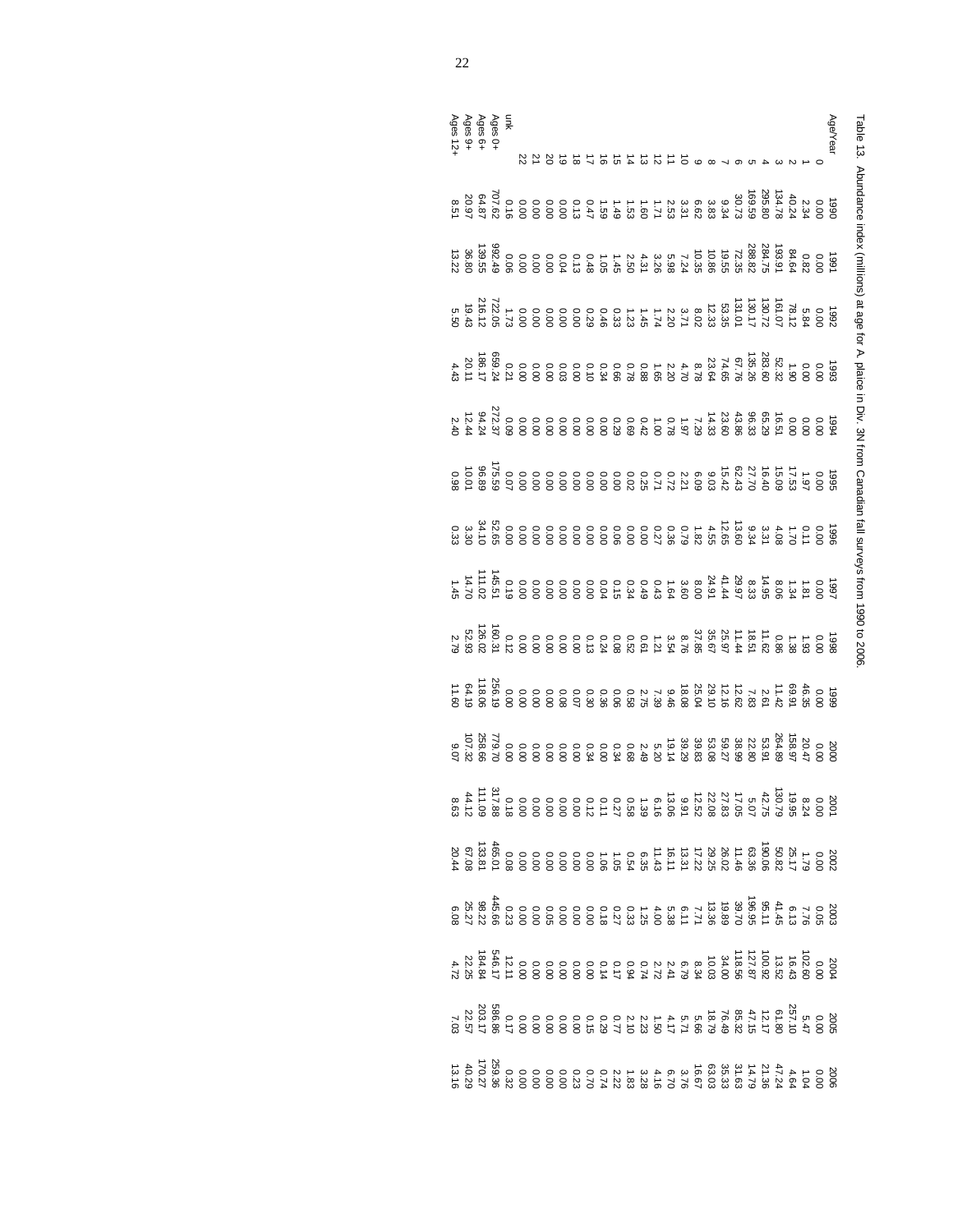| I                                                                                                                                                                                                                                    |
|--------------------------------------------------------------------------------------------------------------------------------------------------------------------------------------------------------------------------------------|
|                                                                                                                                                                                                                                      |
|                                                                                                                                                                                                                                      |
| $\ddot{\phantom{a}}$                                                                                                                                                                                                                 |
| i                                                                                                                                                                                                                                    |
| $\ddot{\phantom{a}}$                                                                                                                                                                                                                 |
|                                                                                                                                                                                                                                      |
| ֖֖֖֧֢ׅ֧֦֧֦֧֦֧֧֦֧֦֧֧֚֚֚֚֚֚֚֚֚֚֚֚֚֚֚֚֚֚֬֡֘֝֬֓                                                                                                                                                                                          |
| ֦                                                                                                                                                                                                                                    |
|                                                                                                                                                                                                                                      |
| <b>CONSIDERED AND AND AND CONSIDERED ACTIVITY CONSIDERED AND ACTIVITY AND ACTIVITY OF A SECTION AND ACTIVITY CONSIDERED AND ACTIVITY OF A SECTION AND A SECTION AND ALL CONSIDERED AND ALL CONSIDERED AND ALL CONSIDERED AND ALL</b> |
|                                                                                                                                                                                                                                      |
|                                                                                                                                                                                                                                      |
|                                                                                                                                                                                                                                      |
| X<br>ì                                                                                                                                                                                                                               |
| i                                                                                                                                                                                                                                    |

| Ages 0+<br>Ages 6+<br>Ages 9+<br>Ages 12+ |  |  | Age/Year                                                                                                                                                                                                                                                                                                                  |
|-------------------------------------------|--|--|---------------------------------------------------------------------------------------------------------------------------------------------------------------------------------------------------------------------------------------------------------------------------------------------------------------------------|
|                                           |  |  |                                                                                                                                                                                                                                                                                                                           |
|                                           |  |  |                                                                                                                                                                                                                                                                                                                           |
|                                           |  |  |                                                                                                                                                                                                                                                                                                                           |
|                                           |  |  |                                                                                                                                                                                                                                                                                                                           |
|                                           |  |  | $\begin{smallmatrix} 2 & 5 & 5 & 5 & 6 \\ 2 & 5 & 6 & 8 & 8 \\ 2 & 6 & 6 & 8 & 8 \\ 3 & 6 & 6 & 8 & 8 \\ 4 & 5 & 6 & 8 & 8 \\ 5 & 6 & 6 & 8 & 8 \\ 6 & 6 & 6 & 8 & 8 \\ 6 & 6 & 6 & 8 & 8 \\ 7 & 8 & 6 & 8 & 8 \\ 8 & 9 & 10 & 10 & 10 \\ 10 & 10 & 10 & 10 & 10 \\ 11 & 11 & 12 & 10 & 10 \\ 12 & 13 & 13 & 15 & 10 \\ $ |
|                                           |  |  | ទី មាន ស្ថិត មាន ស្ថិត មាន ស្ថិត មាន ស្ថិត មាន ស្ថិត មាន ស្ថិត មាន ស្ថិត មាន ស្ថិត មាន ស្ថិត មាន ស្ថិត មាន ស្ថិត<br>ស្ថិត ស្ថិត មាន ស្ថិត ស្ថិត ស្ថិត ស្ថិត ស្ថិត ស្ថិត មាន ស្ថិត មាន ស្ថិត មាន អ្នក មាន អ្នក ស្ថិត ស្ថិត អ្នក ម                                                                                          |
|                                           |  |  |                                                                                                                                                                                                                                                                                                                           |
|                                           |  |  |                                                                                                                                                                                                                                                                                                                           |
|                                           |  |  |                                                                                                                                                                                                                                                                                                                           |
|                                           |  |  |                                                                                                                                                                                                                                                                                                                           |
|                                           |  |  |                                                                                                                                                                                                                                                                                                                           |
|                                           |  |  |                                                                                                                                                                                                                                                                                                                           |
|                                           |  |  |                                                                                                                                                                                                                                                                                                                           |
|                                           |  |  |                                                                                                                                                                                                                                                                                                                           |
|                                           |  |  |                                                                                                                                                                                                                                                                                                                           |
|                                           |  |  |                                                                                                                                                                                                                                                                                                                           |
|                                           |  |  |                                                                                                                                                                                                                                                                                                                           |
|                                           |  |  |                                                                                                                                                                                                                                                                                                                           |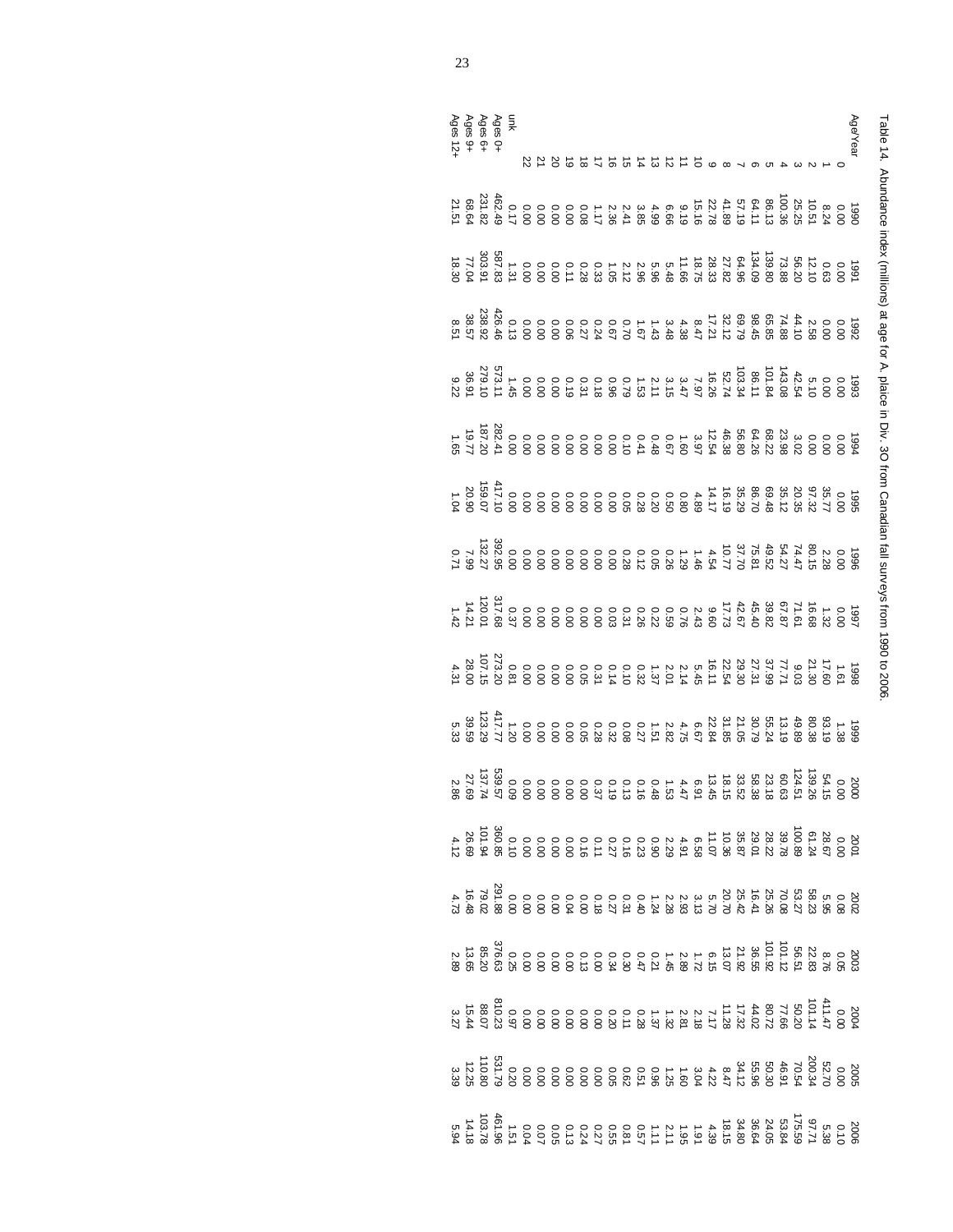| l                                                                                                                   |
|---------------------------------------------------------------------------------------------------------------------|
|                                                                                                                     |
|                                                                                                                     |
|                                                                                                                     |
| $\vdots$                                                                                                            |
|                                                                                                                     |
|                                                                                                                     |
|                                                                                                                     |
|                                                                                                                     |
|                                                                                                                     |
| !                                                                                                                   |
|                                                                                                                     |
| ١                                                                                                                   |
|                                                                                                                     |
| respectively to the contract of the contract of the contract of the contract of the contract of the contract o<br>֠ |
|                                                                                                                     |
|                                                                                                                     |
|                                                                                                                     |
|                                                                                                                     |
| ŏ<br>$\frac{1}{2}$                                                                                                  |
|                                                                                                                     |
| )<br>)<br>)                                                                                                         |

| unk<br>Ages 6∔<br>Ages 6∔<br>Ages 12+ |  |                                                                                                                                                                                                                                                                                                                                                                                                   |  |  |  |  |  |  |  |  |  |  |  | Age/Year |
|---------------------------------------|--|---------------------------------------------------------------------------------------------------------------------------------------------------------------------------------------------------------------------------------------------------------------------------------------------------------------------------------------------------------------------------------------------------|--|--|--|--|--|--|--|--|--|--|--|----------|
|                                       |  |                                                                                                                                                                                                                                                                                                                                                                                                   |  |  |  |  |  |  |  |  |  |  |  |          |
|                                       |  | $\begin{array}{l}228888787888872788364288884228884288842888428884288844288844288884428884428884428884428884428884428884428884428884428884428884428884428884428884428884428884428884428884428884428884428884428884428884428884428884428$                                                                                                                                                           |  |  |  |  |  |  |  |  |  |  |  |          |
|                                       |  |                                                                                                                                                                                                                                                                                                                                                                                                   |  |  |  |  |  |  |  |  |  |  |  |          |
|                                       |  |                                                                                                                                                                                                                                                                                                                                                                                                   |  |  |  |  |  |  |  |  |  |  |  |          |
|                                       |  | $\begin{array}{l} 698.75 \rightarrow 0.0000 \\ 698.75 \rightarrow 0.0000 \\ 698.75 \rightarrow 0.0000 \\ 698.75 \rightarrow 0.0000 \\ 698.75 \rightarrow 0.0000 \\ 698.75 \rightarrow 0.0000 \\ 698.75 \rightarrow 0.0000 \\ 698.75 \rightarrow 0.0000 \\ 698.75 \rightarrow 0.0000 \\ 698.75 \rightarrow 0.0000 \\ 698.75 \rightarrow 0.0000 \\ 698.75 \rightarrow 0.0000 \\ 698.75 \rightarrow$ |  |  |  |  |  |  |  |  |  |  |  |          |
|                                       |  |                                                                                                                                                                                                                                                                                                                                                                                                   |  |  |  |  |  |  |  |  |  |  |  |          |
|                                       |  |                                                                                                                                                                                                                                                                                                                                                                                                   |  |  |  |  |  |  |  |  |  |  |  |          |
|                                       |  | ្រ<br>១ - ស្រុក អ្នក អ្នក អ្នក អ្នក ស្រុក មាន ទី ខាន ខាន ខាន ខាន មាន អ្នក ខា<br>១ - ស្រុក អ្នក អ្នក អ្នក អ្នក ស្រុក មាន ទី ខាន ខាន ខាន ខាន ខាន ខា                                                                                                                                                                                                                                                 |  |  |  |  |  |  |  |  |  |  |  |          |
|                                       |  |                                                                                                                                                                                                                                                                                                                                                                                                   |  |  |  |  |  |  |  |  |  |  |  |          |
|                                       |  |                                                                                                                                                                                                                                                                                                                                                                                                   |  |  |  |  |  |  |  |  |  |  |  |          |
|                                       |  |                                                                                                                                                                                                                                                                                                                                                                                                   |  |  |  |  |  |  |  |  |  |  |  |          |
|                                       |  |                                                                                                                                                                                                                                                                                                                                                                                                   |  |  |  |  |  |  |  |  |  |  |  |          |
|                                       |  |                                                                                                                                                                                                                                                                                                                                                                                                   |  |  |  |  |  |  |  |  |  |  |  |          |
|                                       |  |                                                                                                                                                                                                                                                                                                                                                                                                   |  |  |  |  |  |  |  |  |  |  |  |          |
|                                       |  |                                                                                                                                                                                                                                                                                                                                                                                                   |  |  |  |  |  |  |  |  |  |  |  |          |
|                                       |  |                                                                                                                                                                                                                                                                                                                                                                                                   |  |  |  |  |  |  |  |  |  |  |  |          |
|                                       |  |                                                                                                                                                                                                                                                                                                                                                                                                   |  |  |  |  |  |  |  |  |  |  |  |          |
|                                       |  |                                                                                                                                                                                                                                                                                                                                                                                                   |  |  |  |  |  |  |  |  |  |  |  |          |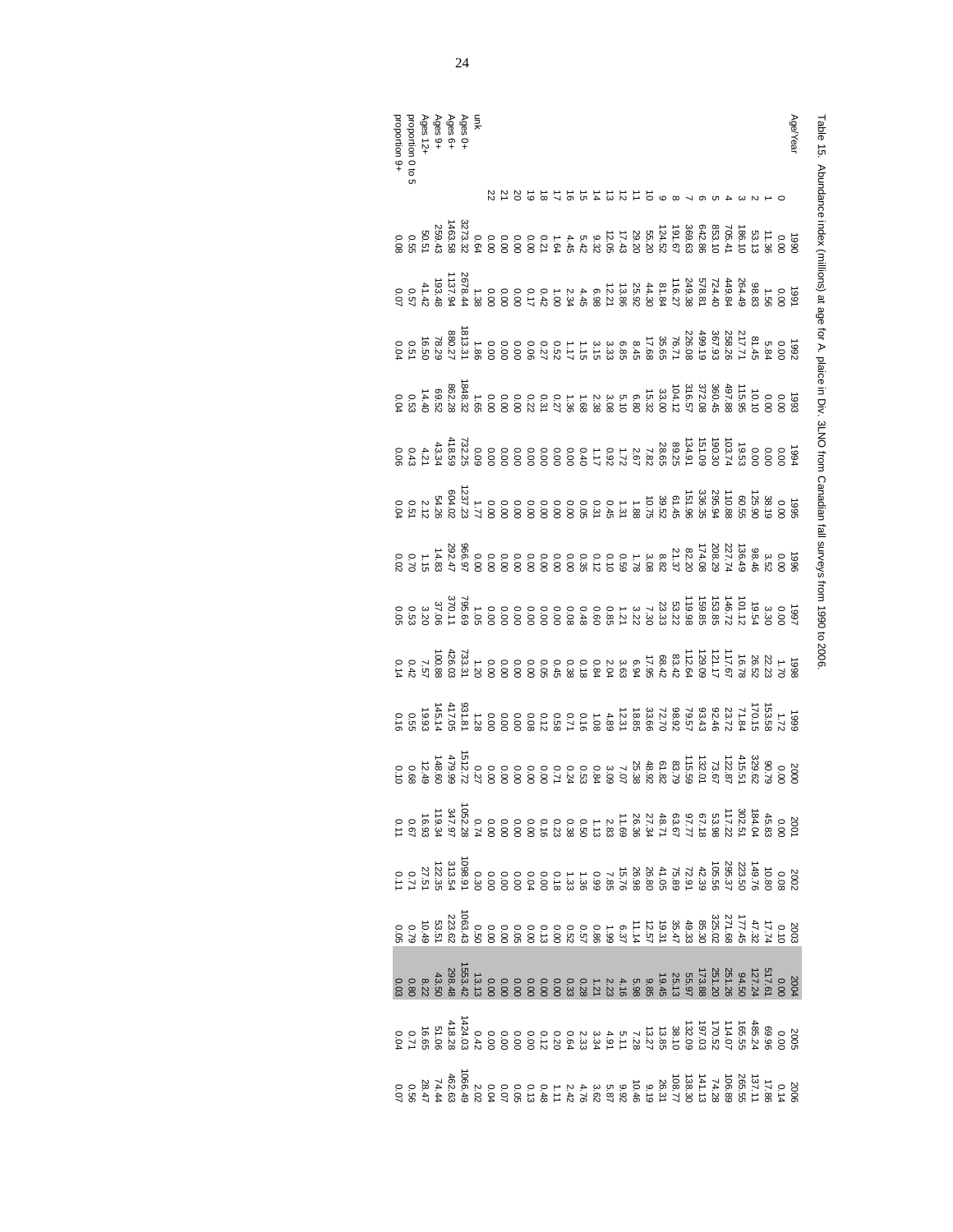| I                                                                                                                                                                                                                                   |
|-------------------------------------------------------------------------------------------------------------------------------------------------------------------------------------------------------------------------------------|
| I                                                                                                                                                                                                                                   |
| יינו הייתו הייתה הייתה הייתה הייתה הייתה הייתה הייתה הייתה הייתה הייתה הייתה הייתה הייתה הייתה הייתה הייתה היי<br>תוכנית הייתה הייתה הייתה הייתה הייתה הייתה הייתה הייתה הייתה הייתה הייתה הייתה הייתה הייתה הייתה הייתה הייתה<br>í |
| j<br>Ì                                                                                                                                                                                                                              |
|                                                                                                                                                                                                                                     |
| í                                                                                                                                                                                                                                   |
| l                                                                                                                                                                                                                                   |
| J                                                                                                                                                                                                                                   |
|                                                                                                                                                                                                                                     |
|                                                                                                                                                                                                                                     |
|                                                                                                                                                                                                                                     |
| ;<br>;<br>$\ddot{\phantom{a}}$                                                                                                                                                                                                      |
| ואמת כתמים<br>,<br>í                                                                                                                                                                                                                |
| )<br>)<br>)                                                                                                                                                                                                                         |

| Ages O+<br>Ages 6+<br>Ages 9+<br>Ages 12+<br>proportion 9+<br>proportion 9+                                                                                                                                                                                                                                                                                                     |  |  |  |  |                                                                                                                                                                                                                                                                                                                                                                                  |  |  |  |  |  |           |  |  |  |  | Age/Year |
|---------------------------------------------------------------------------------------------------------------------------------------------------------------------------------------------------------------------------------------------------------------------------------------------------------------------------------------------------------------------------------|--|--|--|--|----------------------------------------------------------------------------------------------------------------------------------------------------------------------------------------------------------------------------------------------------------------------------------------------------------------------------------------------------------------------------------|--|--|--|--|--|-----------|--|--|--|--|----------|
|                                                                                                                                                                                                                                                                                                                                                                                 |  |  |  |  |                                                                                                                                                                                                                                                                                                                                                                                  |  |  |  |  |  | 185255156 |  |  |  |  |          |
|                                                                                                                                                                                                                                                                                                                                                                                 |  |  |  |  |                                                                                                                                                                                                                                                                                                                                                                                  |  |  |  |  |  |           |  |  |  |  |          |
|                                                                                                                                                                                                                                                                                                                                                                                 |  |  |  |  |                                                                                                                                                                                                                                                                                                                                                                                  |  |  |  |  |  |           |  |  |  |  |          |
|                                                                                                                                                                                                                                                                                                                                                                                 |  |  |  |  |                                                                                                                                                                                                                                                                                                                                                                                  |  |  |  |  |  |           |  |  |  |  |          |
|                                                                                                                                                                                                                                                                                                                                                                                 |  |  |  |  |                                                                                                                                                                                                                                                                                                                                                                                  |  |  |  |  |  |           |  |  |  |  |          |
|                                                                                                                                                                                                                                                                                                                                                                                 |  |  |  |  |                                                                                                                                                                                                                                                                                                                                                                                  |  |  |  |  |  |           |  |  |  |  |          |
|                                                                                                                                                                                                                                                                                                                                                                                 |  |  |  |  |                                                                                                                                                                                                                                                                                                                                                                                  |  |  |  |  |  |           |  |  |  |  |          |
|                                                                                                                                                                                                                                                                                                                                                                                 |  |  |  |  |                                                                                                                                                                                                                                                                                                                                                                                  |  |  |  |  |  |           |  |  |  |  |          |
|                                                                                                                                                                                                                                                                                                                                                                                 |  |  |  |  |                                                                                                                                                                                                                                                                                                                                                                                  |  |  |  |  |  |           |  |  |  |  |          |
|                                                                                                                                                                                                                                                                                                                                                                                 |  |  |  |  | 98 + 26 36 36 36 36 36 36 36 36 36 37 38 39 30 31 32 33 33 34 35 36 37 37 38 39 31 32 32 33 34 35 36 37 37 37 3<br>第25 38 38 38 39 30 31 32 33 33 34 35 35 36 36 36 36 37 37 37 3                                                                                                                                                                                                |  |  |  |  |  |           |  |  |  |  |          |
|                                                                                                                                                                                                                                                                                                                                                                                 |  |  |  |  |                                                                                                                                                                                                                                                                                                                                                                                  |  |  |  |  |  |           |  |  |  |  |          |
|                                                                                                                                                                                                                                                                                                                                                                                 |  |  |  |  |                                                                                                                                                                                                                                                                                                                                                                                  |  |  |  |  |  |           |  |  |  |  |          |
|                                                                                                                                                                                                                                                                                                                                                                                 |  |  |  |  |                                                                                                                                                                                                                                                                                                                                                                                  |  |  |  |  |  |           |  |  |  |  |          |
| $\begin{array}{cccccccccccccc} & \xi_1 & \xi_2 & \xi_3 & \xi_4 & \xi_5 & \xi_6 & \xi_7 & \xi_8 & \xi_9 & \xi_1 & \xi_1 & \xi_2 & \xi_3 & \xi_4 & \xi_5 & \xi_6 & \xi_7 & \xi_7 & \xi_8 & \xi_7 & \xi_8 & \xi_7 & \xi_8 & \xi_7 & \xi_7 & \xi_8 & \xi_7 & \xi_7 & \xi_8 & \xi_7 & \xi_7 & \xi_7 & \xi_8 & \xi_8 & \xi_7 & \xi_7 & \xi_8 & \xi_8 & \xi_7 & \xi_7 & \xi_8 & \xi_8$ |  |  |  |  |                                                                                                                                                                                                                                                                                                                                                                                  |  |  |  |  |  |           |  |  |  |  |          |
|                                                                                                                                                                                                                                                                                                                                                                                 |  |  |  |  |                                                                                                                                                                                                                                                                                                                                                                                  |  |  |  |  |  |           |  |  |  |  |          |
|                                                                                                                                                                                                                                                                                                                                                                                 |  |  |  |  |                                                                                                                                                                                                                                                                                                                                                                                  |  |  |  |  |  |           |  |  |  |  |          |
|                                                                                                                                                                                                                                                                                                                                                                                 |  |  |  |  |                                                                                                                                                                                                                                                                                                                                                                                  |  |  |  |  |  |           |  |  |  |  |          |
|                                                                                                                                                                                                                                                                                                                                                                                 |  |  |  |  | $\begin{array}{c} 80.75\, \frac{15}{10}\, \frac{26}{10}\, \frac{2}{10}\, \frac{2}{10}\, \frac{2}{10}\, \frac{2}{10}\, \frac{2}{10}\, \frac{2}{10}\, \frac{2}{10}\, \frac{2}{10}\, \frac{2}{10}\, \frac{2}{10}\, \frac{2}{10}\, \frac{2}{10}\, \frac{2}{10}\, \frac{2}{10}\, \frac{2}{10}\, \frac{2}{10}\, \frac{2}{10}\, \frac{2}{10}\, \frac{2}{10}\, \frac{2}{10}\, \frac{2}{$ |  |  |  |  |  |           |  |  |  |  |          |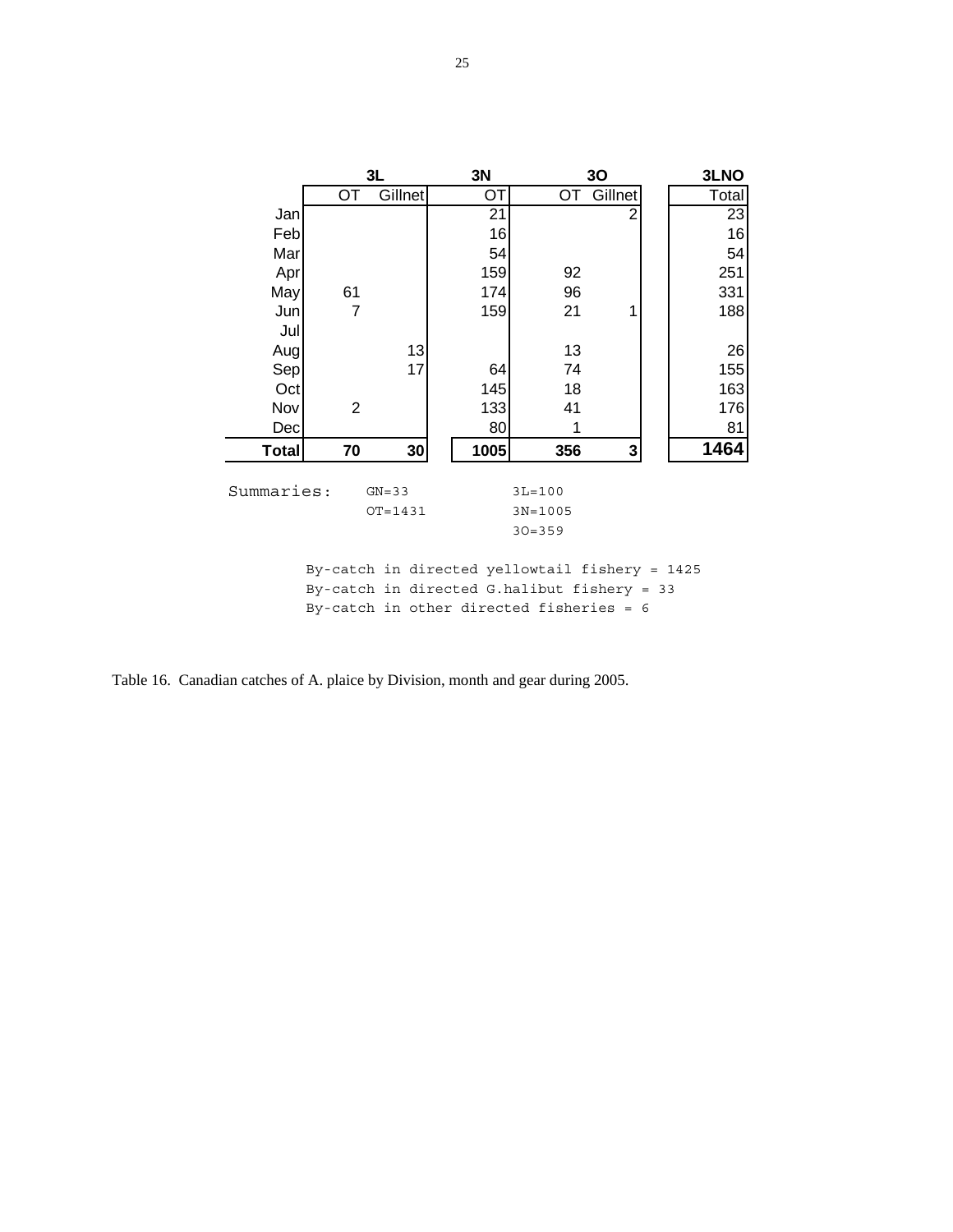|              |                | 3L          | 3N                                             |             | 30             | 3LNO  |
|--------------|----------------|-------------|------------------------------------------------|-------------|----------------|-------|
|              | OT             | Gillnet     | ОT                                             | OT          | Gillnet        | Total |
| Jan          |                |             | 21                                             |             | $\overline{2}$ | 23    |
| Feb          |                |             | 16                                             |             |                | 16    |
| Mar          |                |             | 54                                             |             |                | 54    |
| Apr          |                |             | 159                                            | 92          |                | 251   |
| May          | 61             |             | 174                                            | 96          |                | 331   |
| Jun          | $\overline{7}$ |             | 159                                            | 21          | 1              | 188   |
| Jul          |                |             |                                                |             |                |       |
| Augl         |                | 13          |                                                | 13          |                | 26    |
| Sep          |                | 17          | 64                                             | 74          |                | 155   |
| Oct          |                |             | 145                                            | 18          |                | 163   |
| Nov          | $\overline{2}$ |             | 133                                            | 41          |                | 176   |
| Dec          |                |             | 80                                             | 1           |                | 81    |
| <b>Total</b> | 70             | 30          | 1005                                           | 356         | 3              | 1464  |
|              |                |             |                                                |             |                |       |
| Summaries:   |                | $GN = 33$   |                                                | $3L = 100$  |                |       |
|              |                | $OT = 1431$ |                                                | $3N = 1005$ |                |       |
|              |                |             |                                                | $30 = 359$  |                |       |
|              |                |             |                                                |             |                |       |
|              |                |             | By-catch in directed yellowtail fishery = 1425 |             |                |       |

By-catch in directed G.halibut fishery = 33 By-catch in other directed fisheries = 6

Table 16. Canadian catches of A. plaice by Division, month and gear during 2005.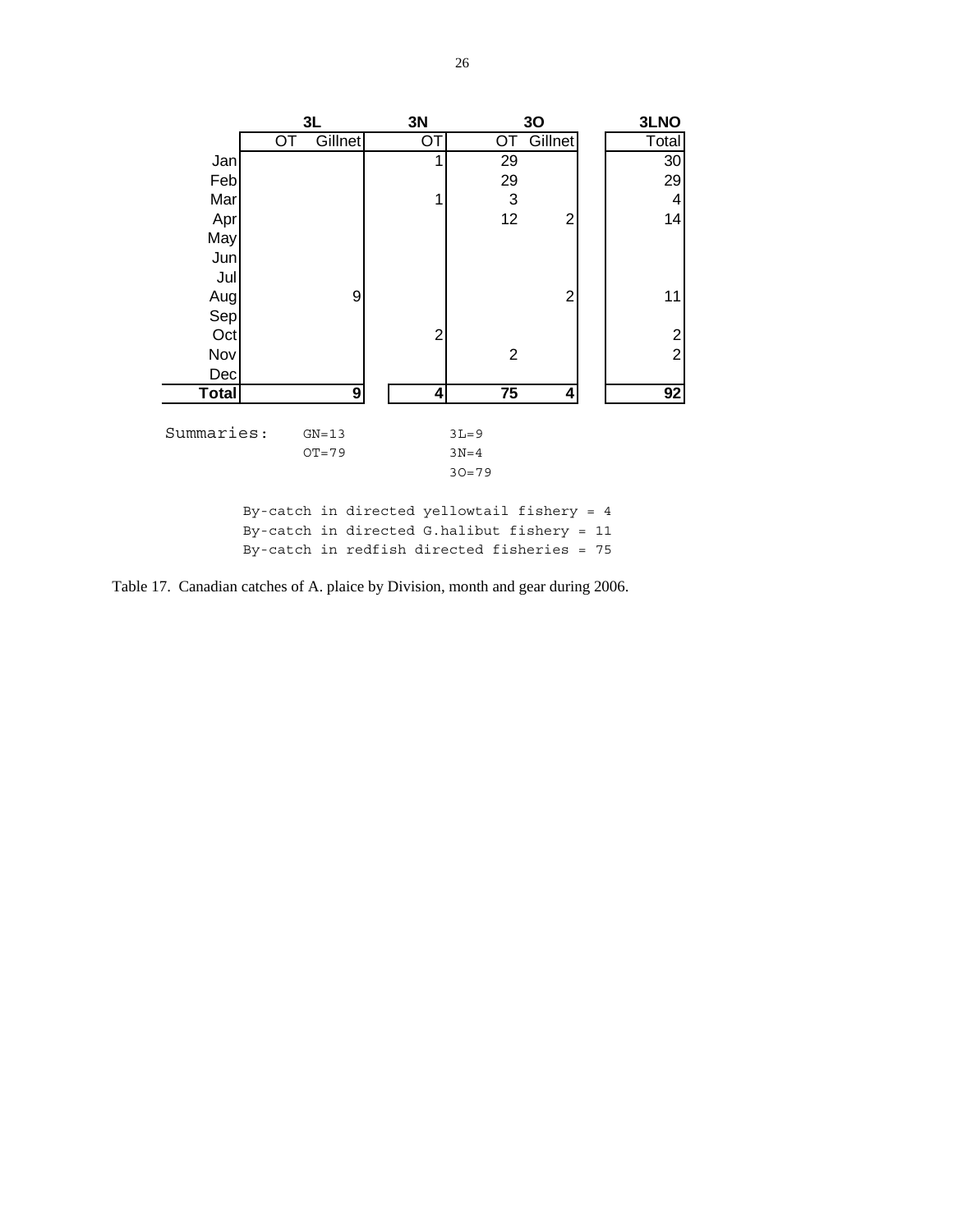

Table 17. Canadian catches of A. plaice by Division, month and gear during 2006.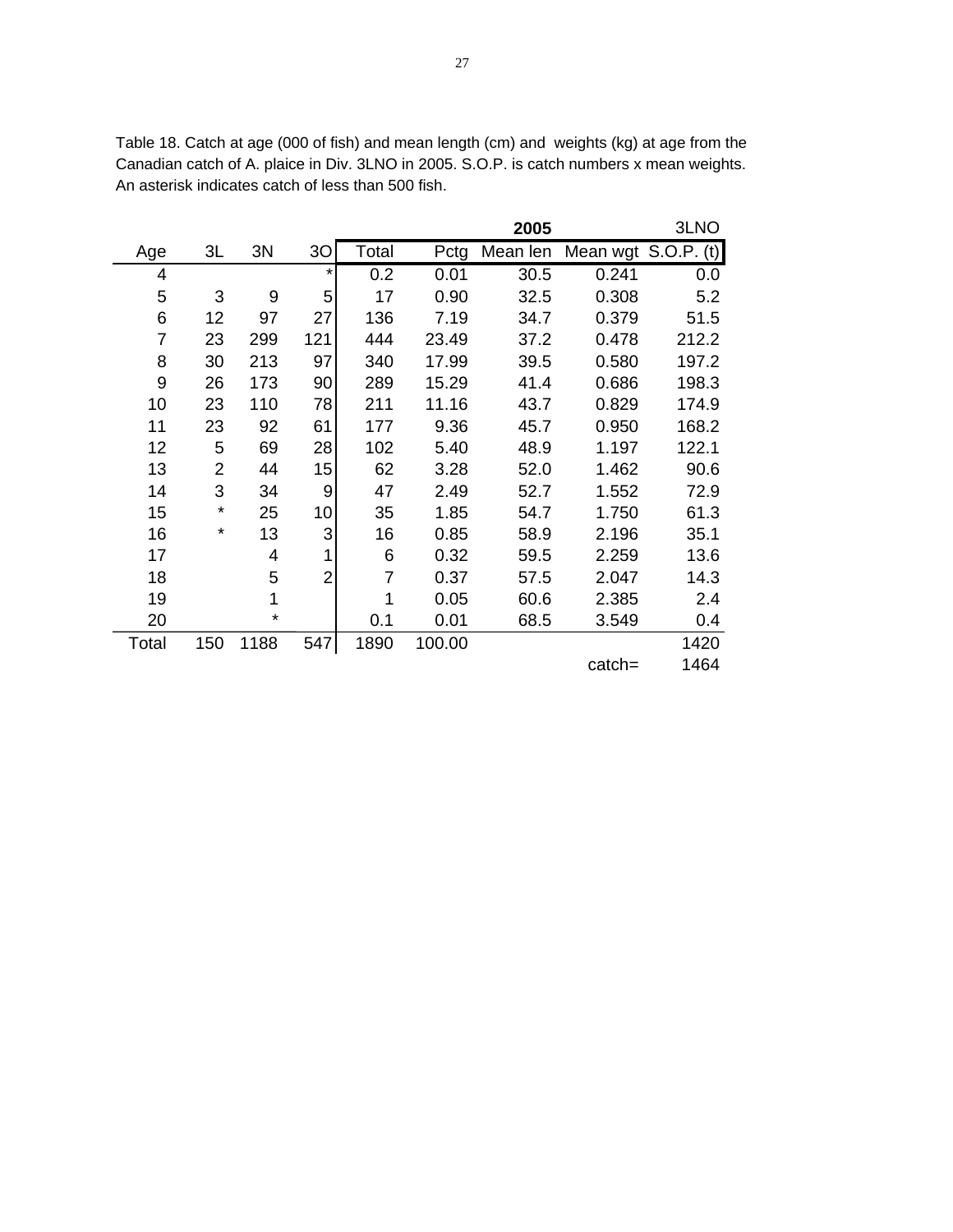Table 18. Catch at age (000 of fish) and mean length (cm) and weights (kg) at age from the Canadian catch of A. plaice in Div. 3LNO in 2005. S.O.P. is catch numbers x mean weights. An asterisk indicates catch of less than 500 fish.

|                |          |      |                |       |        | 2005     |           | 3LNO                |
|----------------|----------|------|----------------|-------|--------|----------|-----------|---------------------|
| Age            | 3L       | 3N   | 30             | Total | Pctg   | Mean len |           | Mean wgt S.O.P. (t) |
| 4              |          |      | $^\star$       | 0.2   | 0.01   | 30.5     | 0.241     | 0.0                 |
| 5              | 3        | 9    | 5              | 17    | 0.90   | 32.5     | 0.308     | 5.2                 |
| 6              | 12       | 97   | 27             | 136   | 7.19   | 34.7     | 0.379     | 51.5                |
| $\overline{7}$ | 23       | 299  | 121            | 444   | 23.49  | 37.2     | 0.478     | 212.2               |
| 8              | 30       | 213  | 97             | 340   | 17.99  | 39.5     | 0.580     | 197.2               |
| 9              | 26       | 173  | 90             | 289   | 15.29  | 41.4     | 0.686     | 198.3               |
| 10             | 23       | 110  | 78             | 211   | 11.16  | 43.7     | 0.829     | 174.9               |
| 11             | 23       | 92   | 61             | 177   | 9.36   | 45.7     | 0.950     | 168.2               |
| 12             | 5        | 69   | 28             | 102   | 5.40   | 48.9     | 1.197     | 122.1               |
| 13             | 2        | 44   | 15             | 62    | 3.28   | 52.0     | 1.462     | 90.6                |
| 14             | 3        | 34   | 9              | 47    | 2.49   | 52.7     | 1.552     | 72.9                |
| 15             | *        | 25   | 10             | 35    | 1.85   | 54.7     | 1.750     | 61.3                |
| 16             | $^\star$ | 13   | 3              | 16    | 0.85   | 58.9     | 2.196     | 35.1                |
| 17             |          | 4    | 1              | 6     | 0.32   | 59.5     | 2.259     | 13.6                |
| 18             |          | 5    | $\overline{2}$ | 7     | 0.37   | 57.5     | 2.047     | 14.3                |
| 19             |          | 1    |                | 1     | 0.05   | 60.6     | 2.385     | 2.4                 |
| 20             |          | ¥    |                | 0.1   | 0.01   | 68.5     | 3.549     | 0.4                 |
| Total          | 150      | 1188 | 547            | 1890  | 100.00 |          |           | 1420                |
|                |          |      |                |       |        |          | $catch =$ | 1464                |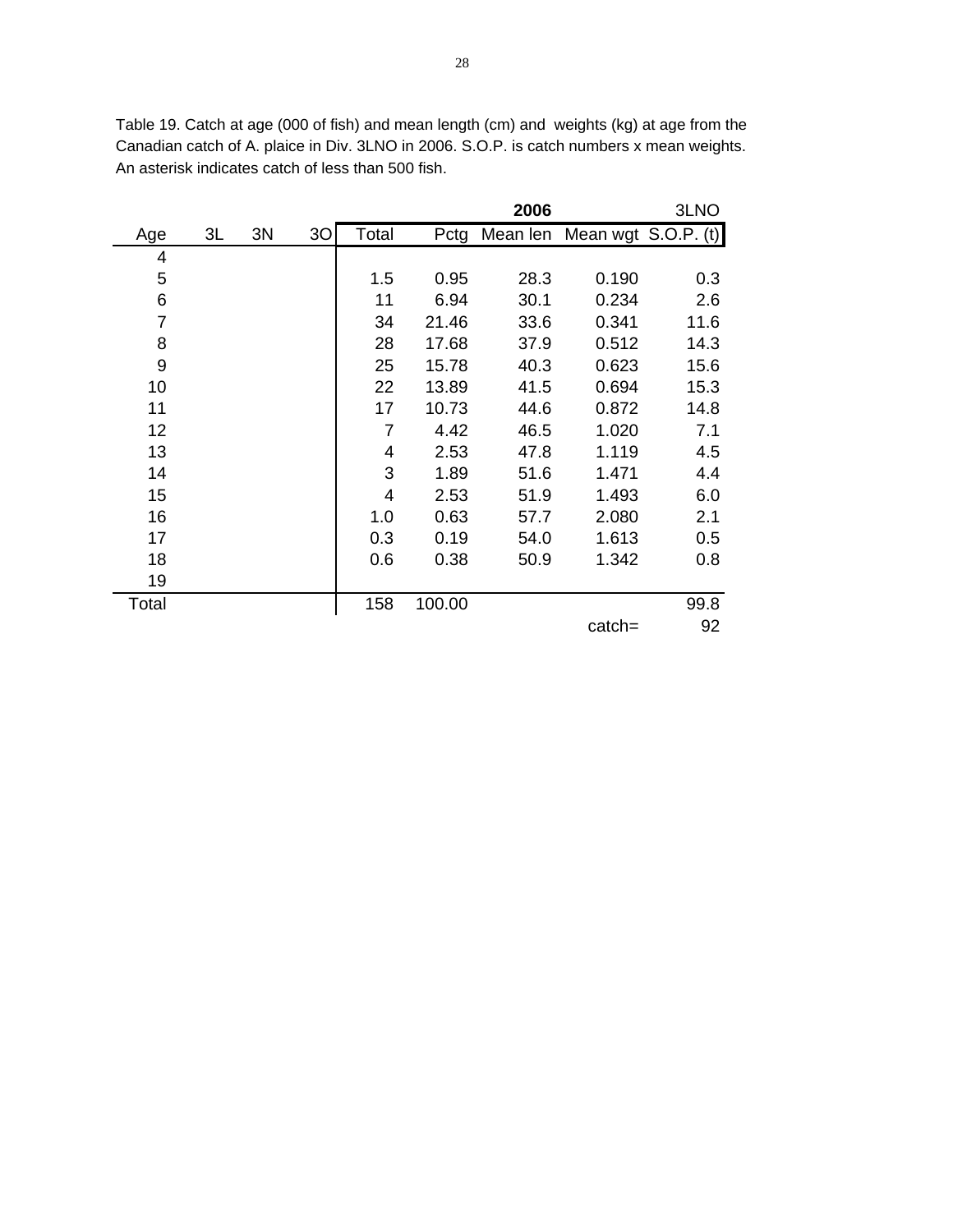|       |    |    |                |                |        | 2006 |                                   | 3LNO |
|-------|----|----|----------------|----------------|--------|------|-----------------------------------|------|
| Age   | 3L | 3N | 3 <sub>O</sub> | Total          |        |      | Pctg Mean len Mean wgt S.O.P. (t) |      |
| 4     |    |    |                |                |        |      |                                   |      |
| 5     |    |    |                | 1.5            | 0.95   | 28.3 | 0.190                             | 0.3  |
| 6     |    |    |                | 11             | 6.94   | 30.1 | 0.234                             | 2.6  |
| 7     |    |    |                | 34             | 21.46  | 33.6 | 0.341                             | 11.6 |
| 8     |    |    |                | 28             | 17.68  | 37.9 | 0.512                             | 14.3 |
| 9     |    |    |                | 25             | 15.78  | 40.3 | 0.623                             | 15.6 |
| 10    |    |    |                | 22             | 13.89  | 41.5 | 0.694                             | 15.3 |
| 11    |    |    |                | 17             | 10.73  | 44.6 | 0.872                             | 14.8 |
| 12    |    |    |                | $\overline{7}$ | 4.42   | 46.5 | 1.020                             | 7.1  |
| 13    |    |    |                | 4              | 2.53   | 47.8 | 1.119                             | 4.5  |
| 14    |    |    |                | 3              | 1.89   | 51.6 | 1.471                             | 4.4  |
| 15    |    |    |                | 4              | 2.53   | 51.9 | 1.493                             | 6.0  |
| 16    |    |    |                | 1.0            | 0.63   | 57.7 | 2.080                             | 2.1  |
| 17    |    |    |                | 0.3            | 0.19   | 54.0 | 1.613                             | 0.5  |
| 18    |    |    |                | 0.6            | 0.38   | 50.9 | 1.342                             | 0.8  |
| 19    |    |    |                |                |        |      |                                   |      |
| Total |    |    |                | 158            | 100.00 |      |                                   | 99.8 |
|       |    |    |                |                |        |      | $catch =$                         | 92   |

Table 19. Catch at age (000 of fish) and mean length (cm) and weights (kg) at age from the Canadian catch of A. plaice in Div. 3LNO in 2006. S.O.P. is catch numbers x mean weights. An asterisk indicates catch of less than 500 fish.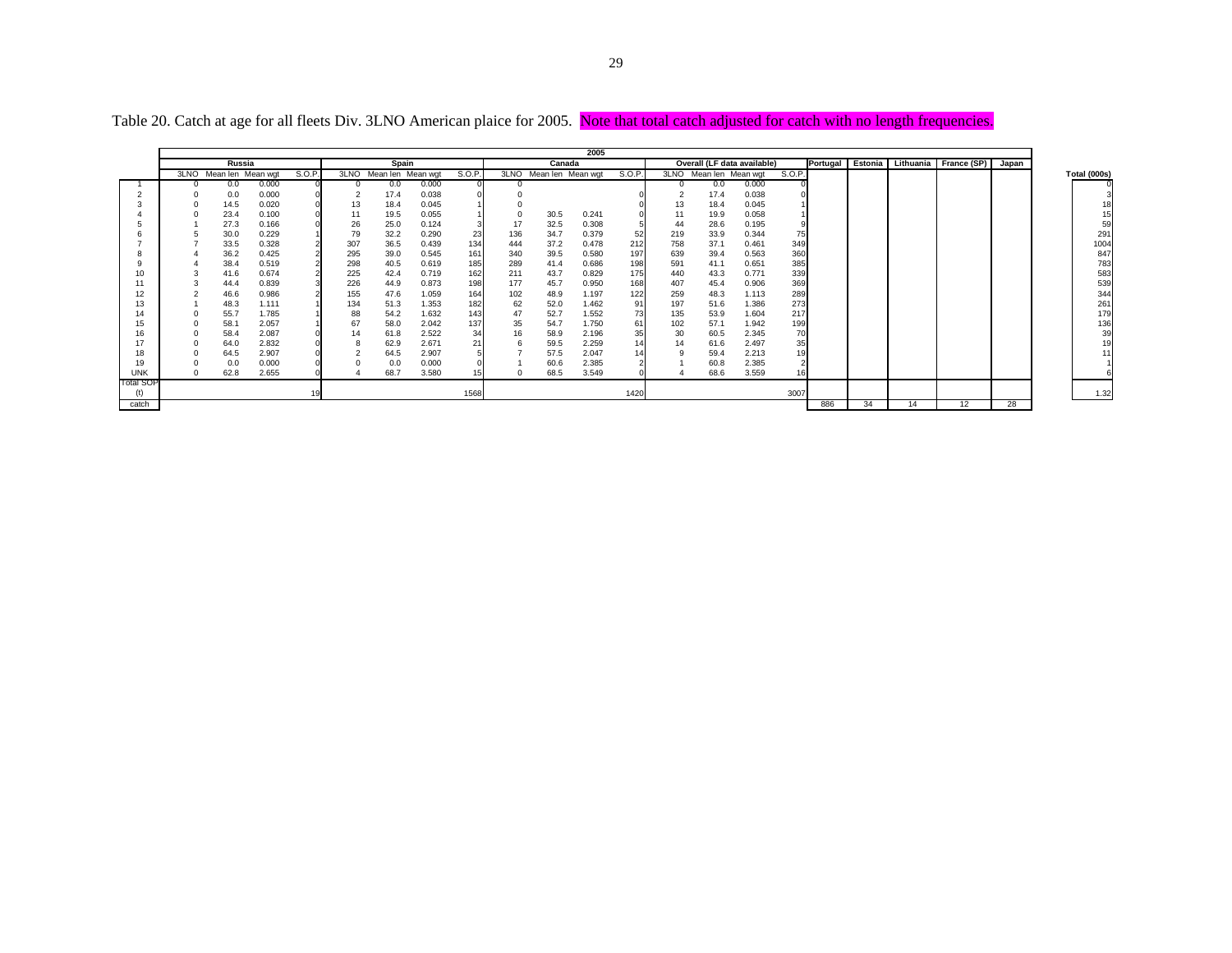|            |                        |       |        |      |                   |       |        |     |                        | 2005  |        |     |                        |                             |        |     |    |    |                                        |       |
|------------|------------------------|-------|--------|------|-------------------|-------|--------|-----|------------------------|-------|--------|-----|------------------------|-----------------------------|--------|-----|----|----|----------------------------------------|-------|
|            | Russia                 |       |        |      | Spain             |       |        |     | Canada                 |       |        |     |                        | Overall (LF data available) |        |     |    |    | Portugal Estonia Lithuania France (SP) | Japan |
|            | 3LNO Mean len Mean wgt |       | S.O.P. | 3LNO | Mean len Mean wgt |       | S.O.P. |     | 3LNO Mean len Mean wgt |       | S.O.P. |     | 3LNO Mean len Mean wgt |                             | S.O.P. |     |    |    |                                        |       |
|            | 0.0                    | 0.000 |        |      | 0.0               | 0.000 |        |     |                        |       |        |     | 0.0                    | 0.000                       |        |     |    |    |                                        |       |
|            | 0.0                    | 0.000 |        |      | 17.4              | 0.038 |        |     |                        |       |        |     | 17.4                   | 0.038                       |        |     |    |    |                                        |       |
|            | 14.5                   | 0.020 |        | 13   | 18.4              | 0.045 |        |     |                        |       |        | 13  | 18.4                   | 0.045                       |        |     |    |    |                                        |       |
|            | 23.4                   | 0.100 |        | 11   | 19.5              | 0.055 |        |     | 30.5                   | 0.241 |        | 11  | 19.9                   | 0.058                       |        |     |    |    |                                        |       |
|            | 27.3                   | 0.166 |        | 26   | 25.0              | 0.124 |        | 17  | 32.5                   | 0.308 |        | 44  | 28.6                   | 0.195                       |        |     |    |    |                                        |       |
|            | 30.0                   | 0.229 |        | 79   | 32.2              | 0.290 | 23     | 136 | 34.7                   | 0.379 | 52     | 219 | 33.9                   | 0.344                       |        |     |    |    |                                        |       |
|            | 33.5                   | 0.328 |        | 307  | 36.5              | 0.439 | 134    | 444 | 37.2                   | 0.478 | 212    | 758 | 37.1                   | 0.461                       | 349    |     |    |    |                                        |       |
|            | 36.2                   | 0.425 |        | 295  | 39.0              | 0.545 | 161    | 340 | 39.5                   | 0.580 | 197    | 639 | 39.4                   | 0.563                       | 360    |     |    |    |                                        |       |
|            | 38.4                   | 0.519 |        | 298  | 40.5              | 0.619 | 185    | 289 | 41.4                   | 0.686 | 198    | 591 | 41.1                   | 0.651                       | 385    |     |    |    |                                        |       |
|            | 41.6                   | 0.674 |        | 225  | 42.4              | 0.719 | 162    | 211 | 43.7                   | 0.829 | 175    | 440 | 43.3                   | 0.771                       | 339    |     |    |    |                                        |       |
|            | 44.4                   | 0.839 |        | 226  | 44.9              | 0.873 | 198    | 177 | 45.7                   | 0.950 | 168    | 407 | 45.4                   | 0.906                       | 369    |     |    |    |                                        |       |
| 12         | 46.6                   | 0.986 |        | 155  | 47.6              | 1.059 | 164    | 102 | 48.9                   | 1.197 | 122    | 259 | 48.3                   | 1.113                       | 289    |     |    |    |                                        |       |
| 13         | 48.3                   | 1.111 |        | 134  | 51.3              | 1.353 | 182    | 62  | 52.0                   | 1.462 | 91     | 197 | 51.6                   | 1.386                       | 273    |     |    |    |                                        |       |
| 14         | 55.7                   | 1.785 |        | 88   | 54.2              | 1.632 | 143    | 47  | 52.7                   | 1.552 | 73     | 135 | 53.9                   | 1.604                       | 217    |     |    |    |                                        |       |
| 15         | 58.1                   | 2.057 |        | 67   | 58.0              | 2.042 | 137    | 35  | 54.7                   | 1.750 | 61     | 102 | 57.1                   | 1.942                       | 199    |     |    |    |                                        |       |
| 16         | 58.4                   | 2.087 |        |      | 61.8              | 2.522 | 34     | 16  | 58.9                   | 2.196 | 35     | 30  | 60.5                   | 2.345                       |        |     |    |    |                                        |       |
|            | 64.0                   | 2.832 |        |      | 62.9              | 2.671 | 21     |     | 59.5                   | 2.259 | 14     | 14  | 61.6                   | 2.497                       |        |     |    |    |                                        |       |
| 18         | 64.5                   | 2.907 |        |      | 64.5              | 2.907 |        |     | 57.5                   | 2.047 |        |     | 59.4                   | 2.213                       |        |     |    |    |                                        |       |
| 19         | 0.0                    | 0.000 |        |      | 0.0               | 0.000 |        |     | 60.6                   | 2.385 |        |     | 60.8                   | 2.385                       |        |     |    |    |                                        |       |
| <b>UNK</b> | 62.8                   | 2.655 |        |      | 68.7              | 3.580 |        |     | 68.5                   | 3.549 |        |     | 68.6                   | 3.559                       |        |     |    |    |                                        |       |
| Total SOP  |                        |       |        |      |                   |       |        |     |                        |       |        |     |                        |                             |        |     |    |    |                                        |       |
| (t)        |                        |       |        |      |                   |       | 1568   |     |                        |       | 1420   |     |                        |                             | 3007   |     |    |    |                                        |       |
| catch      |                        |       |        |      |                   |       |        |     |                        |       |        |     |                        |                             |        | 886 | 34 | 14 | 12                                     | 28    |

Table 20. Catch at age for all fleets Div. 3LNO American plaice for 2005. Note that total catch adjusted for catch with no length frequencies.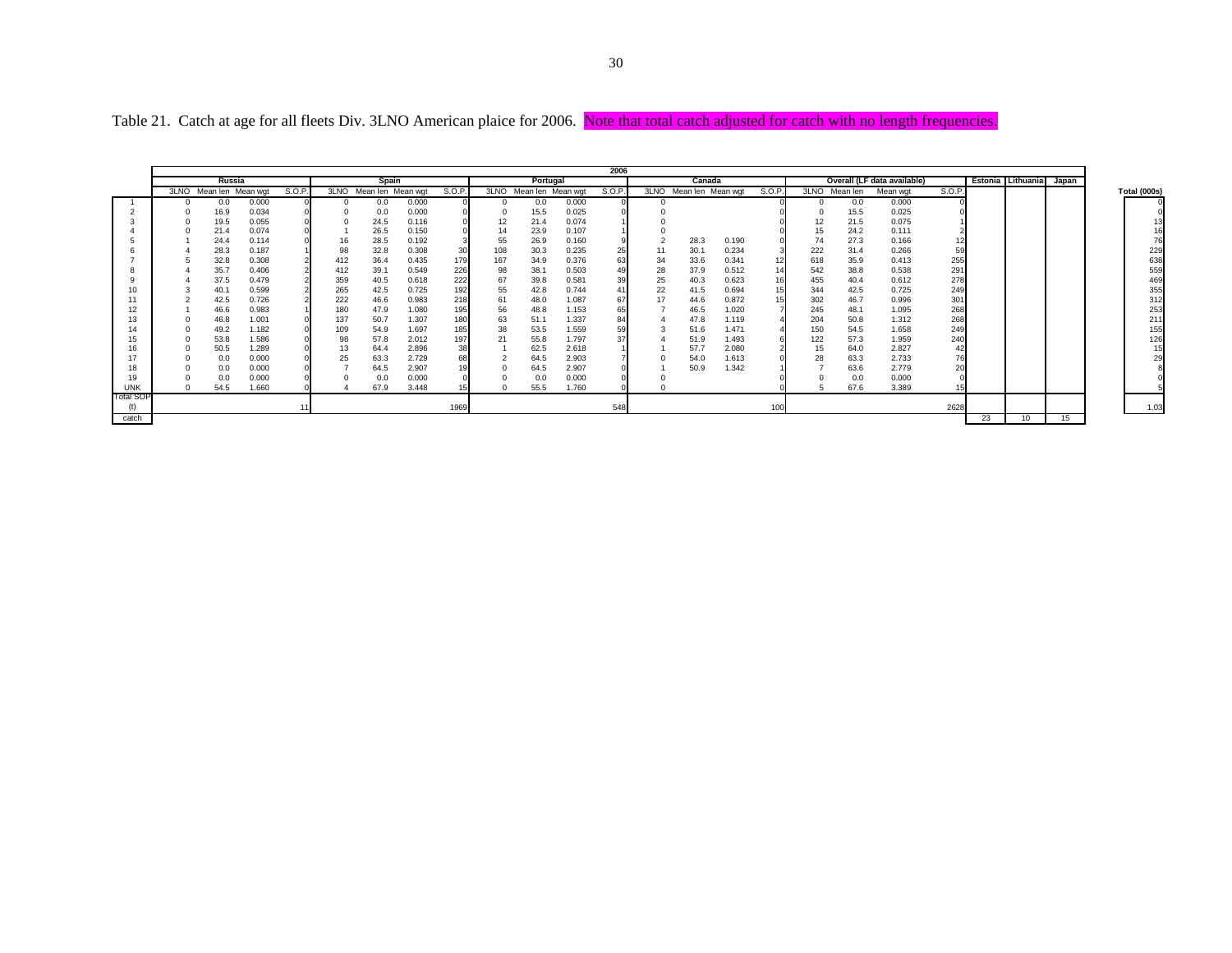|            | Russia                 |       |        |          | Spain                  |       |       |     | Portugal               |       | 2006   |    | Canada                 |       |        |               |      | Overall (LF data available) |        |    | Estonia Lithuania | Japan |              |
|------------|------------------------|-------|--------|----------|------------------------|-------|-------|-----|------------------------|-------|--------|----|------------------------|-------|--------|---------------|------|-----------------------------|--------|----|-------------------|-------|--------------|
|            | 3LNO Mean len Mean wgt |       | S.O.P. |          | 3LNO Mean len Mean wgt |       | S.O.P |     | 3LNO Mean len Mean wgt |       | S.O.P. |    | 3LNO Mean len Mean wot |       | S.O.P. | 3LNO Mean len |      | Mean wgt                    | S.O.P. |    |                   |       | Total (000s) |
|            | 0.0                    | 0.000 |        | $\Omega$ | 0.0                    | 0.000 |       |     | 0.0                    | 0.000 |        |    |                        |       |        |               | 0.0  | 0.000                       |        |    |                   |       |              |
|            | 16.9                   | 0.034 |        |          | 0.0                    | 0.000 |       |     | 15.5                   | 0.025 |        |    |                        |       |        |               | 15.5 | 0.025                       |        |    |                   |       |              |
|            | 19.5                   | 0.055 |        |          | 24.5                   | 0.116 |       | 12  | 21.4                   | 0.074 |        |    |                        |       |        | 12            | 21.5 | 0.075                       |        |    |                   |       |              |
|            | 21.4                   | 0.074 |        |          | 26.5                   | 0.150 |       | 14  | 23.9                   | 0.107 |        |    |                        |       |        | 15            | 24.2 | 0.111                       |        |    |                   |       |              |
|            | 24.4                   | 0.114 |        | 16       | 28.5                   | 0.192 |       | 55  | 26.9                   | 0.160 |        |    | 28.3                   | 0.190 |        | 74            | 27.3 | 0.166                       |        |    |                   |       |              |
|            | 28.3                   | 0.187 |        | 98       | 32.8                   | 0.308 | 30    | 108 | 30.3                   | 0.235 | 25     | 11 | 30.7                   | 0.234 |        | 222           | 31.4 | 0.266                       | 59     |    |                   |       |              |
|            | 32.8                   | 0.308 |        | 412      | 36.4                   | 0.435 | 179   | 167 | 34.9                   | 0.376 | 63     | 34 | 33.6                   | 0.341 |        | 618           | 35.9 | 0.413                       | 255    |    |                   |       |              |
|            | 35.7                   | 0.406 |        | 412      | 39.1                   | 0.549 | 226   | 98  | 38.1                   | 0.503 | 49     | 28 | 37.9                   | 0.512 |        | 542           | 38.8 | 0.538                       | 291    |    |                   |       |              |
|            | 37.5                   | 0.479 |        | 359      | 40.5                   | 0.618 | 222   | 67  | 39.8                   | 0.581 | 39     | 25 | 40.3                   | 0.623 |        | 455           | 40.4 | 0.612                       | 278    |    |                   |       |              |
|            | 40.1                   | 0.599 |        | 265      | 42.5                   | 0.725 | 192   | 55  | 42.8                   | 0.744 | 41     | 22 | 41.5                   | 0.694 |        | 344           | 42.5 | 0.725                       | 249    |    |                   |       |              |
|            | 42.5                   | 0.726 |        | 222      | 46.6                   | 0.983 | 218   | 61  | 48.0                   | 1.087 | 67     | 17 | 44.6                   | 0.872 |        | 302           | 46.7 | 0.996                       | 301    |    |                   |       |              |
|            | 46.6                   | 0.983 |        | 180      | 47.9                   | 1.080 | 195   | 56  | 48.8                   | 1.153 | 65     |    | 46.5                   | 1.020 |        | 245           | 48.1 | 1.095                       | 268    |    |                   |       |              |
|            | 46.8                   | 1.001 |        | 137      | 50.7                   | 1.307 | 180   | 63  | 51.1                   | 1.337 | 84     |    | 47.8                   | 1.119 |        | 204           | 50.8 | 1.312                       | 268    |    |                   |       |              |
|            | 49.2                   | 1.182 |        | 109      | 54.9                   | 1.697 | 185   | 38  | 53.5                   | 1.559 | 59     |    | 51.6                   | 1.471 |        | 150           | 54.5 | 1.658                       | 249    |    |                   |       |              |
|            | 53.8                   | 1.586 |        | 98       | 57.8                   | 2.012 | 197   | 21  | 55.8                   | 1.797 | 37     |    | 51.9                   | 1.493 |        | 122           | 57.3 | 1.959                       | 240    |    |                   |       |              |
|            | 50.5                   | 1.289 |        | 13       | 64.4                   | 2.896 | 38    |     | 62.5                   | 2.618 |        |    | 57.7                   | 2.080 |        | 15            | 64.0 | 2.827                       |        |    |                   |       |              |
|            | 0.0                    | 0.000 |        | 25       | 63.3                   | 2.729 |       |     | 64.5                   | 2.903 |        |    | 54.0                   | 1.613 |        | 28            | 63.3 | 2.733                       |        |    |                   |       |              |
|            | 0.0                    | 0.000 |        |          | 64.5                   | 2.907 |       |     | 64.5                   | 2.907 |        |    | 50.9                   | 1.342 |        |               | 63.6 | 2.779                       | 20     |    |                   |       |              |
|            | 0.0                    | 0.000 |        |          | 0.0                    | 0.000 |       |     | 0.0                    | 0.000 |        |    |                        |       |        |               | 0.0  | 0.000                       |        |    |                   |       |              |
| <b>UNK</b> | 54.5                   | 1.660 |        |          | 67.9                   | 3.448 |       |     | 55.5                   | 1.760 |        |    |                        |       |        |               | 67.6 | 3.389                       |        |    |                   |       |              |
| Total SOI  |                        |       |        |          |                        |       |       |     |                        |       |        |    |                        |       |        |               |      |                             |        |    |                   |       |              |
| (t)        |                        |       |        |          |                        |       | 1969  |     |                        |       | 548    |    |                        |       | 100    |               |      |                             | 2628   |    |                   |       |              |
| catch      |                        |       |        |          |                        |       |       |     |                        |       |        |    |                        |       |        |               |      |                             |        | 23 | 10 <sup>1</sup>   | 15    |              |

Table 21. Catch at age for all fleets Div. 3LNO American plaice for 2006. Note that total catch adjusted for catch with no length frequencies.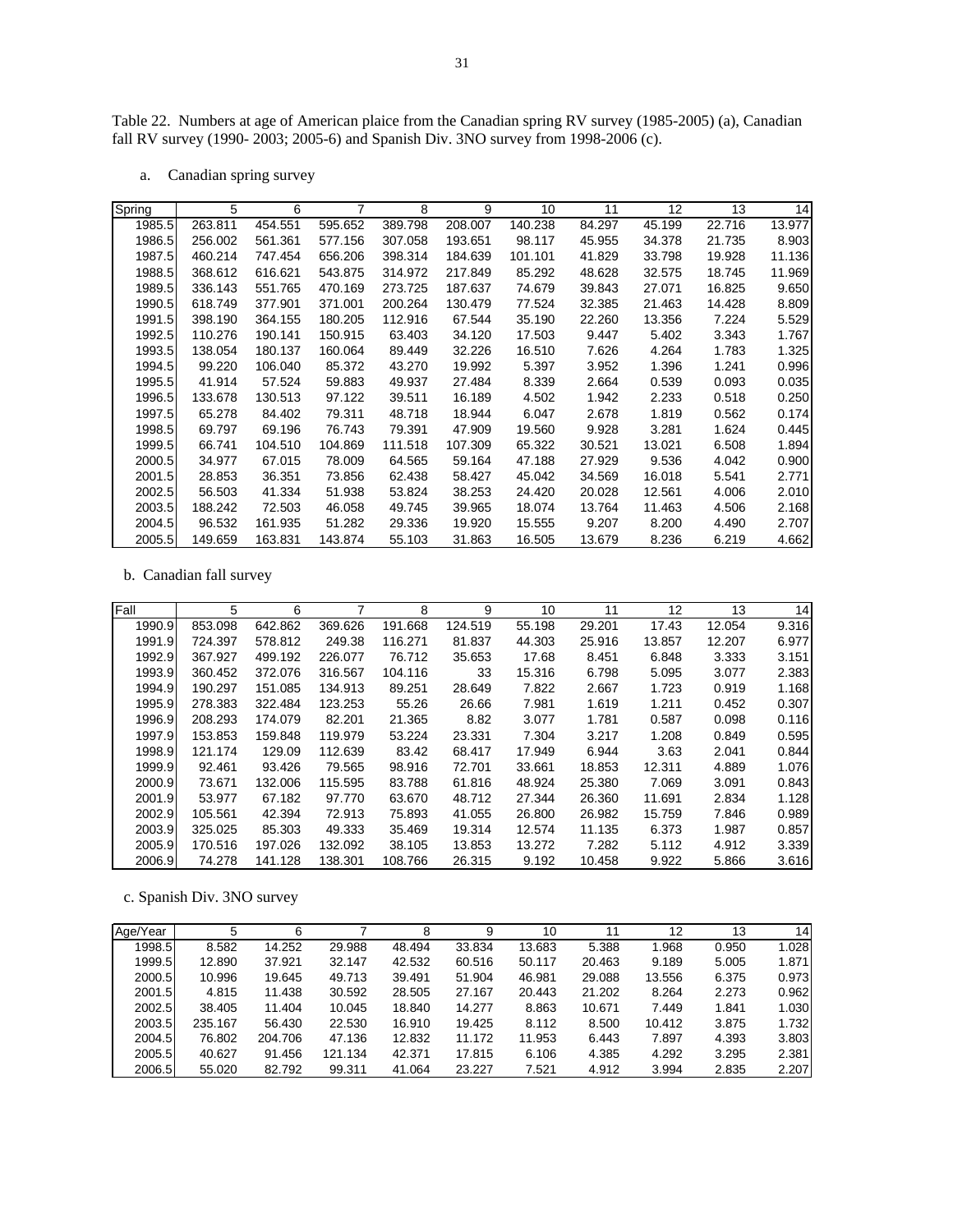Table 22. Numbers at age of American plaice from the Canadian spring RV survey (1985-2005) (a), Canadian fall RV survey (1990- 2003; 2005-6) and Spanish Div. 3NO survey from 1998-2006 (c).

a. Canadian spring survey

| Spring | 5       | 6       | 7       | 8       | 9       | 10      | 11     | 12     | 13     | 14     |
|--------|---------|---------|---------|---------|---------|---------|--------|--------|--------|--------|
|        |         |         |         |         |         |         |        |        |        |        |
| 1985.5 | 263.811 | 454.551 | 595.652 | 389.798 | 208.007 | 140.238 | 84.297 | 45.199 | 22.716 | 13.977 |
| 1986.5 | 256.002 | 561.361 | 577.156 | 307.058 | 193.651 | 98.117  | 45.955 | 34.378 | 21.735 | 8.903  |
| 1987.5 | 460.214 | 747.454 | 656.206 | 398.314 | 184.639 | 101.101 | 41.829 | 33.798 | 19.928 | 11.136 |
| 1988.5 | 368.612 | 616.621 | 543.875 | 314.972 | 217.849 | 85.292  | 48.628 | 32.575 | 18.745 | 11.969 |
| 1989.5 | 336.143 | 551.765 | 470.169 | 273.725 | 187.637 | 74.679  | 39.843 | 27.071 | 16.825 | 9.650  |
| 1990.5 | 618.749 | 377.901 | 371.001 | 200.264 | 130.479 | 77.524  | 32.385 | 21.463 | 14.428 | 8.809  |
| 1991.5 | 398.190 | 364.155 | 180.205 | 112.916 | 67.544  | 35.190  | 22.260 | 13.356 | 7.224  | 5.529  |
| 1992.5 | 110.276 | 190.141 | 150.915 | 63.403  | 34.120  | 17.503  | 9.447  | 5.402  | 3.343  | 1.767  |
| 1993.5 | 138.054 | 180.137 | 160.064 | 89.449  | 32.226  | 16.510  | 7.626  | 4.264  | 1.783  | 1.325  |
| 1994.5 | 99.220  | 106.040 | 85.372  | 43.270  | 19.992  | 5.397   | 3.952  | 1.396  | 1.241  | 0.996  |
| 1995.5 | 41.914  | 57.524  | 59.883  | 49.937  | 27.484  | 8.339   | 2.664  | 0.539  | 0.093  | 0.035  |
| 1996.5 | 133.678 | 130.513 | 97.122  | 39.511  | 16.189  | 4.502   | 1.942  | 2.233  | 0.518  | 0.250  |
| 1997.5 | 65.278  | 84.402  | 79.311  | 48.718  | 18.944  | 6.047   | 2.678  | 1.819  | 0.562  | 0.174  |
| 1998.5 | 69.797  | 69.196  | 76.743  | 79.391  | 47.909  | 19.560  | 9.928  | 3.281  | 1.624  | 0.445  |
| 1999.5 | 66.741  | 104.510 | 104.869 | 111.518 | 107.309 | 65.322  | 30.521 | 13.021 | 6.508  | 1.894  |
| 2000.5 | 34.977  | 67.015  | 78.009  | 64.565  | 59.164  | 47.188  | 27.929 | 9.536  | 4.042  | 0.900  |
| 2001.5 | 28.853  | 36.351  | 73.856  | 62.438  | 58.427  | 45.042  | 34.569 | 16.018 | 5.541  | 2.771  |
| 2002.5 | 56.503  | 41.334  | 51.938  | 53.824  | 38.253  | 24.420  | 20.028 | 12.561 | 4.006  | 2.010  |
| 2003.5 | 188.242 | 72.503  | 46.058  | 49.745  | 39.965  | 18.074  | 13.764 | 11.463 | 4.506  | 2.168  |
| 2004.5 | 96.532  | 161.935 | 51.282  | 29.336  | 19.920  | 15.555  | 9.207  | 8.200  | 4.490  | 2.707  |
| 2005.5 | 149.659 | 163.831 | 143.874 | 55.103  | 31.863  | 16.505  | 13.679 | 8.236  | 6.219  | 4.662  |

b. Canadian fall survey

| Fall   | 5       | 6       |         | 8       | 9       | 10     | 11     | 12     | 13     | 14    |
|--------|---------|---------|---------|---------|---------|--------|--------|--------|--------|-------|
| 1990.9 | 853.098 | 642.862 | 369.626 | 191.668 | 124.519 | 55.198 | 29.201 | 17.43  | 12.054 | 9.316 |
| 1991.9 | 724.397 | 578.812 | 249.38  | 116.271 | 81.837  | 44.303 | 25.916 | 13.857 | 12.207 | 6.977 |
| 1992.9 | 367.927 | 499.192 | 226.077 | 76.712  | 35.653  | 17.68  | 8.451  | 6.848  | 3.333  | 3.151 |
| 1993.9 | 360.452 | 372.076 | 316.567 | 104.116 | 33      | 15.316 | 6.798  | 5.095  | 3.077  | 2.383 |
| 1994.9 | 190.297 | 151.085 | 134.913 | 89.251  | 28.649  | 7.822  | 2.667  | 1.723  | 0.919  | 1.168 |
| 1995.9 | 278.383 | 322.484 | 123.253 | 55.26   | 26.66   | 7.981  | 1.619  | 1.211  | 0.452  | 0.307 |
| 1996.9 | 208.293 | 174.079 | 82.201  | 21.365  | 8.82    | 3.077  | 1.781  | 0.587  | 0.098  | 0.116 |
| 1997.9 | 153.853 | 159.848 | 119.979 | 53.224  | 23.331  | 7.304  | 3.217  | 1.208  | 0.849  | 0.595 |
| 1998.9 | 121.174 | 129.09  | 112.639 | 83.42   | 68.417  | 17.949 | 6.944  | 3.63   | 2.041  | 0.844 |
| 1999.9 | 92.461  | 93.426  | 79.565  | 98.916  | 72.701  | 33.661 | 18.853 | 12.311 | 4.889  | 1.076 |
| 2000.9 | 73.671  | 132.006 | 115.595 | 83.788  | 61.816  | 48.924 | 25.380 | 7.069  | 3.091  | 0.843 |
| 2001.9 | 53.977  | 67.182  | 97.770  | 63.670  | 48.712  | 27.344 | 26.360 | 11.691 | 2.834  | 1.128 |
| 2002.9 | 105.561 | 42.394  | 72.913  | 75.893  | 41.055  | 26,800 | 26.982 | 15.759 | 7.846  | 0.989 |
| 2003.9 | 325.025 | 85.303  | 49.333  | 35.469  | 19.314  | 12.574 | 11.135 | 6.373  | 1.987  | 0.857 |
| 2005.9 | 170.516 | 197.026 | 132.092 | 38.105  | 13.853  | 13.272 | 7.282  | 5.112  | 4.912  | 3.339 |
| 2006.9 | 74.278  | 141.128 | 138.301 | 108.766 | 26.315  | 9.192  | 10.458 | 9.922  | 5.866  | 3.616 |

c. Spanish Div. 3NO survey

| Age/Year | 5       | 6       |         | 8      | 9      | 10     | 11     | 12     | 13    | 14    |
|----------|---------|---------|---------|--------|--------|--------|--------|--------|-------|-------|
| 1998.5   | 8.582   | 14.252  | 29.988  | 48.494 | 33.834 | 13.683 | 5.388  | 1.968  | 0.950 | 1.028 |
| 1999.5   | 12.890  | 37.921  | 32.147  | 42.532 | 60.516 | 50.117 | 20.463 | 9.189  | 5.005 | 1.871 |
| 2000.5   | 10.996  | 19.645  | 49.713  | 39.491 | 51.904 | 46.981 | 29.088 | 13.556 | 6.375 | 0.973 |
| 2001.5   | 4.815   | 11.438  | 30.592  | 28.505 | 27.167 | 20.443 | 21.202 | 8.264  | 2.273 | 0.962 |
| 2002.5   | 38.405  | 11.404  | 10.045  | 18.840 | 14.277 | 8.863  | 10.671 | 7.449  | 1.841 | 1.030 |
| 2003.5   | 235.167 | 56.430  | 22.530  | 16.910 | 19.425 | 8.112  | 8.500  | 10.412 | 3.875 | 1.732 |
| 2004.5   | 76.802  | 204.706 | 47.136  | 12.832 | 11.172 | 11.953 | 6.443  | 7.897  | 4.393 | 3.803 |
| 2005.5   | 40.627  | 91.456  | 121.134 | 42.371 | 17.815 | 6.106  | 4.385  | 4.292  | 3.295 | 2.381 |
| 2006.5   | 55.020  | 82.792  | 99.311  | 41.064 | 23.227 | 7.521  | 4.912  | 3.994  | 2.835 | 2.207 |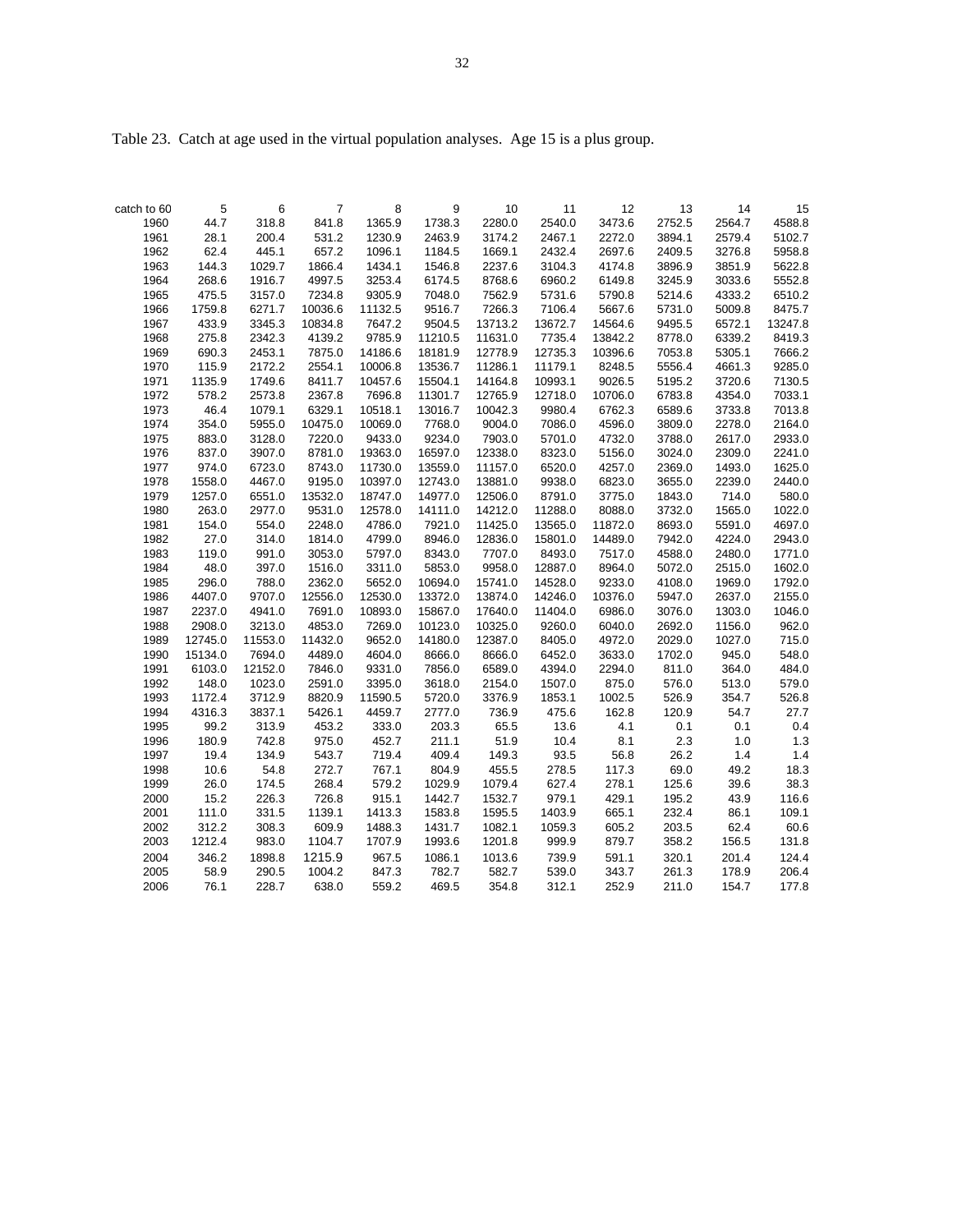Table 23. Catch at age used in the virtual population analyses. Age 15 is a plus group.

|                     | 5       |            | 7       |             | 9       | 10      | 11      | 12      |              | 14     |              |
|---------------------|---------|------------|---------|-------------|---------|---------|---------|---------|--------------|--------|--------------|
| catch to 60<br>1960 | 44.7    | 6<br>318.8 | 841.8   | 8<br>1365.9 | 1738.3  | 2280.0  | 2540.0  | 3473.6  | 13<br>2752.5 | 2564.7 | 15<br>4588.8 |
| 1961                | 28.1    | 200.4      | 531.2   | 1230.9      | 2463.9  | 3174.2  | 2467.1  | 2272.0  | 3894.1       | 2579.4 | 5102.7       |
| 1962                | 62.4    | 445.1      | 657.2   | 1096.1      | 1184.5  | 1669.1  | 2432.4  | 2697.6  | 2409.5       | 3276.8 | 5958.8       |
|                     |         |            |         |             |         |         |         |         |              |        |              |
| 1963                | 144.3   | 1029.7     | 1866.4  | 1434.1      | 1546.8  | 2237.6  | 3104.3  | 4174.8  | 3896.9       | 3851.9 | 5622.8       |
| 1964                | 268.6   | 1916.7     | 4997.5  | 3253.4      | 6174.5  | 8768.6  | 6960.2  | 6149.8  | 3245.9       | 3033.6 | 5552.8       |
| 1965                | 475.5   | 3157.0     | 7234.8  | 9305.9      | 7048.0  | 7562.9  | 5731.6  | 5790.8  | 5214.6       | 4333.2 | 6510.2       |
| 1966                | 1759.8  | 6271.7     | 10036.6 | 11132.5     | 9516.7  | 7266.3  | 7106.4  | 5667.6  | 5731.0       | 5009.8 | 8475.7       |
| 1967                | 433.9   | 3345.3     | 10834.8 | 7647.2      | 9504.5  | 13713.2 | 13672.7 | 14564.6 | 9495.5       | 6572.1 | 13247.8      |
| 1968                | 275.8   | 2342.3     | 4139.2  | 9785.9      | 11210.5 | 11631.0 | 7735.4  | 13842.2 | 8778.0       | 6339.2 | 8419.3       |
| 1969                | 690.3   | 2453.1     | 7875.0  | 14186.6     | 18181.9 | 12778.9 | 12735.3 | 10396.6 | 7053.8       | 5305.1 | 7666.2       |
| 1970                | 115.9   | 2172.2     | 2554.1  | 10006.8     | 13536.7 | 11286.1 | 11179.1 | 8248.5  | 5556.4       | 4661.3 | 9285.0       |
| 1971                | 1135.9  | 1749.6     | 8411.7  | 10457.6     | 15504.1 | 14164.8 | 10993.1 | 9026.5  | 5195.2       | 3720.6 | 7130.5       |
| 1972                | 578.2   | 2573.8     | 2367.8  | 7696.8      | 11301.7 | 12765.9 | 12718.0 | 10706.0 | 6783.8       | 4354.0 | 7033.1       |
| 1973                | 46.4    | 1079.1     | 6329.1  | 10518.1     | 13016.7 | 10042.3 | 9980.4  | 6762.3  | 6589.6       | 3733.8 | 7013.8       |
| 1974                | 354.0   | 5955.0     | 10475.0 | 10069.0     | 7768.0  | 9004.0  | 7086.0  | 4596.0  | 3809.0       | 2278.0 | 2164.0       |
| 1975                | 883.0   | 3128.0     | 7220.0  | 9433.0      | 9234.0  | 7903.0  | 5701.0  | 4732.0  | 3788.0       | 2617.0 | 2933.0       |
| 1976                | 837.0   | 3907.0     | 8781.0  | 19363.0     | 16597.0 | 12338.0 | 8323.0  | 5156.0  | 3024.0       | 2309.0 | 2241.0       |
| 1977                | 974.0   | 6723.0     | 8743.0  | 11730.0     | 13559.0 | 11157.0 | 6520.0  | 4257.0  | 2369.0       | 1493.0 | 1625.0       |
| 1978                | 1558.0  | 4467.0     | 9195.0  | 10397.0     | 12743.0 | 13881.0 | 9938.0  | 6823.0  | 3655.0       | 2239.0 | 2440.0       |
| 1979                | 1257.0  | 6551.0     | 13532.0 | 18747.0     | 14977.0 | 12506.0 | 8791.0  | 3775.0  | 1843.0       | 714.0  | 580.0        |
| 1980                | 263.0   | 2977.0     | 9531.0  | 12578.0     | 14111.0 | 14212.0 | 11288.0 | 8088.0  | 3732.0       | 1565.0 | 1022.0       |
| 1981                | 154.0   | 554.0      | 2248.0  | 4786.0      | 7921.0  | 11425.0 | 13565.0 | 11872.0 | 8693.0       | 5591.0 | 4697.0       |
| 1982                | 27.0    | 314.0      | 1814.0  | 4799.0      | 8946.0  | 12836.0 | 15801.0 | 14489.0 | 7942.0       | 4224.0 | 2943.0       |
| 1983                | 119.0   | 991.0      | 3053.0  | 5797.0      | 8343.0  | 7707.0  | 8493.0  | 7517.0  | 4588.0       | 2480.0 | 1771.0       |
| 1984                | 48.0    | 397.0      | 1516.0  | 3311.0      | 5853.0  | 9958.0  | 12887.0 | 8964.0  | 5072.0       | 2515.0 | 1602.0       |
| 1985                | 296.0   | 788.0      | 2362.0  | 5652.0      | 10694.0 | 15741.0 | 14528.0 | 9233.0  | 4108.0       | 1969.0 | 1792.0       |
| 1986                | 4407.0  | 9707.0     | 12556.0 | 12530.0     | 13372.0 | 13874.0 | 14246.0 | 10376.0 | 5947.0       | 2637.0 | 2155.0       |
| 1987                | 2237.0  | 4941.0     | 7691.0  | 10893.0     | 15867.0 | 17640.0 | 11404.0 | 6986.0  | 3076.0       | 1303.0 | 1046.0       |
| 1988                | 2908.0  | 3213.0     | 4853.0  | 7269.0      | 10123.0 | 10325.0 | 9260.0  | 6040.0  | 2692.0       | 1156.0 | 962.0        |
| 1989                | 12745.0 | 11553.0    | 11432.0 | 9652.0      | 14180.0 | 12387.0 | 8405.0  | 4972.0  | 2029.0       | 1027.0 | 715.0        |
| 1990                | 15134.0 | 7694.0     | 4489.0  | 4604.0      | 8666.0  | 8666.0  | 6452.0  | 3633.0  | 1702.0       | 945.0  | 548.0        |
| 1991                | 6103.0  | 12152.0    | 7846.0  | 9331.0      | 7856.0  | 6589.0  | 4394.0  | 2294.0  | 811.0        | 364.0  | 484.0        |
| 1992                | 148.0   | 1023.0     | 2591.0  | 3395.0      | 3618.0  | 2154.0  | 1507.0  | 875.0   | 576.0        | 513.0  | 579.0        |
| 1993                | 1172.4  | 3712.9     | 8820.9  | 11590.5     | 5720.0  | 3376.9  | 1853.1  | 1002.5  | 526.9        | 354.7  | 526.8        |
| 1994                | 4316.3  | 3837.1     | 5426.1  | 4459.7      | 2777.0  | 736.9   | 475.6   | 162.8   | 120.9        | 54.7   | 27.7         |
| 1995                | 99.2    | 313.9      | 453.2   | 333.0       | 203.3   | 65.5    | 13.6    | 4.1     | 0.1          | 0.1    | 0.4          |
| 1996                | 180.9   | 742.8      | 975.0   | 452.7       | 211.1   | 51.9    | 10.4    | 8.1     | 2.3          | 1.0    | 1.3          |
| 1997                | 19.4    | 134.9      | 543.7   | 719.4       | 409.4   | 149.3   | 93.5    | 56.8    | 26.2         | 1.4    | 1.4          |
| 1998                | 10.6    | 54.8       | 272.7   | 767.1       | 804.9   | 455.5   | 278.5   | 117.3   | 69.0         | 49.2   | 18.3         |
| 1999                | 26.0    | 174.5      | 268.4   | 579.2       | 1029.9  | 1079.4  | 627.4   | 278.1   | 125.6        | 39.6   | 38.3         |
| 2000                | 15.2    | 226.3      | 726.8   | 915.1       | 1442.7  | 1532.7  | 979.1   | 429.1   | 195.2        | 43.9   | 116.6        |
| 2001                | 111.0   | 331.5      | 1139.1  | 1413.3      | 1583.8  | 1595.5  | 1403.9  | 665.1   | 232.4        | 86.1   | 109.1        |
| 2002                | 312.2   | 308.3      | 609.9   | 1488.3      | 1431.7  | 1082.1  | 1059.3  | 605.2   | 203.5        | 62.4   | 60.6         |
| 2003                | 1212.4  |            |         | 1707.9      |         |         | 999.9   | 879.7   |              |        |              |
|                     |         | 983.0      | 1104.7  |             | 1993.6  | 1201.8  |         |         | 358.2        | 156.5  | 131.8        |
| 2004                | 346.2   | 1898.8     | 1215.9  | 967.5       | 1086.1  | 1013.6  | 739.9   | 591.1   | 320.1        | 201.4  | 124.4        |
| 2005                | 58.9    | 290.5      | 1004.2  | 847.3       | 782.7   | 582.7   | 539.0   | 343.7   | 261.3        | 178.9  | 206.4        |
| 2006                | 76.1    | 228.7      | 638.0   | 559.2       | 469.5   | 354.8   | 312.1   | 252.9   | 211.0        | 154.7  | 177.8        |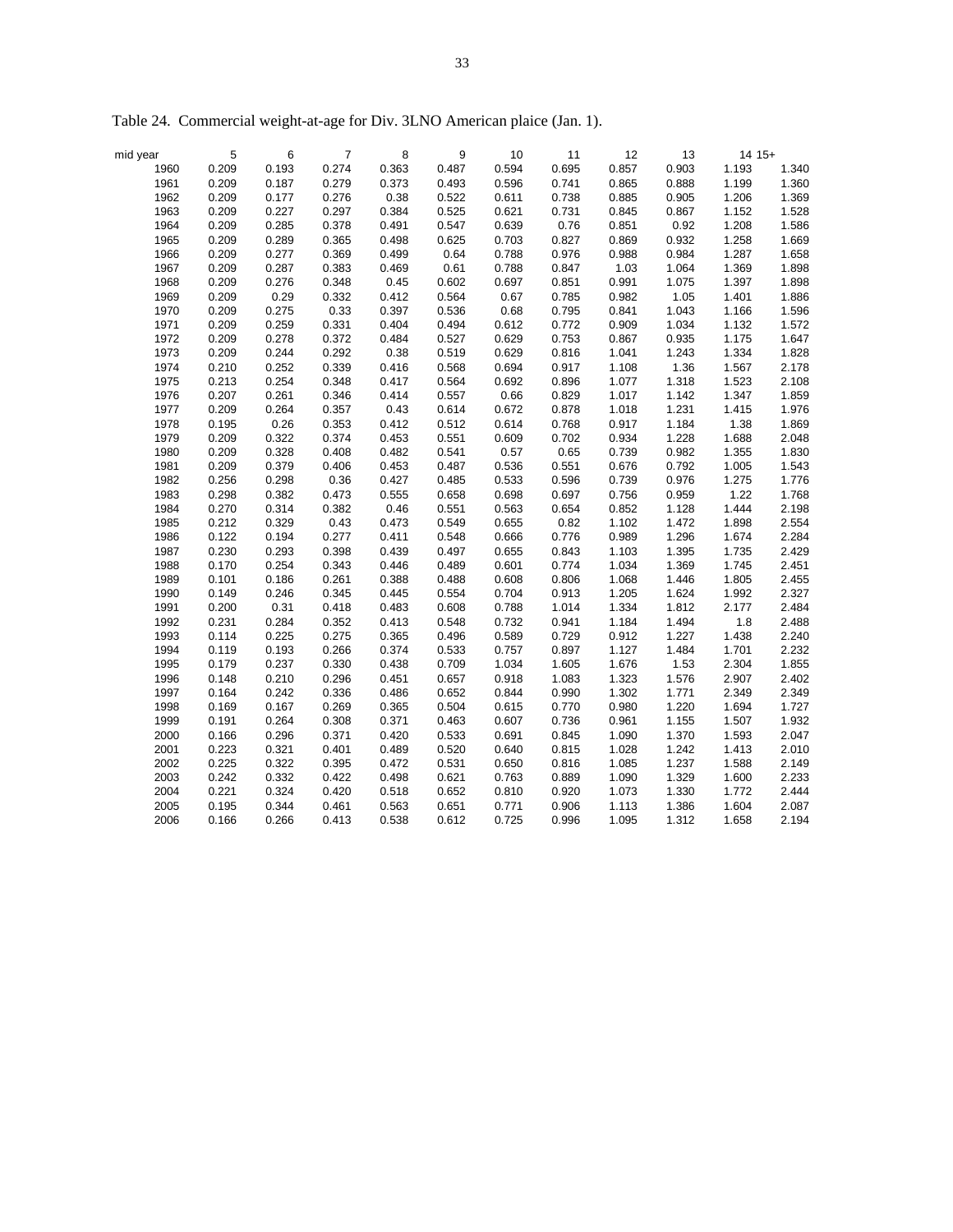| mid year | $\sqrt{5}$ | $\,6\,$ | $\overline{7}$ | 8     | $\boldsymbol{9}$ | 10    | 11    | 12    | 13    | $14.15+$ |       |
|----------|------------|---------|----------------|-------|------------------|-------|-------|-------|-------|----------|-------|
| 1960     | 0.209      | 0.193   | 0.274          | 0.363 | 0.487            | 0.594 | 0.695 | 0.857 | 0.903 | 1.193    | 1.340 |
| 1961     | 0.209      | 0.187   | 0.279          | 0.373 | 0.493            | 0.596 | 0.741 | 0.865 | 0.888 | 1.199    | 1.360 |
| 1962     | 0.209      | 0.177   | 0.276          | 0.38  | 0.522            | 0.611 | 0.738 | 0.885 | 0.905 | 1.206    | 1.369 |
| 1963     | 0.209      | 0.227   | 0.297          | 0.384 | 0.525            | 0.621 | 0.731 | 0.845 | 0.867 | 1.152    | 1.528 |
| 1964     | 0.209      | 0.285   | 0.378          | 0.491 | 0.547            | 0.639 | 0.76  | 0.851 | 0.92  | 1.208    | 1.586 |
| 1965     | 0.209      | 0.289   | 0.365          | 0.498 | 0.625            | 0.703 | 0.827 | 0.869 | 0.932 | 1.258    | 1.669 |
| 1966     | 0.209      | 0.277   | 0.369          | 0.499 | 0.64             | 0.788 | 0.976 | 0.988 | 0.984 | 1.287    | 1.658 |
| 1967     | 0.209      | 0.287   | 0.383          | 0.469 | 0.61             | 0.788 | 0.847 | 1.03  | 1.064 | 1.369    | 1.898 |
| 1968     | 0.209      | 0.276   | 0.348          | 0.45  | 0.602            | 0.697 | 0.851 | 0.991 | 1.075 | 1.397    | 1.898 |
| 1969     | 0.209      | 0.29    | 0.332          | 0.412 | 0.564            | 0.67  | 0.785 | 0.982 | 1.05  | 1.401    | 1.886 |
| 1970     | 0.209      | 0.275   | 0.33           | 0.397 | 0.536            | 0.68  | 0.795 | 0.841 | 1.043 | 1.166    | 1.596 |
| 1971     | 0.209      | 0.259   | 0.331          | 0.404 | 0.494            | 0.612 | 0.772 | 0.909 | 1.034 | 1.132    | 1.572 |
| 1972     | 0.209      | 0.278   | 0.372          | 0.484 | 0.527            | 0.629 | 0.753 | 0.867 | 0.935 | 1.175    | 1.647 |
| 1973     | 0.209      | 0.244   | 0.292          | 0.38  | 0.519            | 0.629 | 0.816 | 1.041 | 1.243 | 1.334    | 1.828 |
| 1974     | 0.210      | 0.252   | 0.339          | 0.416 | 0.568            | 0.694 | 0.917 | 1.108 | 1.36  | 1.567    | 2.178 |
| 1975     | 0.213      | 0.254   | 0.348          | 0.417 | 0.564            | 0.692 | 0.896 | 1.077 | 1.318 | 1.523    | 2.108 |
| 1976     | 0.207      | 0.261   | 0.346          | 0.414 | 0.557            | 0.66  | 0.829 | 1.017 | 1.142 | 1.347    | 1.859 |
| 1977     | 0.209      | 0.264   | 0.357          | 0.43  | 0.614            | 0.672 | 0.878 | 1.018 | 1.231 | 1.415    | 1.976 |
| 1978     | 0.195      | 0.26    | 0.353          | 0.412 | 0.512            | 0.614 | 0.768 | 0.917 | 1.184 | 1.38     | 1.869 |
| 1979     | 0.209      | 0.322   | 0.374          | 0.453 | 0.551            | 0.609 | 0.702 | 0.934 | 1.228 | 1.688    | 2.048 |
| 1980     | 0.209      | 0.328   | 0.408          | 0.482 | 0.541            | 0.57  | 0.65  | 0.739 | 0.982 | 1.355    | 1.830 |
| 1981     | 0.209      | 0.379   | 0.406          | 0.453 | 0.487            | 0.536 | 0.551 | 0.676 | 0.792 | 1.005    | 1.543 |
| 1982     | 0.256      | 0.298   | 0.36           | 0.427 | 0.485            | 0.533 | 0.596 | 0.739 | 0.976 | 1.275    | 1.776 |
| 1983     | 0.298      | 0.382   | 0.473          | 0.555 | 0.658            | 0.698 | 0.697 | 0.756 | 0.959 | 1.22     | 1.768 |
| 1984     | 0.270      | 0.314   | 0.382          | 0.46  | 0.551            | 0.563 | 0.654 | 0.852 | 1.128 | 1.444    | 2.198 |
| 1985     | 0.212      | 0.329   | 0.43           | 0.473 | 0.549            | 0.655 | 0.82  | 1.102 | 1.472 | 1.898    | 2.554 |
| 1986     | 0.122      | 0.194   | 0.277          | 0.411 | 0.548            | 0.666 | 0.776 | 0.989 | 1.296 | 1.674    | 2.284 |
| 1987     | 0.230      | 0.293   | 0.398          | 0.439 | 0.497            | 0.655 | 0.843 | 1.103 | 1.395 | 1.735    | 2.429 |
| 1988     | 0.170      | 0.254   | 0.343          | 0.446 | 0.489            | 0.601 | 0.774 | 1.034 | 1.369 | 1.745    | 2.451 |
| 1989     | 0.101      | 0.186   | 0.261          | 0.388 | 0.488            | 0.608 | 0.806 | 1.068 | 1.446 | 1.805    | 2.455 |
| 1990     | 0.149      | 0.246   | 0.345          | 0.445 | 0.554            | 0.704 | 0.913 | 1.205 | 1.624 | 1.992    | 2.327 |
| 1991     | 0.200      | 0.31    | 0.418          | 0.483 | 0.608            | 0.788 | 1.014 | 1.334 | 1.812 | 2.177    | 2.484 |
| 1992     | 0.231      | 0.284   | 0.352          | 0.413 | 0.548            | 0.732 | 0.941 | 1.184 | 1.494 | 1.8      | 2.488 |
| 1993     | 0.114      | 0.225   | 0.275          | 0.365 | 0.496            | 0.589 | 0.729 | 0.912 | 1.227 | 1.438    | 2.240 |
| 1994     | 0.119      | 0.193   | 0.266          | 0.374 | 0.533            | 0.757 | 0.897 | 1.127 | 1.484 | 1.701    | 2.232 |
| 1995     | 0.179      | 0.237   | 0.330          | 0.438 | 0.709            | 1.034 | 1.605 | 1.676 | 1.53  | 2.304    | 1.855 |
| 1996     | 0.148      | 0.210   | 0.296          | 0.451 | 0.657            | 0.918 | 1.083 | 1.323 | 1.576 | 2.907    | 2.402 |
| 1997     | 0.164      | 0.242   | 0.336          | 0.486 | 0.652            | 0.844 | 0.990 | 1.302 | 1.771 | 2.349    | 2.349 |
| 1998     | 0.169      | 0.167   | 0.269          | 0.365 | 0.504            | 0.615 | 0.770 | 0.980 | 1.220 | 1.694    | 1.727 |
| 1999     | 0.191      | 0.264   | 0.308          | 0.371 | 0.463            | 0.607 | 0.736 | 0.961 | 1.155 | 1.507    | 1.932 |
| 2000     | 0.166      | 0.296   | 0.371          | 0.420 | 0.533            | 0.691 | 0.845 | 1.090 | 1.370 | 1.593    | 2.047 |
| 2001     | 0.223      | 0.321   | 0.401          | 0.489 | 0.520            | 0.640 | 0.815 | 1.028 | 1.242 | 1.413    | 2.010 |
| 2002     | 0.225      | 0.322   | 0.395          | 0.472 | 0.531            | 0.650 | 0.816 | 1.085 | 1.237 | 1.588    | 2.149 |
| 2003     | 0.242      | 0.332   | 0.422          | 0.498 | 0.621            | 0.763 | 0.889 | 1.090 | 1.329 | 1.600    | 2.233 |
| 2004     | 0.221      | 0.324   | 0.420          | 0.518 | 0.652            | 0.810 | 0.920 | 1.073 | 1.330 | 1.772    | 2.444 |
|          | 0.195      | 0.344   |                |       |                  |       |       |       |       |          |       |
| 2005     |            |         | 0.461          | 0.563 | 0.651            | 0.771 | 0.906 | 1.113 | 1.386 | 1.604    | 2.087 |
| 2006     | 0.166      | 0.266   | 0.413          | 0.538 | 0.612            | 0.725 | 0.996 | 1.095 | 1.312 | 1.658    | 2.194 |

Table 24. Commercial weight-at-age for Div. 3LNO American plaice (Jan. 1).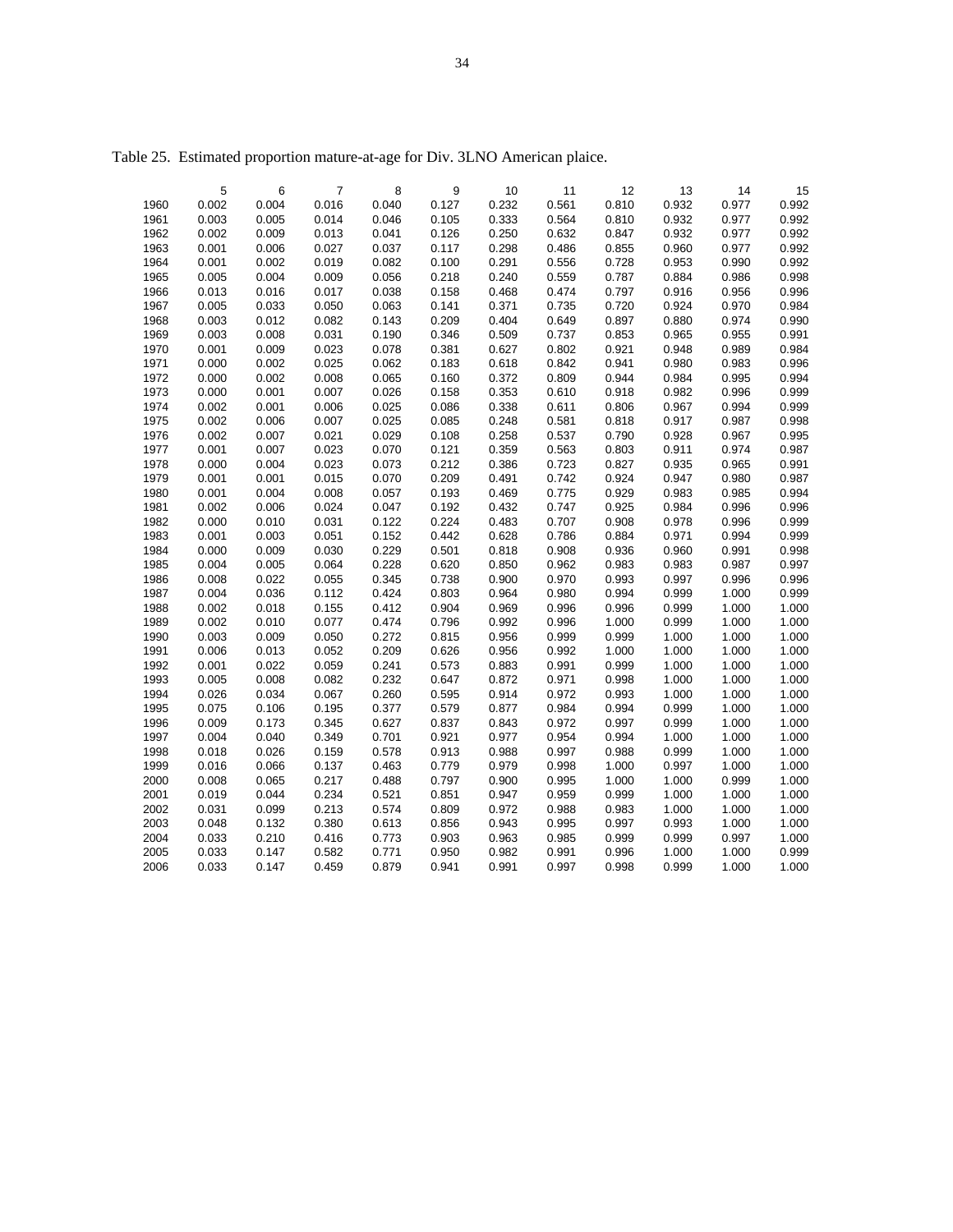| 5<br>7<br>8<br>9<br>10<br>11<br>12<br>13<br>14<br>15<br>6<br>0.002<br>0.004<br>0.016<br>0.040<br>0.127<br>0.232<br>0.561<br>0.810<br>0.932<br>0.977<br>0.992<br>1960<br>0.992<br>1961<br>0.003<br>0.005<br>0.014<br>0.046<br>0.333<br>0.564<br>0.810<br>0.932<br>0.977<br>0.105<br>0.250<br>0.632<br>0.992<br>1962<br>0.002<br>0.009<br>0.013<br>0.041<br>0.126<br>0.847<br>0.932<br>0.977<br>1963<br>0.001<br>0.006<br>0.027<br>0.117<br>0.298<br>0.486<br>0.855<br>0.960<br>0.992<br>0.037<br>0.977<br>1964<br>0.001<br>0.002<br>0.019<br>0.082<br>0.100<br>0.291<br>0.556<br>0.728<br>0.953<br>0.990<br>0.992<br>0.998<br>1965<br>0.005<br>0.004<br>0.009<br>0.056<br>0.218<br>0.240<br>0.559<br>0.787<br>0.884<br>0.986<br>0.474<br>0.996<br>1966<br>0.013<br>0.016<br>0.017<br>0.038<br>0.158<br>0.468<br>0.797<br>0.916<br>0.956<br>1967<br>0.050<br>0.063<br>0.371<br>0.735<br>0.924<br>0.984<br>0.005<br>0.033<br>0.141<br>0.720<br>0.970<br>1968<br>0.209<br>0.649<br>0.880<br>0.990<br>0.003<br>0.012<br>0.082<br>0.143<br>0.404<br>0.897<br>0.974<br>1969<br>0.031<br>0.190<br>0.346<br>0.509<br>0.737<br>0.853<br>0.965<br>0.991<br>0.003<br>0.008<br>0.955<br>0.001<br>0.023<br>0.078<br>0.381<br>0.802<br>0.921<br>0.948<br>0.984<br>1970<br>0.009<br>0.627<br>0.989<br>0.842<br>0.941<br>0.996<br>1971<br>0.000<br>0.002<br>0.025<br>0.062<br>0.183<br>0.618<br>0.980<br>0.983<br>0.000<br>0.002<br>0.008<br>0.065<br>0.160<br>0.809<br>0.944<br>0.984<br>0.995<br>0.994<br>1972<br>0.372<br>1973<br>0.001<br>0.007<br>0.610<br>0.999<br>0.000<br>0.026<br>0.158<br>0.353<br>0.918<br>0.982<br>0.996<br>1974<br>0.002<br>0.006<br>0.025<br>0.086<br>0.338<br>0.611<br>0.806<br>0.967<br>0.994<br>0.999<br>0.001<br>0.007<br>0.998<br>1975<br>0.002<br>0.006<br>0.025<br>0.085<br>0.248<br>0.581<br>0.818<br>0.917<br>0.987<br>0.021<br>0.258<br>0.537<br>0.995<br>1976<br>0.002<br>0.007<br>0.029<br>0.108<br>0.790<br>0.928<br>0.967<br>0.023<br>0.563<br>1977<br>0.001<br>0.007<br>0.070<br>0.121<br>0.359<br>0.803<br>0.911<br>0.974<br>0.987<br>1978<br>0.000<br>0.004<br>0.023<br>0.073<br>0.212<br>0.386<br>0.723<br>0.827<br>0.935<br>0.965<br>0.991<br>1979<br>0.001<br>0.001<br>0.015<br>0.070<br>0.209<br>0.491<br>0.742<br>0.924<br>0.947<br>0.980<br>0.987<br>1980<br>0.001<br>0.004<br>0.008<br>0.057<br>0.193<br>0.469<br>0.775<br>0.929<br>0.983<br>0.985<br>0.994<br>1981<br>0.002<br>0.024<br>0.047<br>0.192<br>0.432<br>0.747<br>0.925<br>0.984<br>0.996<br>0.996<br>0.006<br>0.707<br>1982<br>0.000<br>0.031<br>0.122<br>0.224<br>0.483<br>0.908<br>0.978<br>0.999<br>0.010<br>0.996<br>0.786<br>1983<br>0.001<br>0.003<br>0.051<br>0.152<br>0.442<br>0.628<br>0.884<br>0.971<br>0.994<br>0.999<br>1984<br>0.000<br>0.009<br>0.030<br>0.229<br>0.501<br>0.818<br>0.908<br>0.936<br>0.960<br>0.991<br>0.998<br>0.997<br>1985<br>0.004<br>0.005<br>0.064<br>0.228<br>0.620<br>0.850<br>0.962<br>0.983<br>0.983<br>0.987<br>0.996<br>1986<br>0.008<br>0.022<br>0.055<br>0.345<br>0.738<br>0.900<br>0.970<br>0.993<br>0.997<br>0.996<br>0.803<br>0.980<br>1987<br>0.004<br>0.036<br>0.112<br>0.424<br>0.964<br>0.994<br>0.999<br>1.000<br>0.999<br>1988<br>0.412<br>0.904<br>0.969<br>0.996<br>0.996<br>0.999<br>1.000<br>0.002<br>0.018<br>0.155<br>1.000<br>1989<br>0.002<br>0.010<br>0.077<br>0.474<br>0.796<br>0.992<br>0.996<br>1.000<br>0.999<br>1.000<br>1.000<br>0.272<br>1990<br>0.003<br>0.009<br>0.050<br>0.815<br>0.956<br>0.999<br>0.999<br>1.000<br>1.000<br>1.000<br>0.209<br>0.992<br>1.000<br>1991<br>0.006<br>0.013<br>0.052<br>0.626<br>0.956<br>1.000<br>1.000<br>1.000<br>0.059<br>0.241<br>1.000<br>1992<br>0.001<br>0.022<br>0.573<br>0.883<br>0.991<br>0.999<br>1.000<br>1.000<br>1993<br>0.008<br>0.082<br>0.232<br>0.872<br>0.971<br>1.000<br>1.000<br>0.005<br>0.647<br>0.998<br>1.000<br>1994<br>0.067<br>0.260<br>0.595<br>0.972<br>0.993<br>1.000<br>1.000<br>0.026<br>0.034<br>0.914<br>1.000<br>1995<br>0.075<br>0.195<br>0.377<br>0.579<br>0.877<br>0.984<br>0.994<br>0.999<br>1.000<br>1.000<br>0.106<br>0.009<br>0.345<br>0.627<br>0.837<br>0.843<br>0.972<br>0.997<br>0.999<br>1.000<br>1996<br>0.173<br>1.000<br>0.994<br>1.000<br>1.000<br>1997<br>0.004<br>0.040<br>0.349<br>0.701<br>0.921<br>0.977<br>0.954<br>1.000<br>1998<br>0.018<br>0.026<br>0.159<br>0.578<br>0.913<br>0.988<br>0.997<br>0.988<br>0.999<br>1.000<br>1.000<br>1999<br>0.463<br>0.998<br>1.000<br>0.997<br>1.000<br>0.016<br>0.066<br>0.137<br>0.779<br>0.979<br>1.000<br>2000<br>0.008<br>0.065<br>0.217<br>0.488<br>0.797<br>0.900<br>0.995<br>1.000<br>1.000<br>1.000<br>0.999<br>0.234<br>0.521<br>0.851<br>0.959<br>1.000<br>2001<br>0.019<br>0.044<br>0.947<br>0.999<br>1.000<br>1.000<br>0.213<br>0.574<br>0.809<br>0.972<br>0.988<br>0.983<br>1.000<br>1.000<br>2002<br>0.031<br>0.099<br>1.000<br>2003<br>0.048<br>0.132<br>0.380<br>0.613<br>0.856<br>0.943<br>0.995<br>0.997<br>0.993<br>1.000<br>1.000<br>2004<br>0.033<br>0.210<br>0.416<br>0.903<br>0.963<br>0.985<br>0.999<br>0.999<br>0.997<br>1.000<br>0.773<br>0.771<br>0.950<br>0.982<br>0.991<br>1.000<br>0.999<br>2005<br>0.033<br>0.147<br>0.582<br>0.996<br>1.000<br>2006<br>0.459<br>0.879<br>0.941<br>0.991<br>0.997<br>0.998<br>0.999<br>1.000<br>1.000<br>0.033<br>0.147 |  |  |  |  |  |  |
|------------------------------------------------------------------------------------------------------------------------------------------------------------------------------------------------------------------------------------------------------------------------------------------------------------------------------------------------------------------------------------------------------------------------------------------------------------------------------------------------------------------------------------------------------------------------------------------------------------------------------------------------------------------------------------------------------------------------------------------------------------------------------------------------------------------------------------------------------------------------------------------------------------------------------------------------------------------------------------------------------------------------------------------------------------------------------------------------------------------------------------------------------------------------------------------------------------------------------------------------------------------------------------------------------------------------------------------------------------------------------------------------------------------------------------------------------------------------------------------------------------------------------------------------------------------------------------------------------------------------------------------------------------------------------------------------------------------------------------------------------------------------------------------------------------------------------------------------------------------------------------------------------------------------------------------------------------------------------------------------------------------------------------------------------------------------------------------------------------------------------------------------------------------------------------------------------------------------------------------------------------------------------------------------------------------------------------------------------------------------------------------------------------------------------------------------------------------------------------------------------------------------------------------------------------------------------------------------------------------------------------------------------------------------------------------------------------------------------------------------------------------------------------------------------------------------------------------------------------------------------------------------------------------------------------------------------------------------------------------------------------------------------------------------------------------------------------------------------------------------------------------------------------------------------------------------------------------------------------------------------------------------------------------------------------------------------------------------------------------------------------------------------------------------------------------------------------------------------------------------------------------------------------------------------------------------------------------------------------------------------------------------------------------------------------------------------------------------------------------------------------------------------------------------------------------------------------------------------------------------------------------------------------------------------------------------------------------------------------------------------------------------------------------------------------------------------------------------------------------------------------------------------------------------------------------------------------------------------------------------------------------------------------------------------------------------------------------------------------------------------------------------------------------------------------------------------------------------------------------------------------------------------------------------------------------------------------------------------------------------------------------------------------------------------------------------------------------------------------------------------------------------------------------------------------------------------------------------------------------------------------------------------------------------------------------------------------------------------------------------------------------------------------------------------------------------------------------------------------------------------------------------------------------------------------------------------------------------------------------------------------------------------------------------|--|--|--|--|--|--|
|                                                                                                                                                                                                                                                                                                                                                                                                                                                                                                                                                                                                                                                                                                                                                                                                                                                                                                                                                                                                                                                                                                                                                                                                                                                                                                                                                                                                                                                                                                                                                                                                                                                                                                                                                                                                                                                                                                                                                                                                                                                                                                                                                                                                                                                                                                                                                                                                                                                                                                                                                                                                                                                                                                                                                                                                                                                                                                                                                                                                                                                                                                                                                                                                                                                                                                                                                                                                                                                                                                                                                                                                                                                                                                                                                                                                                                                                                                                                                                                                                                                                                                                                                                                                                                                                                                                                                                                                                                                                                                                                                                                                                                                                                                                                                                                                                                                                                                                                                                                                                                                                                                                                                                                                                                                                                                |  |  |  |  |  |  |
|                                                                                                                                                                                                                                                                                                                                                                                                                                                                                                                                                                                                                                                                                                                                                                                                                                                                                                                                                                                                                                                                                                                                                                                                                                                                                                                                                                                                                                                                                                                                                                                                                                                                                                                                                                                                                                                                                                                                                                                                                                                                                                                                                                                                                                                                                                                                                                                                                                                                                                                                                                                                                                                                                                                                                                                                                                                                                                                                                                                                                                                                                                                                                                                                                                                                                                                                                                                                                                                                                                                                                                                                                                                                                                                                                                                                                                                                                                                                                                                                                                                                                                                                                                                                                                                                                                                                                                                                                                                                                                                                                                                                                                                                                                                                                                                                                                                                                                                                                                                                                                                                                                                                                                                                                                                                                                |  |  |  |  |  |  |
|                                                                                                                                                                                                                                                                                                                                                                                                                                                                                                                                                                                                                                                                                                                                                                                                                                                                                                                                                                                                                                                                                                                                                                                                                                                                                                                                                                                                                                                                                                                                                                                                                                                                                                                                                                                                                                                                                                                                                                                                                                                                                                                                                                                                                                                                                                                                                                                                                                                                                                                                                                                                                                                                                                                                                                                                                                                                                                                                                                                                                                                                                                                                                                                                                                                                                                                                                                                                                                                                                                                                                                                                                                                                                                                                                                                                                                                                                                                                                                                                                                                                                                                                                                                                                                                                                                                                                                                                                                                                                                                                                                                                                                                                                                                                                                                                                                                                                                                                                                                                                                                                                                                                                                                                                                                                                                |  |  |  |  |  |  |
|                                                                                                                                                                                                                                                                                                                                                                                                                                                                                                                                                                                                                                                                                                                                                                                                                                                                                                                                                                                                                                                                                                                                                                                                                                                                                                                                                                                                                                                                                                                                                                                                                                                                                                                                                                                                                                                                                                                                                                                                                                                                                                                                                                                                                                                                                                                                                                                                                                                                                                                                                                                                                                                                                                                                                                                                                                                                                                                                                                                                                                                                                                                                                                                                                                                                                                                                                                                                                                                                                                                                                                                                                                                                                                                                                                                                                                                                                                                                                                                                                                                                                                                                                                                                                                                                                                                                                                                                                                                                                                                                                                                                                                                                                                                                                                                                                                                                                                                                                                                                                                                                                                                                                                                                                                                                                                |  |  |  |  |  |  |
|                                                                                                                                                                                                                                                                                                                                                                                                                                                                                                                                                                                                                                                                                                                                                                                                                                                                                                                                                                                                                                                                                                                                                                                                                                                                                                                                                                                                                                                                                                                                                                                                                                                                                                                                                                                                                                                                                                                                                                                                                                                                                                                                                                                                                                                                                                                                                                                                                                                                                                                                                                                                                                                                                                                                                                                                                                                                                                                                                                                                                                                                                                                                                                                                                                                                                                                                                                                                                                                                                                                                                                                                                                                                                                                                                                                                                                                                                                                                                                                                                                                                                                                                                                                                                                                                                                                                                                                                                                                                                                                                                                                                                                                                                                                                                                                                                                                                                                                                                                                                                                                                                                                                                                                                                                                                                                |  |  |  |  |  |  |
|                                                                                                                                                                                                                                                                                                                                                                                                                                                                                                                                                                                                                                                                                                                                                                                                                                                                                                                                                                                                                                                                                                                                                                                                                                                                                                                                                                                                                                                                                                                                                                                                                                                                                                                                                                                                                                                                                                                                                                                                                                                                                                                                                                                                                                                                                                                                                                                                                                                                                                                                                                                                                                                                                                                                                                                                                                                                                                                                                                                                                                                                                                                                                                                                                                                                                                                                                                                                                                                                                                                                                                                                                                                                                                                                                                                                                                                                                                                                                                                                                                                                                                                                                                                                                                                                                                                                                                                                                                                                                                                                                                                                                                                                                                                                                                                                                                                                                                                                                                                                                                                                                                                                                                                                                                                                                                |  |  |  |  |  |  |
|                                                                                                                                                                                                                                                                                                                                                                                                                                                                                                                                                                                                                                                                                                                                                                                                                                                                                                                                                                                                                                                                                                                                                                                                                                                                                                                                                                                                                                                                                                                                                                                                                                                                                                                                                                                                                                                                                                                                                                                                                                                                                                                                                                                                                                                                                                                                                                                                                                                                                                                                                                                                                                                                                                                                                                                                                                                                                                                                                                                                                                                                                                                                                                                                                                                                                                                                                                                                                                                                                                                                                                                                                                                                                                                                                                                                                                                                                                                                                                                                                                                                                                                                                                                                                                                                                                                                                                                                                                                                                                                                                                                                                                                                                                                                                                                                                                                                                                                                                                                                                                                                                                                                                                                                                                                                                                |  |  |  |  |  |  |
|                                                                                                                                                                                                                                                                                                                                                                                                                                                                                                                                                                                                                                                                                                                                                                                                                                                                                                                                                                                                                                                                                                                                                                                                                                                                                                                                                                                                                                                                                                                                                                                                                                                                                                                                                                                                                                                                                                                                                                                                                                                                                                                                                                                                                                                                                                                                                                                                                                                                                                                                                                                                                                                                                                                                                                                                                                                                                                                                                                                                                                                                                                                                                                                                                                                                                                                                                                                                                                                                                                                                                                                                                                                                                                                                                                                                                                                                                                                                                                                                                                                                                                                                                                                                                                                                                                                                                                                                                                                                                                                                                                                                                                                                                                                                                                                                                                                                                                                                                                                                                                                                                                                                                                                                                                                                                                |  |  |  |  |  |  |
|                                                                                                                                                                                                                                                                                                                                                                                                                                                                                                                                                                                                                                                                                                                                                                                                                                                                                                                                                                                                                                                                                                                                                                                                                                                                                                                                                                                                                                                                                                                                                                                                                                                                                                                                                                                                                                                                                                                                                                                                                                                                                                                                                                                                                                                                                                                                                                                                                                                                                                                                                                                                                                                                                                                                                                                                                                                                                                                                                                                                                                                                                                                                                                                                                                                                                                                                                                                                                                                                                                                                                                                                                                                                                                                                                                                                                                                                                                                                                                                                                                                                                                                                                                                                                                                                                                                                                                                                                                                                                                                                                                                                                                                                                                                                                                                                                                                                                                                                                                                                                                                                                                                                                                                                                                                                                                |  |  |  |  |  |  |
|                                                                                                                                                                                                                                                                                                                                                                                                                                                                                                                                                                                                                                                                                                                                                                                                                                                                                                                                                                                                                                                                                                                                                                                                                                                                                                                                                                                                                                                                                                                                                                                                                                                                                                                                                                                                                                                                                                                                                                                                                                                                                                                                                                                                                                                                                                                                                                                                                                                                                                                                                                                                                                                                                                                                                                                                                                                                                                                                                                                                                                                                                                                                                                                                                                                                                                                                                                                                                                                                                                                                                                                                                                                                                                                                                                                                                                                                                                                                                                                                                                                                                                                                                                                                                                                                                                                                                                                                                                                                                                                                                                                                                                                                                                                                                                                                                                                                                                                                                                                                                                                                                                                                                                                                                                                                                                |  |  |  |  |  |  |
|                                                                                                                                                                                                                                                                                                                                                                                                                                                                                                                                                                                                                                                                                                                                                                                                                                                                                                                                                                                                                                                                                                                                                                                                                                                                                                                                                                                                                                                                                                                                                                                                                                                                                                                                                                                                                                                                                                                                                                                                                                                                                                                                                                                                                                                                                                                                                                                                                                                                                                                                                                                                                                                                                                                                                                                                                                                                                                                                                                                                                                                                                                                                                                                                                                                                                                                                                                                                                                                                                                                                                                                                                                                                                                                                                                                                                                                                                                                                                                                                                                                                                                                                                                                                                                                                                                                                                                                                                                                                                                                                                                                                                                                                                                                                                                                                                                                                                                                                                                                                                                                                                                                                                                                                                                                                                                |  |  |  |  |  |  |
|                                                                                                                                                                                                                                                                                                                                                                                                                                                                                                                                                                                                                                                                                                                                                                                                                                                                                                                                                                                                                                                                                                                                                                                                                                                                                                                                                                                                                                                                                                                                                                                                                                                                                                                                                                                                                                                                                                                                                                                                                                                                                                                                                                                                                                                                                                                                                                                                                                                                                                                                                                                                                                                                                                                                                                                                                                                                                                                                                                                                                                                                                                                                                                                                                                                                                                                                                                                                                                                                                                                                                                                                                                                                                                                                                                                                                                                                                                                                                                                                                                                                                                                                                                                                                                                                                                                                                                                                                                                                                                                                                                                                                                                                                                                                                                                                                                                                                                                                                                                                                                                                                                                                                                                                                                                                                                |  |  |  |  |  |  |
|                                                                                                                                                                                                                                                                                                                                                                                                                                                                                                                                                                                                                                                                                                                                                                                                                                                                                                                                                                                                                                                                                                                                                                                                                                                                                                                                                                                                                                                                                                                                                                                                                                                                                                                                                                                                                                                                                                                                                                                                                                                                                                                                                                                                                                                                                                                                                                                                                                                                                                                                                                                                                                                                                                                                                                                                                                                                                                                                                                                                                                                                                                                                                                                                                                                                                                                                                                                                                                                                                                                                                                                                                                                                                                                                                                                                                                                                                                                                                                                                                                                                                                                                                                                                                                                                                                                                                                                                                                                                                                                                                                                                                                                                                                                                                                                                                                                                                                                                                                                                                                                                                                                                                                                                                                                                                                |  |  |  |  |  |  |
|                                                                                                                                                                                                                                                                                                                                                                                                                                                                                                                                                                                                                                                                                                                                                                                                                                                                                                                                                                                                                                                                                                                                                                                                                                                                                                                                                                                                                                                                                                                                                                                                                                                                                                                                                                                                                                                                                                                                                                                                                                                                                                                                                                                                                                                                                                                                                                                                                                                                                                                                                                                                                                                                                                                                                                                                                                                                                                                                                                                                                                                                                                                                                                                                                                                                                                                                                                                                                                                                                                                                                                                                                                                                                                                                                                                                                                                                                                                                                                                                                                                                                                                                                                                                                                                                                                                                                                                                                                                                                                                                                                                                                                                                                                                                                                                                                                                                                                                                                                                                                                                                                                                                                                                                                                                                                                |  |  |  |  |  |  |
|                                                                                                                                                                                                                                                                                                                                                                                                                                                                                                                                                                                                                                                                                                                                                                                                                                                                                                                                                                                                                                                                                                                                                                                                                                                                                                                                                                                                                                                                                                                                                                                                                                                                                                                                                                                                                                                                                                                                                                                                                                                                                                                                                                                                                                                                                                                                                                                                                                                                                                                                                                                                                                                                                                                                                                                                                                                                                                                                                                                                                                                                                                                                                                                                                                                                                                                                                                                                                                                                                                                                                                                                                                                                                                                                                                                                                                                                                                                                                                                                                                                                                                                                                                                                                                                                                                                                                                                                                                                                                                                                                                                                                                                                                                                                                                                                                                                                                                                                                                                                                                                                                                                                                                                                                                                                                                |  |  |  |  |  |  |
|                                                                                                                                                                                                                                                                                                                                                                                                                                                                                                                                                                                                                                                                                                                                                                                                                                                                                                                                                                                                                                                                                                                                                                                                                                                                                                                                                                                                                                                                                                                                                                                                                                                                                                                                                                                                                                                                                                                                                                                                                                                                                                                                                                                                                                                                                                                                                                                                                                                                                                                                                                                                                                                                                                                                                                                                                                                                                                                                                                                                                                                                                                                                                                                                                                                                                                                                                                                                                                                                                                                                                                                                                                                                                                                                                                                                                                                                                                                                                                                                                                                                                                                                                                                                                                                                                                                                                                                                                                                                                                                                                                                                                                                                                                                                                                                                                                                                                                                                                                                                                                                                                                                                                                                                                                                                                                |  |  |  |  |  |  |
|                                                                                                                                                                                                                                                                                                                                                                                                                                                                                                                                                                                                                                                                                                                                                                                                                                                                                                                                                                                                                                                                                                                                                                                                                                                                                                                                                                                                                                                                                                                                                                                                                                                                                                                                                                                                                                                                                                                                                                                                                                                                                                                                                                                                                                                                                                                                                                                                                                                                                                                                                                                                                                                                                                                                                                                                                                                                                                                                                                                                                                                                                                                                                                                                                                                                                                                                                                                                                                                                                                                                                                                                                                                                                                                                                                                                                                                                                                                                                                                                                                                                                                                                                                                                                                                                                                                                                                                                                                                                                                                                                                                                                                                                                                                                                                                                                                                                                                                                                                                                                                                                                                                                                                                                                                                                                                |  |  |  |  |  |  |
|                                                                                                                                                                                                                                                                                                                                                                                                                                                                                                                                                                                                                                                                                                                                                                                                                                                                                                                                                                                                                                                                                                                                                                                                                                                                                                                                                                                                                                                                                                                                                                                                                                                                                                                                                                                                                                                                                                                                                                                                                                                                                                                                                                                                                                                                                                                                                                                                                                                                                                                                                                                                                                                                                                                                                                                                                                                                                                                                                                                                                                                                                                                                                                                                                                                                                                                                                                                                                                                                                                                                                                                                                                                                                                                                                                                                                                                                                                                                                                                                                                                                                                                                                                                                                                                                                                                                                                                                                                                                                                                                                                                                                                                                                                                                                                                                                                                                                                                                                                                                                                                                                                                                                                                                                                                                                                |  |  |  |  |  |  |
|                                                                                                                                                                                                                                                                                                                                                                                                                                                                                                                                                                                                                                                                                                                                                                                                                                                                                                                                                                                                                                                                                                                                                                                                                                                                                                                                                                                                                                                                                                                                                                                                                                                                                                                                                                                                                                                                                                                                                                                                                                                                                                                                                                                                                                                                                                                                                                                                                                                                                                                                                                                                                                                                                                                                                                                                                                                                                                                                                                                                                                                                                                                                                                                                                                                                                                                                                                                                                                                                                                                                                                                                                                                                                                                                                                                                                                                                                                                                                                                                                                                                                                                                                                                                                                                                                                                                                                                                                                                                                                                                                                                                                                                                                                                                                                                                                                                                                                                                                                                                                                                                                                                                                                                                                                                                                                |  |  |  |  |  |  |
|                                                                                                                                                                                                                                                                                                                                                                                                                                                                                                                                                                                                                                                                                                                                                                                                                                                                                                                                                                                                                                                                                                                                                                                                                                                                                                                                                                                                                                                                                                                                                                                                                                                                                                                                                                                                                                                                                                                                                                                                                                                                                                                                                                                                                                                                                                                                                                                                                                                                                                                                                                                                                                                                                                                                                                                                                                                                                                                                                                                                                                                                                                                                                                                                                                                                                                                                                                                                                                                                                                                                                                                                                                                                                                                                                                                                                                                                                                                                                                                                                                                                                                                                                                                                                                                                                                                                                                                                                                                                                                                                                                                                                                                                                                                                                                                                                                                                                                                                                                                                                                                                                                                                                                                                                                                                                                |  |  |  |  |  |  |
|                                                                                                                                                                                                                                                                                                                                                                                                                                                                                                                                                                                                                                                                                                                                                                                                                                                                                                                                                                                                                                                                                                                                                                                                                                                                                                                                                                                                                                                                                                                                                                                                                                                                                                                                                                                                                                                                                                                                                                                                                                                                                                                                                                                                                                                                                                                                                                                                                                                                                                                                                                                                                                                                                                                                                                                                                                                                                                                                                                                                                                                                                                                                                                                                                                                                                                                                                                                                                                                                                                                                                                                                                                                                                                                                                                                                                                                                                                                                                                                                                                                                                                                                                                                                                                                                                                                                                                                                                                                                                                                                                                                                                                                                                                                                                                                                                                                                                                                                                                                                                                                                                                                                                                                                                                                                                                |  |  |  |  |  |  |
|                                                                                                                                                                                                                                                                                                                                                                                                                                                                                                                                                                                                                                                                                                                                                                                                                                                                                                                                                                                                                                                                                                                                                                                                                                                                                                                                                                                                                                                                                                                                                                                                                                                                                                                                                                                                                                                                                                                                                                                                                                                                                                                                                                                                                                                                                                                                                                                                                                                                                                                                                                                                                                                                                                                                                                                                                                                                                                                                                                                                                                                                                                                                                                                                                                                                                                                                                                                                                                                                                                                                                                                                                                                                                                                                                                                                                                                                                                                                                                                                                                                                                                                                                                                                                                                                                                                                                                                                                                                                                                                                                                                                                                                                                                                                                                                                                                                                                                                                                                                                                                                                                                                                                                                                                                                                                                |  |  |  |  |  |  |
|                                                                                                                                                                                                                                                                                                                                                                                                                                                                                                                                                                                                                                                                                                                                                                                                                                                                                                                                                                                                                                                                                                                                                                                                                                                                                                                                                                                                                                                                                                                                                                                                                                                                                                                                                                                                                                                                                                                                                                                                                                                                                                                                                                                                                                                                                                                                                                                                                                                                                                                                                                                                                                                                                                                                                                                                                                                                                                                                                                                                                                                                                                                                                                                                                                                                                                                                                                                                                                                                                                                                                                                                                                                                                                                                                                                                                                                                                                                                                                                                                                                                                                                                                                                                                                                                                                                                                                                                                                                                                                                                                                                                                                                                                                                                                                                                                                                                                                                                                                                                                                                                                                                                                                                                                                                                                                |  |  |  |  |  |  |
|                                                                                                                                                                                                                                                                                                                                                                                                                                                                                                                                                                                                                                                                                                                                                                                                                                                                                                                                                                                                                                                                                                                                                                                                                                                                                                                                                                                                                                                                                                                                                                                                                                                                                                                                                                                                                                                                                                                                                                                                                                                                                                                                                                                                                                                                                                                                                                                                                                                                                                                                                                                                                                                                                                                                                                                                                                                                                                                                                                                                                                                                                                                                                                                                                                                                                                                                                                                                                                                                                                                                                                                                                                                                                                                                                                                                                                                                                                                                                                                                                                                                                                                                                                                                                                                                                                                                                                                                                                                                                                                                                                                                                                                                                                                                                                                                                                                                                                                                                                                                                                                                                                                                                                                                                                                                                                |  |  |  |  |  |  |
|                                                                                                                                                                                                                                                                                                                                                                                                                                                                                                                                                                                                                                                                                                                                                                                                                                                                                                                                                                                                                                                                                                                                                                                                                                                                                                                                                                                                                                                                                                                                                                                                                                                                                                                                                                                                                                                                                                                                                                                                                                                                                                                                                                                                                                                                                                                                                                                                                                                                                                                                                                                                                                                                                                                                                                                                                                                                                                                                                                                                                                                                                                                                                                                                                                                                                                                                                                                                                                                                                                                                                                                                                                                                                                                                                                                                                                                                                                                                                                                                                                                                                                                                                                                                                                                                                                                                                                                                                                                                                                                                                                                                                                                                                                                                                                                                                                                                                                                                                                                                                                                                                                                                                                                                                                                                                                |  |  |  |  |  |  |
|                                                                                                                                                                                                                                                                                                                                                                                                                                                                                                                                                                                                                                                                                                                                                                                                                                                                                                                                                                                                                                                                                                                                                                                                                                                                                                                                                                                                                                                                                                                                                                                                                                                                                                                                                                                                                                                                                                                                                                                                                                                                                                                                                                                                                                                                                                                                                                                                                                                                                                                                                                                                                                                                                                                                                                                                                                                                                                                                                                                                                                                                                                                                                                                                                                                                                                                                                                                                                                                                                                                                                                                                                                                                                                                                                                                                                                                                                                                                                                                                                                                                                                                                                                                                                                                                                                                                                                                                                                                                                                                                                                                                                                                                                                                                                                                                                                                                                                                                                                                                                                                                                                                                                                                                                                                                                                |  |  |  |  |  |  |
|                                                                                                                                                                                                                                                                                                                                                                                                                                                                                                                                                                                                                                                                                                                                                                                                                                                                                                                                                                                                                                                                                                                                                                                                                                                                                                                                                                                                                                                                                                                                                                                                                                                                                                                                                                                                                                                                                                                                                                                                                                                                                                                                                                                                                                                                                                                                                                                                                                                                                                                                                                                                                                                                                                                                                                                                                                                                                                                                                                                                                                                                                                                                                                                                                                                                                                                                                                                                                                                                                                                                                                                                                                                                                                                                                                                                                                                                                                                                                                                                                                                                                                                                                                                                                                                                                                                                                                                                                                                                                                                                                                                                                                                                                                                                                                                                                                                                                                                                                                                                                                                                                                                                                                                                                                                                                                |  |  |  |  |  |  |
|                                                                                                                                                                                                                                                                                                                                                                                                                                                                                                                                                                                                                                                                                                                                                                                                                                                                                                                                                                                                                                                                                                                                                                                                                                                                                                                                                                                                                                                                                                                                                                                                                                                                                                                                                                                                                                                                                                                                                                                                                                                                                                                                                                                                                                                                                                                                                                                                                                                                                                                                                                                                                                                                                                                                                                                                                                                                                                                                                                                                                                                                                                                                                                                                                                                                                                                                                                                                                                                                                                                                                                                                                                                                                                                                                                                                                                                                                                                                                                                                                                                                                                                                                                                                                                                                                                                                                                                                                                                                                                                                                                                                                                                                                                                                                                                                                                                                                                                                                                                                                                                                                                                                                                                                                                                                                                |  |  |  |  |  |  |
|                                                                                                                                                                                                                                                                                                                                                                                                                                                                                                                                                                                                                                                                                                                                                                                                                                                                                                                                                                                                                                                                                                                                                                                                                                                                                                                                                                                                                                                                                                                                                                                                                                                                                                                                                                                                                                                                                                                                                                                                                                                                                                                                                                                                                                                                                                                                                                                                                                                                                                                                                                                                                                                                                                                                                                                                                                                                                                                                                                                                                                                                                                                                                                                                                                                                                                                                                                                                                                                                                                                                                                                                                                                                                                                                                                                                                                                                                                                                                                                                                                                                                                                                                                                                                                                                                                                                                                                                                                                                                                                                                                                                                                                                                                                                                                                                                                                                                                                                                                                                                                                                                                                                                                                                                                                                                                |  |  |  |  |  |  |
|                                                                                                                                                                                                                                                                                                                                                                                                                                                                                                                                                                                                                                                                                                                                                                                                                                                                                                                                                                                                                                                                                                                                                                                                                                                                                                                                                                                                                                                                                                                                                                                                                                                                                                                                                                                                                                                                                                                                                                                                                                                                                                                                                                                                                                                                                                                                                                                                                                                                                                                                                                                                                                                                                                                                                                                                                                                                                                                                                                                                                                                                                                                                                                                                                                                                                                                                                                                                                                                                                                                                                                                                                                                                                                                                                                                                                                                                                                                                                                                                                                                                                                                                                                                                                                                                                                                                                                                                                                                                                                                                                                                                                                                                                                                                                                                                                                                                                                                                                                                                                                                                                                                                                                                                                                                                                                |  |  |  |  |  |  |
|                                                                                                                                                                                                                                                                                                                                                                                                                                                                                                                                                                                                                                                                                                                                                                                                                                                                                                                                                                                                                                                                                                                                                                                                                                                                                                                                                                                                                                                                                                                                                                                                                                                                                                                                                                                                                                                                                                                                                                                                                                                                                                                                                                                                                                                                                                                                                                                                                                                                                                                                                                                                                                                                                                                                                                                                                                                                                                                                                                                                                                                                                                                                                                                                                                                                                                                                                                                                                                                                                                                                                                                                                                                                                                                                                                                                                                                                                                                                                                                                                                                                                                                                                                                                                                                                                                                                                                                                                                                                                                                                                                                                                                                                                                                                                                                                                                                                                                                                                                                                                                                                                                                                                                                                                                                                                                |  |  |  |  |  |  |
|                                                                                                                                                                                                                                                                                                                                                                                                                                                                                                                                                                                                                                                                                                                                                                                                                                                                                                                                                                                                                                                                                                                                                                                                                                                                                                                                                                                                                                                                                                                                                                                                                                                                                                                                                                                                                                                                                                                                                                                                                                                                                                                                                                                                                                                                                                                                                                                                                                                                                                                                                                                                                                                                                                                                                                                                                                                                                                                                                                                                                                                                                                                                                                                                                                                                                                                                                                                                                                                                                                                                                                                                                                                                                                                                                                                                                                                                                                                                                                                                                                                                                                                                                                                                                                                                                                                                                                                                                                                                                                                                                                                                                                                                                                                                                                                                                                                                                                                                                                                                                                                                                                                                                                                                                                                                                                |  |  |  |  |  |  |
|                                                                                                                                                                                                                                                                                                                                                                                                                                                                                                                                                                                                                                                                                                                                                                                                                                                                                                                                                                                                                                                                                                                                                                                                                                                                                                                                                                                                                                                                                                                                                                                                                                                                                                                                                                                                                                                                                                                                                                                                                                                                                                                                                                                                                                                                                                                                                                                                                                                                                                                                                                                                                                                                                                                                                                                                                                                                                                                                                                                                                                                                                                                                                                                                                                                                                                                                                                                                                                                                                                                                                                                                                                                                                                                                                                                                                                                                                                                                                                                                                                                                                                                                                                                                                                                                                                                                                                                                                                                                                                                                                                                                                                                                                                                                                                                                                                                                                                                                                                                                                                                                                                                                                                                                                                                                                                |  |  |  |  |  |  |
|                                                                                                                                                                                                                                                                                                                                                                                                                                                                                                                                                                                                                                                                                                                                                                                                                                                                                                                                                                                                                                                                                                                                                                                                                                                                                                                                                                                                                                                                                                                                                                                                                                                                                                                                                                                                                                                                                                                                                                                                                                                                                                                                                                                                                                                                                                                                                                                                                                                                                                                                                                                                                                                                                                                                                                                                                                                                                                                                                                                                                                                                                                                                                                                                                                                                                                                                                                                                                                                                                                                                                                                                                                                                                                                                                                                                                                                                                                                                                                                                                                                                                                                                                                                                                                                                                                                                                                                                                                                                                                                                                                                                                                                                                                                                                                                                                                                                                                                                                                                                                                                                                                                                                                                                                                                                                                |  |  |  |  |  |  |
|                                                                                                                                                                                                                                                                                                                                                                                                                                                                                                                                                                                                                                                                                                                                                                                                                                                                                                                                                                                                                                                                                                                                                                                                                                                                                                                                                                                                                                                                                                                                                                                                                                                                                                                                                                                                                                                                                                                                                                                                                                                                                                                                                                                                                                                                                                                                                                                                                                                                                                                                                                                                                                                                                                                                                                                                                                                                                                                                                                                                                                                                                                                                                                                                                                                                                                                                                                                                                                                                                                                                                                                                                                                                                                                                                                                                                                                                                                                                                                                                                                                                                                                                                                                                                                                                                                                                                                                                                                                                                                                                                                                                                                                                                                                                                                                                                                                                                                                                                                                                                                                                                                                                                                                                                                                                                                |  |  |  |  |  |  |
|                                                                                                                                                                                                                                                                                                                                                                                                                                                                                                                                                                                                                                                                                                                                                                                                                                                                                                                                                                                                                                                                                                                                                                                                                                                                                                                                                                                                                                                                                                                                                                                                                                                                                                                                                                                                                                                                                                                                                                                                                                                                                                                                                                                                                                                                                                                                                                                                                                                                                                                                                                                                                                                                                                                                                                                                                                                                                                                                                                                                                                                                                                                                                                                                                                                                                                                                                                                                                                                                                                                                                                                                                                                                                                                                                                                                                                                                                                                                                                                                                                                                                                                                                                                                                                                                                                                                                                                                                                                                                                                                                                                                                                                                                                                                                                                                                                                                                                                                                                                                                                                                                                                                                                                                                                                                                                |  |  |  |  |  |  |
|                                                                                                                                                                                                                                                                                                                                                                                                                                                                                                                                                                                                                                                                                                                                                                                                                                                                                                                                                                                                                                                                                                                                                                                                                                                                                                                                                                                                                                                                                                                                                                                                                                                                                                                                                                                                                                                                                                                                                                                                                                                                                                                                                                                                                                                                                                                                                                                                                                                                                                                                                                                                                                                                                                                                                                                                                                                                                                                                                                                                                                                                                                                                                                                                                                                                                                                                                                                                                                                                                                                                                                                                                                                                                                                                                                                                                                                                                                                                                                                                                                                                                                                                                                                                                                                                                                                                                                                                                                                                                                                                                                                                                                                                                                                                                                                                                                                                                                                                                                                                                                                                                                                                                                                                                                                                                                |  |  |  |  |  |  |
|                                                                                                                                                                                                                                                                                                                                                                                                                                                                                                                                                                                                                                                                                                                                                                                                                                                                                                                                                                                                                                                                                                                                                                                                                                                                                                                                                                                                                                                                                                                                                                                                                                                                                                                                                                                                                                                                                                                                                                                                                                                                                                                                                                                                                                                                                                                                                                                                                                                                                                                                                                                                                                                                                                                                                                                                                                                                                                                                                                                                                                                                                                                                                                                                                                                                                                                                                                                                                                                                                                                                                                                                                                                                                                                                                                                                                                                                                                                                                                                                                                                                                                                                                                                                                                                                                                                                                                                                                                                                                                                                                                                                                                                                                                                                                                                                                                                                                                                                                                                                                                                                                                                                                                                                                                                                                                |  |  |  |  |  |  |
|                                                                                                                                                                                                                                                                                                                                                                                                                                                                                                                                                                                                                                                                                                                                                                                                                                                                                                                                                                                                                                                                                                                                                                                                                                                                                                                                                                                                                                                                                                                                                                                                                                                                                                                                                                                                                                                                                                                                                                                                                                                                                                                                                                                                                                                                                                                                                                                                                                                                                                                                                                                                                                                                                                                                                                                                                                                                                                                                                                                                                                                                                                                                                                                                                                                                                                                                                                                                                                                                                                                                                                                                                                                                                                                                                                                                                                                                                                                                                                                                                                                                                                                                                                                                                                                                                                                                                                                                                                                                                                                                                                                                                                                                                                                                                                                                                                                                                                                                                                                                                                                                                                                                                                                                                                                                                                |  |  |  |  |  |  |
|                                                                                                                                                                                                                                                                                                                                                                                                                                                                                                                                                                                                                                                                                                                                                                                                                                                                                                                                                                                                                                                                                                                                                                                                                                                                                                                                                                                                                                                                                                                                                                                                                                                                                                                                                                                                                                                                                                                                                                                                                                                                                                                                                                                                                                                                                                                                                                                                                                                                                                                                                                                                                                                                                                                                                                                                                                                                                                                                                                                                                                                                                                                                                                                                                                                                                                                                                                                                                                                                                                                                                                                                                                                                                                                                                                                                                                                                                                                                                                                                                                                                                                                                                                                                                                                                                                                                                                                                                                                                                                                                                                                                                                                                                                                                                                                                                                                                                                                                                                                                                                                                                                                                                                                                                                                                                                |  |  |  |  |  |  |
|                                                                                                                                                                                                                                                                                                                                                                                                                                                                                                                                                                                                                                                                                                                                                                                                                                                                                                                                                                                                                                                                                                                                                                                                                                                                                                                                                                                                                                                                                                                                                                                                                                                                                                                                                                                                                                                                                                                                                                                                                                                                                                                                                                                                                                                                                                                                                                                                                                                                                                                                                                                                                                                                                                                                                                                                                                                                                                                                                                                                                                                                                                                                                                                                                                                                                                                                                                                                                                                                                                                                                                                                                                                                                                                                                                                                                                                                                                                                                                                                                                                                                                                                                                                                                                                                                                                                                                                                                                                                                                                                                                                                                                                                                                                                                                                                                                                                                                                                                                                                                                                                                                                                                                                                                                                                                                |  |  |  |  |  |  |
|                                                                                                                                                                                                                                                                                                                                                                                                                                                                                                                                                                                                                                                                                                                                                                                                                                                                                                                                                                                                                                                                                                                                                                                                                                                                                                                                                                                                                                                                                                                                                                                                                                                                                                                                                                                                                                                                                                                                                                                                                                                                                                                                                                                                                                                                                                                                                                                                                                                                                                                                                                                                                                                                                                                                                                                                                                                                                                                                                                                                                                                                                                                                                                                                                                                                                                                                                                                                                                                                                                                                                                                                                                                                                                                                                                                                                                                                                                                                                                                                                                                                                                                                                                                                                                                                                                                                                                                                                                                                                                                                                                                                                                                                                                                                                                                                                                                                                                                                                                                                                                                                                                                                                                                                                                                                                                |  |  |  |  |  |  |
|                                                                                                                                                                                                                                                                                                                                                                                                                                                                                                                                                                                                                                                                                                                                                                                                                                                                                                                                                                                                                                                                                                                                                                                                                                                                                                                                                                                                                                                                                                                                                                                                                                                                                                                                                                                                                                                                                                                                                                                                                                                                                                                                                                                                                                                                                                                                                                                                                                                                                                                                                                                                                                                                                                                                                                                                                                                                                                                                                                                                                                                                                                                                                                                                                                                                                                                                                                                                                                                                                                                                                                                                                                                                                                                                                                                                                                                                                                                                                                                                                                                                                                                                                                                                                                                                                                                                                                                                                                                                                                                                                                                                                                                                                                                                                                                                                                                                                                                                                                                                                                                                                                                                                                                                                                                                                                |  |  |  |  |  |  |
|                                                                                                                                                                                                                                                                                                                                                                                                                                                                                                                                                                                                                                                                                                                                                                                                                                                                                                                                                                                                                                                                                                                                                                                                                                                                                                                                                                                                                                                                                                                                                                                                                                                                                                                                                                                                                                                                                                                                                                                                                                                                                                                                                                                                                                                                                                                                                                                                                                                                                                                                                                                                                                                                                                                                                                                                                                                                                                                                                                                                                                                                                                                                                                                                                                                                                                                                                                                                                                                                                                                                                                                                                                                                                                                                                                                                                                                                                                                                                                                                                                                                                                                                                                                                                                                                                                                                                                                                                                                                                                                                                                                                                                                                                                                                                                                                                                                                                                                                                                                                                                                                                                                                                                                                                                                                                                |  |  |  |  |  |  |
|                                                                                                                                                                                                                                                                                                                                                                                                                                                                                                                                                                                                                                                                                                                                                                                                                                                                                                                                                                                                                                                                                                                                                                                                                                                                                                                                                                                                                                                                                                                                                                                                                                                                                                                                                                                                                                                                                                                                                                                                                                                                                                                                                                                                                                                                                                                                                                                                                                                                                                                                                                                                                                                                                                                                                                                                                                                                                                                                                                                                                                                                                                                                                                                                                                                                                                                                                                                                                                                                                                                                                                                                                                                                                                                                                                                                                                                                                                                                                                                                                                                                                                                                                                                                                                                                                                                                                                                                                                                                                                                                                                                                                                                                                                                                                                                                                                                                                                                                                                                                                                                                                                                                                                                                                                                                                                |  |  |  |  |  |  |
|                                                                                                                                                                                                                                                                                                                                                                                                                                                                                                                                                                                                                                                                                                                                                                                                                                                                                                                                                                                                                                                                                                                                                                                                                                                                                                                                                                                                                                                                                                                                                                                                                                                                                                                                                                                                                                                                                                                                                                                                                                                                                                                                                                                                                                                                                                                                                                                                                                                                                                                                                                                                                                                                                                                                                                                                                                                                                                                                                                                                                                                                                                                                                                                                                                                                                                                                                                                                                                                                                                                                                                                                                                                                                                                                                                                                                                                                                                                                                                                                                                                                                                                                                                                                                                                                                                                                                                                                                                                                                                                                                                                                                                                                                                                                                                                                                                                                                                                                                                                                                                                                                                                                                                                                                                                                                                |  |  |  |  |  |  |
|                                                                                                                                                                                                                                                                                                                                                                                                                                                                                                                                                                                                                                                                                                                                                                                                                                                                                                                                                                                                                                                                                                                                                                                                                                                                                                                                                                                                                                                                                                                                                                                                                                                                                                                                                                                                                                                                                                                                                                                                                                                                                                                                                                                                                                                                                                                                                                                                                                                                                                                                                                                                                                                                                                                                                                                                                                                                                                                                                                                                                                                                                                                                                                                                                                                                                                                                                                                                                                                                                                                                                                                                                                                                                                                                                                                                                                                                                                                                                                                                                                                                                                                                                                                                                                                                                                                                                                                                                                                                                                                                                                                                                                                                                                                                                                                                                                                                                                                                                                                                                                                                                                                                                                                                                                                                                                |  |  |  |  |  |  |
|                                                                                                                                                                                                                                                                                                                                                                                                                                                                                                                                                                                                                                                                                                                                                                                                                                                                                                                                                                                                                                                                                                                                                                                                                                                                                                                                                                                                                                                                                                                                                                                                                                                                                                                                                                                                                                                                                                                                                                                                                                                                                                                                                                                                                                                                                                                                                                                                                                                                                                                                                                                                                                                                                                                                                                                                                                                                                                                                                                                                                                                                                                                                                                                                                                                                                                                                                                                                                                                                                                                                                                                                                                                                                                                                                                                                                                                                                                                                                                                                                                                                                                                                                                                                                                                                                                                                                                                                                                                                                                                                                                                                                                                                                                                                                                                                                                                                                                                                                                                                                                                                                                                                                                                                                                                                                                |  |  |  |  |  |  |

Table 25. Estimated proportion mature-at-age for Div. 3LNO American plaice.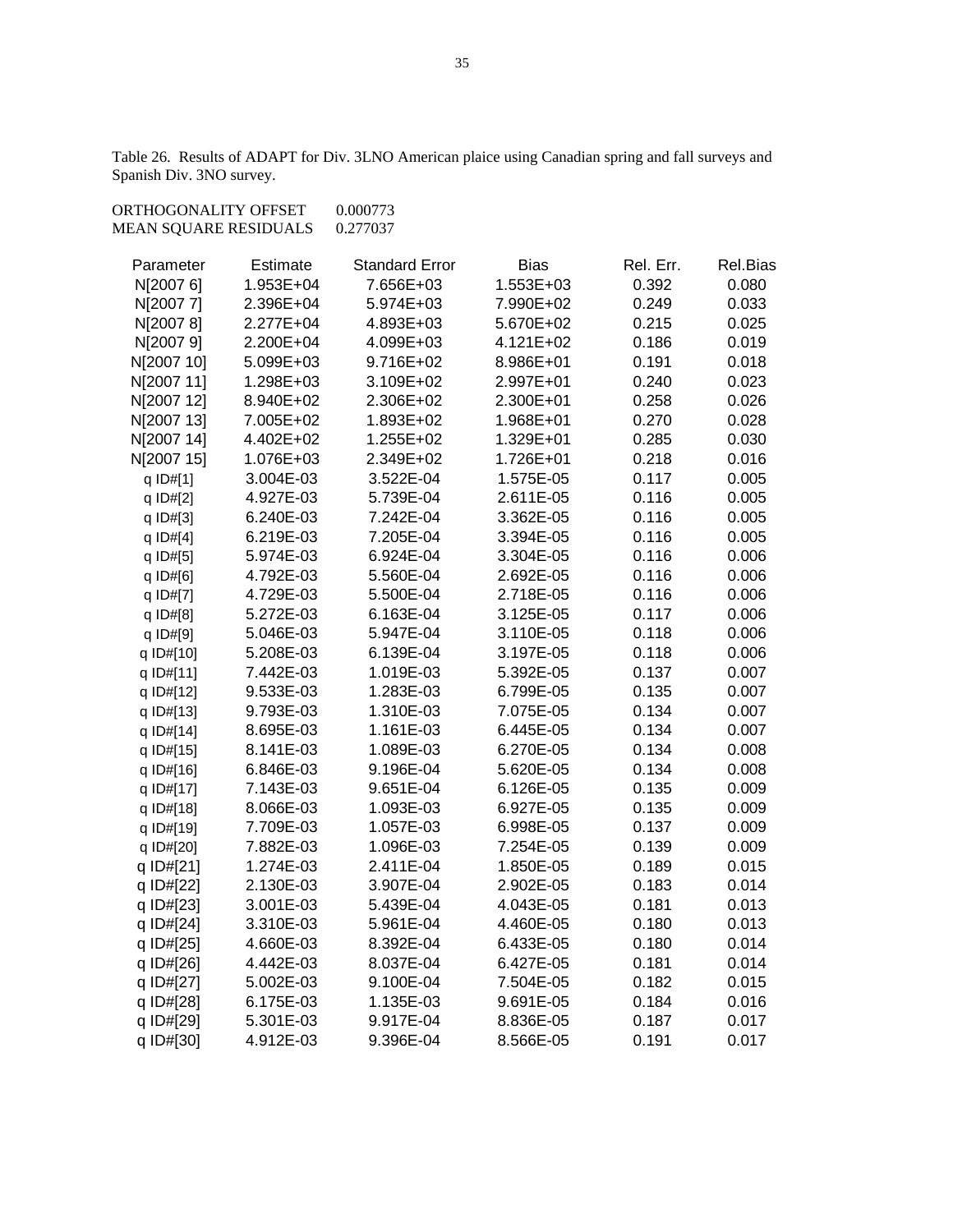Table 26. Results of ADAPT for Div. 3LNO American plaice using Canadian spring and fall surveys and Spanish Div. 3NO survey.

| ORTHOGONALITY OFFSET<br>MEAN SQUARE RESIDUALS |           | 0.000773<br>0.277037  |             |           |          |
|-----------------------------------------------|-----------|-----------------------|-------------|-----------|----------|
| Parameter                                     | Estimate  | <b>Standard Error</b> | <b>Bias</b> | Rel. Err. | Rel.Bias |
| N[2007 6]                                     | 1.953E+04 | 7.656E+03             | 1.553E+03   | 0.392     | 0.080    |
| N[2007 7]                                     | 2.396E+04 | 5.974E+03             | 7.990E+02   | 0.249     | 0.033    |
| N[2007 8]                                     | 2.277E+04 | 4.893E+03             | 5.670E+02   | 0.215     | 0.025    |
| N[2007 9]                                     | 2.200E+04 | 4.099E+03             | 4.121E+02   | 0.186     | 0.019    |
| N[2007 10]                                    | 5.099E+03 | 9.716E+02             | 8.986E+01   | 0.191     | 0.018    |
| N[2007 11]                                    | 1.298E+03 | 3.109E+02             | 2.997E+01   | 0.240     | 0.023    |
| N[2007 12]                                    | 8.940E+02 | 2.306E+02             | 2.300E+01   | 0.258     | 0.026    |
| N[2007 13]                                    | 7.005E+02 | 1.893E+02             | 1.968E+01   | 0.270     | 0.028    |
| N[2007 14]                                    | 4.402E+02 | 1.255E+02             | 1.329E+01   | 0.285     | 0.030    |
| N[2007 15]                                    | 1.076E+03 | 2.349E+02             | 1.726E+01   | 0.218     | 0.016    |
| q ID#[1]                                      | 3.004E-03 | 3.522E-04             | 1.575E-05   | 0.117     | 0.005    |
| q ID#[2]                                      | 4.927E-03 | 5.739E-04             | 2.611E-05   | 0.116     | 0.005    |
| q ID#[3]                                      | 6.240E-03 | 7.242E-04             | 3.362E-05   | 0.116     | 0.005    |
| q ID#[4]                                      | 6.219E-03 | 7.205E-04             | 3.394E-05   | 0.116     | 0.005    |
| q ID#[5]                                      | 5.974E-03 | 6.924E-04             | 3.304E-05   | 0.116     | 0.006    |
| q ID#[6]                                      | 4.792E-03 | 5.560E-04             | 2.692E-05   | 0.116     | 0.006    |
| q ID#[7]                                      | 4.729E-03 | 5.500E-04             | 2.718E-05   | 0.116     | 0.006    |
| q ID#[8]                                      | 5.272E-03 | 6.163E-04             | 3.125E-05   | 0.117     | 0.006    |
| q ID#[9]                                      | 5.046E-03 | 5.947E-04             | 3.110E-05   | 0.118     | 0.006    |
| q ID#[10]                                     | 5.208E-03 | 6.139E-04             | 3.197E-05   | 0.118     | 0.006    |
| q ID#[11]                                     | 7.442E-03 | 1.019E-03             | 5.392E-05   | 0.137     | 0.007    |
| q ID#[12]                                     | 9.533E-03 | 1.283E-03             | 6.799E-05   | 0.135     | 0.007    |
| q ID#[13]                                     | 9.793E-03 | 1.310E-03             | 7.075E-05   | 0.134     | 0.007    |
| q ID#[14]                                     | 8.695E-03 | 1.161E-03             | 6.445E-05   | 0.134     | 0.007    |
| q ID#[15]                                     | 8.141E-03 | 1.089E-03             | 6.270E-05   | 0.134     | 0.008    |
| q ID#[16]                                     | 6.846E-03 | 9.196E-04             | 5.620E-05   | 0.134     | 0.008    |
| q ID#[17]                                     | 7.143E-03 | 9.651E-04             | 6.126E-05   | 0.135     | 0.009    |
| q ID#[18]                                     | 8.066E-03 | 1.093E-03             | 6.927E-05   | 0.135     | 0.009    |
| q ID#[19]                                     | 7.709E-03 | 1.057E-03             | 6.998E-05   | 0.137     | 0.009    |
| q ID#[20]                                     | 7.882E-03 | 1.096E-03             | 7.254E-05   | 0.139     | 0.009    |
| q ID#[21]                                     | 1.274E-03 | 2.411E-04             | 1.850E-05   | 0.189     | 0.015    |
| q ID#[22]                                     | 2.130E-03 | 3.907E-04             | 2.902E-05   | 0.183     | 0.014    |
| q ID#[23]                                     | 3.001E-03 | 5.439E-04             | 4.043E-05   | 0.181     | 0.013    |
| q ID#[24]                                     | 3.310E-03 | 5.961E-04             | 4.460E-05   | 0.180     | 0.013    |
| q ID#[25]                                     | 4.660E-03 | 8.392E-04             | 6.433E-05   | 0.180     | 0.014    |
| q ID#[26]                                     | 4.442E-03 | 8.037E-04             | 6.427E-05   | 0.181     | 0.014    |
| q ID#[27]                                     | 5.002E-03 | 9.100E-04             | 7.504E-05   | 0.182     | 0.015    |
| q ID#[28]                                     | 6.175E-03 | 1.135E-03             | 9.691E-05   | 0.184     | 0.016    |
| q ID#[29]                                     | 5.301E-03 | 9.917E-04             | 8.836E-05   | 0.187     | 0.017    |
| q ID#[30]                                     | 4.912E-03 | 9.396E-04             | 8.566E-05   | 0.191     | 0.017    |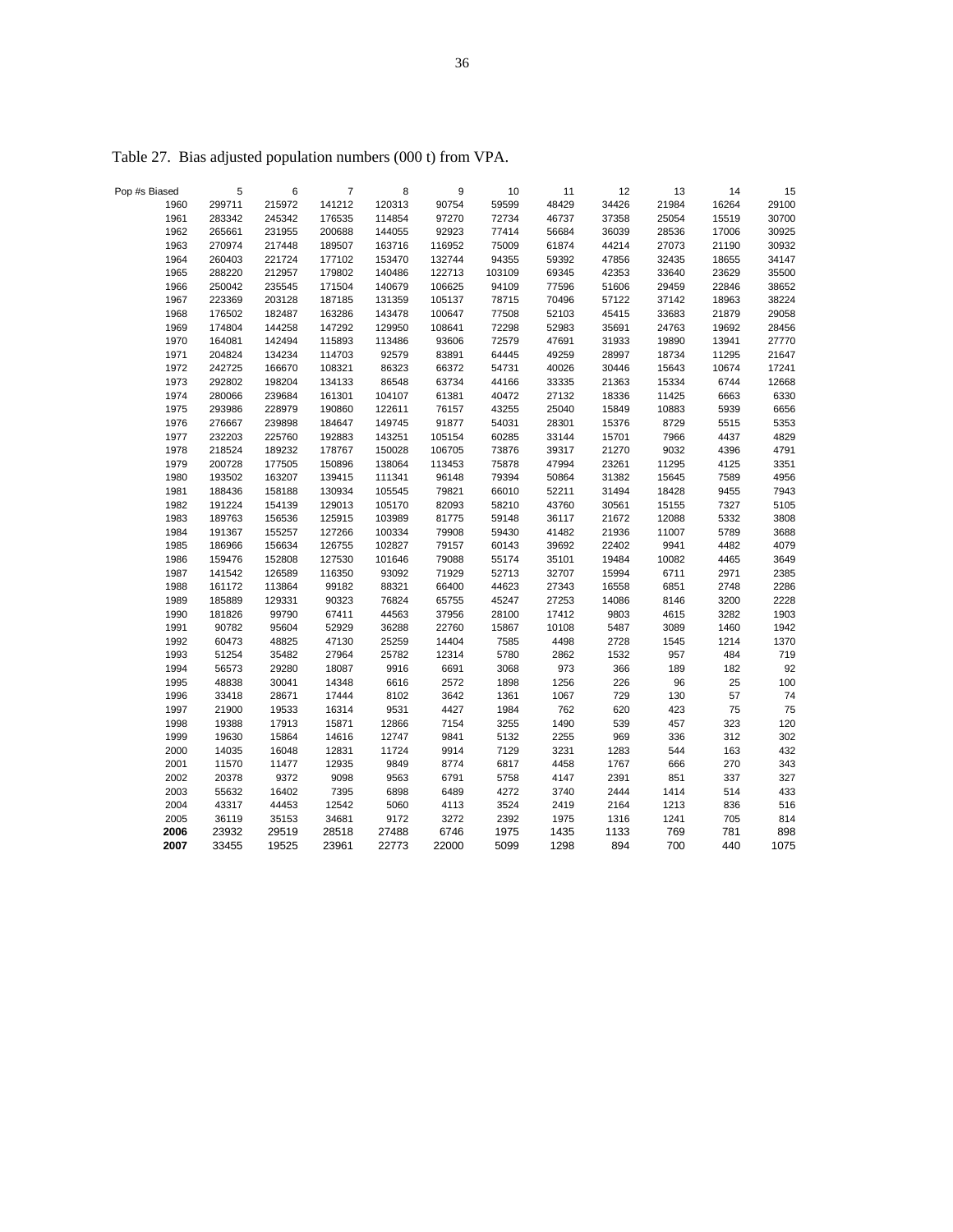| Pop #s Biased | 5      | 6      | $\overline{7}$ | 8      | 9      | 10     | 11    | 12    | 13    | 14    | 15    |
|---------------|--------|--------|----------------|--------|--------|--------|-------|-------|-------|-------|-------|
| 1960          | 299711 | 215972 | 141212         | 120313 | 90754  | 59599  | 48429 | 34426 | 21984 | 16264 | 29100 |
| 1961          | 283342 | 245342 | 176535         | 114854 | 97270  | 72734  | 46737 | 37358 | 25054 | 15519 | 30700 |
| 1962          | 265661 | 231955 | 200688         | 144055 | 92923  | 77414  | 56684 | 36039 | 28536 | 17006 | 30925 |
| 1963          | 270974 | 217448 | 189507         | 163716 | 116952 | 75009  | 61874 | 44214 | 27073 | 21190 | 30932 |
| 1964          | 260403 | 221724 | 177102         | 153470 | 132744 | 94355  | 59392 | 47856 | 32435 | 18655 | 34147 |
| 1965          | 288220 | 212957 | 179802         | 140486 | 122713 | 103109 | 69345 | 42353 | 33640 | 23629 | 35500 |
| 1966          | 250042 | 235545 | 171504         | 140679 | 106625 | 94109  | 77596 | 51606 | 29459 | 22846 | 38652 |
| 1967          | 223369 | 203128 | 187185         | 131359 | 105137 | 78715  | 70496 | 57122 | 37142 | 18963 | 38224 |
| 1968          | 176502 | 182487 | 163286         | 143478 | 100647 | 77508  | 52103 | 45415 | 33683 | 21879 | 29058 |
| 1969          | 174804 | 144258 | 147292         | 129950 | 108641 | 72298  | 52983 | 35691 | 24763 | 19692 | 28456 |
| 1970          | 164081 | 142494 | 115893         | 113486 | 93606  | 72579  | 47691 | 31933 | 19890 | 13941 | 27770 |
| 1971          | 204824 | 134234 | 114703         | 92579  | 83891  | 64445  | 49259 | 28997 | 18734 | 11295 | 21647 |
| 1972          | 242725 | 166670 | 108321         | 86323  | 66372  | 54731  | 40026 | 30446 | 15643 | 10674 | 17241 |
| 1973          | 292802 | 198204 | 134133         | 86548  | 63734  | 44166  | 33335 | 21363 | 15334 | 6744  | 12668 |
| 1974          | 280066 | 239684 | 161301         | 104107 | 61381  | 40472  | 27132 | 18336 | 11425 | 6663  | 6330  |
| 1975          | 293986 | 228979 | 190860         | 122611 | 76157  | 43255  | 25040 | 15849 | 10883 | 5939  | 6656  |
| 1976          | 276667 | 239898 | 184647         | 149745 | 91877  | 54031  | 28301 | 15376 | 8729  | 5515  | 5353  |
| 1977          | 232203 | 225760 | 192883         | 143251 | 105154 | 60285  | 33144 | 15701 | 7966  | 4437  | 4829  |
| 1978          | 218524 | 189232 | 178767         | 150028 | 106705 | 73876  | 39317 | 21270 | 9032  | 4396  | 4791  |
| 1979          | 200728 | 177505 | 150896         | 138064 | 113453 | 75878  | 47994 | 23261 | 11295 | 4125  | 3351  |
| 1980          | 193502 | 163207 | 139415         | 111341 | 96148  | 79394  | 50864 | 31382 | 15645 | 7589  | 4956  |
| 1981          | 188436 | 158188 | 130934         | 105545 | 79821  | 66010  | 52211 | 31494 | 18428 | 9455  | 7943  |
| 1982          | 191224 | 154139 | 129013         | 105170 | 82093  | 58210  | 43760 | 30561 | 15155 | 7327  | 5105  |
| 1983          | 189763 | 156536 | 125915         | 103989 | 81775  | 59148  | 36117 | 21672 | 12088 | 5332  | 3808  |
| 1984          | 191367 | 155257 | 127266         | 100334 | 79908  | 59430  | 41482 | 21936 | 11007 | 5789  | 3688  |
| 1985          | 186966 | 156634 | 126755         | 102827 | 79157  | 60143  | 39692 | 22402 | 9941  | 4482  | 4079  |
| 1986          | 159476 | 152808 | 127530         | 101646 | 79088  | 55174  | 35101 | 19484 | 10082 | 4465  | 3649  |
| 1987          | 141542 | 126589 | 116350         | 93092  | 71929  | 52713  | 32707 | 15994 | 6711  | 2971  | 2385  |
| 1988          | 161172 | 113864 | 99182          | 88321  | 66400  | 44623  | 27343 | 16558 | 6851  | 2748  | 2286  |
| 1989          | 185889 | 129331 | 90323          | 76824  | 65755  | 45247  | 27253 | 14086 | 8146  | 3200  | 2228  |
| 1990          | 181826 | 99790  | 67411          | 44563  | 37956  | 28100  | 17412 | 9803  | 4615  | 3282  | 1903  |
| 1991          | 90782  | 95604  | 52929          | 36288  | 22760  | 15867  | 10108 | 5487  | 3089  | 1460  | 1942  |
| 1992          | 60473  | 48825  | 47130          | 25259  | 14404  | 7585   | 4498  | 2728  | 1545  | 1214  | 1370  |
| 1993          | 51254  | 35482  | 27964          | 25782  | 12314  | 5780   | 2862  | 1532  | 957   | 484   | 719   |
| 1994          | 56573  | 29280  | 18087          | 9916   | 6691   | 3068   | 973   | 366   | 189   | 182   | 92    |
| 1995          | 48838  | 30041  | 14348          | 6616   | 2572   | 1898   | 1256  | 226   | 96    | 25    | 100   |
| 1996          | 33418  | 28671  | 17444          | 8102   | 3642   | 1361   | 1067  | 729   | 130   | 57    | 74    |
| 1997          | 21900  | 19533  | 16314          | 9531   | 4427   | 1984   | 762   | 620   | 423   | 75    | 75    |
| 1998          | 19388  | 17913  | 15871          | 12866  | 7154   | 3255   | 1490  | 539   | 457   | 323   | 120   |
| 1999          | 19630  | 15864  | 14616          | 12747  | 9841   | 5132   | 2255  | 969   | 336   | 312   | 302   |
| 2000          | 14035  | 16048  | 12831          | 11724  | 9914   | 7129   | 3231  | 1283  | 544   | 163   | 432   |
| 2001          | 11570  | 11477  | 12935          | 9849   | 8774   | 6817   | 4458  | 1767  | 666   | 270   | 343   |
| 2002          | 20378  | 9372   | 9098           | 9563   | 6791   | 5758   | 4147  | 2391  | 851   | 337   | 327   |
| 2003          | 55632  | 16402  | 7395           | 6898   | 6489   | 4272   | 3740  | 2444  | 1414  | 514   | 433   |
| 2004          | 43317  | 44453  | 12542          | 5060   | 4113   | 3524   | 2419  | 2164  | 1213  | 836   | 516   |
| 2005          | 36119  | 35153  | 34681          | 9172   | 3272   | 2392   | 1975  | 1316  | 1241  | 705   | 814   |
| 2006          | 23932  | 29519  | 28518          | 27488  | 6746   | 1975   | 1435  | 1133  | 769   | 781   | 898   |
| 2007          | 33455  | 19525  | 23961          | 22773  | 22000  | 5099   | 1298  | 894   | 700   | 440   | 1075  |

Table 27. Bias adjusted population numbers (000 t) from VPA.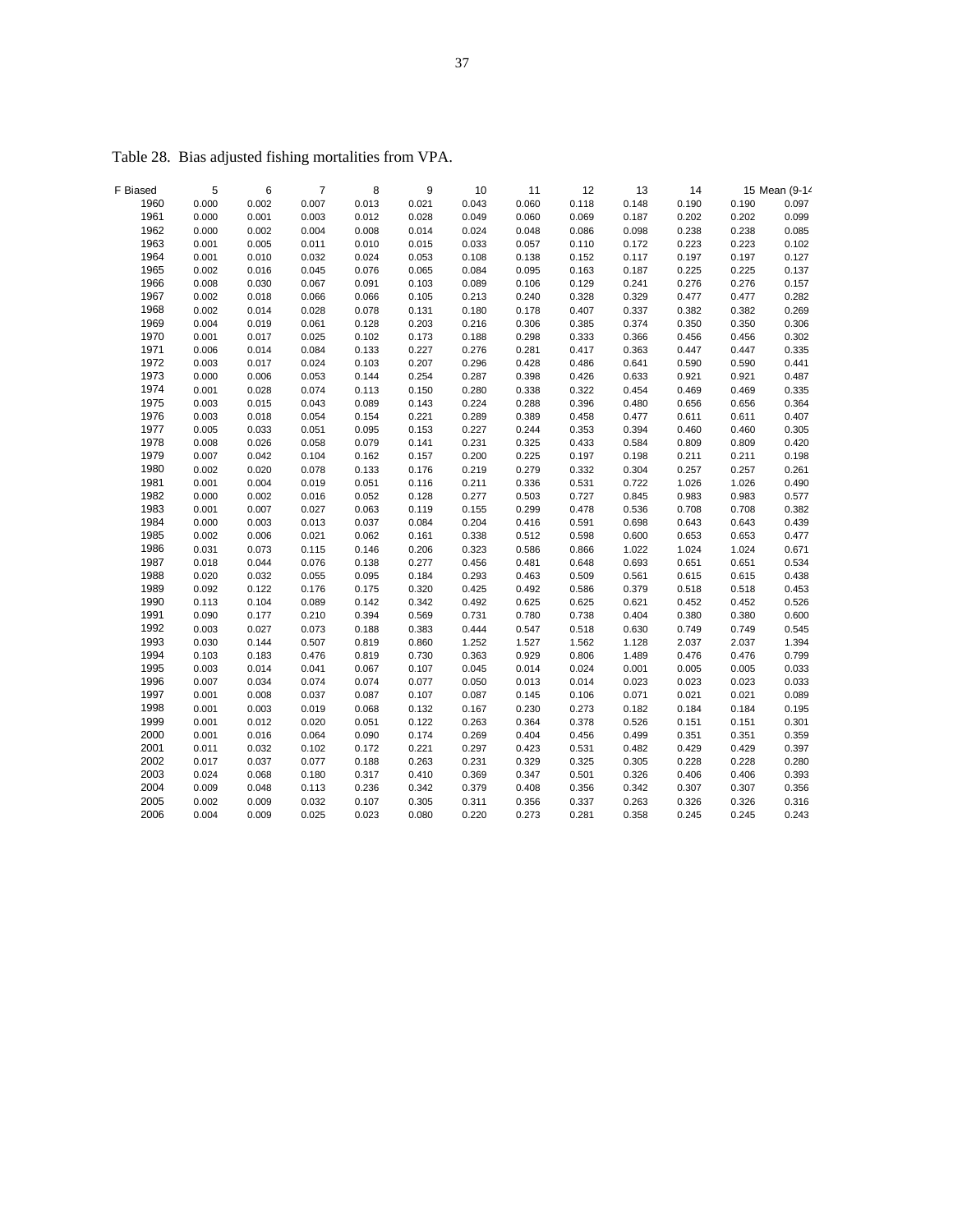| F Biased | 5     | 6     | $\overline{7}$ | 8     | 9     | 10    | 11    | 12    | 13    | 14    |       | 15 Mean (9-14 |
|----------|-------|-------|----------------|-------|-------|-------|-------|-------|-------|-------|-------|---------------|
| 1960     | 0.000 | 0.002 | 0.007          | 0.013 | 0.021 | 0.043 | 0.060 | 0.118 | 0.148 | 0.190 | 0.190 | 0.097         |
| 1961     | 0.000 | 0.001 | 0.003          | 0.012 | 0.028 | 0.049 | 0.060 | 0.069 | 0.187 | 0.202 | 0.202 | 0.099         |
| 1962     | 0.000 | 0.002 | 0.004          | 0.008 | 0.014 | 0.024 | 0.048 | 0.086 | 0.098 | 0.238 | 0.238 | 0.085         |
| 1963     | 0.001 | 0.005 | 0.011          | 0.010 | 0.015 | 0.033 | 0.057 | 0.110 | 0.172 | 0.223 | 0.223 | 0.102         |
| 1964     | 0.001 | 0.010 | 0.032          | 0.024 | 0.053 | 0.108 | 0.138 | 0.152 | 0.117 | 0.197 | 0.197 | 0.127         |
| 1965     | 0.002 | 0.016 | 0.045          | 0.076 | 0.065 | 0.084 | 0.095 | 0.163 | 0.187 | 0.225 | 0.225 | 0.137         |
| 1966     | 0.008 | 0.030 | 0.067          | 0.091 | 0.103 | 0.089 | 0.106 | 0.129 | 0.241 | 0.276 | 0.276 | 0.157         |
| 1967     | 0.002 | 0.018 | 0.066          | 0.066 | 0.105 | 0.213 | 0.240 | 0.328 | 0.329 | 0.477 | 0.477 | 0.282         |
| 1968     | 0.002 | 0.014 | 0.028          | 0.078 | 0.131 | 0.180 | 0.178 | 0.407 | 0.337 | 0.382 | 0.382 | 0.269         |
| 1969     | 0.004 | 0.019 | 0.061          | 0.128 | 0.203 | 0.216 | 0.306 | 0.385 | 0.374 | 0.350 | 0.350 | 0.306         |
| 1970     | 0.001 | 0.017 | 0.025          | 0.102 | 0.173 | 0.188 | 0.298 | 0.333 | 0.366 | 0.456 | 0.456 | 0.302         |
| 1971     | 0.006 | 0.014 | 0.084          | 0.133 | 0.227 | 0.276 | 0.281 | 0.417 | 0.363 | 0.447 | 0.447 | 0.335         |
| 1972     | 0.003 | 0.017 | 0.024          | 0.103 | 0.207 | 0.296 | 0.428 | 0.486 | 0.641 | 0.590 | 0.590 | 0.441         |
| 1973     | 0.000 | 0.006 | 0.053          | 0.144 | 0.254 | 0.287 | 0.398 | 0.426 | 0.633 | 0.921 | 0.921 | 0.487         |
| 1974     | 0.001 | 0.028 | 0.074          | 0.113 | 0.150 | 0.280 | 0.338 | 0.322 | 0.454 | 0.469 | 0.469 | 0.335         |
| 1975     | 0.003 | 0.015 | 0.043          | 0.089 | 0.143 | 0.224 | 0.288 | 0.396 | 0.480 | 0.656 | 0.656 | 0.364         |
| 1976     | 0.003 | 0.018 | 0.054          | 0.154 | 0.221 | 0.289 | 0.389 | 0.458 | 0.477 | 0.611 | 0.611 | 0.407         |
| 1977     | 0.005 | 0.033 | 0.051          | 0.095 | 0.153 | 0.227 | 0.244 | 0.353 | 0.394 | 0.460 | 0.460 | 0.305         |
| 1978     | 0.008 | 0.026 | 0.058          | 0.079 | 0.141 | 0.231 | 0.325 | 0.433 | 0.584 | 0.809 | 0.809 | 0.420         |
| 1979     | 0.007 | 0.042 | 0.104          | 0.162 | 0.157 | 0.200 | 0.225 | 0.197 | 0.198 | 0.211 | 0.211 | 0.198         |
| 1980     | 0.002 | 0.020 | 0.078          | 0.133 | 0.176 | 0.219 | 0.279 | 0.332 | 0.304 | 0.257 | 0.257 | 0.261         |
| 1981     | 0.001 | 0.004 | 0.019          | 0.051 | 0.116 | 0.211 | 0.336 | 0.531 | 0.722 | 1.026 | 1.026 | 0.490         |
| 1982     | 0.000 | 0.002 | 0.016          | 0.052 | 0.128 | 0.277 | 0.503 | 0.727 | 0.845 | 0.983 | 0.983 | 0.577         |
| 1983     | 0.001 | 0.007 | 0.027          | 0.063 | 0.119 | 0.155 | 0.299 | 0.478 | 0.536 | 0.708 | 0.708 | 0.382         |
| 1984     | 0.000 | 0.003 | 0.013          | 0.037 | 0.084 | 0.204 | 0.416 | 0.591 | 0.698 | 0.643 | 0.643 | 0.439         |
| 1985     | 0.002 | 0.006 | 0.021          | 0.062 | 0.161 | 0.338 | 0.512 | 0.598 | 0.600 | 0.653 | 0.653 | 0.477         |
| 1986     | 0.031 | 0.073 | 0.115          | 0.146 | 0.206 | 0.323 | 0.586 | 0.866 | 1.022 | 1.024 | 1.024 | 0.671         |
| 1987     | 0.018 | 0.044 | 0.076          | 0.138 | 0.277 | 0.456 | 0.481 | 0.648 | 0.693 | 0.651 | 0.651 | 0.534         |
| 1988     | 0.020 | 0.032 | 0.055          | 0.095 | 0.184 | 0.293 | 0.463 | 0.509 | 0.561 | 0.615 | 0.615 | 0.438         |
| 1989     | 0.092 | 0.122 | 0.176          | 0.175 | 0.320 | 0.425 | 0.492 | 0.586 | 0.379 | 0.518 | 0.518 | 0.453         |
| 1990     | 0.113 | 0.104 | 0.089          | 0.142 | 0.342 | 0.492 | 0.625 | 0.625 | 0.621 | 0.452 | 0.452 | 0.526         |
| 1991     | 0.090 | 0.177 | 0.210          | 0.394 | 0.569 | 0.731 | 0.780 | 0.738 | 0.404 | 0.380 | 0.380 | 0.600         |
| 1992     | 0.003 | 0.027 | 0.073          | 0.188 | 0.383 | 0.444 | 0.547 | 0.518 | 0.630 | 0.749 | 0.749 | 0.545         |
| 1993     | 0.030 | 0.144 | 0.507          | 0.819 | 0.860 | 1.252 | 1.527 | 1.562 | 1.128 | 2.037 | 2.037 | 1.394         |
| 1994     | 0.103 | 0.183 | 0.476          | 0.819 | 0.730 | 0.363 | 0.929 | 0.806 | 1.489 | 0.476 | 0.476 | 0.799         |
| 1995     | 0.003 | 0.014 | 0.041          | 0.067 | 0.107 | 0.045 | 0.014 | 0.024 | 0.001 | 0.005 | 0.005 | 0.033         |
| 1996     | 0.007 | 0.034 | 0.074          | 0.074 | 0.077 | 0.050 | 0.013 | 0.014 | 0.023 | 0.023 | 0.023 | 0.033         |
| 1997     | 0.001 | 0.008 | 0.037          | 0.087 | 0.107 | 0.087 | 0.145 | 0.106 | 0.071 | 0.021 | 0.021 | 0.089         |
| 1998     | 0.001 | 0.003 | 0.019          | 0.068 | 0.132 | 0.167 | 0.230 | 0.273 | 0.182 | 0.184 | 0.184 | 0.195         |
| 1999     | 0.001 | 0.012 | 0.020          | 0.051 | 0.122 | 0.263 | 0.364 | 0.378 | 0.526 | 0.151 | 0.151 | 0.301         |
| 2000     | 0.001 | 0.016 | 0.064          | 0.090 | 0.174 | 0.269 | 0.404 | 0.456 | 0.499 | 0.351 | 0.351 | 0.359         |
| 2001     | 0.011 | 0.032 | 0.102          | 0.172 | 0.221 | 0.297 | 0.423 | 0.531 | 0.482 | 0.429 | 0.429 | 0.397         |
| 2002     | 0.017 | 0.037 | 0.077          | 0.188 | 0.263 | 0.231 | 0.329 | 0.325 | 0.305 | 0.228 | 0.228 | 0.280         |
| 2003     | 0.024 | 0.068 | 0.180          | 0.317 | 0.410 | 0.369 | 0.347 | 0.501 | 0.326 | 0.406 | 0.406 | 0.393         |
| 2004     | 0.009 | 0.048 | 0.113          | 0.236 | 0.342 | 0.379 | 0.408 | 0.356 | 0.342 | 0.307 | 0.307 | 0.356         |
| 2005     | 0.002 | 0.009 | 0.032          | 0.107 | 0.305 | 0.311 | 0.356 | 0.337 | 0.263 | 0.326 | 0.326 | 0.316         |
| 2006     | 0.004 | 0.009 | 0.025          | 0.023 | 0.080 | 0.220 | 0.273 | 0.281 | 0.358 | 0.245 | 0.245 | 0.243         |
|          |       |       |                |       |       |       |       |       |       |       |       |               |

Table 28. Bias adjusted fishing mortalities from VPA.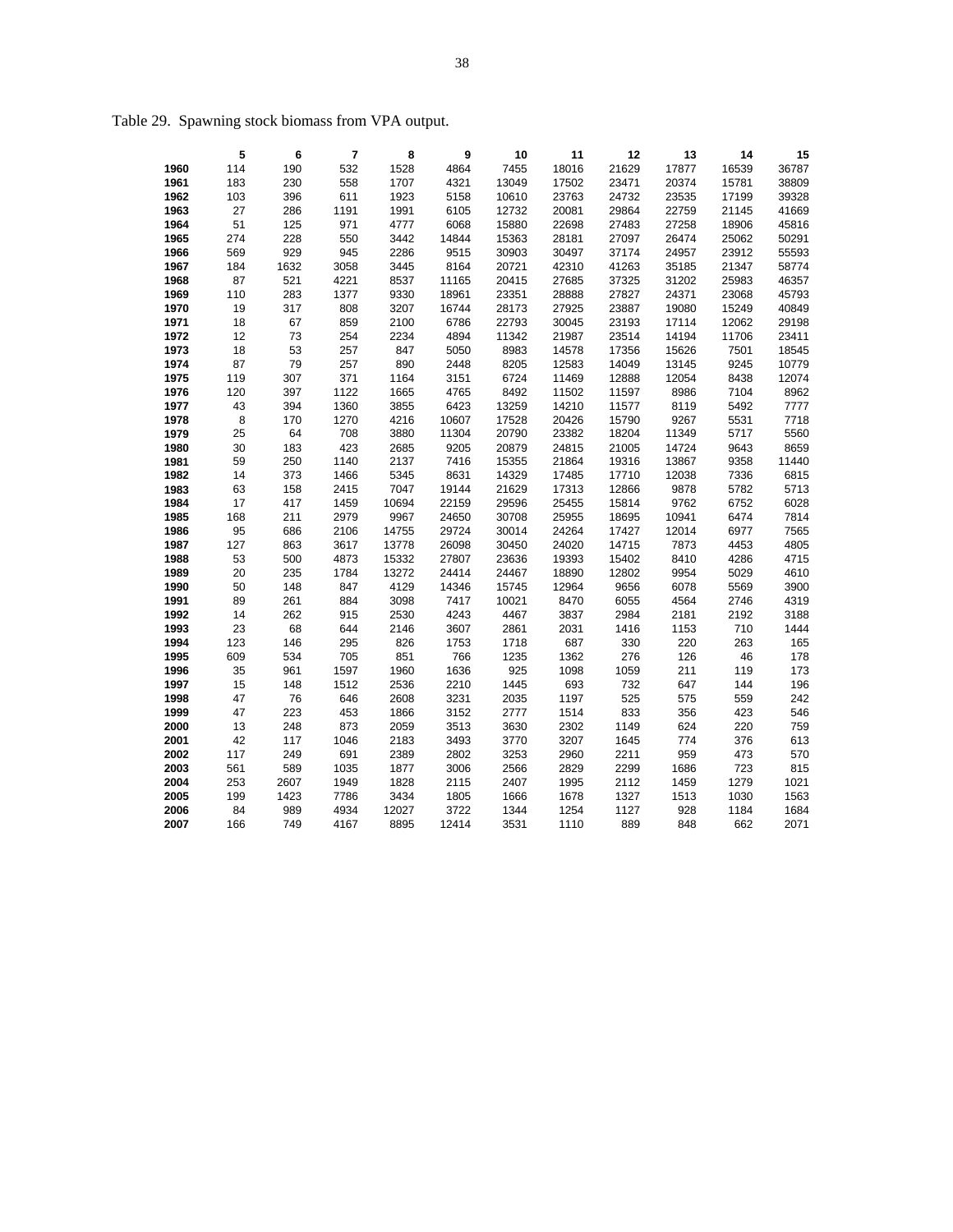|      | 5   | 6    | 7    | 8    | 9     | 10    | 11    | 12    | 13    | 14    | 15    |
|------|-----|------|------|------|-------|-------|-------|-------|-------|-------|-------|
| 1960 | 114 | 190  | 532  | 1528 | 4864  | 7455  | 18016 | 21629 | 17877 | 16539 | 36787 |
| 1961 | 183 | 230  | 558  | 1707 | 4321  | 13049 | 17502 | 23471 | 20374 | 15781 | 38809 |
| 1962 | 103 | 396  | 611  | 1923 | 5158  | 10610 | 23763 | 24732 | 23535 | 17199 | 39328 |
| 1963 | 27  | 286  | 1191 | 1991 | 6105  | 12732 | 20081 | 29864 | 22759 | 21145 | 41669 |
| 1964 | 51  | 125  | 971  | 4777 | 6068  | 15880 | 22698 | 27483 | 27258 | 18906 | 45816 |
| 1965 | 274 | 228  | 550  | 3442 | 14844 | 15363 | 28181 | 27097 | 26474 | 25062 | 50291 |
| 1966 | 569 | 929  | 945  | 2286 | 9515  | 30903 | 30497 | 37174 | 24957 | 23912 | 55593 |
| 1967 | 184 | 1632 | 3058 | 3445 | 8164  | 20721 | 42310 | 41263 | 35185 | 21347 | 58774 |
| 1968 | 87  | 521  | 4221 | 8537 | 11165 | 20415 | 27685 | 37325 | 31202 | 25983 | 46357 |
| 1969 | 110 | 283  | 1377 | 9330 | 18961 | 23351 | 28888 | 27827 | 24371 | 23068 | 45793 |
| 1970 | 19  | 317  | 808  | 3207 | 16744 | 28173 | 27925 | 23887 | 19080 | 15249 | 40849 |
| 1971 | 18  | 67   | 859  | 2100 | 6786  | 22793 | 30045 | 23193 | 17114 | 12062 | 29198 |
| 1972 | 12  | 73   | 254  | 2234 | 4894  | 11342 | 21987 | 23514 | 14194 | 11706 | 23411 |
| 1973 | 18  | 53   | 257  | 847  | 5050  | 8983  | 14578 | 17356 | 15626 | 7501  | 18545 |
| 1974 | 87  | 79   | 257  | 890  | 2448  | 8205  | 12583 | 14049 | 13145 | 9245  | 10779 |
| 1975 | 119 | 307  | 371  | 1164 | 3151  | 6724  | 11469 | 12888 | 12054 | 8438  | 12074 |
| 1976 | 120 | 397  | 1122 | 1665 | 4765  | 8492  | 11502 | 11597 | 8986  | 7104  | 8962  |
| 1977 | 43  | 394  | 1360 | 3855 | 6423  | 13259 | 14210 | 11577 | 8119  | 5492  | 7777  |
| 1978 | 8   | 170  | 1270 | 4216 | 10607 | 17528 | 20426 | 15790 | 9267  | 5531  | 7718  |
| 1979 | 25  | 64   | 708  | 3880 | 11304 | 20790 | 23382 | 18204 | 11349 | 5717  | 5560  |

Table 29. Spawning stock biomass from VPA output.

 30 183 423 2685 9205 20879 24815 21005 14724 9643 8659 59 250 1140 2137 7416 15355 21864 19316 13867 9358 11440 14 373 1466 5345 8631 14329 17485 17710 12038 7336 6815 63 158 2415 7047 19144 21629 17313 12866 9878 5782 5713 17 417 1459 10694 22159 29596 25455 15814 9762 6752 6028 168 211 2979 9967 24650 30708 25955 18695 10941 6474 7814 95 686 2106 14755 29724 30014 24264 17427 12014 6977 7565 127 863 3617 13778 26098 30450 24020 14715 7873 4453 4805 53 500 4873 15332 27807 23636 19393 15402 8410 4286 4715 20 235 1784 13272 24414 24467 18890 12802 9954 5029 4610 50 148 847 4129 14346 15745 12964 9656 6078 5569 3900 89 261 884 3098 7417 10021 8470 6055 4564 2746 4319 14 262 915 2530 4243 4467 3837 2984 2181 2192 3188 23 68 644 2146 3607 2861 2031 1416 1153 710 1444 123 146 295 826 1753 1718 687 330 220 263 165 609 534 705 851 766 1235 1362 276 126 46 178 35 961 1597 1960 1636 925 1098 1059 211 119 173 15 148 1512 2536 2210 1445 693 732 647 144 196 47 76 646 2608 3231 2035 1197 525 575 559 242 47 223 453 1866 3152 2777 1514 833 356 423 546 13 248 873 2059 3513 3630 2302 1149 624 220 759 42 117 1046 2183 3493 3770 3207 1645 774 376 613 117 249 691 2389 2802 3253 2960 2211 959 473 570 561 589 1035 1877 3006 2566 2829 2299 1686 723 815 253 2607 1949 1828 2115 2407 1995 2112 1459 1279 1021 199 1423 7786 3434 1805 1666 1678 1327 1513 1030 1563 84 989 4934 12027 3722 1344 1254 1127 928 1184 1684 166 749 4167 8895 12414 3531 1110 889 848 662 2071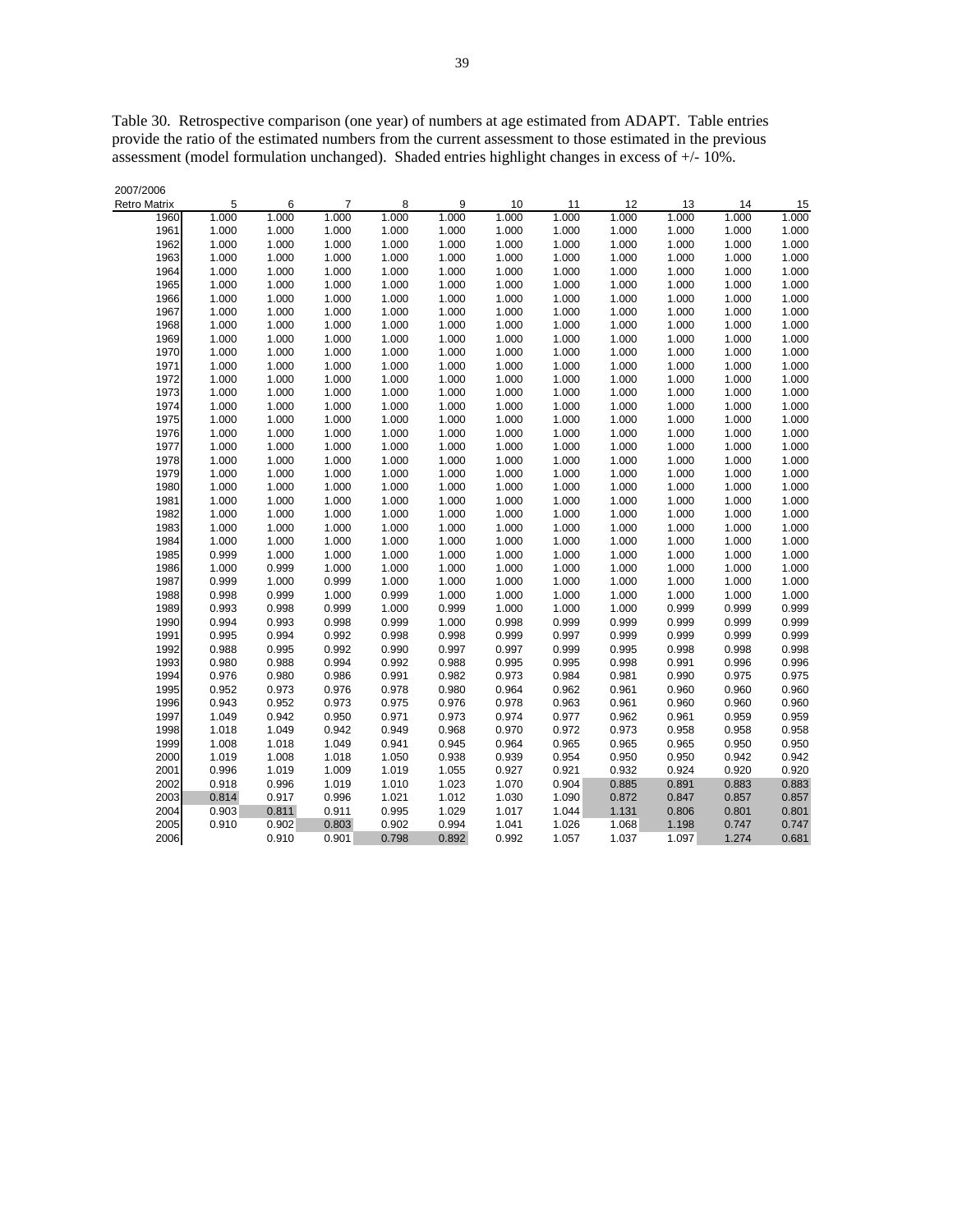Table 30. Retrospective comparison (one year) of numbers at age estimated from ADAPT. Table entries provide the ratio of the estimated numbers from the current assessment to those estimated in the previous assessment (model formulation unchanged). Shaded entries highlight changes in excess of +/- 10%.

| 2007/2006           |       |       |                |       |       |       |       |       |       |       |       |
|---------------------|-------|-------|----------------|-------|-------|-------|-------|-------|-------|-------|-------|
| <b>Retro Matrix</b> | 5     | 6     | $\overline{7}$ | 8     | 9     | 10    | 11    | 12    | 13    | 14    | 15    |
| 1960                | 1.000 | 1.000 | 1.000          | 1.000 | 1.000 | 1.000 | 1.000 | 1.000 | 1.000 | 1.000 | 1.000 |
| 1961                | 1.000 | 1.000 | 1.000          | 1.000 | 1.000 | 1.000 | 1.000 | 1.000 | 1.000 | 1.000 | 1.000 |
| 1962                | 1.000 | 1.000 | 1.000          | 1.000 | 1.000 | 1.000 | 1.000 | 1.000 | 1.000 | 1.000 | 1.000 |
| 1963                | 1.000 | 1.000 | 1.000          | 1.000 | 1.000 | 1.000 | 1.000 | 1.000 | 1.000 | 1.000 | 1.000 |
| 1964                | 1.000 | 1.000 | 1.000          | 1.000 | 1.000 | 1.000 | 1.000 | 1.000 | 1.000 | 1.000 | 1.000 |
| 1965                | 1.000 | 1.000 | 1.000          | 1.000 | 1.000 | 1.000 | 1.000 | 1.000 | 1.000 | 1.000 | 1.000 |
| 1966                | 1.000 | 1.000 | 1.000          | 1.000 | 1.000 | 1.000 | 1.000 | 1.000 | 1.000 | 1.000 | 1.000 |
| 1967                | 1.000 | 1.000 | 1.000          | 1.000 | 1.000 | 1.000 | 1.000 | 1.000 | 1.000 | 1.000 | 1.000 |
| 1968                | 1.000 | 1.000 | 1.000          | 1.000 | 1.000 | 1.000 | 1.000 | 1.000 | 1.000 | 1.000 | 1.000 |
| 1969                | 1.000 | 1.000 | 1.000          | 1.000 | 1.000 | 1.000 | 1.000 | 1.000 | 1.000 | 1.000 | 1.000 |
| 1970                | 1.000 | 1.000 | 1.000          | 1.000 | 1.000 | 1.000 | 1.000 | 1.000 | 1.000 | 1.000 | 1.000 |
| 1971                | 1.000 | 1.000 | 1.000          | 1.000 | 1.000 | 1.000 | 1.000 | 1.000 | 1.000 | 1.000 | 1.000 |
| 1972                | 1.000 | 1.000 | 1.000          | 1.000 | 1.000 | 1.000 | 1.000 | 1.000 | 1.000 | 1.000 | 1.000 |
| 1973                | 1.000 | 1.000 | 1.000          | 1.000 | 1.000 | 1.000 | 1.000 | 1.000 | 1.000 | 1.000 | 1.000 |
| 1974                | 1.000 | 1.000 | 1.000          | 1.000 | 1.000 | 1.000 | 1.000 | 1.000 | 1.000 | 1.000 | 1.000 |
| 1975                | 1.000 | 1.000 | 1.000          | 1.000 | 1.000 | 1.000 | 1.000 | 1.000 | 1.000 | 1.000 | 1.000 |
| 1976                | 1.000 | 1.000 | 1.000          | 1.000 | 1.000 | 1.000 | 1.000 | 1.000 | 1.000 | 1.000 | 1.000 |
| 1977                | 1.000 | 1.000 | 1.000          | 1.000 | 1.000 | 1.000 | 1.000 | 1.000 | 1.000 | 1.000 | 1.000 |
| 1978                | 1.000 | 1.000 | 1.000          | 1.000 | 1.000 | 1.000 | 1.000 | 1.000 | 1.000 | 1.000 | 1.000 |
| 1979                | 1.000 | 1.000 | 1.000          | 1.000 | 1.000 | 1.000 | 1.000 | 1.000 | 1.000 | 1.000 | 1.000 |
| 1980                | 1.000 | 1.000 | 1.000          | 1.000 | 1.000 | 1.000 | 1.000 | 1.000 | 1.000 | 1.000 | 1.000 |
| 1981                | 1.000 | 1.000 | 1.000          | 1.000 | 1.000 | 1.000 | 1.000 | 1.000 | 1.000 | 1.000 | 1.000 |
| 1982                | 1.000 | 1.000 | 1.000          | 1.000 | 1.000 | 1.000 | 1.000 | 1.000 | 1.000 | 1.000 | 1.000 |
| 1983                | 1.000 | 1.000 | 1.000          | 1.000 | 1.000 | 1.000 | 1.000 | 1.000 | 1.000 | 1.000 | 1.000 |
| 1984                | 1.000 | 1.000 | 1.000          | 1.000 | 1.000 | 1.000 | 1.000 | 1.000 | 1.000 | 1.000 | 1.000 |
| 1985                | 0.999 | 1.000 | 1.000          | 1.000 | 1.000 | 1.000 | 1.000 | 1.000 | 1.000 | 1.000 | 1.000 |
| 1986                | 1.000 | 0.999 | 1.000          | 1.000 | 1.000 | 1.000 | 1.000 | 1.000 | 1.000 | 1.000 | 1.000 |
| 1987                | 0.999 | 1.000 | 0.999          | 1.000 | 1.000 | 1.000 | 1.000 | 1.000 | 1.000 | 1.000 | 1.000 |
| 1988                | 0.998 | 0.999 | 1.000          | 0.999 | 1.000 | 1.000 | 1.000 | 1.000 | 1.000 | 1.000 | 1.000 |
| 1989                | 0.993 | 0.998 | 0.999          | 1.000 | 0.999 | 1.000 | 1.000 | 1.000 | 0.999 | 0.999 | 0.999 |
| 1990                | 0.994 | 0.993 | 0.998          | 0.999 | 1.000 | 0.998 | 0.999 | 0.999 | 0.999 | 0.999 | 0.999 |
| 1991                | 0.995 | 0.994 | 0.992          | 0.998 | 0.998 | 0.999 | 0.997 | 0.999 | 0.999 | 0.999 | 0.999 |
| 1992                | 0.988 | 0.995 | 0.992          | 0.990 | 0.997 | 0.997 | 0.999 | 0.995 | 0.998 | 0.998 | 0.998 |
| 1993                | 0.980 | 0.988 | 0.994          | 0.992 | 0.988 | 0.995 | 0.995 | 0.998 | 0.991 | 0.996 | 0.996 |
| 1994                | 0.976 | 0.980 | 0.986          | 0.991 | 0.982 | 0.973 | 0.984 | 0.981 | 0.990 | 0.975 | 0.975 |
| 1995                | 0.952 | 0.973 | 0.976          | 0.978 | 0.980 | 0.964 | 0.962 | 0.961 | 0.960 | 0.960 | 0.960 |
| 1996                | 0.943 | 0.952 | 0.973          | 0.975 | 0.976 | 0.978 | 0.963 | 0.961 | 0.960 | 0.960 | 0.960 |
| 1997                | 1.049 | 0.942 | 0.950          | 0.971 | 0.973 | 0.974 | 0.977 | 0.962 | 0.961 | 0.959 | 0.959 |
| 1998                | 1.018 | 1.049 | 0.942          | 0.949 | 0.968 | 0.970 | 0.972 | 0.973 | 0.958 | 0.958 | 0.958 |
| 1999                | 1.008 | 1.018 | 1.049          | 0.941 | 0.945 | 0.964 | 0.965 | 0.965 | 0.965 | 0.950 | 0.950 |
| 2000                | 1.019 | 1.008 | 1.018          | 1.050 | 0.938 | 0.939 | 0.954 | 0.950 | 0.950 | 0.942 | 0.942 |
| 2001                | 0.996 | 1.019 | 1.009          | 1.019 | 1.055 | 0.927 | 0.921 | 0.932 | 0.924 | 0.920 | 0.920 |
| 2002                | 0.918 | 0.996 | 1.019          | 1.010 | 1.023 | 1.070 | 0.904 | 0.885 | 0.891 | 0.883 | 0.883 |
| 2003                | 0.814 | 0.917 | 0.996          | 1.021 | 1.012 | 1.030 | 1.090 | 0.872 | 0.847 | 0.857 | 0.857 |
| 2004                | 0.903 | 0.811 | 0.911          | 0.995 | 1.029 | 1.017 | 1.044 | 1.131 | 0.806 | 0.801 | 0.801 |
| 2005                | 0.910 | 0.902 | 0.803          | 0.902 | 0.994 | 1.041 | 1.026 | 1.068 | 1.198 | 0.747 | 0.747 |
| 2006                |       | 0.910 | 0.901          | 0.798 | 0.892 | 0.992 | 1.057 | 1.037 | 1.097 | 1.274 | 0.681 |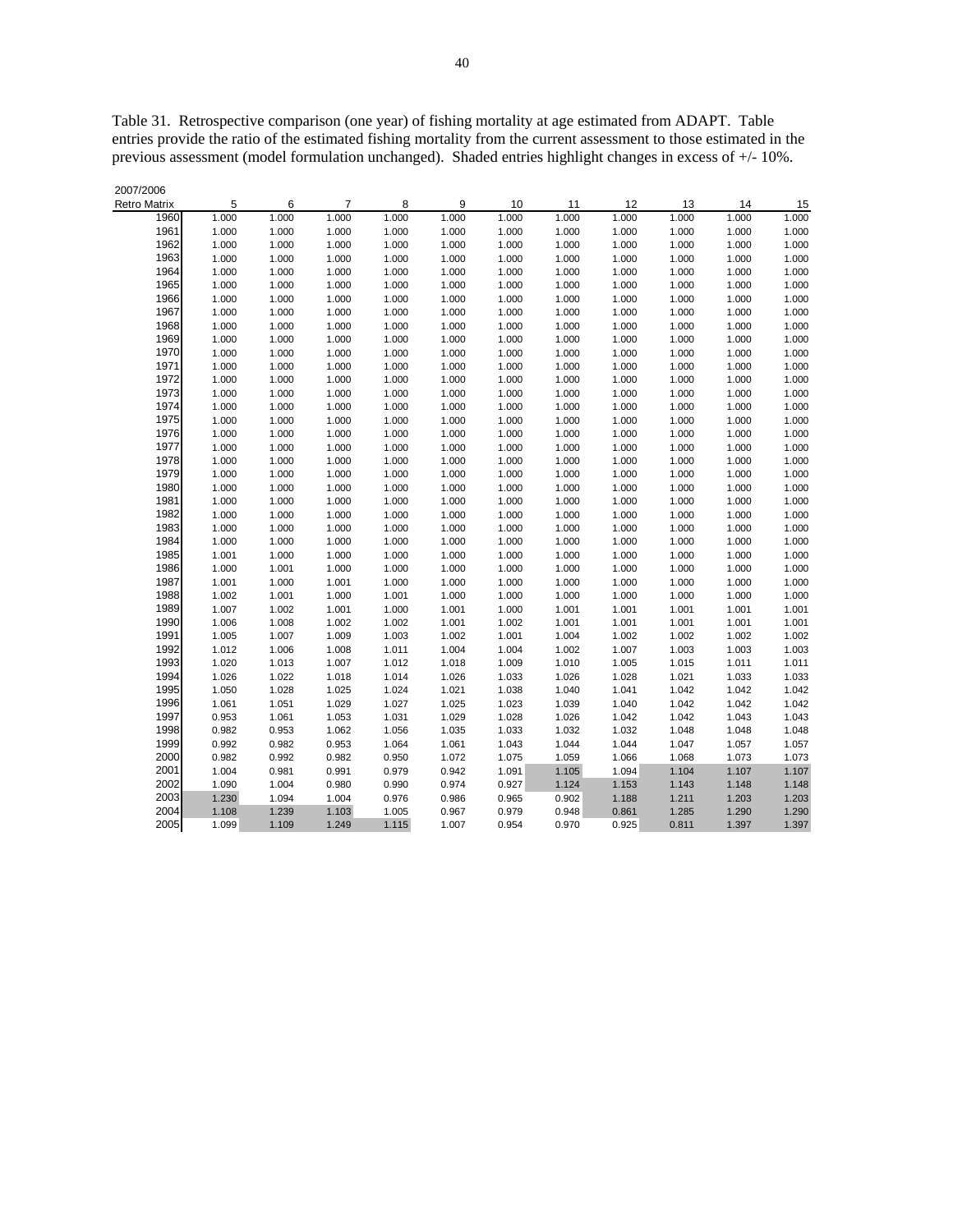Table 31. Retrospective comparison (one year) of fishing mortality at age estimated from ADAPT. Table entries provide the ratio of the estimated fishing mortality from the current assessment to those estimated in the previous assessment (model formulation unchanged). Shaded entries highlight changes in excess of +/- 10%.

| 2007/2006           |       |       |                |       |       |       |       |       |       |       |       |
|---------------------|-------|-------|----------------|-------|-------|-------|-------|-------|-------|-------|-------|
| <b>Retro Matrix</b> | 5     | 6     | $\overline{7}$ | 8     | 9     | 10    | 11    | 12    | 13    | 14    | 15    |
| 1960                | 1.000 | 1.000 | 1.000          | 1.000 | 1.000 | 1.000 | 1.000 | 1.000 | 1.000 | 1.000 | 1.000 |
| 1961                | 1.000 | 1.000 | 1.000          | 1.000 | 1.000 | 1.000 | 1.000 | 1.000 | 1.000 | 1.000 | 1.000 |
| 1962                | 1.000 | 1.000 | 1.000          | 1.000 | 1.000 | 1.000 | 1.000 | 1.000 | 1.000 | 1.000 | 1.000 |
| 1963                | 1.000 | 1.000 | 1.000          | 1.000 | 1.000 | 1.000 | 1.000 | 1.000 | 1.000 | 1.000 | 1.000 |
| 1964                | 1.000 | 1.000 | 1.000          | 1.000 | 1.000 | 1.000 | 1.000 | 1.000 | 1.000 | 1.000 | 1.000 |
| 1965                | 1.000 | 1.000 | 1.000          | 1.000 | 1.000 | 1.000 | 1.000 | 1.000 | 1.000 | 1.000 | 1.000 |
| 1966                | 1.000 | 1.000 | 1.000          | 1.000 | 1.000 | 1.000 | 1.000 | 1.000 | 1.000 | 1.000 | 1.000 |
| 1967                | 1.000 | 1.000 | 1.000          | 1.000 | 1.000 | 1.000 | 1.000 | 1.000 | 1.000 | 1.000 | 1.000 |
| 1968                | 1.000 | 1.000 | 1.000          | 1.000 | 1.000 | 1.000 | 1.000 | 1.000 | 1.000 | 1.000 | 1.000 |
| 1969                | 1.000 | 1.000 | 1.000          | 1.000 | 1.000 | 1.000 | 1.000 | 1.000 | 1.000 | 1.000 | 1.000 |
| 1970                | 1.000 | 1.000 | 1.000          | 1.000 | 1.000 | 1.000 | 1.000 | 1.000 | 1.000 | 1.000 | 1.000 |
| 1971                | 1.000 | 1.000 | 1.000          | 1.000 | 1.000 | 1.000 | 1.000 | 1.000 | 1.000 | 1.000 | 1.000 |
| 1972                | 1.000 | 1.000 | 1.000          | 1.000 | 1.000 | 1.000 | 1.000 | 1.000 | 1.000 | 1.000 | 1.000 |
| 1973                | 1.000 | 1.000 | 1.000          | 1.000 | 1.000 | 1.000 | 1.000 | 1.000 | 1.000 | 1.000 | 1.000 |
| 1974                | 1.000 | 1.000 | 1.000          | 1.000 | 1.000 | 1.000 | 1.000 | 1.000 | 1.000 | 1.000 | 1.000 |
| 1975                | 1.000 | 1.000 | 1.000          | 1.000 | 1.000 | 1.000 | 1.000 | 1.000 | 1.000 | 1.000 | 1.000 |
| 1976                | 1.000 | 1.000 | 1.000          | 1.000 | 1.000 | 1.000 | 1.000 | 1.000 | 1.000 | 1.000 | 1.000 |
| 1977                | 1.000 | 1.000 | 1.000          | 1.000 | 1.000 | 1.000 | 1.000 | 1.000 | 1.000 | 1.000 | 1.000 |
| 1978                | 1.000 | 1.000 | 1.000          | 1.000 | 1.000 | 1.000 | 1.000 | 1.000 | 1.000 | 1.000 | 1.000 |
| 1979                | 1.000 | 1.000 | 1.000          | 1.000 | 1.000 | 1.000 | 1.000 | 1.000 | 1.000 | 1.000 | 1.000 |
| 1980                | 1.000 | 1.000 | 1.000          | 1.000 | 1.000 | 1.000 | 1.000 | 1.000 | 1.000 | 1.000 | 1.000 |
| 1981                | 1.000 | 1.000 | 1.000          | 1.000 | 1.000 | 1.000 | 1.000 | 1.000 | 1.000 | 1.000 | 1.000 |
| 1982                | 1.000 | 1.000 | 1.000          | 1.000 | 1.000 | 1.000 | 1.000 | 1.000 | 1.000 | 1.000 | 1.000 |
| 1983                | 1.000 | 1.000 | 1.000          | 1.000 | 1.000 | 1.000 | 1.000 | 1.000 | 1.000 | 1.000 | 1.000 |
| 1984                | 1.000 | 1.000 | 1.000          | 1.000 | 1.000 | 1.000 | 1.000 | 1.000 | 1.000 | 1.000 | 1.000 |
| 1985                | 1.001 | 1.000 | 1.000          | 1.000 | 1.000 | 1.000 | 1.000 | 1.000 | 1.000 | 1.000 | 1.000 |
| 1986                | 1.000 | 1.001 | 1.000          | 1.000 | 1.000 | 1.000 | 1.000 | 1.000 | 1.000 | 1.000 | 1.000 |
| 1987                | 1.001 | 1.000 | 1.001          | 1.000 | 1.000 | 1.000 | 1.000 | 1.000 | 1.000 | 1.000 | 1.000 |
| 1988                | 1.002 | 1.001 | 1.000          | 1.001 | 1.000 | 1.000 | 1.000 | 1.000 | 1.000 | 1.000 | 1.000 |
| 1989                | 1.007 | 1.002 | 1.001          | 1.000 | 1.001 | 1.000 | 1.001 | 1.001 | 1.001 | 1.001 | 1.001 |
| 1990                | 1.006 | 1.008 | 1.002          | 1.002 | 1.001 | 1.002 | 1.001 | 1.001 | 1.001 | 1.001 | 1.001 |
| 1991                | 1.005 | 1.007 | 1.009          | 1.003 | 1.002 | 1.001 | 1.004 | 1.002 | 1.002 | 1.002 | 1.002 |
| 1992                | 1.012 | 1.006 | 1.008          | 1.011 | 1.004 | 1.004 | 1.002 | 1.007 | 1.003 | 1.003 | 1.003 |
| 1993                | 1.020 | 1.013 | 1.007          | 1.012 | 1.018 | 1.009 | 1.010 | 1.005 | 1.015 | 1.011 | 1.011 |
| 1994                | 1.026 | 1.022 | 1.018          | 1.014 | 1.026 | 1.033 | 1.026 | 1.028 | 1.021 | 1.033 | 1.033 |
| 1995                | 1.050 | 1.028 | 1.025          | 1.024 | 1.021 | 1.038 | 1.040 | 1.041 | 1.042 | 1.042 | 1.042 |
| 1996                | 1.061 | 1.051 | 1.029          | 1.027 | 1.025 | 1.023 | 1.039 | 1.040 | 1.042 | 1.042 | 1.042 |
| 1997                | 0.953 | 1.061 | 1.053          | 1.031 | 1.029 | 1.028 | 1.026 | 1.042 | 1.042 | 1.043 | 1.043 |
| 1998<br>1999        | 0.982 | 0.953 | 1.062          | 1.056 | 1.035 | 1.033 | 1.032 | 1.032 | 1.048 | 1.048 | 1.048 |
|                     | 0.992 | 0.982 | 0.953          | 1.064 | 1.061 | 1.043 | 1.044 | 1.044 | 1.047 | 1.057 | 1.057 |
| 2000                | 0.982 | 0.992 | 0.982          | 0.950 | 1.072 | 1.075 | 1.059 | 1.066 | 1.068 | 1.073 | 1.073 |
| 2001                | 1.004 | 0.981 | 0.991          | 0.979 | 0.942 | 1.091 | 1.105 | 1.094 | 1.104 | 1.107 | 1.107 |
| 2002<br>2003        | 1.090 | 1.004 | 0.980          | 0.990 | 0.974 | 0.927 | 1.124 | 1.153 | 1.143 | 1.148 | 1.148 |
| 2004                | 1.230 | 1.094 | 1.004          | 0.976 | 0.986 | 0.965 | 0.902 | 1.188 | 1.211 | 1.203 | 1.203 |
|                     | 1.108 | 1.239 | 1.103          | 1.005 | 0.967 | 0.979 | 0.948 | 0.861 | 1.285 | 1.290 | 1.290 |
| 2005                | 1.099 | 1.109 | 1.249          | 1.115 | 1.007 | 0.954 | 0.970 | 0.925 | 0.811 | 1.397 | 1.397 |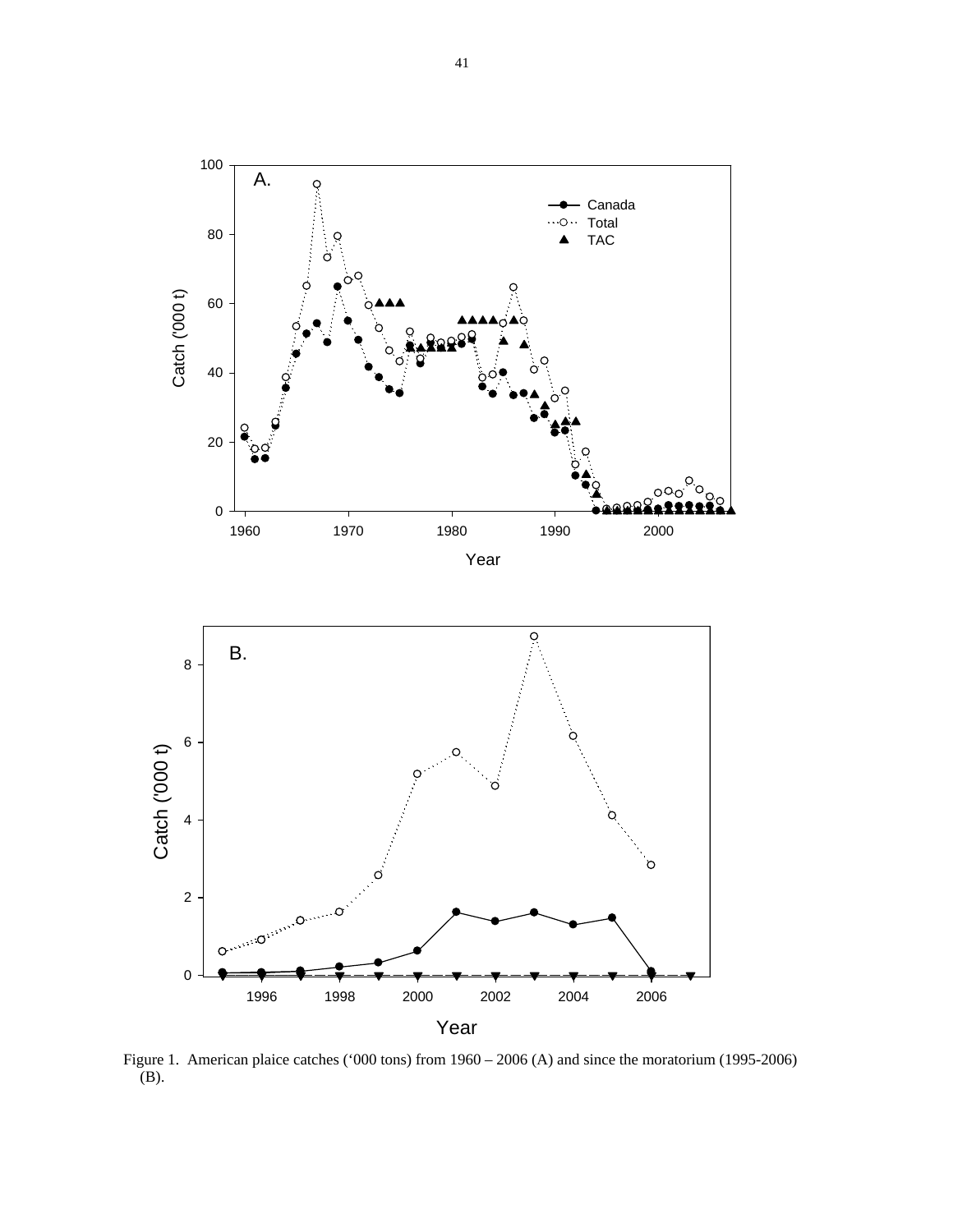

 Figure 1. American plaice catches ('000 tons) from 1960 – 2006 (A) and since the moratorium (1995-2006)  $(B)$ .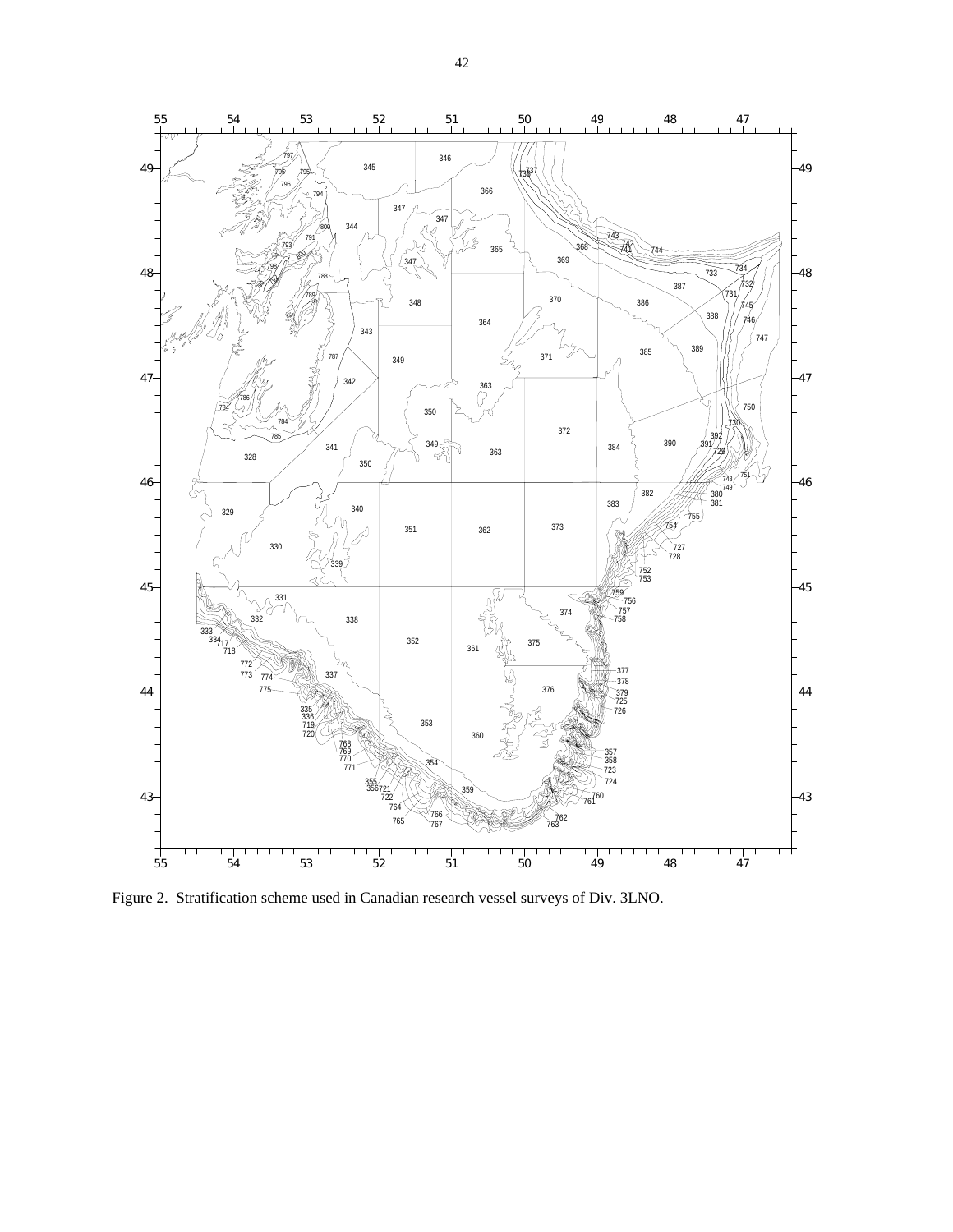

Figure 2. Stratification scheme used in Canadian research vessel surveys of Div. 3LNO.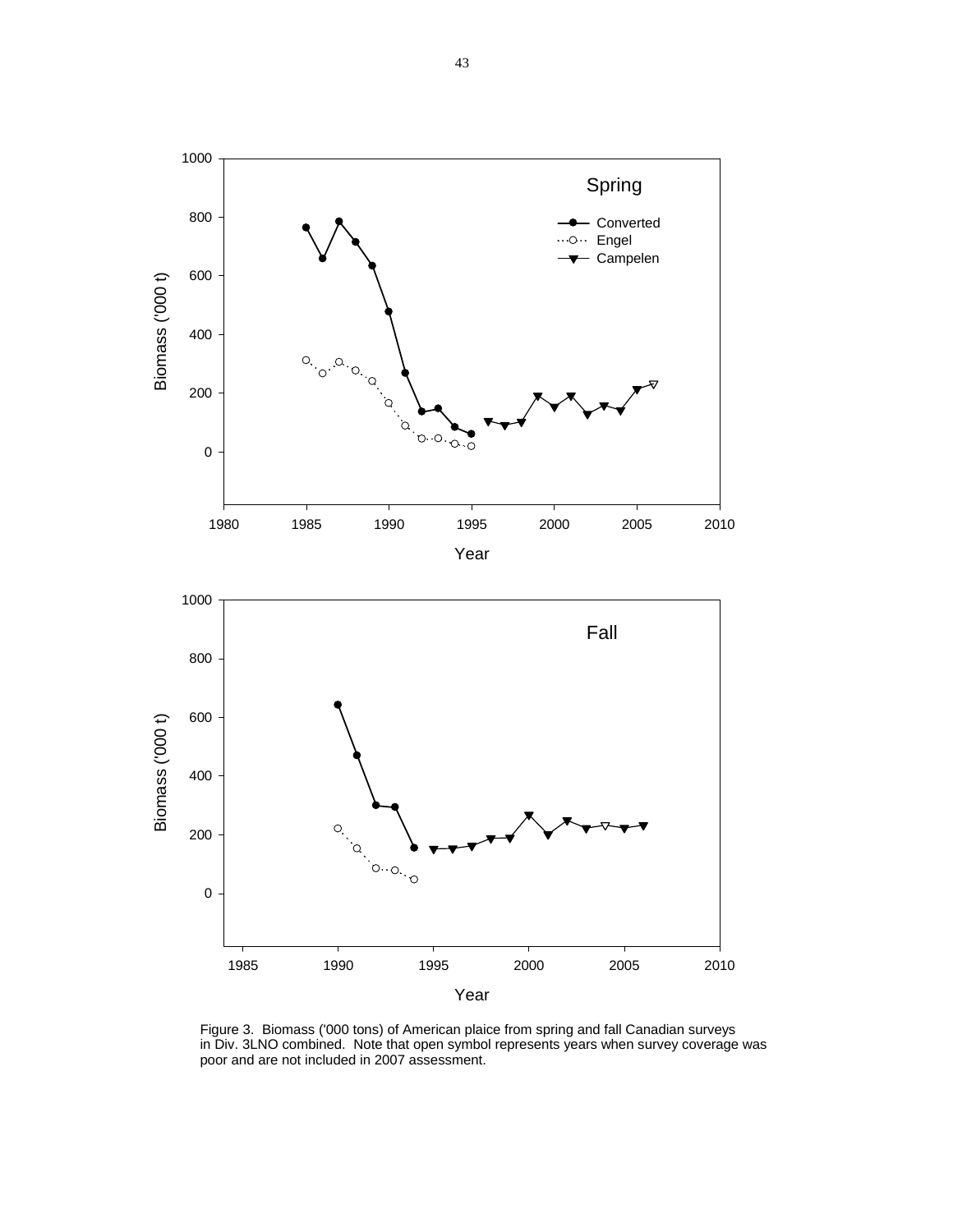

Figure 3. Biomass ('000 tons) of American plaice from spring and fall Canadian surveys in Div. 3LNO combined. Note that open symbol represents years when survey coverage was poor and are not included in 2007 assessment.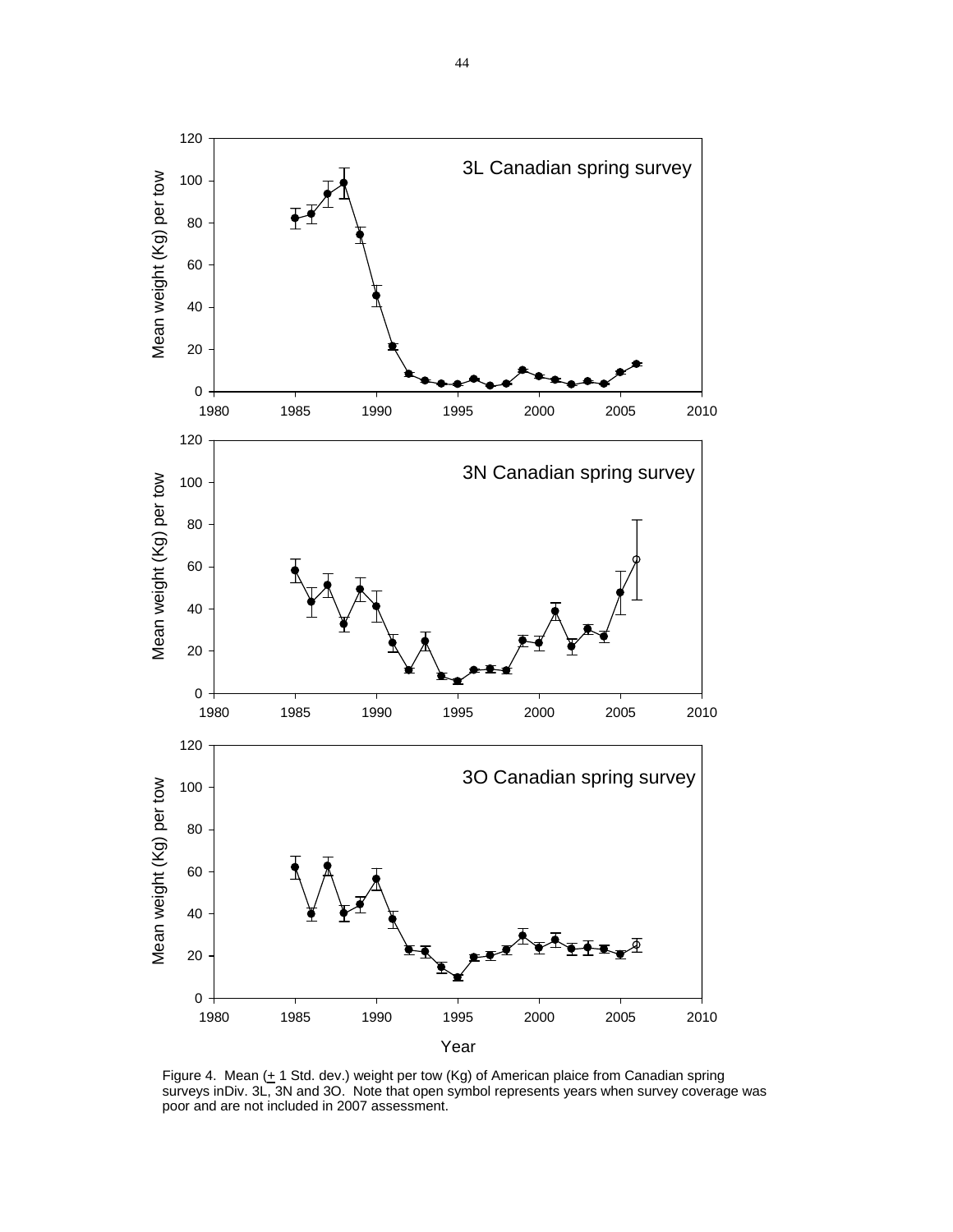

Figure 4. Mean  $($ + 1 Std. dev.) weight per tow  $(Kg)$  of American plaice from Canadian spring surveys inDiv. 3L, 3N and 3O. Note that open symbol represents years when survey coverage was poor and are not included in 2007 assessment.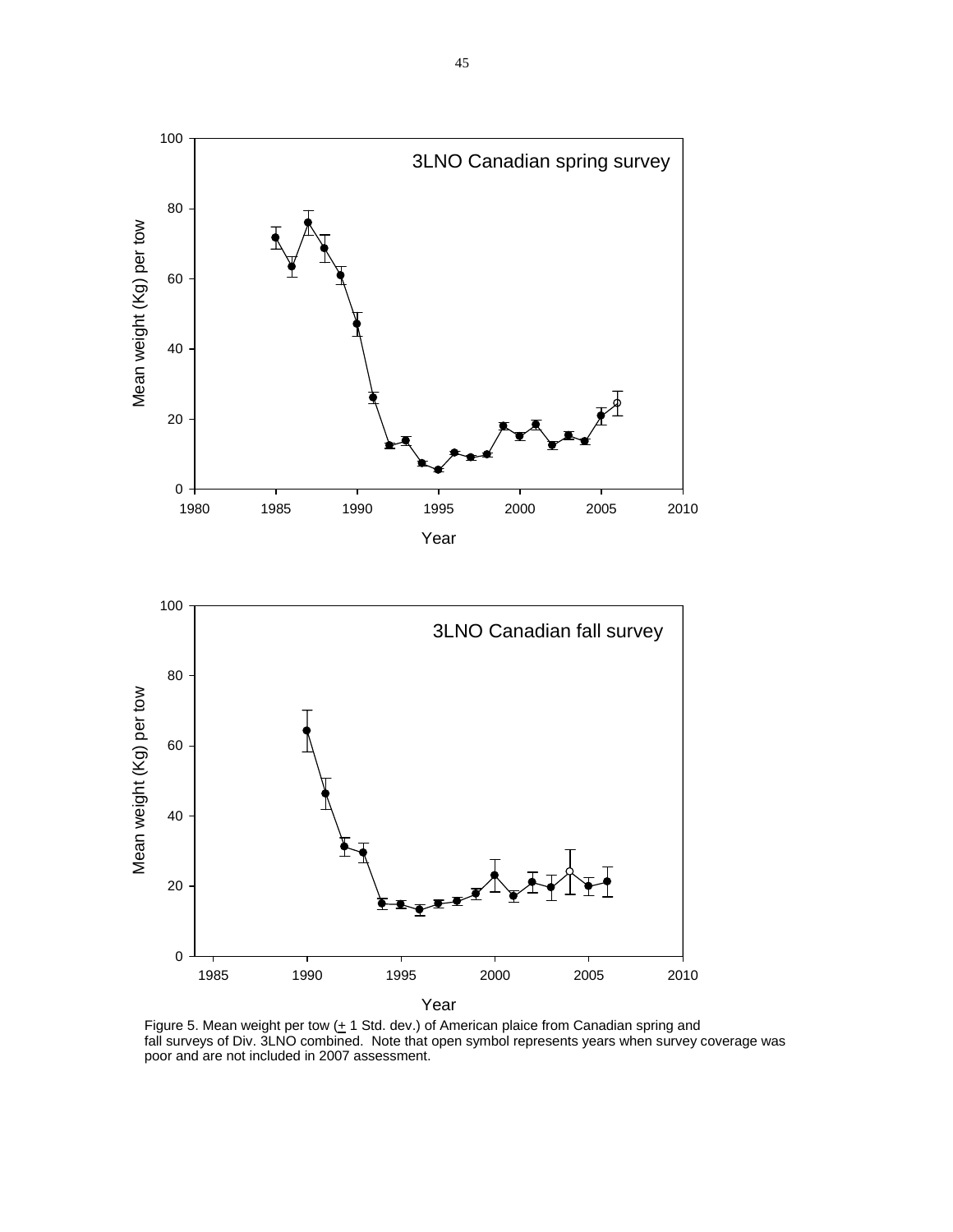

Figure 5. Mean weight per tow  $(± 1$  Std. dev.) of American plaice from Canadian spring and fall surveys of Div. 3LNO combined. Note that open symbol represents years when survey coverage was poor and are not included in 2007 assessment.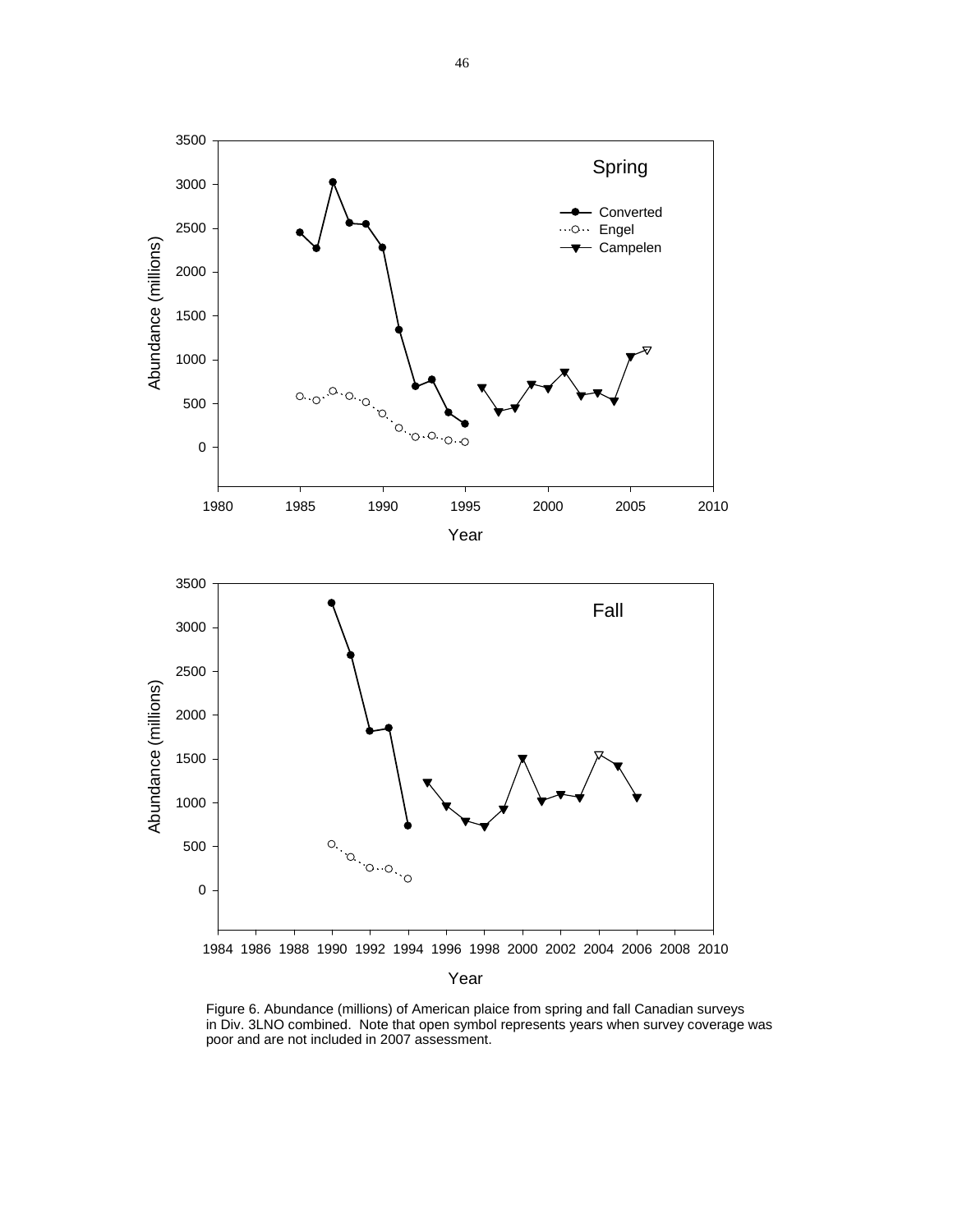

Figure 6. Abundance (millions) of American plaice from spring and fall Canadian surveys in Div. 3LNO combined. Note that open symbol represents years when survey coverage was poor and are not included in 2007 assessment.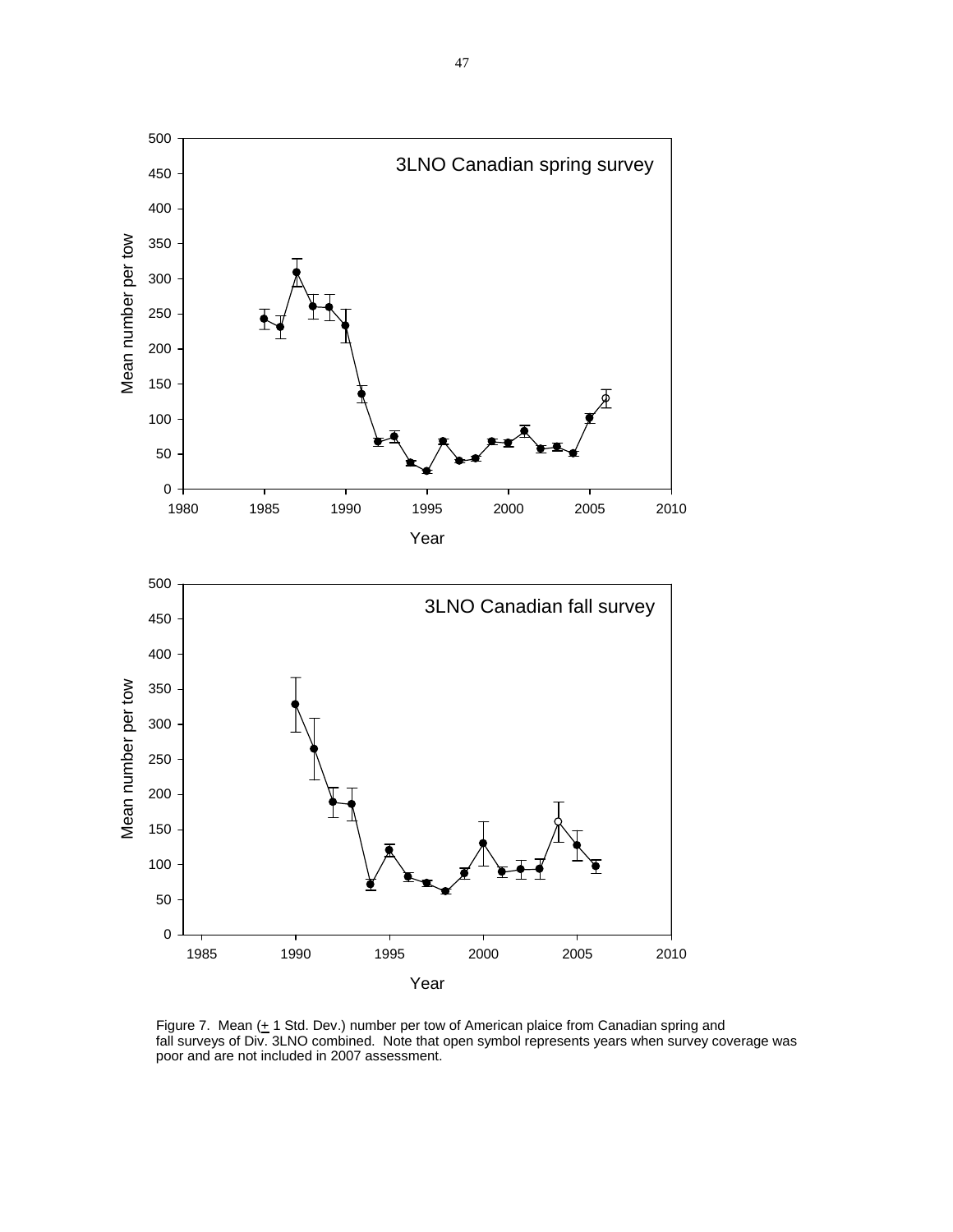

Figure 7. Mean  $(+ 1$  Std. Dev.) number per tow of American plaice from Canadian spring and fall surveys of Div. 3LNO combined. Note that open symbol represents years when survey coverage was poor and are not included in 2007 assessment.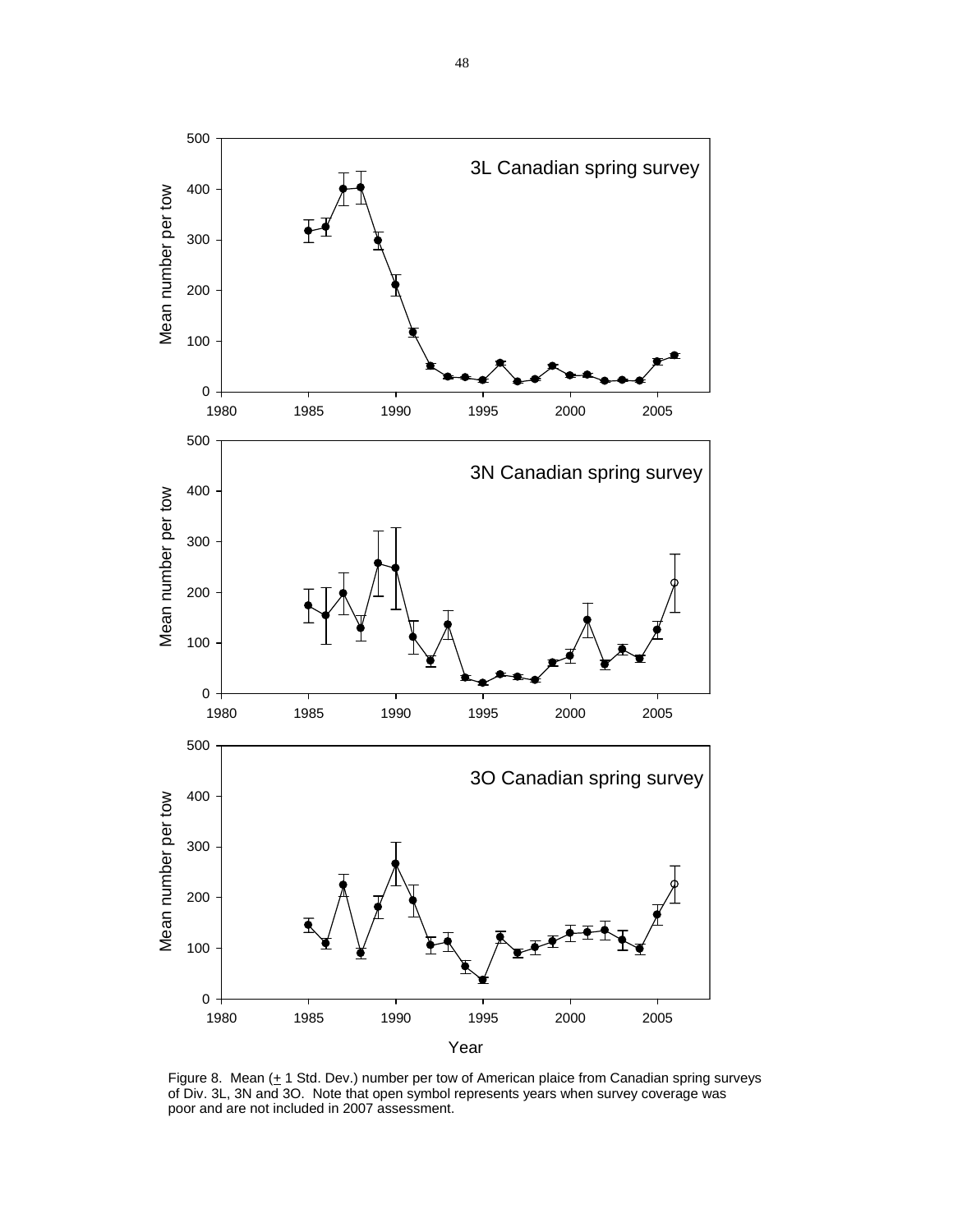

Figure 8. Mean  $($  + 1 Std. Dev.) number per tow of American plaice from Canadian spring surveys of Div. 3L, 3N and 3O. Note that open symbol represents years when survey coverage was poor and are not included in 2007 assessment.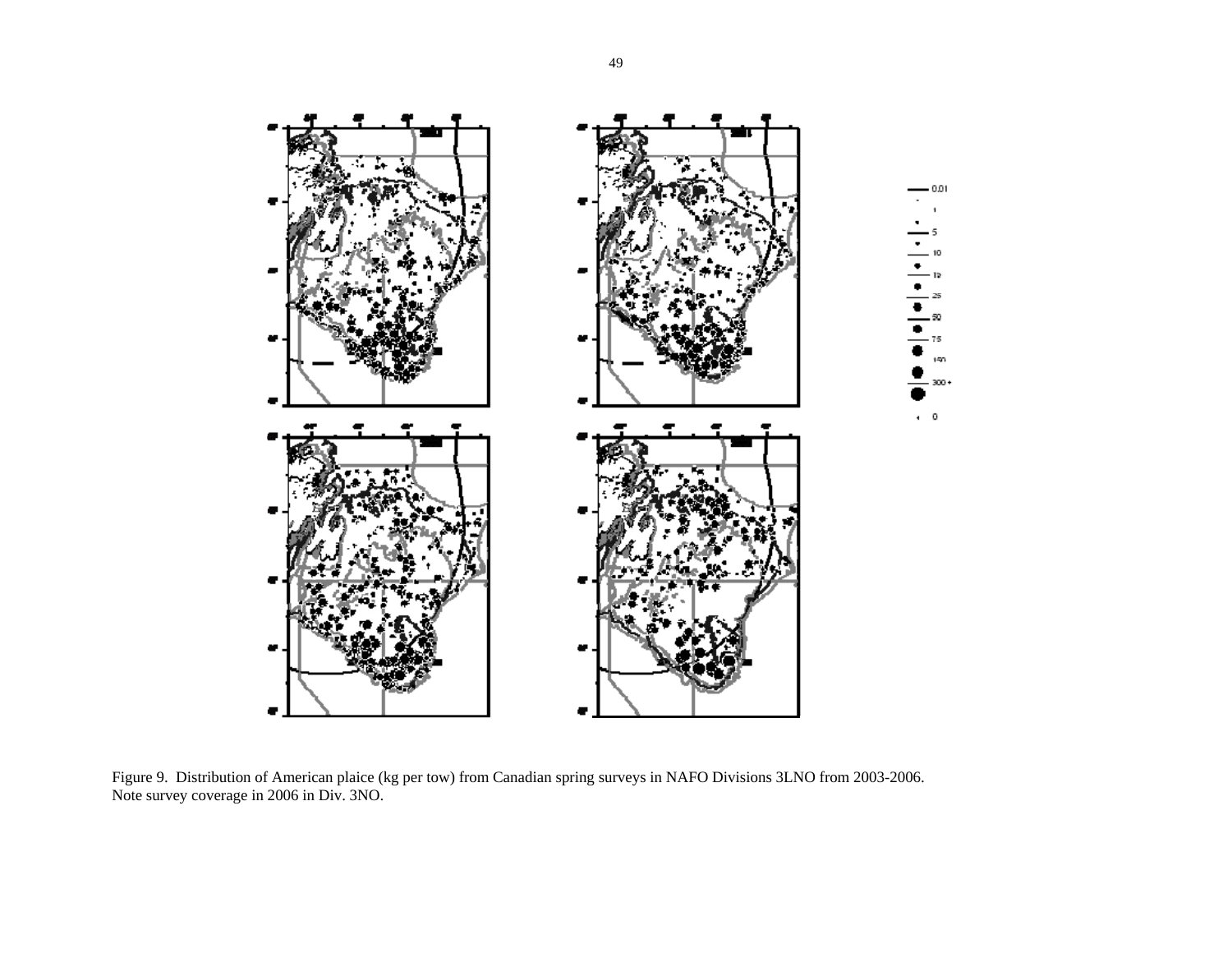

Figure 9. Distribution of American plaice (kg per tow) from Canadian spring surveys in NAFO Divisions 3LNO from 2003-2006. Note survey coverage in 2006 in Div. 3NO.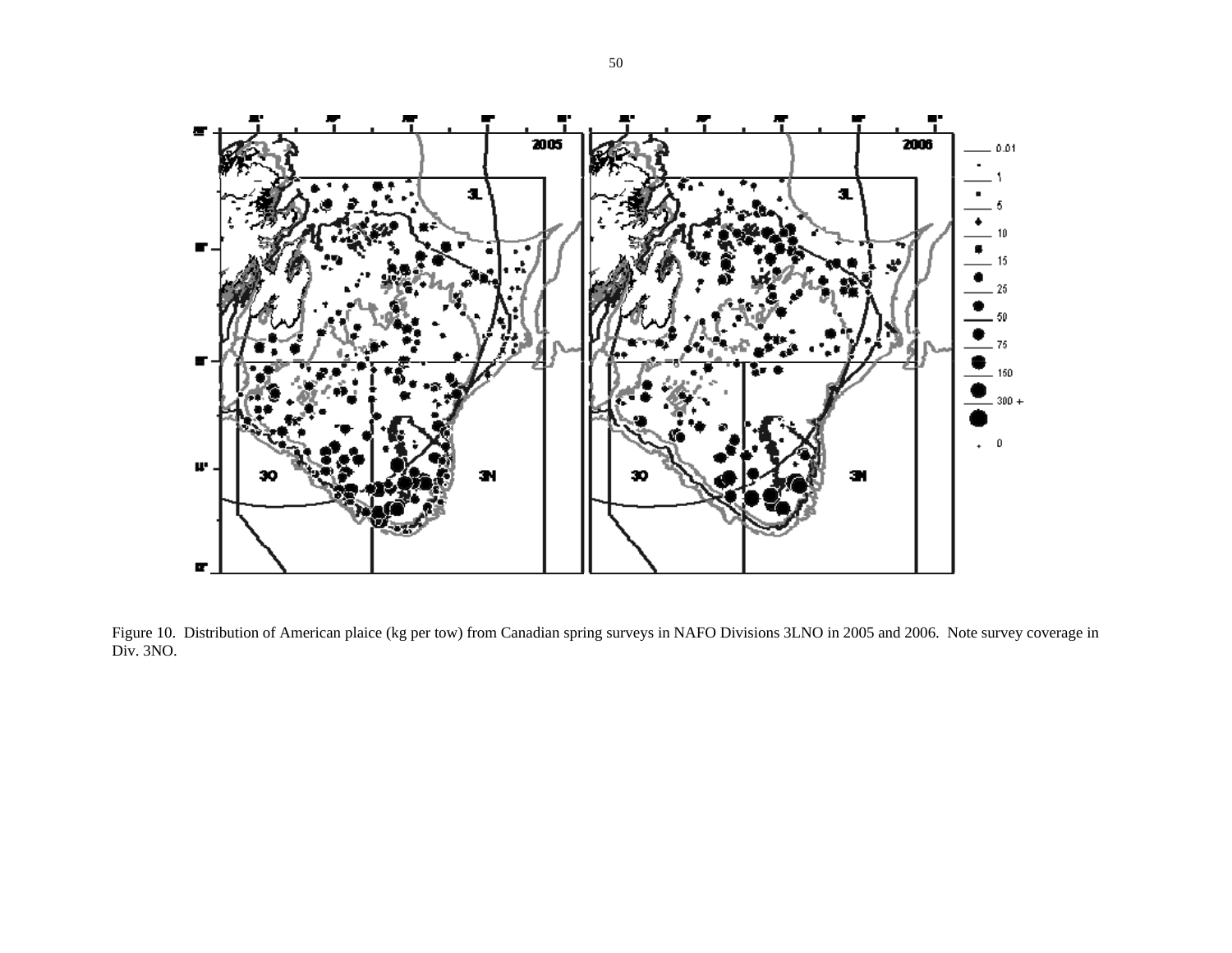

Figure 10. Distribution of American plaice (kg per tow) from Canadian spring surveys in NAFO Divisions 3LNO in 2005 and 2006. Note survey coverage in Div. 3NO.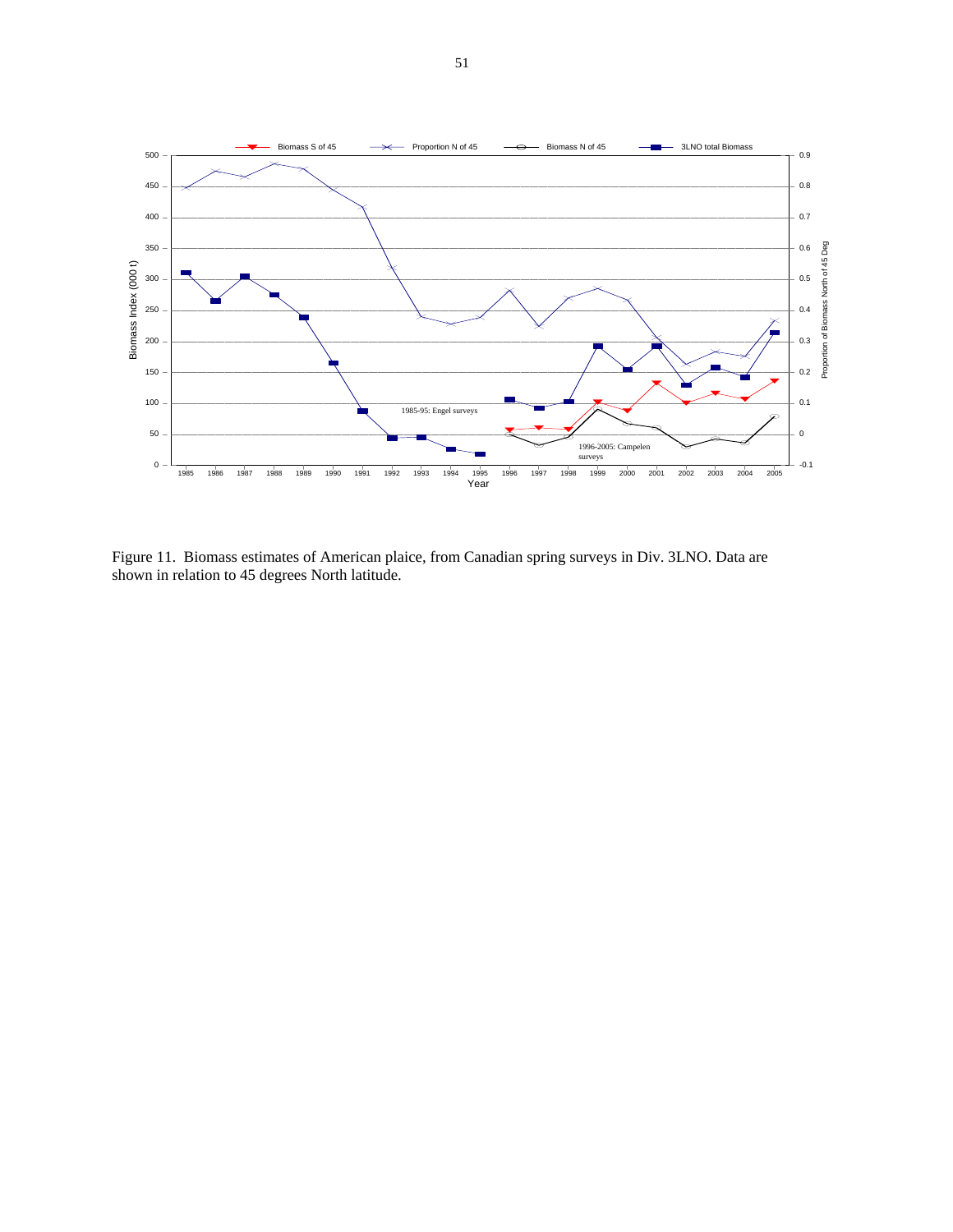

Figure 11. Biomass estimates of American plaice, from Canadian spring surveys in Div. 3LNO. Data are shown in relation to 45 degrees North latitude.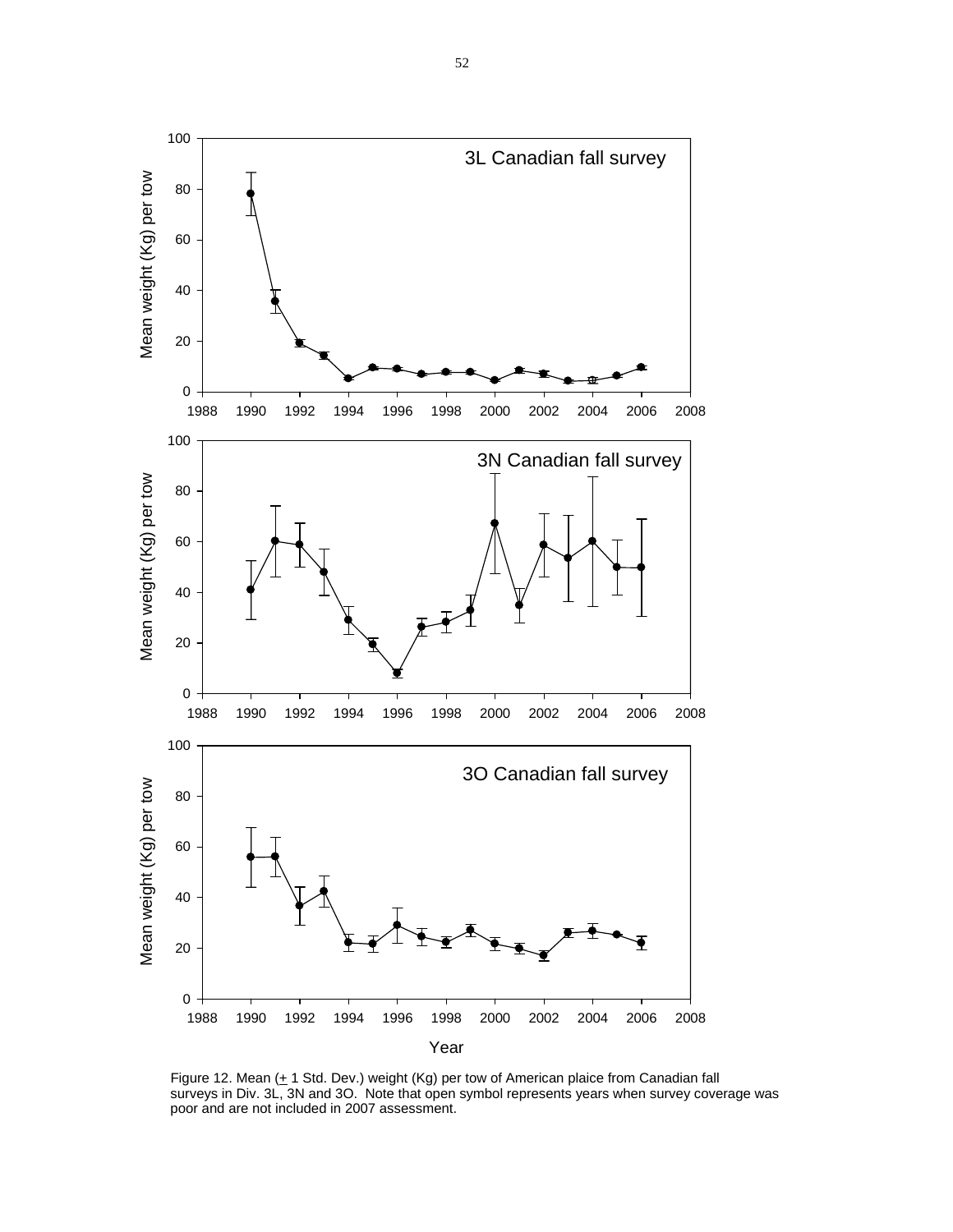

Figure 12. Mean  $(+ 1$  Std. Dev.) weight (Kg) per tow of American plaice from Canadian fall surveys in Div. 3L, 3N and 3O. Note that open symbol represents years when survey coverage was poor and are not included in 2007 assessment.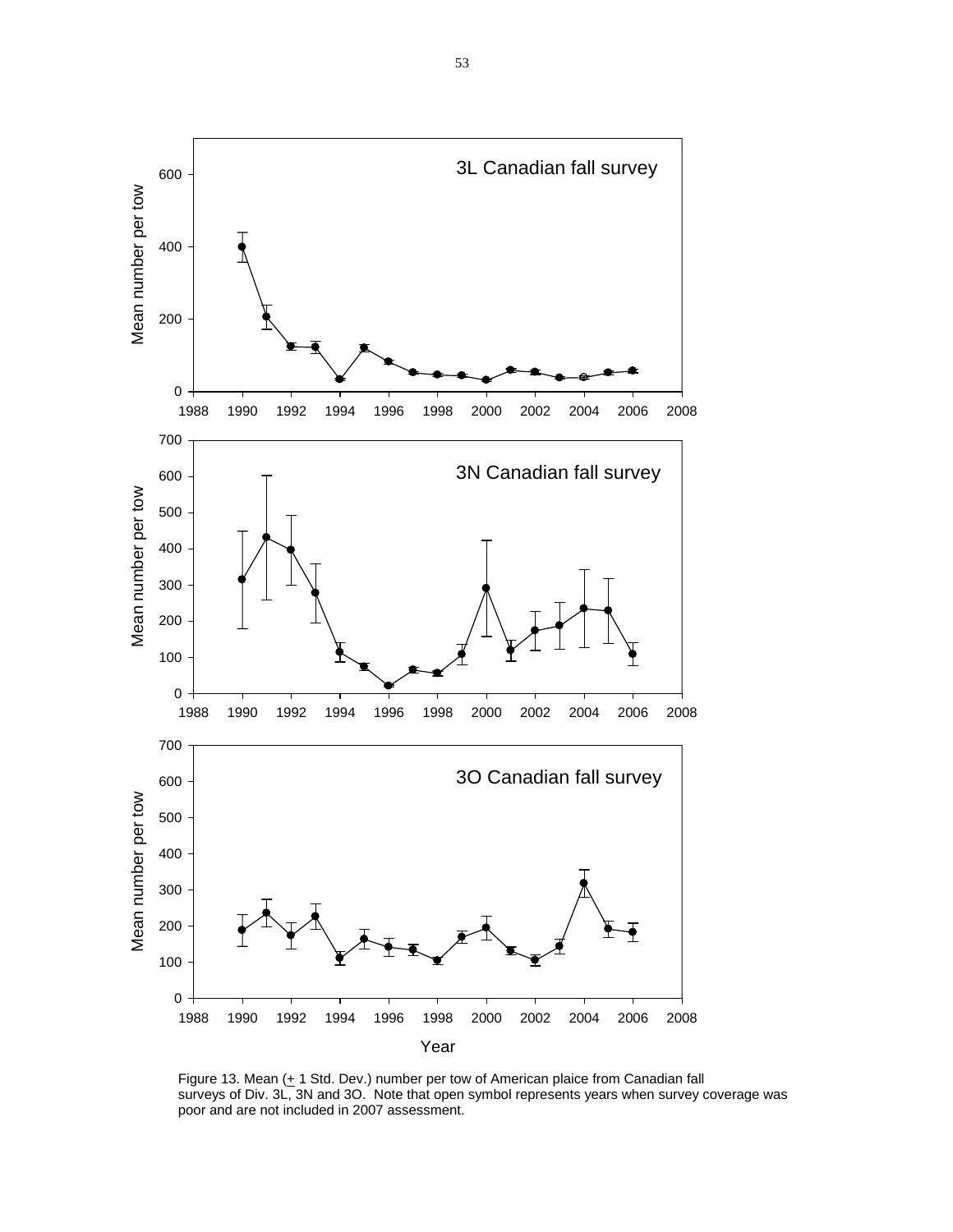

Figure 13. Mean  $(+ 1 \text{ Std. Dev.)}$  number per tow of American plaice from Canadian fall surveys of Div. 3L, 3N and 3O. Note that open symbol represents years when survey coverage was poor and are not included in 2007 assessment.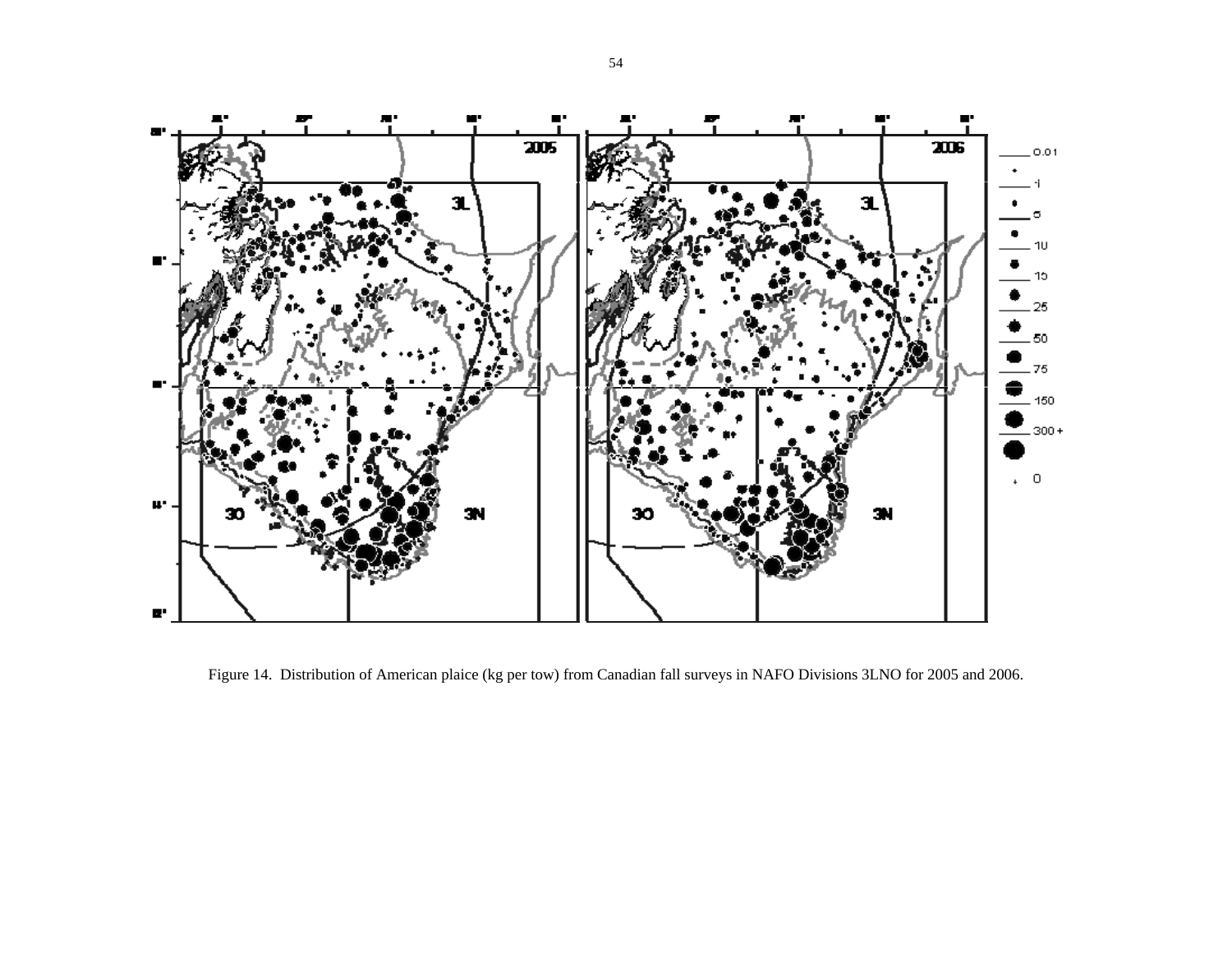

Figure 14. Distribution of American plaice (kg per tow) from Canadian fall surveys in NAFO Divisions 3LNO for 2005 and 2006.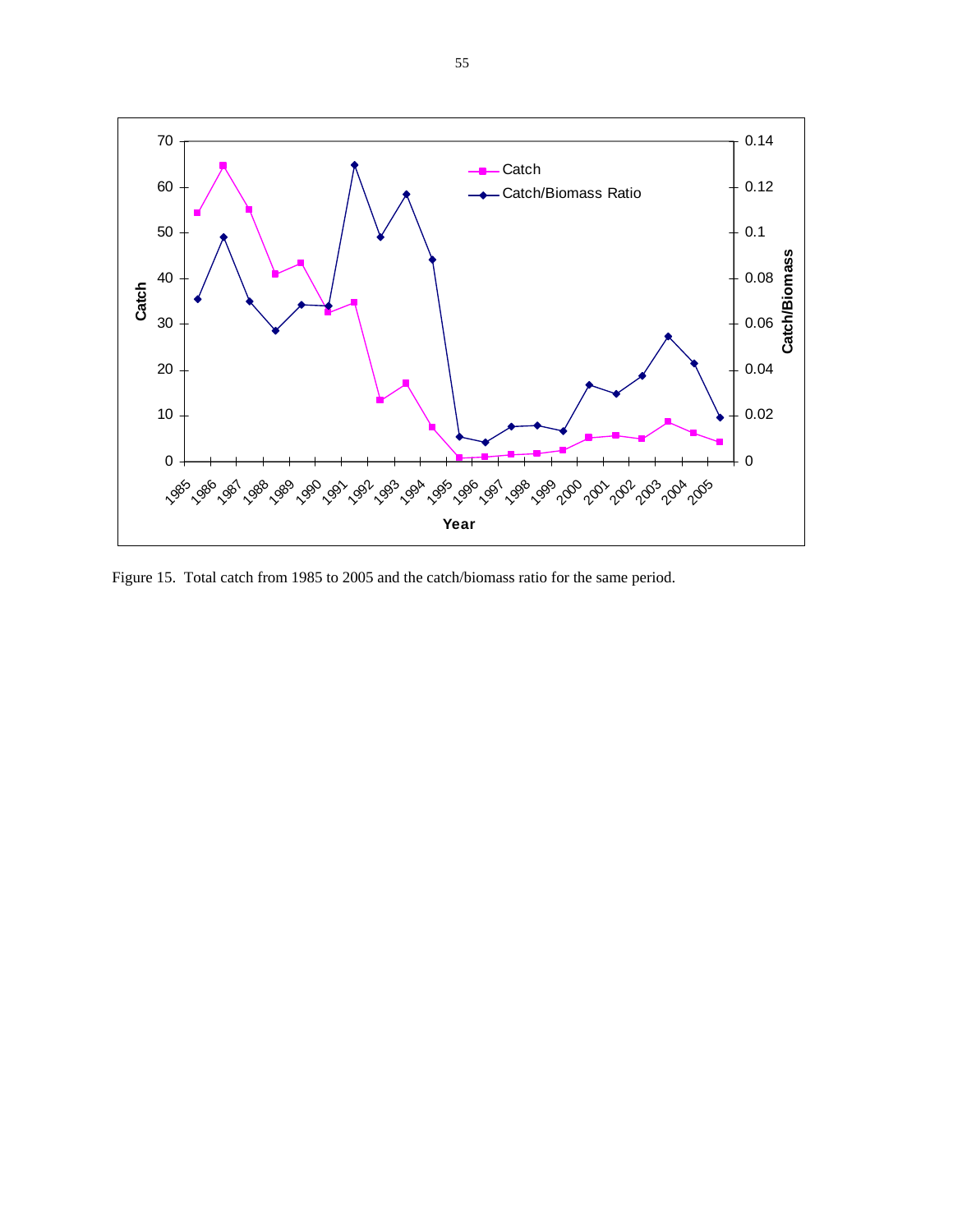

Figure 15. Total catch from 1985 to 2005 and the catch/biomass ratio for the same period.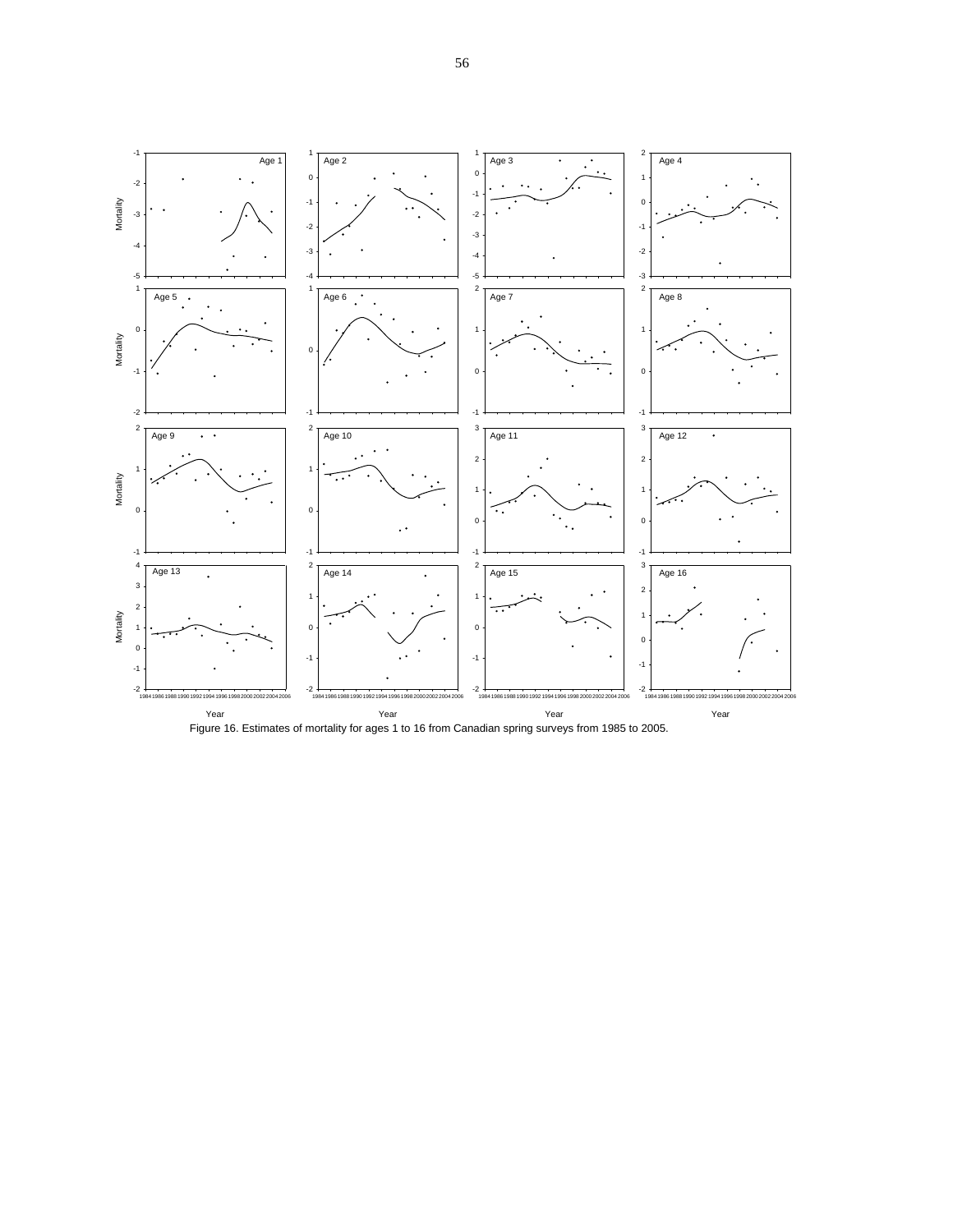

Figure 16. Estimates of mortality for ages 1 to 16 from Canadian spring surveys from 1985 to 2005.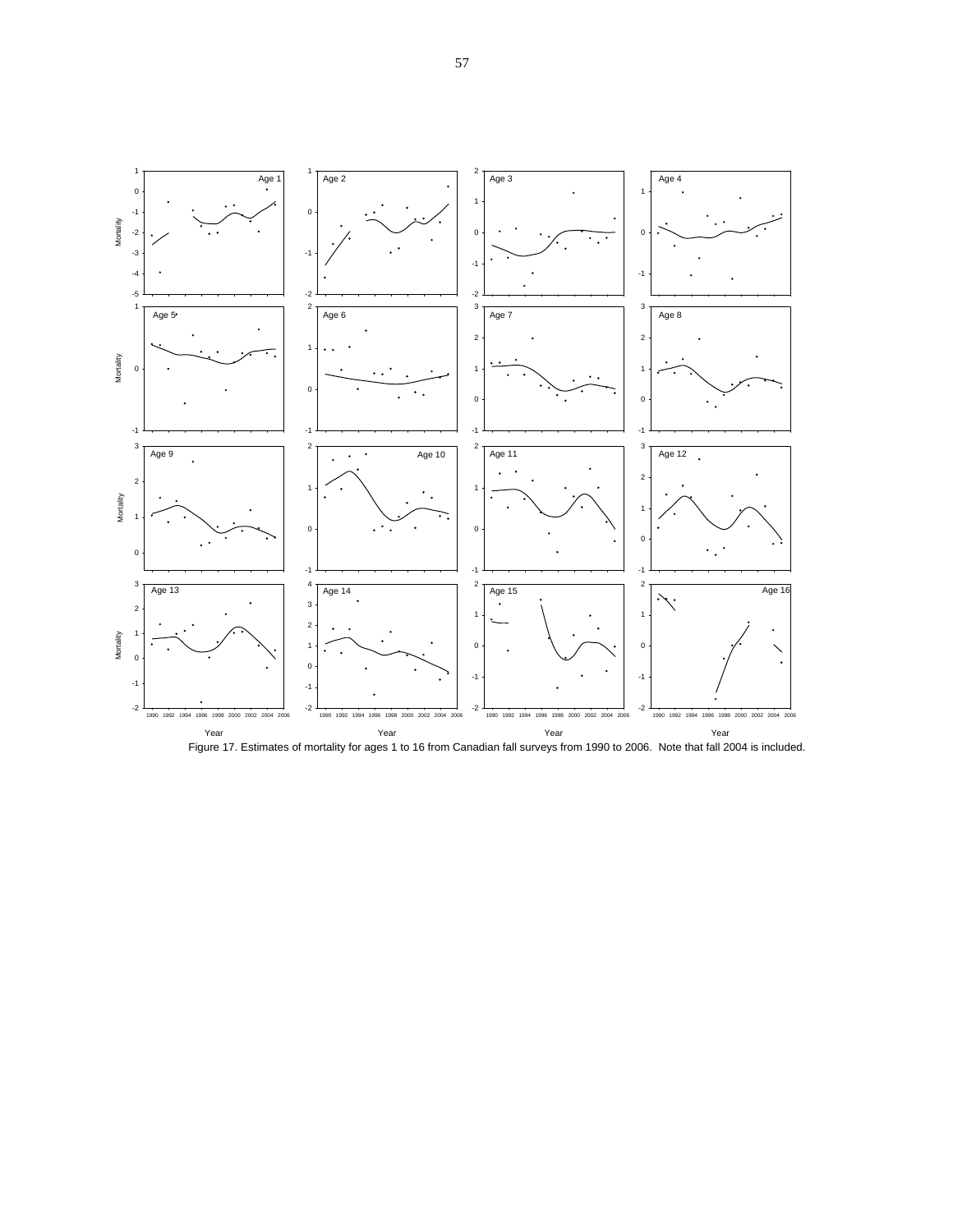

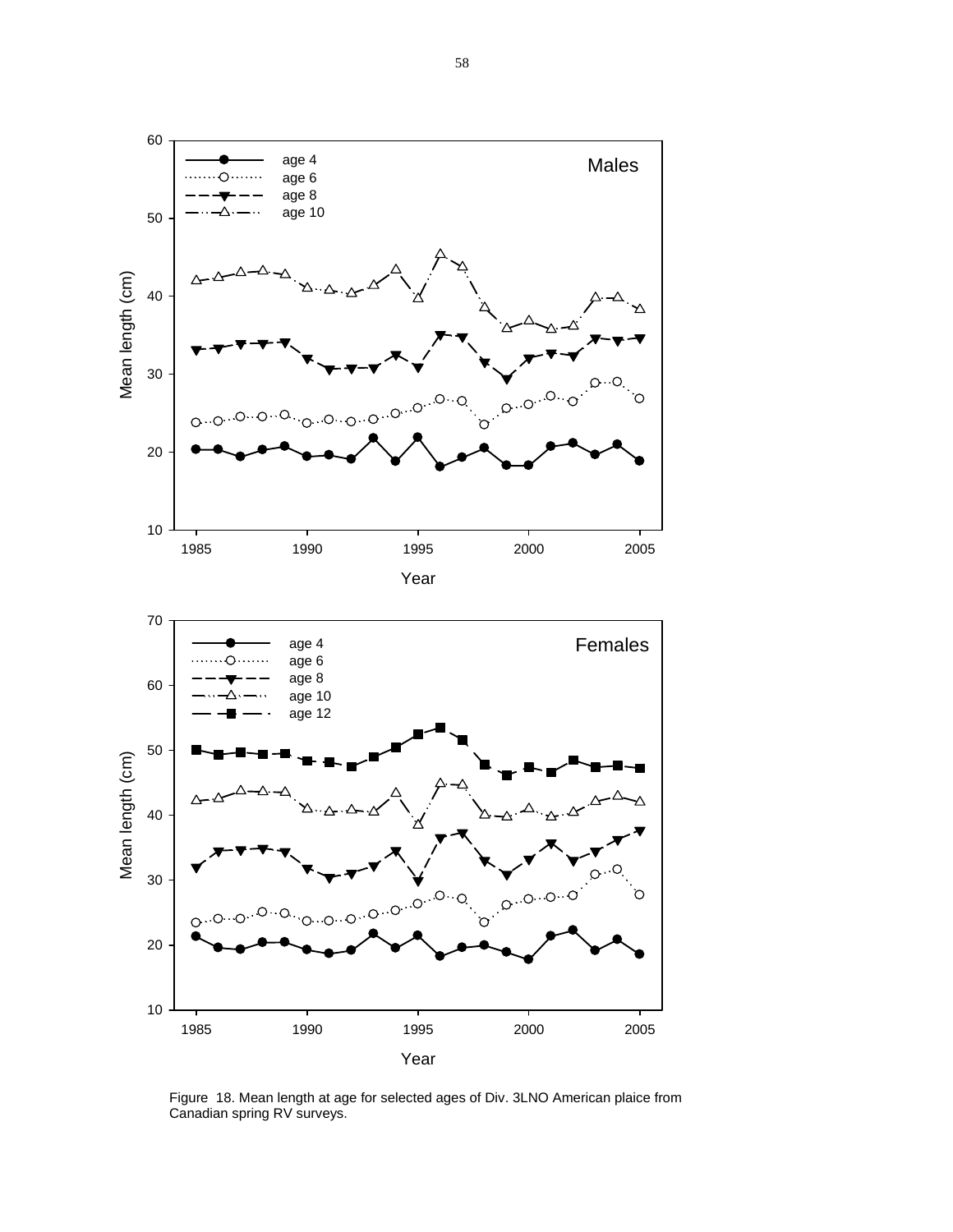



Figure 18. Mean length at age for selected ages of Div. 3LNO American plaice from Canadian spring RV surveys.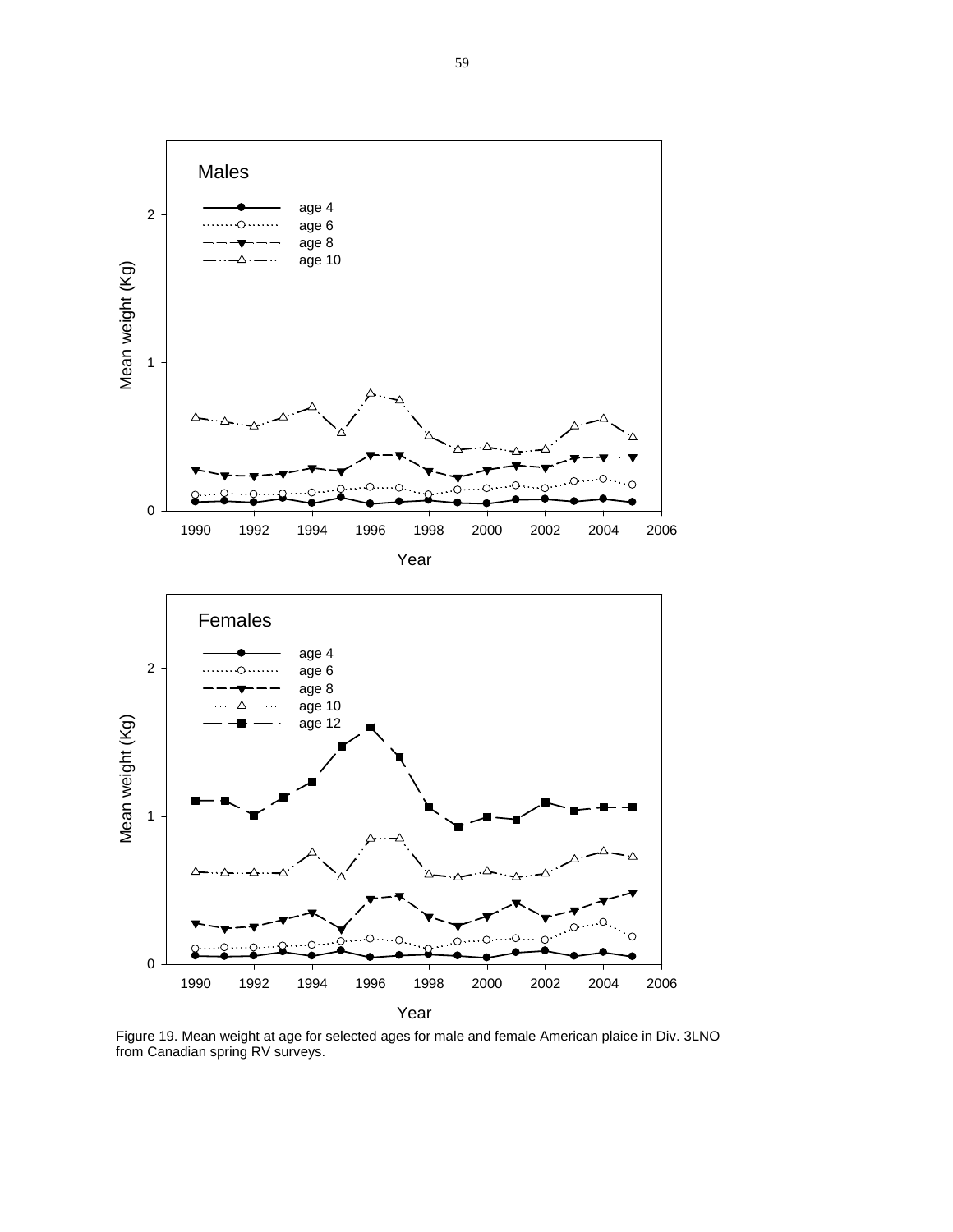Males  $2 - \longrightarrow$  age 4 age 6 age 8 age 10 Mean weight (Kg) Mean weight (Kg) 1 0 1990 1992 1994 1996 1998 2000 2002 2004 2006 Year Females age 4 2 age 6 age 8 age 10 Mean weight (Kg) Mean weight (Kg) age 12 1 Ω. ∩ 0 1990 1992 1994 1996 1998 2000 2002 2004 2006

Year

Figure 19. Mean weight at age for selected ages for male and female American plaice in Div. 3LNO from Canadian spring RV surveys.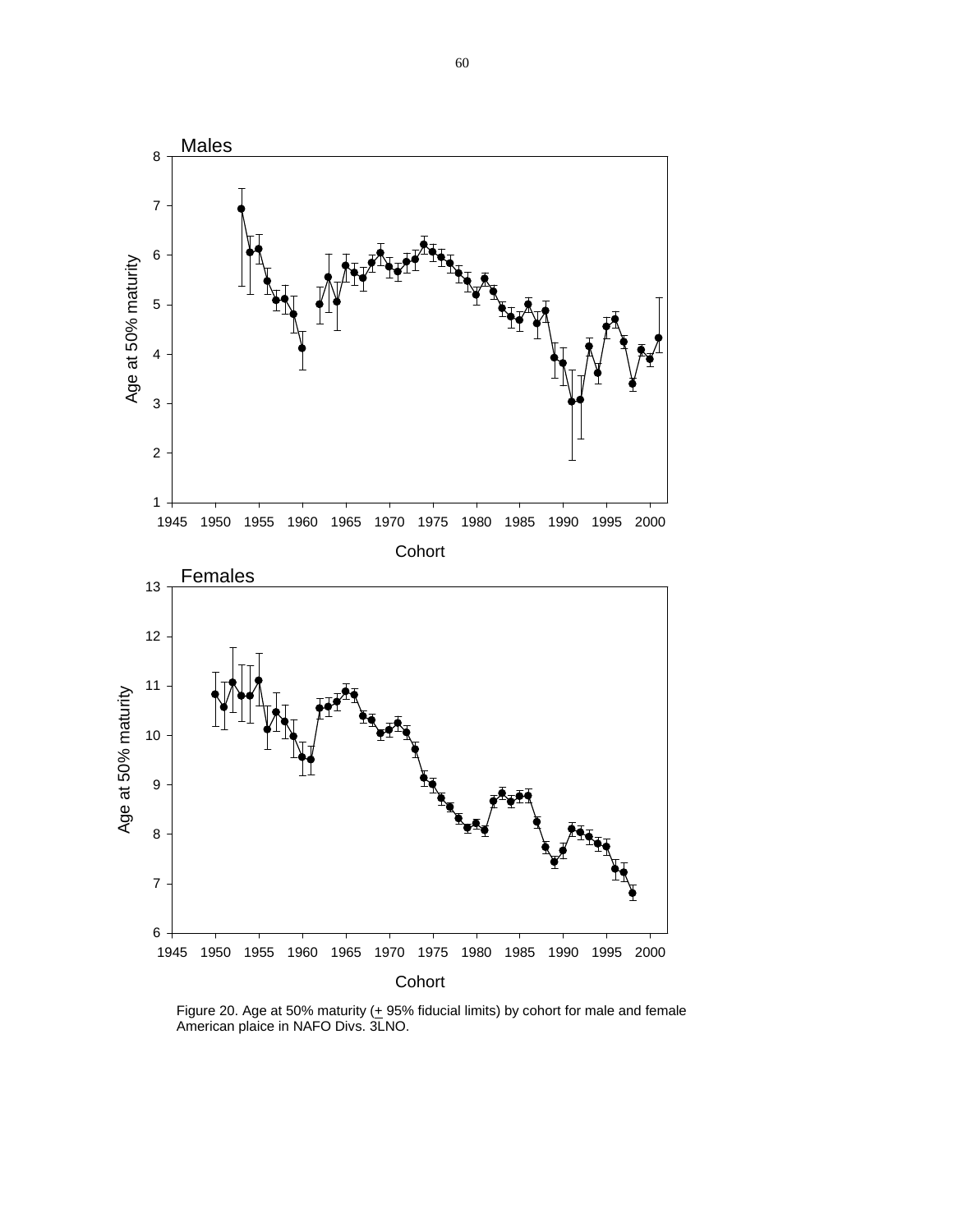

Figure 20. Age at 50% maturity  $(+ 95\%$  fiducial limits) by cohort for male and female American plaice in NAFO Divs. 3LNO.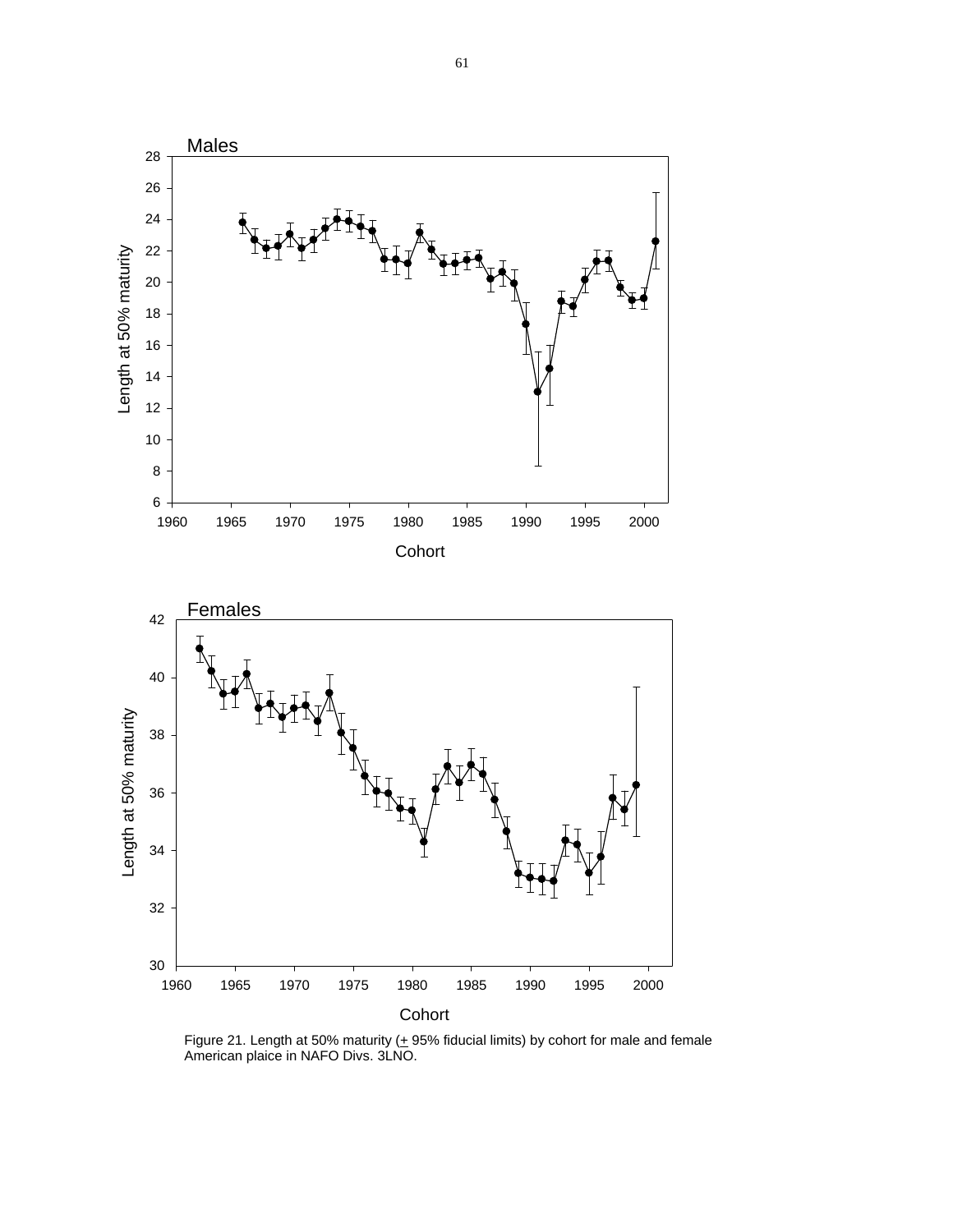

Figure 21. Length at 50% maturity  $(+ 95\%$  fiducial limits) by cohort for male and female American plaice in NAFO Divs. 3LNO.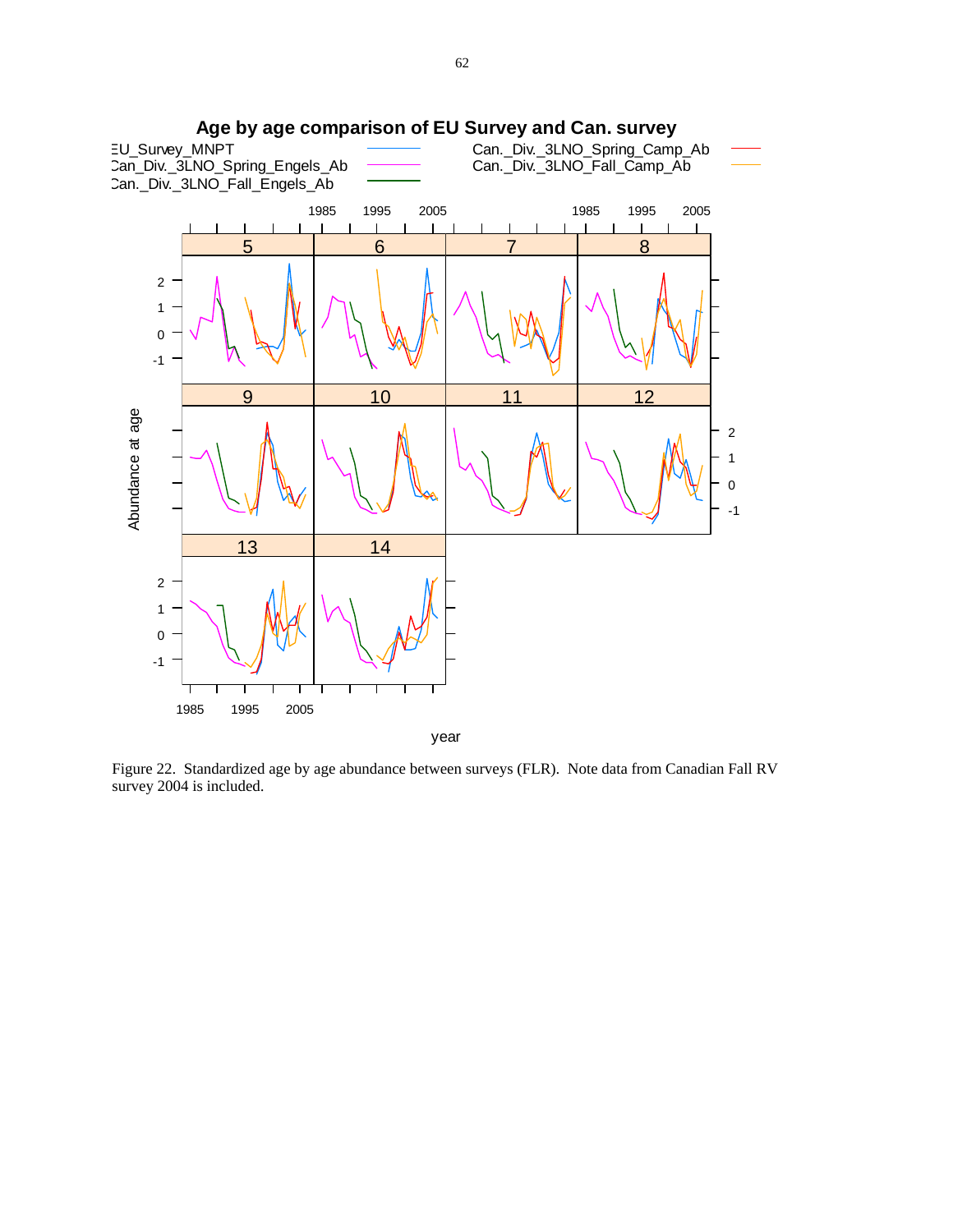

Figure 22. Standardized age by age abundance between surveys (FLR). Note data from Canadian Fall RV survey 2004 is included.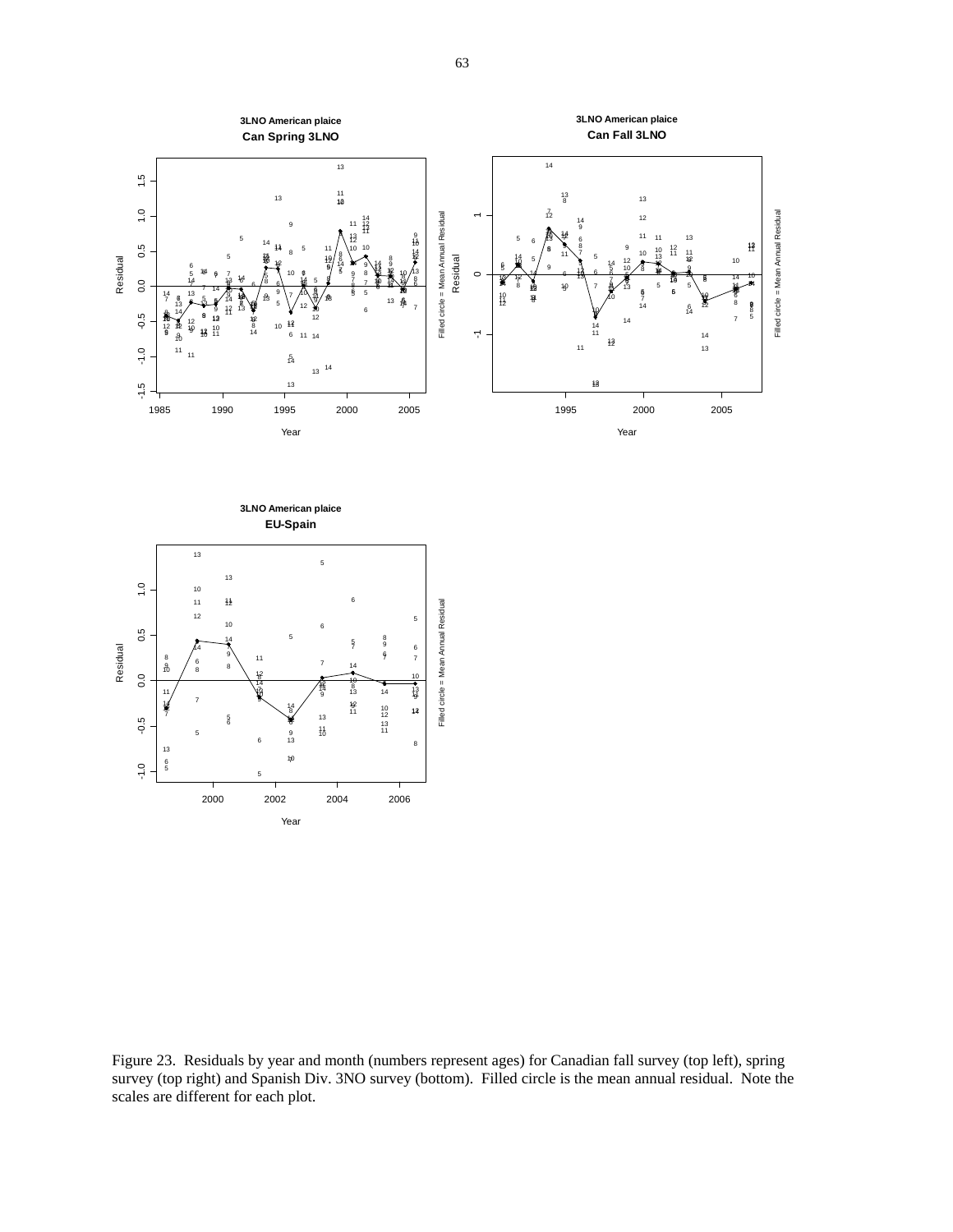

Figure 23. Residuals by year and month (numbers represent ages) for Canadian fall survey (top left), spring survey (top right) and Spanish Div. 3NO survey (bottom). Filled circle is the mean annual residual. Note the scales are different for each plot.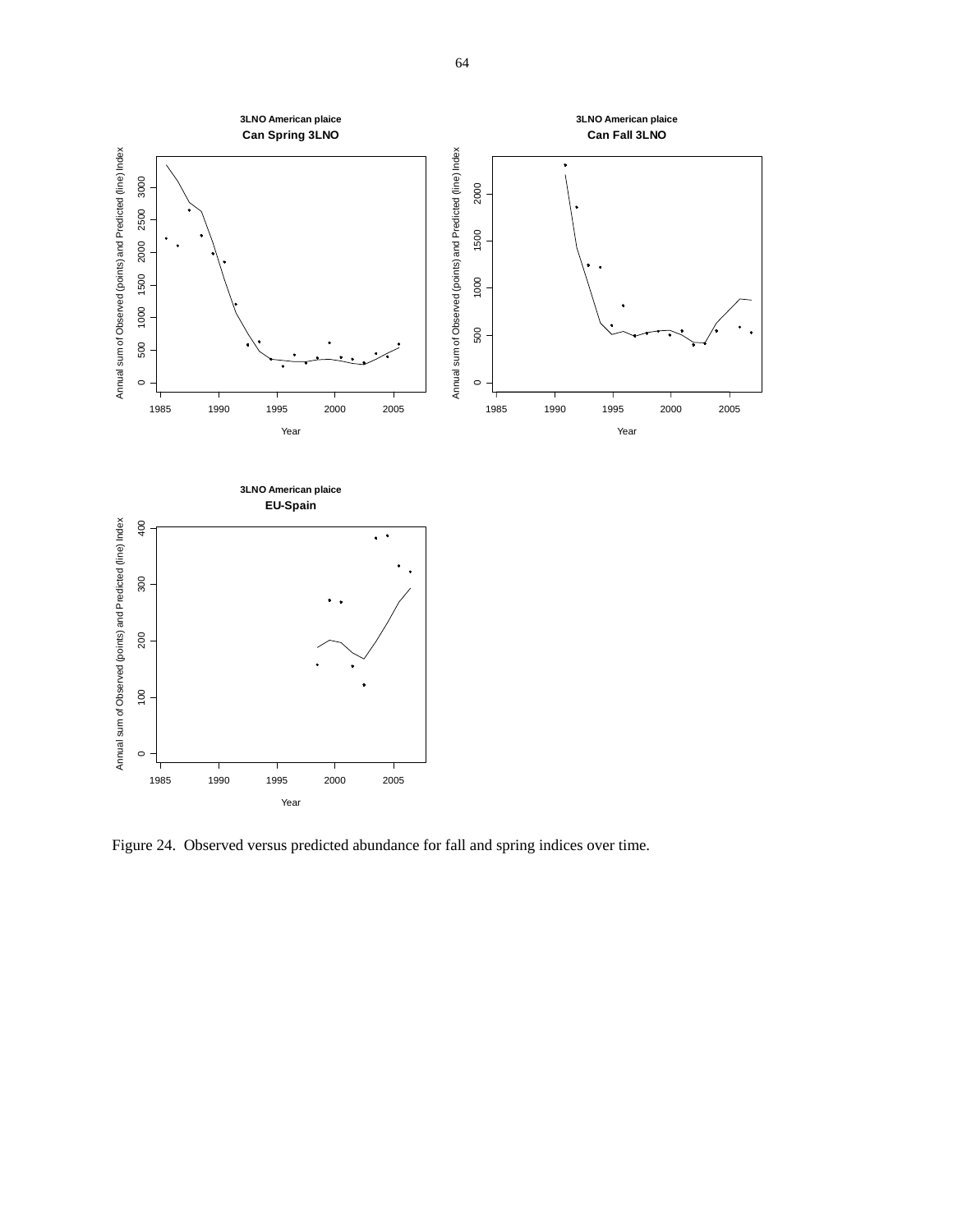

Figure 24. Observed versus predicted abundance for fall and spring indices over time.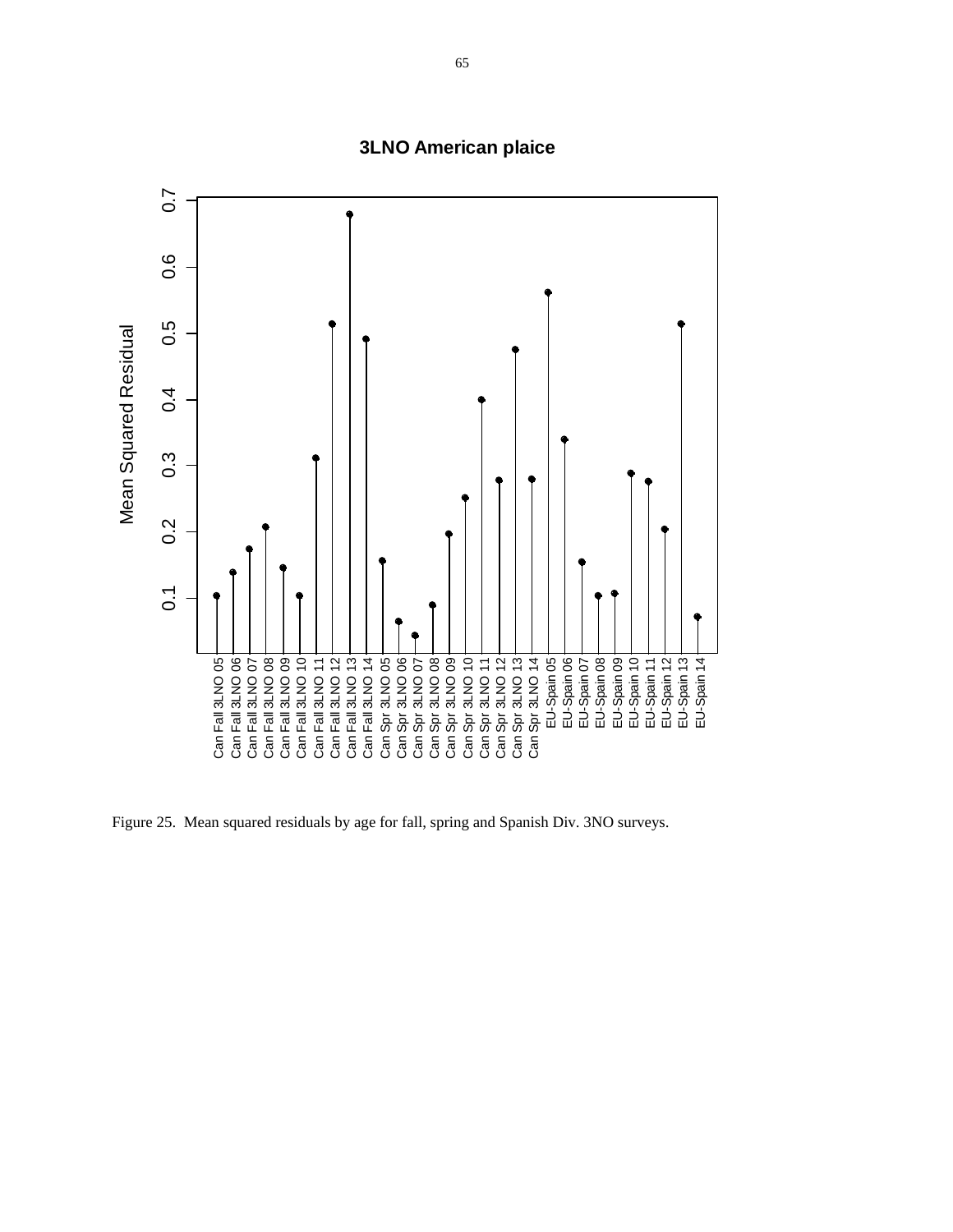

**3LNO American plaice**

Figure 25. Mean squared residuals by age for fall, spring and Spanish Div. 3NO surveys.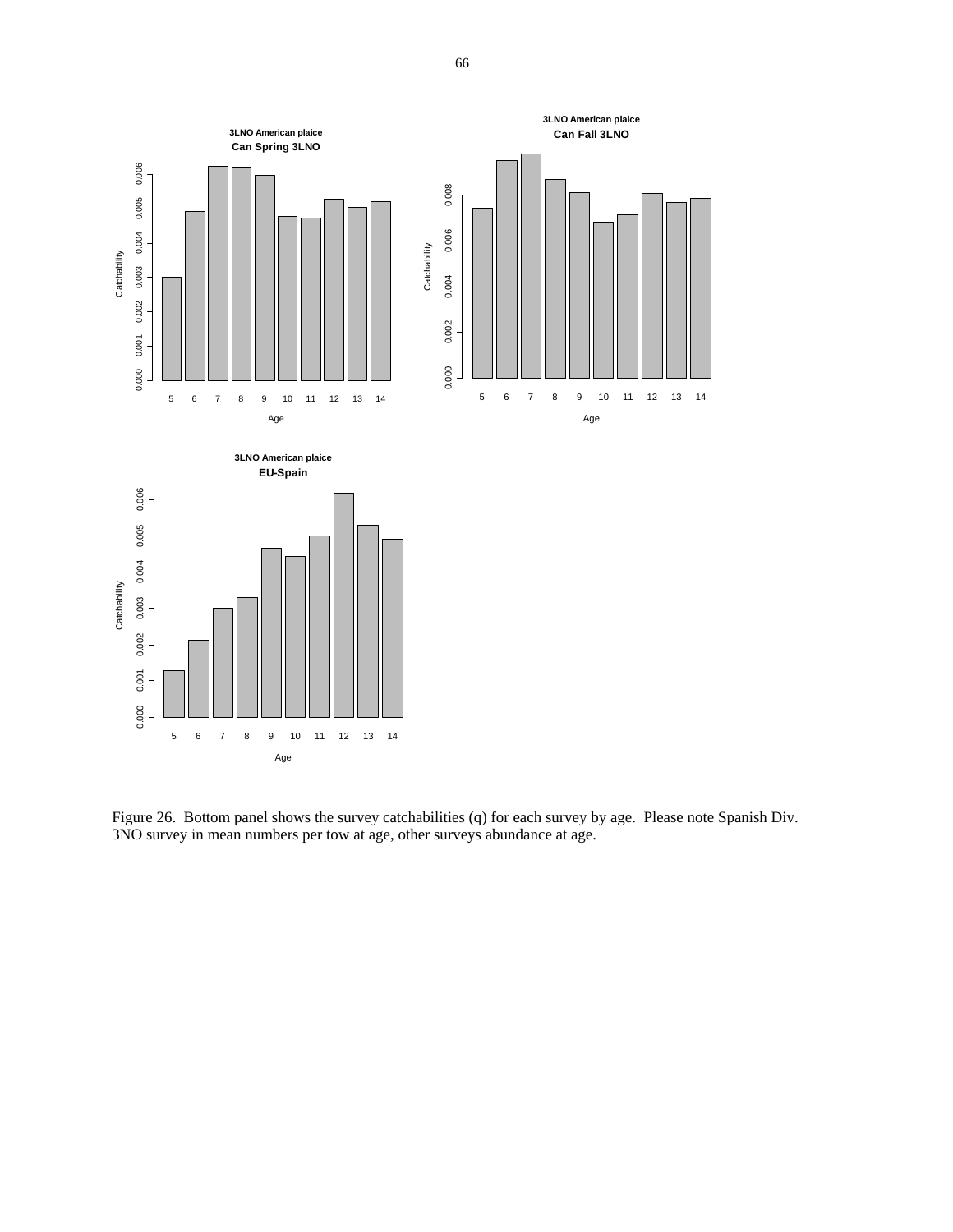

Figure 26. Bottom panel shows the survey catchabilities (q) for each survey by age. Please note Spanish Div. 3NO survey in mean numbers per tow at age, other surveys abundance at age.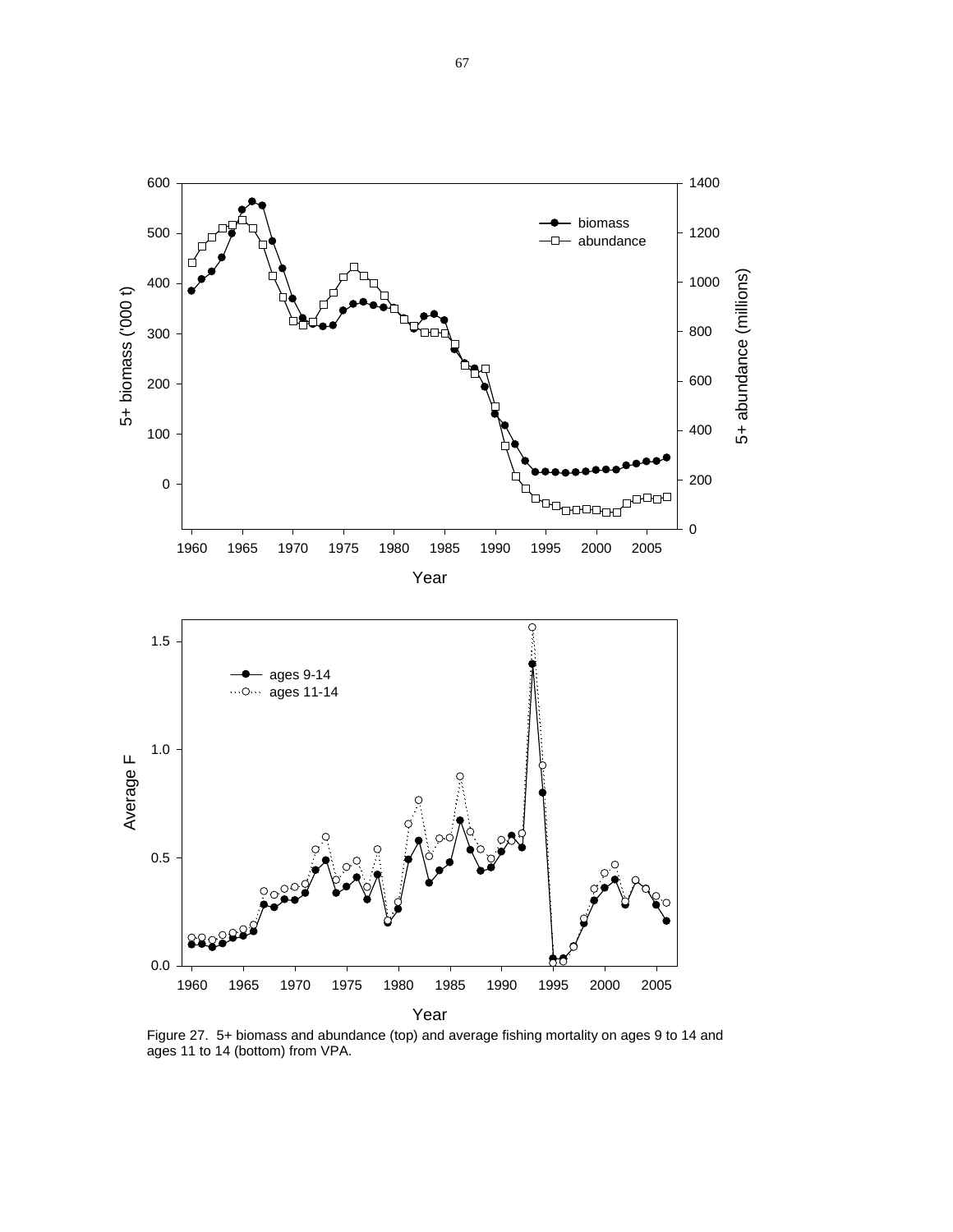

Figure 27. 5+ biomass and abundance (top) and average fishing mortality on ages 9 to 14 and ages 11 to 14 (bottom) from VPA.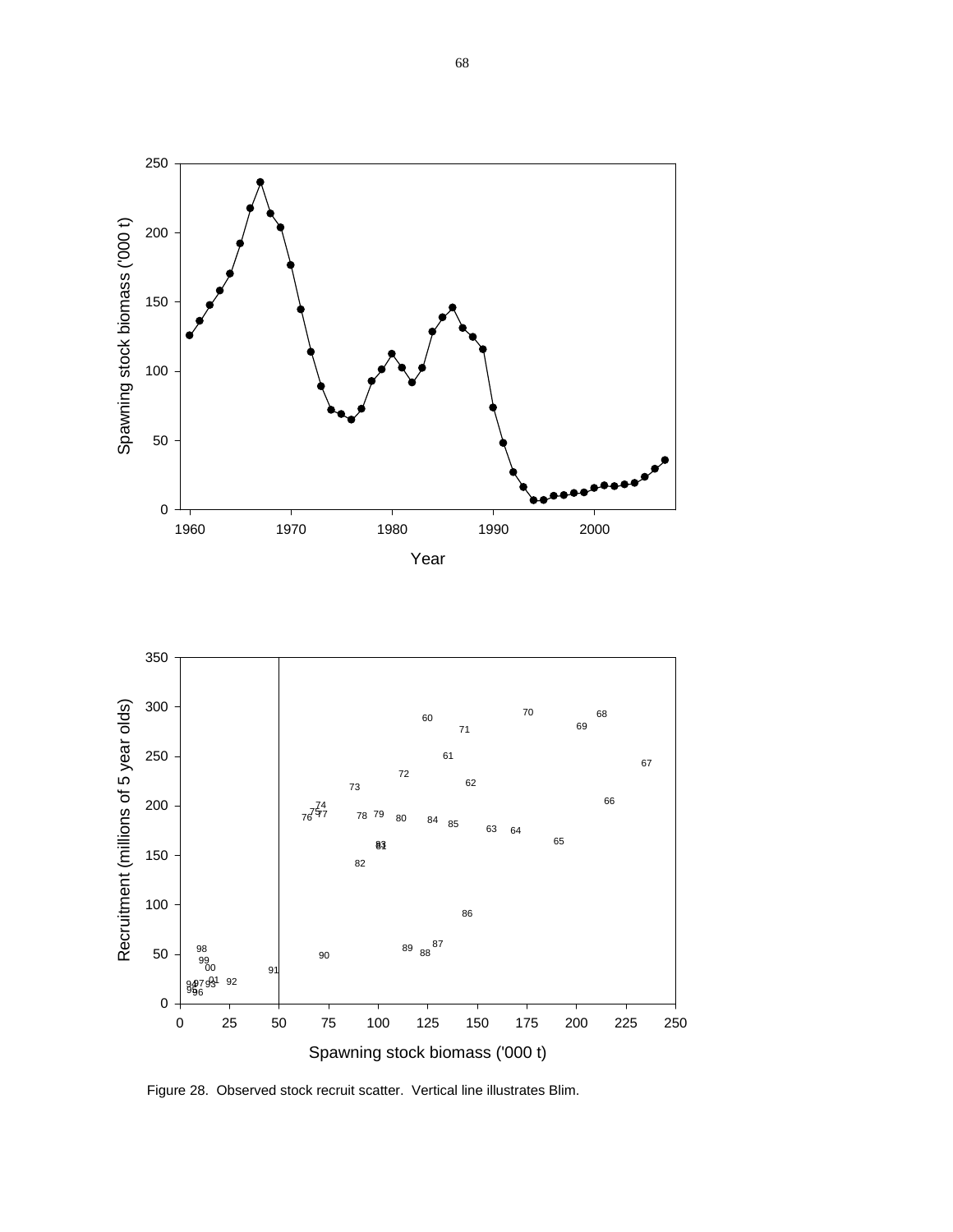



Figure 28. Observed stock recruit scatter. Vertical line illustrates Blim.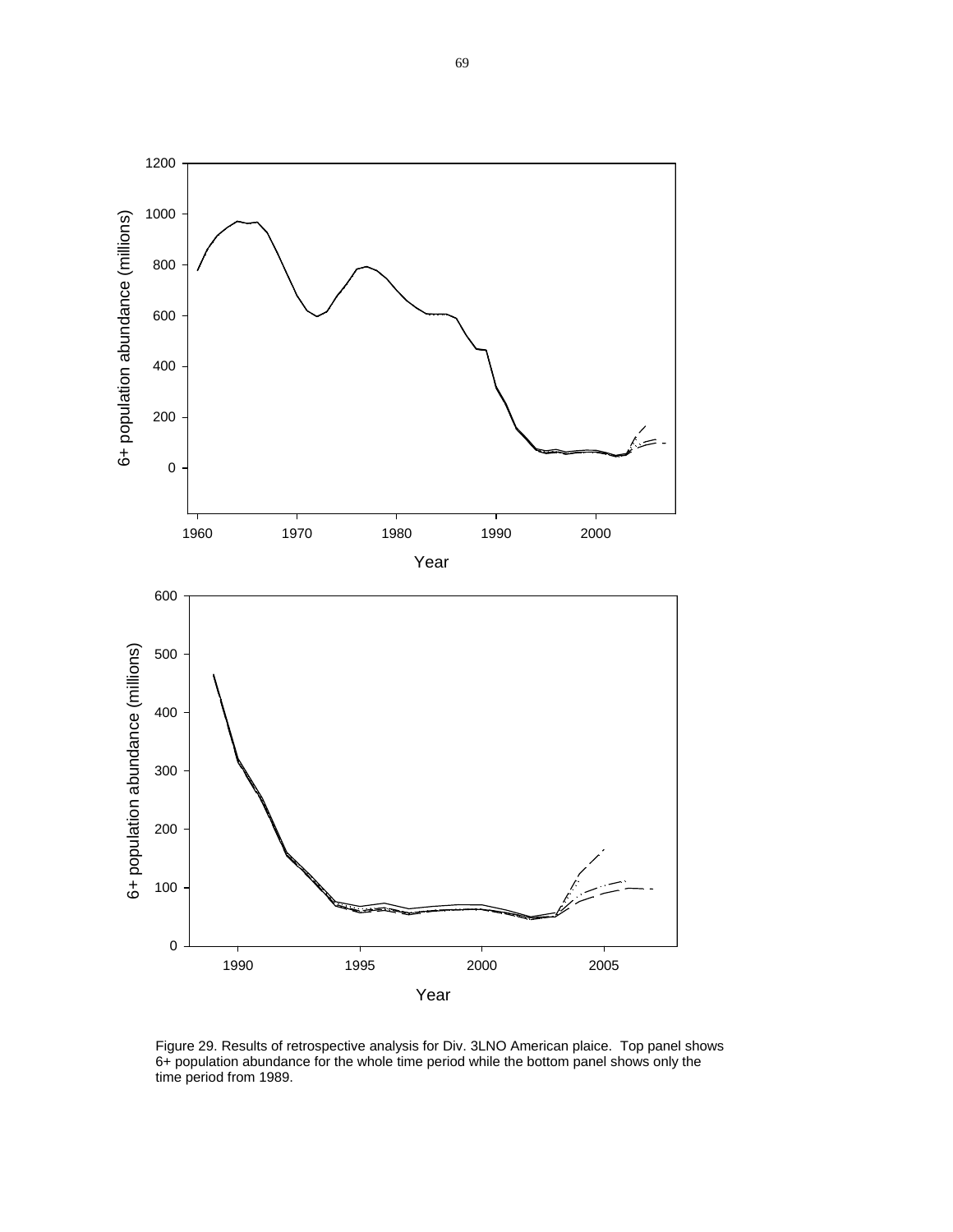

Figure 29. Results of retrospective analysis for Div. 3LNO American plaice. Top panel shows 6+ population abundance for the whole time period while the bottom panel shows only the time period from 1989.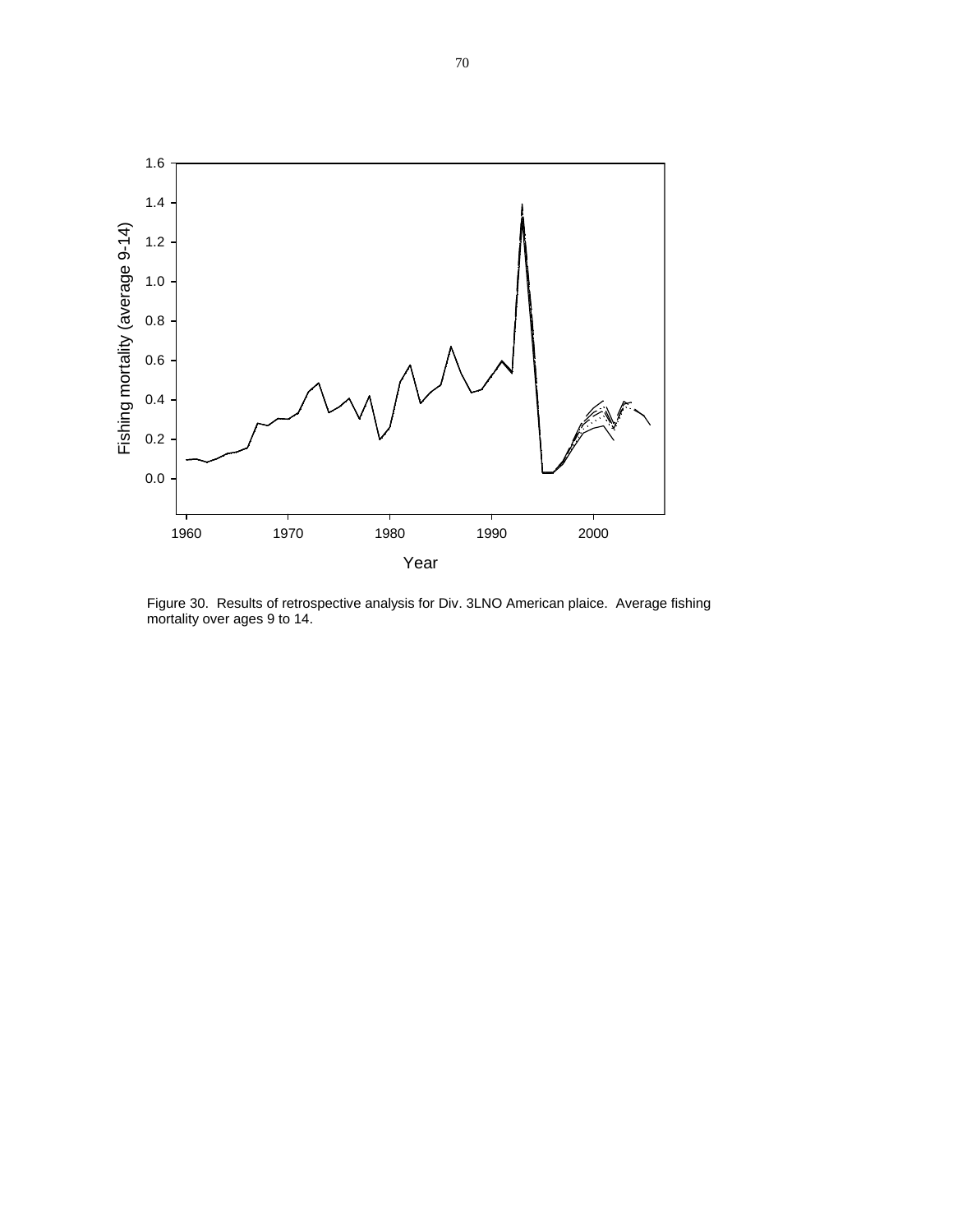

Figure 30. Results of retrospective analysis for Div. 3LNO American plaice. Average fishing mortality over ages 9 to 14.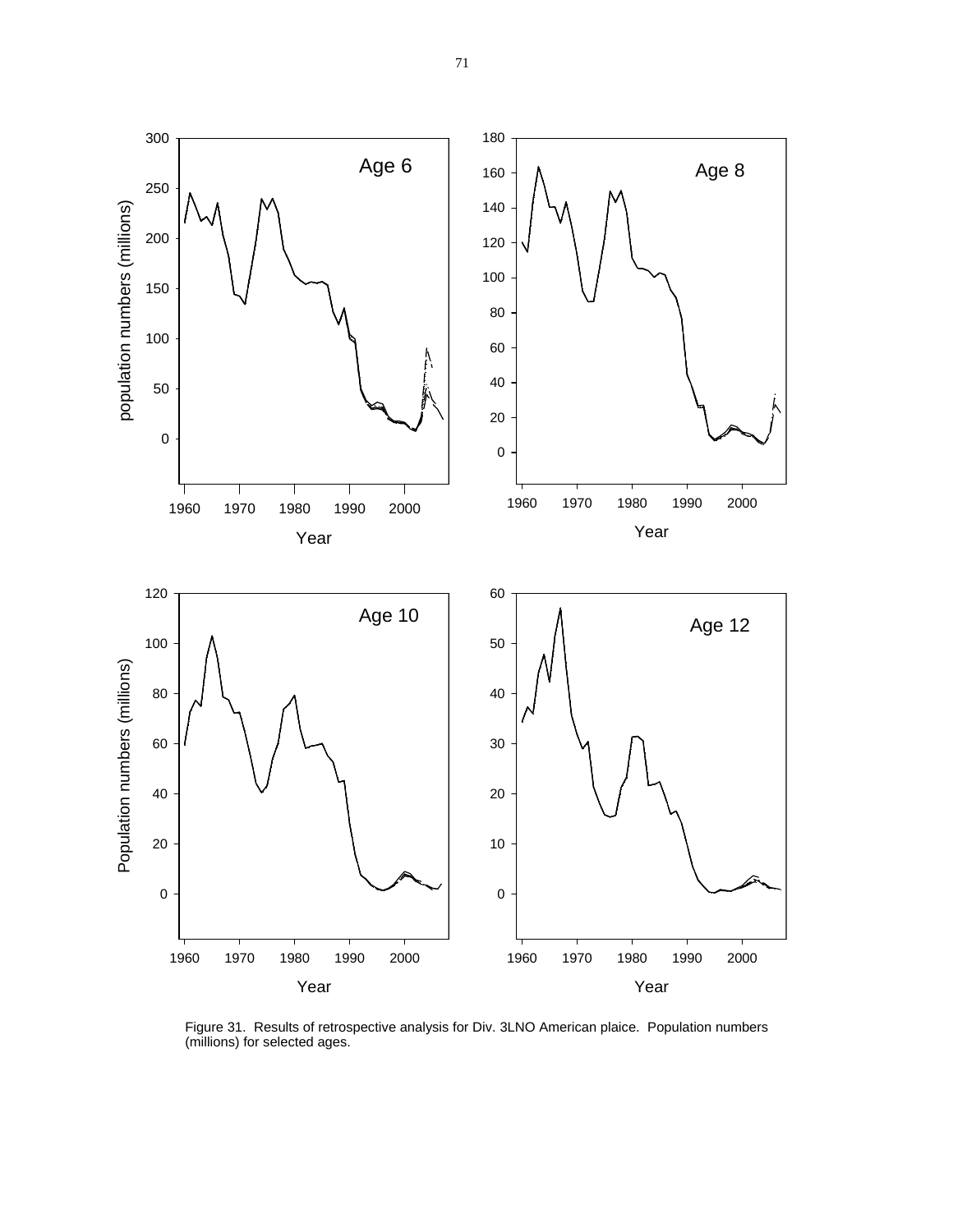

Figure 31. Results of retrospective analysis for Div. 3LNO American plaice. Population numbers (millions) for selected ages.